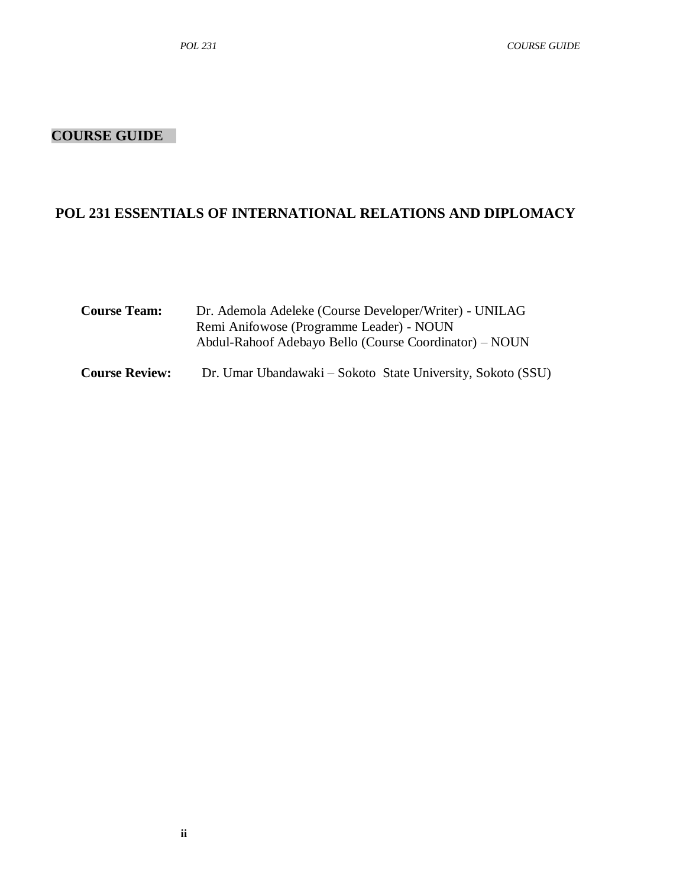### **COURSE GUIDE**

## **POL 231 ESSENTIALS OF INTERNATIONAL RELATIONS AND DIPLOMACY**

| <b>Course Team:</b>   | Dr. Ademola Adeleke (Course Developer/Writer) - UNILAG<br>Remi Anifowose (Programme Leader) - NOUN<br>Abdul-Rahoof Adebayo Bello (Course Coordinator) – NOUN |  |
|-----------------------|--------------------------------------------------------------------------------------------------------------------------------------------------------------|--|
| <b>Course Review:</b> | Dr. Umar Ubandawaki – Sokoto State University, Sokoto (SSU)                                                                                                  |  |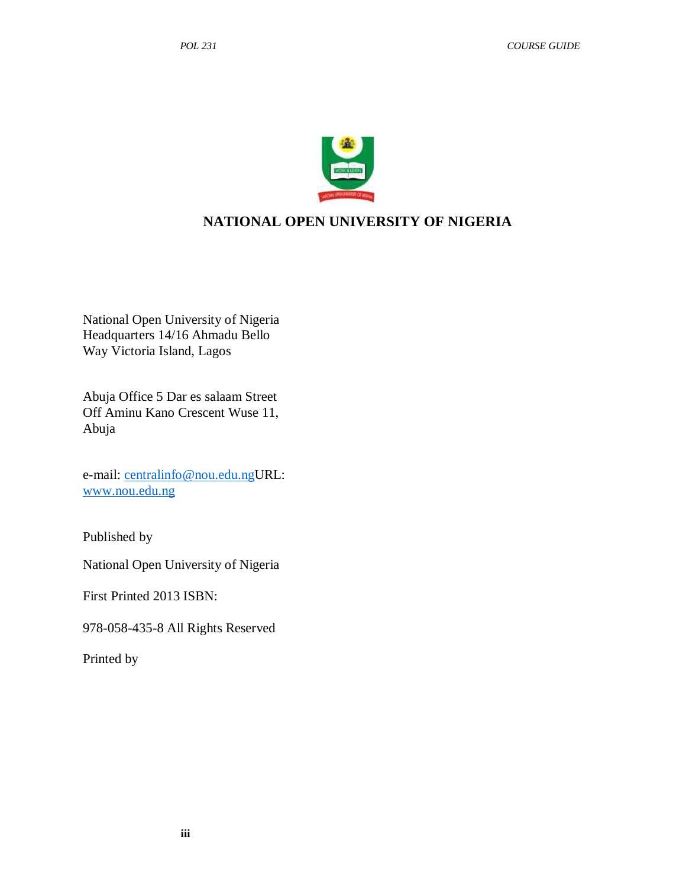

## **NATIONAL OPEN UNIVERSITY OF NIGERIA**

National Open University of Nigeria Headquarters 14/16 Ahmadu Bello Way Victoria Island, Lagos

Abuja Office 5 Dar es salaam Street Off Aminu Kano Crescent Wuse 11, Abuja

e-mail: [centralinfo@nou.edu.ngU](mailto:centralinfo@nou.edu.ng)RL: [www.nou.edu.ng](http://www.nou.edu.ng/)

Published by

National Open University of Nigeria

First Printed 2013 ISBN:

978-058-435-8 All Rights Reserved

Printed by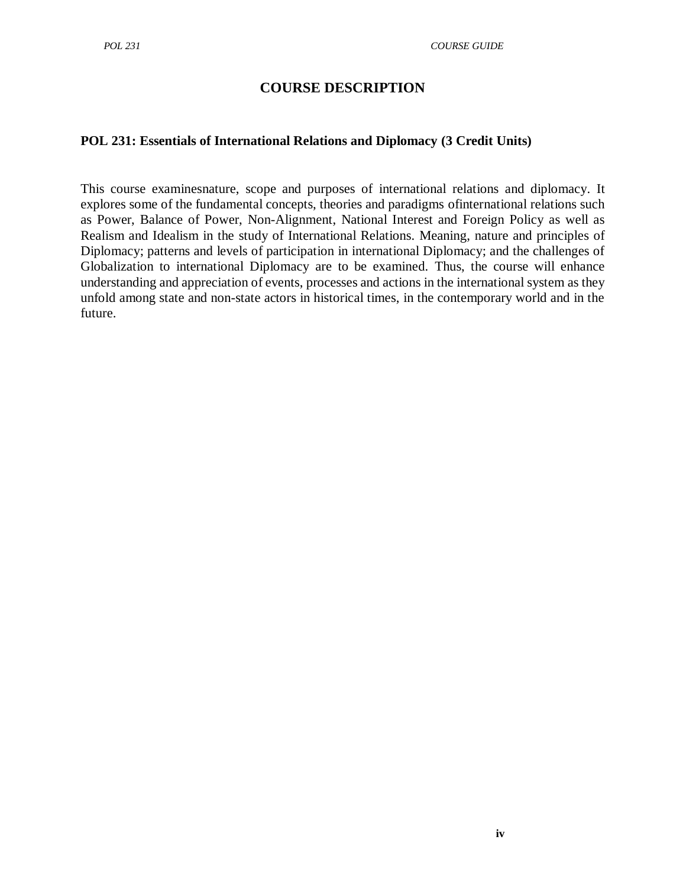## **COURSE DESCRIPTION**

#### **POL 231: Essentials of International Relations and Diplomacy (3 Credit Units)**

This course examinesnature, scope and purposes of international relations and diplomacy. It explores some of the fundamental concepts, theories and paradigms ofinternational relations such as Power, Balance of Power, Non-Alignment, National Interest and Foreign Policy as well as Realism and Idealism in the study of International Relations. Meaning, nature and principles of Diplomacy; patterns and levels of participation in international Diplomacy; and the challenges of Globalization to international Diplomacy are to be examined. Thus, the course will enhance understanding and appreciation of events, processes and actions in the international system as they unfold among state and non-state actors in historical times, in the contemporary world and in the future.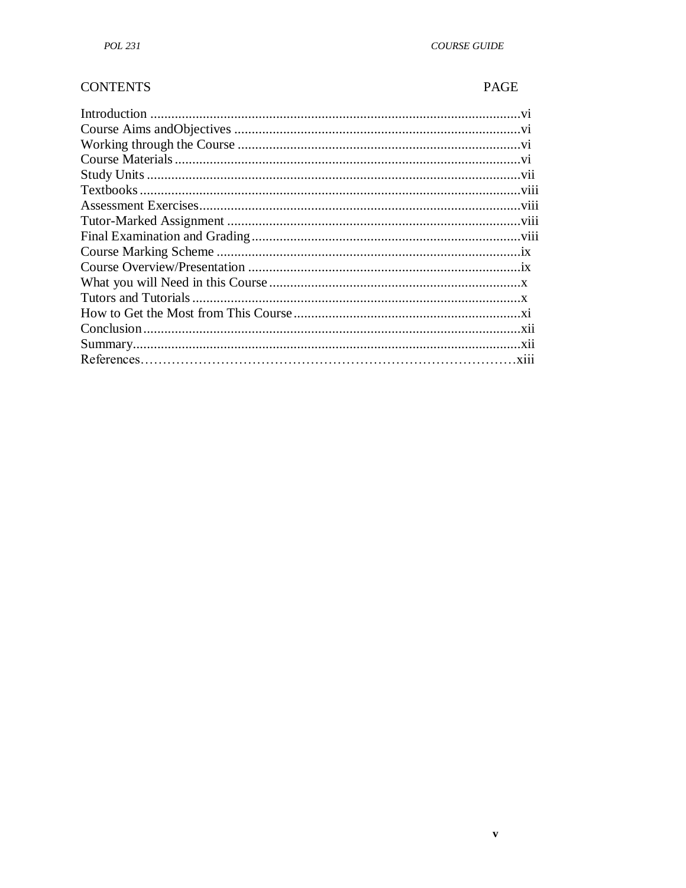#### **CONTENTS**

### PAGE

 $\bar{\mathbf{v}}$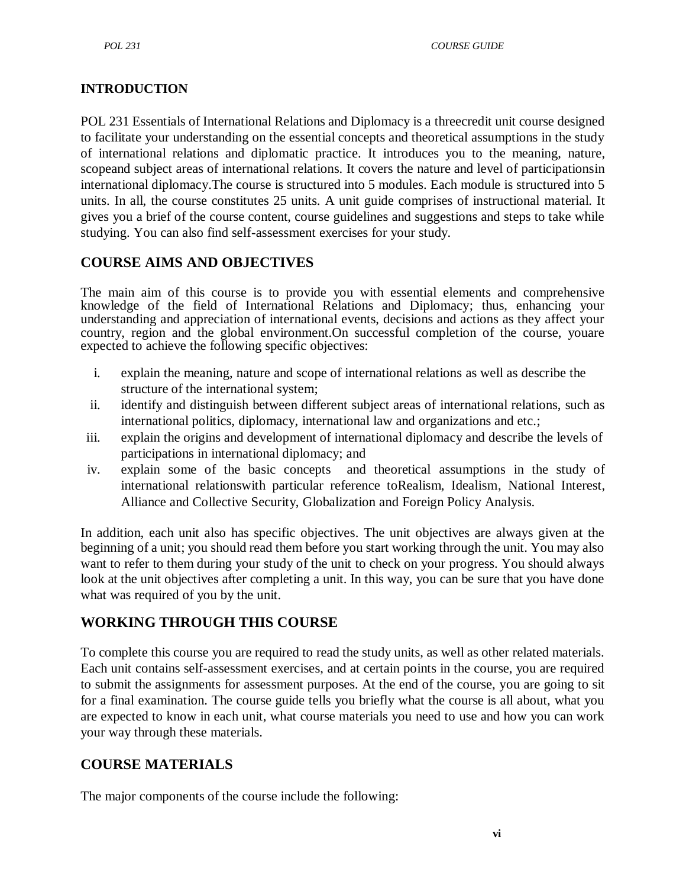## **INTRODUCTION**

POL 231 Essentials of International Relations and Diplomacy is a threecredit unit course designed to facilitate your understanding on the essential concepts and theoretical assumptions in the study of international relations and diplomatic practice. It introduces you to the meaning, nature, scopeand subject areas of international relations. It covers the nature and level of participationsin international diplomacy.The course is structured into 5 modules. Each module is structured into 5 units. In all, the course constitutes 25 units. A unit guide comprises of instructional material. It gives you a brief of the course content, course guidelines and suggestions and steps to take while studying. You can also find self-assessment exercises for your study.

## **COURSE AIMS AND OBJECTIVES**

The main aim of this course is to provide you with essential elements and comprehensive knowledge of the field of International Relations and Diplomacy; thus, enhancing your understanding and appreciation of international events, decisions and actions as they affect your country, region and the global environment.On successful completion of the course, youare expected to achieve the following specific objectives:

- i. explain the meaning, nature and scope of international relations as well as describe the structure of the international system;
- ii. identify and distinguish between different subject areas of international relations, such as international politics, diplomacy, international law and organizations and etc.;
- iii. explain the origins and development of international diplomacy and describe the levels of participations in international diplomacy; and
- iv. explain some of the basic concepts and theoretical assumptions in the study of international relationswith particular reference toRealism, Idealism, National Interest, Alliance and Collective Security, Globalization and Foreign Policy Analysis.

In addition, each unit also has specific objectives. The unit objectives are always given at the beginning of a unit; you should read them before you start working through the unit. You may also want to refer to them during your study of the unit to check on your progress. You should always look at the unit objectives after completing a unit. In this way, you can be sure that you have done what was required of you by the unit.

# **WORKING THROUGH THIS COURSE**

To complete this course you are required to read the study units, as well as other related materials. Each unit contains self-assessment exercises, and at certain points in the course, you are required to submit the assignments for assessment purposes. At the end of the course, you are going to sit for a final examination. The course guide tells you briefly what the course is all about, what you are expected to know in each unit, what course materials you need to use and how you can work your way through these materials.

## **COURSE MATERIALS**

The major components of the course include the following: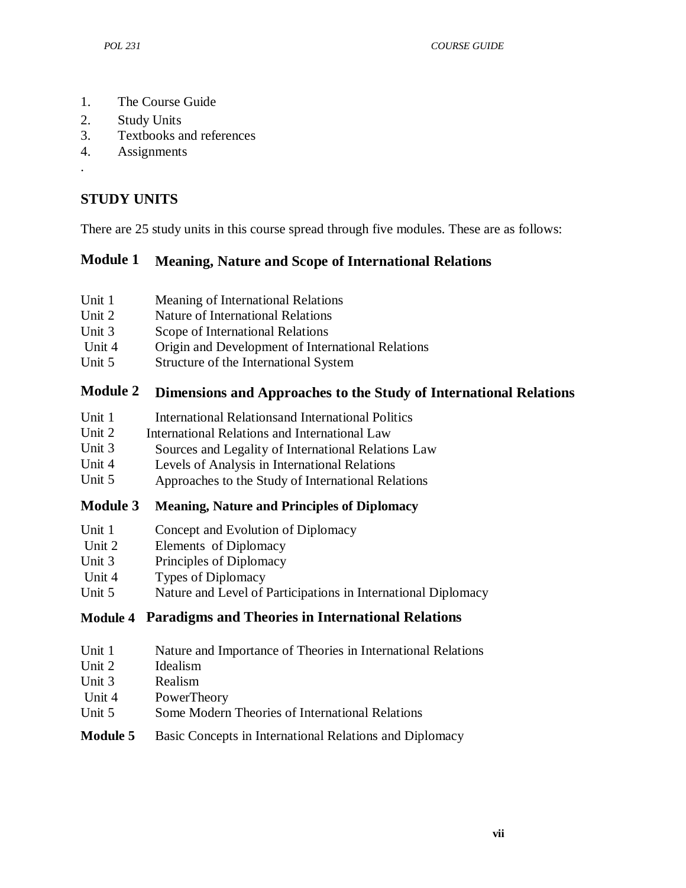- 1. The Course Guide
- 2. Study Units
- 3. Textbooks and references
- 4. Assignments
- .

## **STUDY UNITS**

There are 25 study units in this course spread through five modules. These are as follows:

## **Module 1 Meaning, Nature and Scope of International Relations**

- Unit 1 Meaning of International Relations
- Unit 2 Nature of International Relations
- Unit 3 Scope of International Relations
- Unit 4 Origin and Development of International Relations
- Unit 5 Structure of the International System

## **Module 2 Dimensions and Approaches to the Study of International Relations**

- Unit 1 International Relationsand International Politics
- Unit 2 International Relations and International Law
- Unit 3 Sources and Legality of International Relations Law
- Unit 4 Levels of Analysis in International Relations
- Unit 5 Approaches to the Study of International Relations

## **Module 3 Meaning, Nature and Principles of Diplomacy**

- Unit 1 Concept and Evolution of Diplomacy
- Unit 2 Elements of Diplomacy
- Unit 3 Principles of Diplomacy
- Unit 4 Types of Diplomacy
- Unit 5 Nature and Level of Participations in International Diplomacy

## **Module 4 Paradigms and Theories in International Relations**

- Unit 1 Nature and Importance of Theories in International Relations
- Unit 2 Idealism
- Unit 3 Realism
- Unit 4 PowerTheory
- Unit 5 Some Modern Theories of International Relations

## **Module 5** Basic Concepts in International Relations and Diplomacy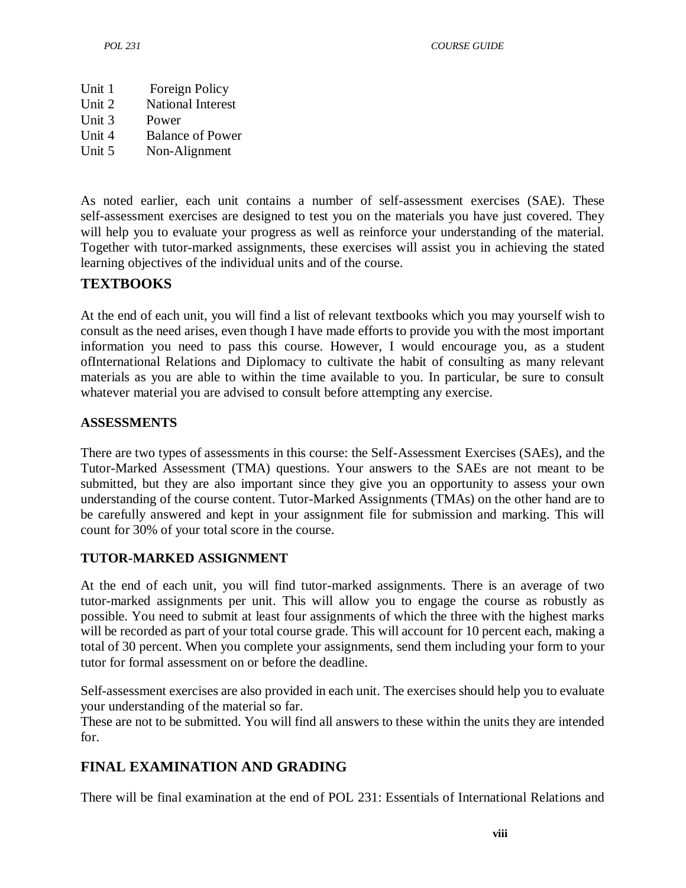Unit 1 Unit 2 Unit 3 Unit 4 Unit 5 Foreign Policy National Interest Power Balance of Power Non-Alignment

As noted earlier, each unit contains a number of self-assessment exercises (SAE). These self-assessment exercises are designed to test you on the materials you have just covered. They will help you to evaluate your progress as well as reinforce your understanding of the material. Together with tutor-marked assignments, these exercises will assist you in achieving the stated learning objectives of the individual units and of the course.

## **TEXTBOOKS**

At the end of each unit, you will find a list of relevant textbooks which you may yourself wish to consult as the need arises, even though I have made efforts to provide you with the most important information you need to pass this course. However, I would encourage you, as a student ofInternational Relations and Diplomacy to cultivate the habit of consulting as many relevant materials as you are able to within the time available to you. In particular, be sure to consult whatever material you are advised to consult before attempting any exercise.

## **ASSESSMENTS**

There are two types of assessments in this course: the Self-Assessment Exercises (SAEs), and the Tutor-Marked Assessment (TMA) questions. Your answers to the SAEs are not meant to be submitted, but they are also important since they give you an opportunity to assess your own understanding of the course content. Tutor-Marked Assignments (TMAs) on the other hand are to be carefully answered and kept in your assignment file for submission and marking. This will count for 30% of your total score in the course.

## **TUTOR-MARKED ASSIGNMENT**

At the end of each unit, you will find tutor-marked assignments. There is an average of two tutor-marked assignments per unit. This will allow you to engage the course as robustly as possible. You need to submit at least four assignments of which the three with the highest marks will be recorded as part of your total course grade. This will account for 10 percent each, making a total of 30 percent. When you complete your assignments, send them including your form to your tutor for formal assessment on or before the deadline.

Self-assessment exercises are also provided in each unit. The exercises should help you to evaluate your understanding of the material so far.

These are not to be submitted. You will find all answers to these within the units they are intended for.

# **FINAL EXAMINATION AND GRADING**

There will be final examination at the end of POL 231: Essentials of International Relations and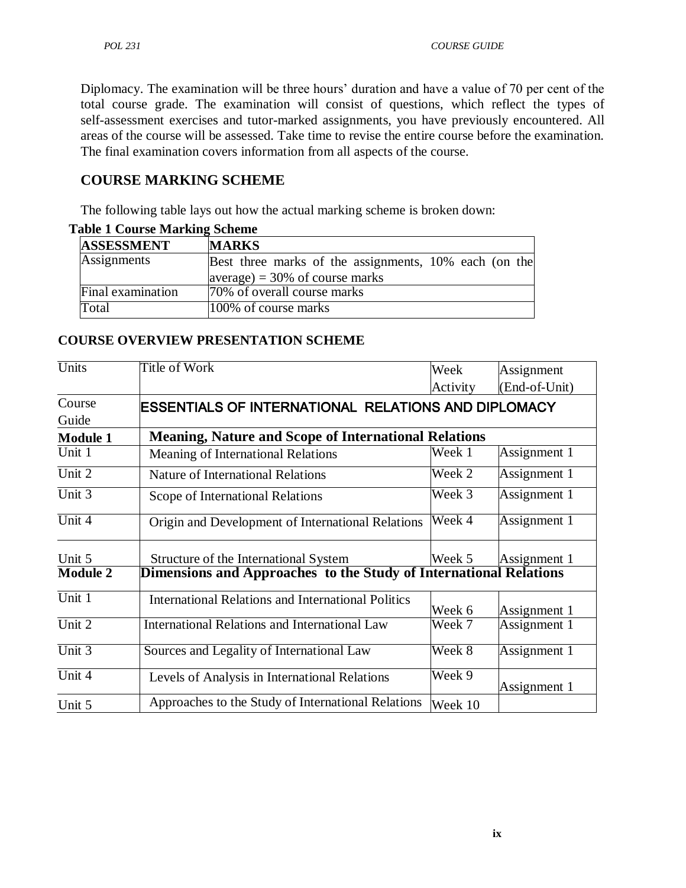Diplomacy. The examination will be three hours' duration and have a value of 70 per cent of the total course grade. The examination will consist of questions, which reflect the types of self-assessment exercises and tutor-marked assignments, you have previously encountered. All areas of the course will be assessed. Take time to revise the entire course before the examination. The final examination covers information from all aspects of the course.

## **COURSE MARKING SCHEME**

The following table lays out how the actual marking scheme is broken down:

| able 1 Course mai king beneme |                                                       |  |  |  |
|-------------------------------|-------------------------------------------------------|--|--|--|
| <b>ASSESSMENT</b>             | <b>MARKS</b>                                          |  |  |  |
| Assignments                   | Best three marks of the assignments, 10% each (on the |  |  |  |
|                               | $ average  = 30\%$ of course marks                    |  |  |  |
| Final examination             | 70% of overall course marks                           |  |  |  |
| Total                         | 100% of course marks                                  |  |  |  |

#### **Table 1 Course Marking Scheme**

#### **COURSE OVERVIEW PRESENTATION SCHEME**

| Units           | <b>Title of Work</b>                                              | Week     | Assignment    |  |
|-----------------|-------------------------------------------------------------------|----------|---------------|--|
|                 |                                                                   | Activity | (End-of-Unit) |  |
| Course          | ESSENTIALS OF INTERNATIONAL RELATIONS AND DIPLOMACY               |          |               |  |
| Guide           |                                                                   |          |               |  |
| <b>Module 1</b> | <b>Meaning, Nature and Scope of International Relations</b>       |          |               |  |
| Unit 1          | Meaning of International Relations                                | Week 1   | Assignment 1  |  |
| Unit 2          | <b>Nature of International Relations</b>                          | Week 2   | Assignment 1  |  |
| Unit $3$        | Scope of International Relations                                  | Week 3   | Assignment 1  |  |
| Unit 4          | Origin and Development of International Relations                 | Week 4   | Assignment 1  |  |
| Unit 5          | Structure of the International System                             | Week 5   | Assignment 1  |  |
| <b>Module 2</b> | Dimensions and Approaches to the Study of International Relations |          |               |  |
| Unit $1$        | <b>International Relations and International Politics</b>         | Week 6   | Assignment 1  |  |
| Unit 2          | International Relations and International Law                     | Week 7   | Assignment 1  |  |
| Unit 3          | Sources and Legality of International Law                         | Week 8   | Assignment 1  |  |
| Unit $4$        | Levels of Analysis in International Relations                     | Week 9   | Assignment 1  |  |
| Unit 5          | Approaches to the Study of International Relations                | Week 10  |               |  |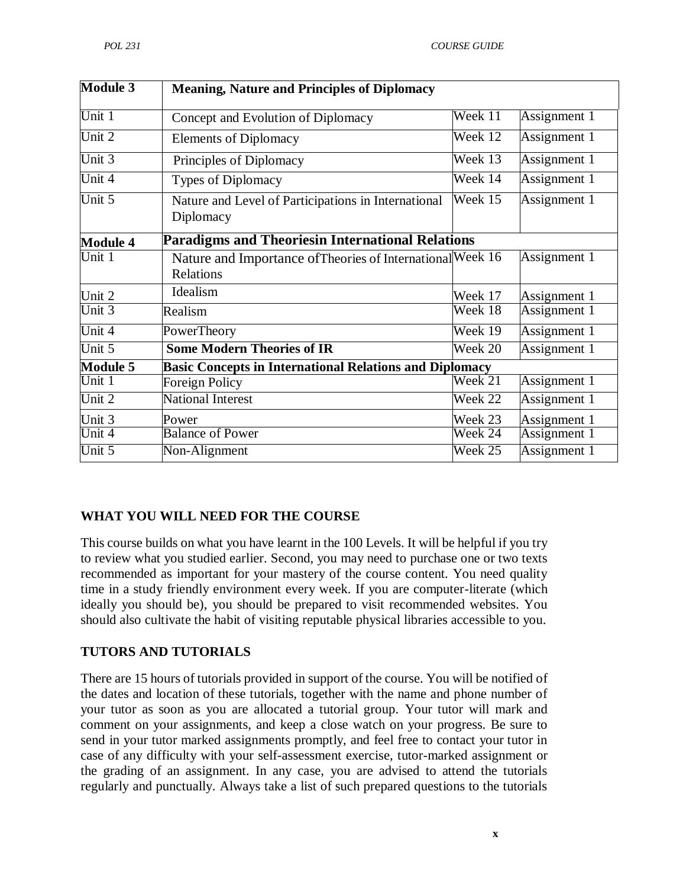| <b>Module 3</b> | <b>Meaning, Nature and Principles of Diplomacy</b>                      |                             |              |  |
|-----------------|-------------------------------------------------------------------------|-----------------------------|--------------|--|
| Unit 1          | Concept and Evolution of Diplomacy                                      | Week 11                     | Assignment 1 |  |
| Unit 2          | <b>Elements of Diplomacy</b>                                            | Week 12                     | Assignment 1 |  |
| Unit 3          | Principles of Diplomacy                                                 | Week 13                     | Assignment 1 |  |
| Unit 4          | Types of Diplomacy                                                      | Week 14                     | Assignment 1 |  |
| Unit 5          | Nature and Level of Participations in International<br>Diplomacy        | Week 15                     | Assignment 1 |  |
| <b>Module 4</b> | <b>Paradigms and Theoriesin International Relations</b>                 |                             |              |  |
| Unit 1          | Nature and Importance of Theories of International Week 16<br>Relations |                             | Assignment 1 |  |
| Unit 2          | Idealism                                                                | Week 17                     | Assignment 1 |  |
| Unit 3          | Realism                                                                 | Week 18                     | Assignment 1 |  |
| Unit 4          | <b>PowerTheory</b>                                                      | $\overline{\text{Week}}$ 19 | Assignment 1 |  |
| Unit 5          | <b>Some Modern Theories of IR</b>                                       | Week 20                     | Assignment 1 |  |
| <b>Module 5</b> | <b>Basic Concepts in International Relations and Diplomacy</b>          |                             |              |  |
| Unit 1          | <b>Foreign Policy</b>                                                   | Week 21                     | Assignment 1 |  |
| Unit 2          | <b>National Interest</b>                                                | Week 22                     | Assignment 1 |  |
| Unit 3          | Power                                                                   | Week 23                     | Assignment 1 |  |
| Unit 4          | <b>Balance of Power</b>                                                 | Week 24                     | Assignment 1 |  |
| Unit 5          | Non-Alignment                                                           | Week 25                     | Assignment 1 |  |

## **WHAT YOU WILL NEED FOR THE COURSE**

This course builds on what you have learnt in the 100 Levels. It will be helpful if you try to review what you studied earlier. Second, you may need to purchase one or two texts recommended as important for your mastery of the course content. You need quality time in a study friendly environment every week. If you are computer-literate (which ideally you should be), you should be prepared to visit recommended websites. You should also cultivate the habit of visiting reputable physical libraries accessible to you.

#### **TUTORS AND TUTORIALS**

There are 15 hours of tutorials provided in support of the course. You will be notified of the dates and location of these tutorials, together with the name and phone number of your tutor as soon as you are allocated a tutorial group. Your tutor will mark and comment on your assignments, and keep a close watch on your progress. Be sure to send in your tutor marked assignments promptly, and feel free to contact your tutor in case of any difficulty with your self-assessment exercise, tutor-marked assignment or the grading of an assignment. In any case, you are advised to attend the tutorials regularly and punctually. Always take a list of such prepared questions to the tutorials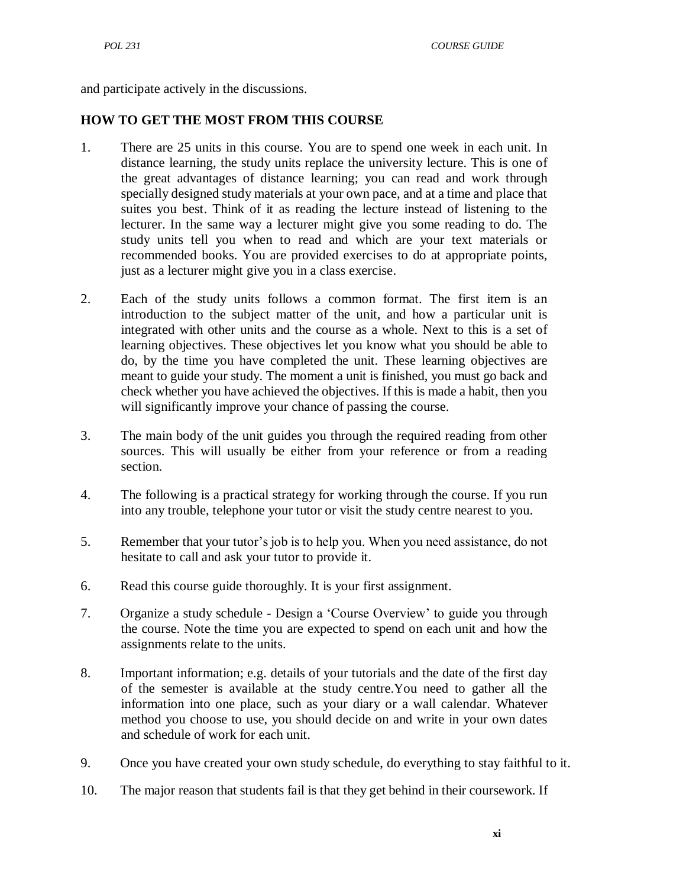and participate actively in the discussions.

#### **HOW TO GET THE MOST FROM THIS COURSE**

- 1. There are 25 units in this course. You are to spend one week in each unit. In distance learning, the study units replace the university lecture. This is one of the great advantages of distance learning; you can read and work through specially designed study materials at your own pace, and at a time and place that suites you best. Think of it as reading the lecture instead of listening to the lecturer. In the same way a lecturer might give you some reading to do. The study units tell you when to read and which are your text materials or recommended books. You are provided exercises to do at appropriate points, just as a lecturer might give you in a class exercise.
- 2. Each of the study units follows a common format. The first item is an introduction to the subject matter of the unit, and how a particular unit is integrated with other units and the course as a whole. Next to this is a set of learning objectives. These objectives let you know what you should be able to do, by the time you have completed the unit. These learning objectives are meant to guide your study. The moment a unit is finished, you must go back and check whether you have achieved the objectives. If this is made a habit, then you will significantly improve your chance of passing the course.
- 3. The main body of the unit guides you through the required reading from other sources. This will usually be either from your reference or from a reading section.
- 4. The following is a practical strategy for working through the course. If you run into any trouble, telephone your tutor or visit the study centre nearest to you.
- 5. Remember that your tutor's job is to help you. When you need assistance, do not hesitate to call and ask your tutor to provide it.
- 6. Read this course guide thoroughly. It is your first assignment.
- 7. Organize a study schedule Design a ‗Course Overview' to guide you through the course. Note the time you are expected to spend on each unit and how the assignments relate to the units.
- 8. Important information; e.g. details of your tutorials and the date of the first day of the semester is available at the study centre.You need to gather all the information into one place, such as your diary or a wall calendar. Whatever method you choose to use, you should decide on and write in your own dates and schedule of work for each unit.
- 9. Once you have created your own study schedule, do everything to stay faithful to it.
- 10. The major reason that students fail is that they get behind in their coursework. If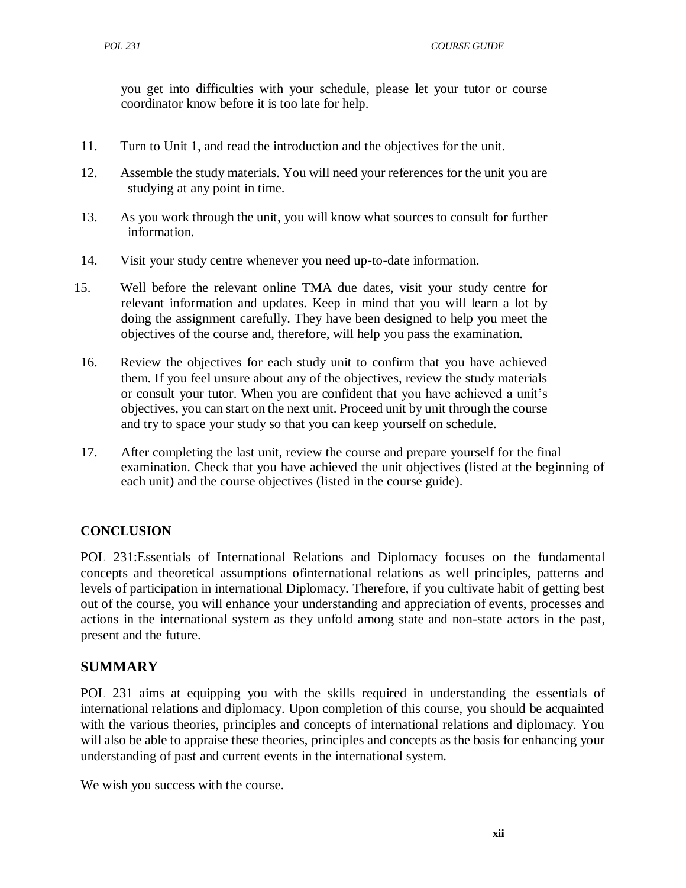you get into difficulties with your schedule, please let your tutor or course coordinator know before it is too late for help.

- 11. Turn to Unit 1, and read the introduction and the objectives for the unit.
- 12. Assemble the study materials. You will need your references for the unit you are studying at any point in time.
- 13. As you work through the unit, you will know what sources to consult for further information.
- 14. Visit your study centre whenever you need up-to-date information.
- 15. Well before the relevant online TMA due dates, visit your study centre for relevant information and updates. Keep in mind that you will learn a lot by doing the assignment carefully. They have been designed to help you meet the objectives of the course and, therefore, will help you pass the examination.
- 16. Review the objectives for each study unit to confirm that you have achieved them. If you feel unsure about any of the objectives, review the study materials or consult your tutor. When you are confident that you have achieved a unit's objectives, you can start on the next unit. Proceed unit by unit through the course and try to space your study so that you can keep yourself on schedule.
- 17. After completing the last unit, review the course and prepare yourself for the final examination. Check that you have achieved the unit objectives (listed at the beginning of each unit) and the course objectives (listed in the course guide).

## **CONCLUSION**

POL 231:Essentials of International Relations and Diplomacy focuses on the fundamental concepts and theoretical assumptions ofinternational relations as well principles, patterns and levels of participation in international Diplomacy. Therefore, if you cultivate habit of getting best out of the course, you will enhance your understanding and appreciation of events, processes and actions in the international system as they unfold among state and non-state actors in the past, present and the future.

## **SUMMARY**

POL 231 aims at equipping you with the skills required in understanding the essentials of international relations and diplomacy. Upon completion of this course, you should be acquainted with the various theories, principles and concepts of international relations and diplomacy. You will also be able to appraise these theories, principles and concepts as the basis for enhancing your understanding of past and current events in the international system.

We wish you success with the course.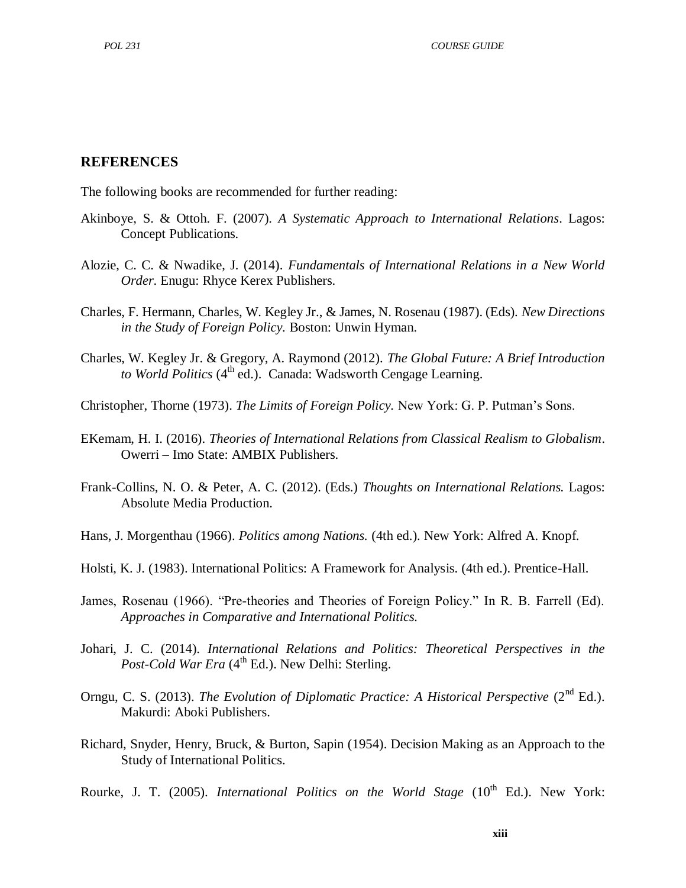#### **REFERENCES**

The following books are recommended for further reading:

- Akinboye, S. & Ottoh. F. (2007). *A Systematic Approach to International Relations*. Lagos: Concept Publications.
- Alozie, C. C. & Nwadike, J. (2014). *Fundamentals of International Relations in a New World Order*. Enugu: Rhyce Kerex Publishers.
- Charles, F. Hermann, Charles, W. Kegley Jr., & James, N. Rosenau (1987). (Eds). *New Directions in the Study of Foreign Policy.* Boston: Unwin Hyman.
- Charles, W. Kegley Jr. & Gregory, A. Raymond (2012). *The Global Future: A Brief Introduction*  to World Politics (4<sup>th</sup> ed.). Canada: Wadsworth Cengage Learning.
- Christopher, Thorne (1973). *The Limits of Foreign Policy.* New York: G. P. Putman's Sons.
- EKemam, H. I. (2016). *Theories of International Relations from Classical Realism to Globalism*. Owerri – Imo State: AMBIX Publishers.
- Frank-Collins, N. O. & Peter, A. C. (2012). (Eds.) *Thoughts on International Relations.* Lagos: Absolute Media Production.
- Hans, J. Morgenthau (1966). *Politics among Nations.* (4th ed.). New York: Alfred A. Knopf.
- Holsti, K. J. (1983). International Politics: A Framework for Analysis. (4th ed.). Prentice-Hall.
- James, Rosenau (1966). "Pre-theories and Theories of Foreign Policy." In R. B. Farrell (Ed). *Approaches in Comparative and International Politics.*
- Johari, J. C. (2014). *International Relations and Politics: Theoretical Perspectives in the*  Post-Cold War Era (4<sup>th</sup> Ed.). New Delhi: Sterling.
- Orngu, C. S. (2013). *The Evolution of Diplomatic Practice: A Historical Perspective* (2<sup>nd</sup> Ed.). Makurdi: Aboki Publishers.
- Richard, Snyder, Henry, Bruck, & Burton, Sapin (1954). Decision Making as an Approach to the Study of International Politics.
- Rourke, J. T. (2005). *International Politics on the World Stage* (10<sup>th</sup> Ed.). New York: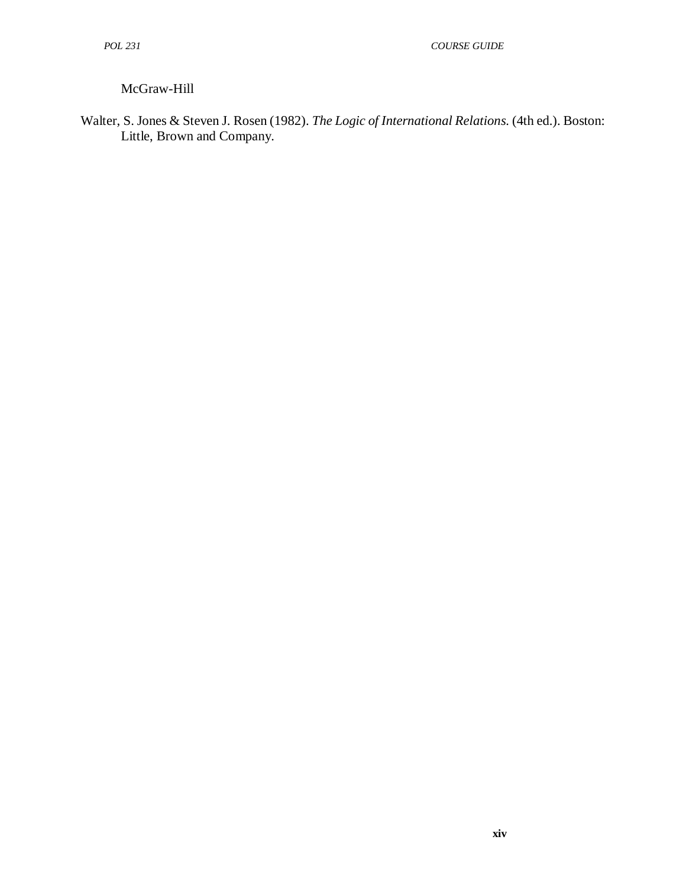## McGraw-Hill

Walter, S. Jones & Steven J. Rosen (1982). *The Logic of International Relations.* (4th ed.). Boston: Little, Brown and Company.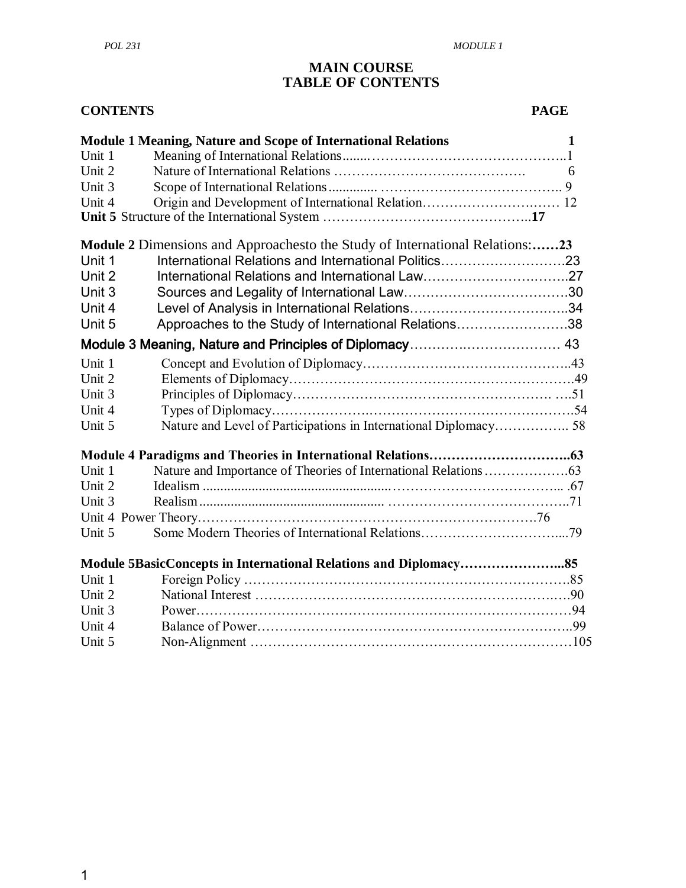#### **MAIN COURSE TABLE OF CONTENTS**

| <b>CONTENTS</b> |                                                                              | <b>PAGE</b> |  |
|-----------------|------------------------------------------------------------------------------|-------------|--|
|                 | <b>Module 1 Meaning, Nature and Scope of International Relations</b>         | 1           |  |
| Unit 1          |                                                                              |             |  |
| Unit 2          |                                                                              | 6           |  |
| Unit 3          |                                                                              |             |  |
| Unit 4          |                                                                              |             |  |
|                 |                                                                              |             |  |
|                 | Module 2 Dimensions and Approachesto the Study of International Relations:23 |             |  |
| Unit 1          | International Relations and International Politics23                         |             |  |
| Unit 2          |                                                                              |             |  |
| Unit 3          |                                                                              |             |  |
| Unit 4          |                                                                              |             |  |
| Unit 5          | Approaches to the Study of International Relations38                         |             |  |
|                 |                                                                              |             |  |
| Unit 1          |                                                                              |             |  |
| Unit 2          |                                                                              |             |  |
| Unit 3          |                                                                              |             |  |
| Unit 4          |                                                                              |             |  |
| Unit 5          | Nature and Level of Participations in International Diplomacy 58             |             |  |
|                 |                                                                              |             |  |
| Unit 1          |                                                                              |             |  |
| Unit 2          |                                                                              |             |  |
| Unit 3          |                                                                              |             |  |
|                 |                                                                              |             |  |
| Unit 5          |                                                                              |             |  |
|                 |                                                                              |             |  |
| Unit 1          |                                                                              |             |  |
| Unit 2          |                                                                              |             |  |
| Unit 3          |                                                                              |             |  |
| Unit 4          |                                                                              |             |  |
| Unit 5          |                                                                              |             |  |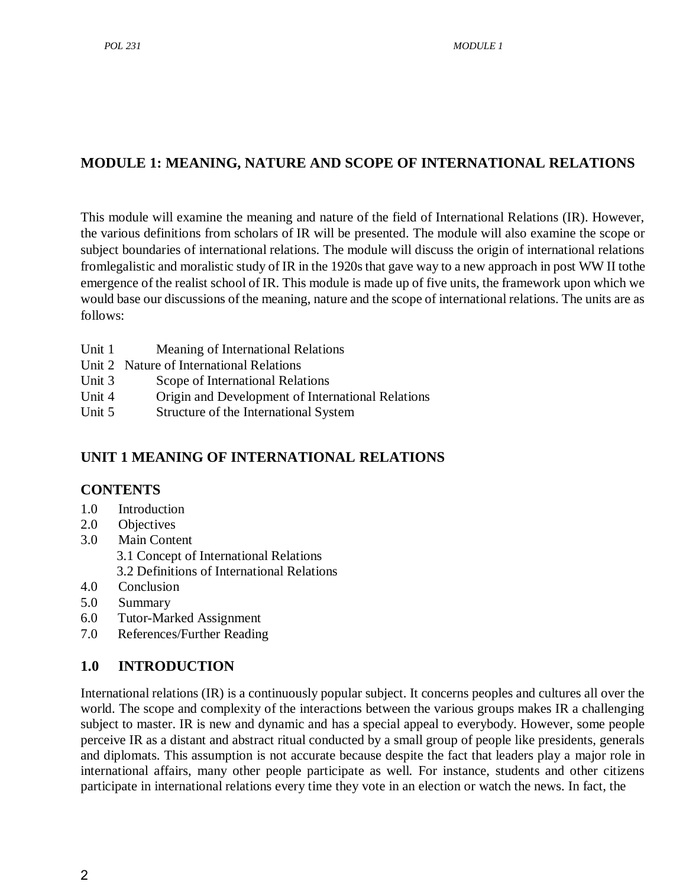# **MODULE 1: MEANING, NATURE AND SCOPE OF INTERNATIONAL RELATIONS**

This module will examine the meaning and nature of the field of International Relations (IR). However, the various definitions from scholars of IR will be presented. The module will also examine the scope or subject boundaries of international relations. The module will discuss the origin of international relations fromlegalistic and moralistic study of IR in the 1920s that gave way to a new approach in post WW II tothe emergence of the realist school of IR. This module is made up of five units, the framework upon which we would base our discussions of the meaning, nature and the scope of international relations. The units are as follows:

- Unit 1 Meaning of International Relations
- Unit 2 Nature of International Relations
- Unit 3 Scope of International Relations
- Unit 4 Origin and Development of International Relations
- Unit 5 Structure of the International System

# <span id="page-14-0"></span>**UNIT 1 MEANING OF INTERNATIONAL RELATIONS**

## **CONTENTS**

- 1.0 Introduction
- 2.0 Objectives
- 3.0 Main Content
	- 3.1 Concept of International Relations
	- 3.2 Definitions of International Relations
- 4.0 Conclusion
- 5.0 Summary
- 6.0 Tutor-Marked Assignment
- 7.0 References/Further Reading

## **1.0 INTRODUCTION**

International relations (IR) is a continuously popular subject. It concerns peoples and cultures all over the world. The scope and complexity of the interactions between the various groups makes IR a challenging subject to master. IR is new and dynamic and has a special appeal to everybody. However, some people perceive IR as a distant and abstract ritual conducted by a small group of people like presidents, generals and diplomats. This assumption is not accurate because despite the fact that leaders play a major role in international affairs, many other people participate as well. For instance, students and other citizens participate in international relations every time they vote in an election or watch the news. In fact, the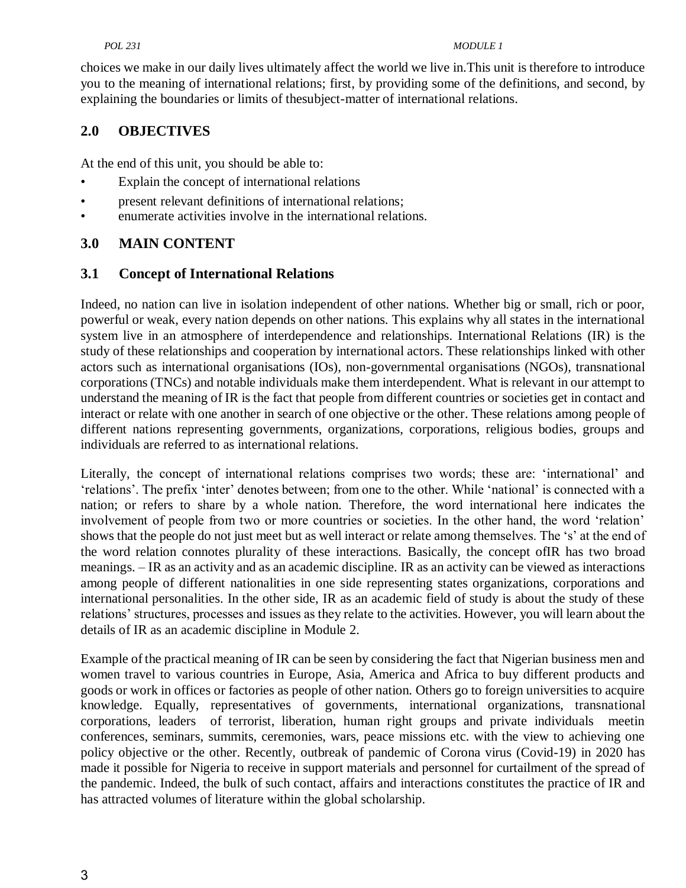#### *POL 231 MODULE 1*

choices we make in our daily lives ultimately affect the world we live in.This unit is therefore to introduce you to the meaning of international relations; first, by providing some of the definitions, and second, by explaining the boundaries or limits of thesubject-matter of international relations.

## **2.0 OBJECTIVES**

At the end of this unit, you should be able to:

- Explain the concept of international relations
- present relevant definitions of international relations;
- enumerate activities involve in the international relations.

## **3.0 MAIN CONTENT**

#### **3.1 Concept of International Relations**

Indeed, no nation can live in isolation independent of other nations. Whether big or small, rich or poor, powerful or weak, every nation depends on other nations. This explains why all states in the international system live in an atmosphere of interdependence and relationships. International Relations (IR) is the study of these relationships and cooperation by international actors. These relationships linked with other actors such as international organisations (IOs), non-governmental organisations (NGOs), transnational corporations (TNCs) and notable individuals make them interdependent. What is relevant in our attempt to understand the meaning of IR is the fact that people from different countries or societies get in contact and interact or relate with one another in search of one objective or the other. These relations among people of different nations representing governments, organizations, corporations, religious bodies, groups and individuals are referred to as international relations.

Literally, the concept of international relations comprises two words; these are: 'international' and ‗relations'. The prefix ‗inter' denotes between; from one to the other. While ‗national' is connected with a nation; or refers to share by a whole nation. Therefore, the word international here indicates the involvement of people from two or more countries or societies. In the other hand, the word 'relation' shows that the people do not just meet but as well interact or relate among themselves. The 's' at the end of the word relation connotes plurality of these interactions. Basically, the concept ofIR has two broad meanings. – IR as an activity and as an academic discipline. IR as an activity can be viewed as interactions among people of different nationalities in one side representing states organizations, corporations and international personalities. In the other side, IR as an academic field of study is about the study of these relations' structures, processes and issues as they relate to the activities. However, you will learn about the details of IR as an academic discipline in Module 2.

Example of the practical meaning of IR can be seen by considering the fact that Nigerian business men and women travel to various countries in Europe, Asia, America and Africa to buy different products and goods or work in offices or factories as people of other nation. Others go to foreign universities to acquire knowledge. Equally, representatives of governments, international organizations, transnational corporations, leaders of terrorist, liberation, human right groups and private individuals meetin conferences, seminars, summits, ceremonies, wars, peace missions etc. with the view to achieving one policy objective or the other. Recently, outbreak of pandemic of Corona virus (Covid-19) in 2020 has made it possible for Nigeria to receive in support materials and personnel for curtailment of the spread of the pandemic. Indeed, the bulk of such contact, affairs and interactions constitutes the practice of IR and has attracted volumes of literature within the global scholarship.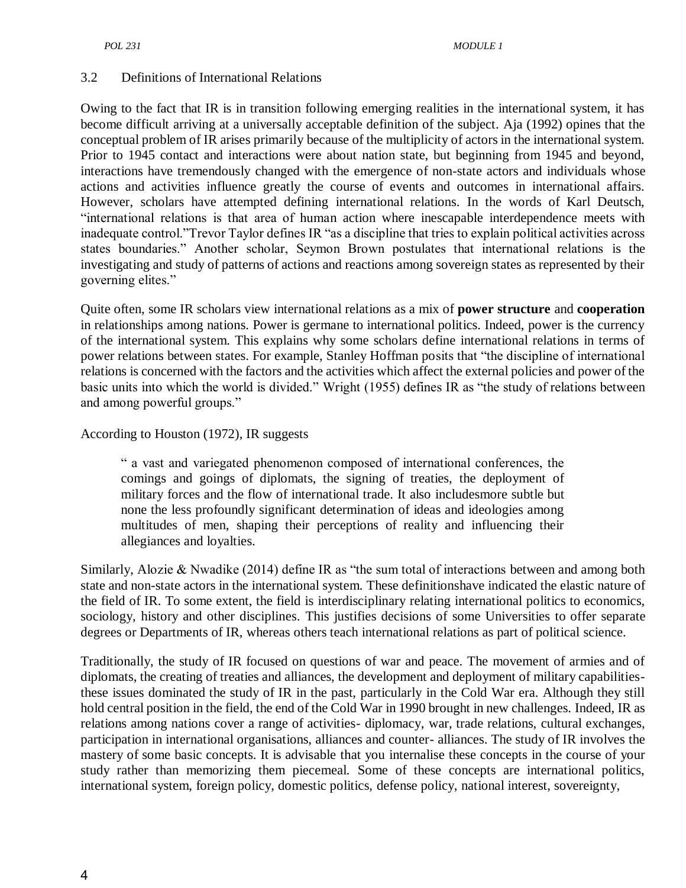#### 3.2 Definitions of International Relations

Owing to the fact that IR is in transition following emerging realities in the international system, it has become difficult arriving at a universally acceptable definition of the subject. Aja (1992) opines that the conceptual problem of IR arises primarily because of the multiplicity of actors in the international system. Prior to 1945 contact and interactions were about nation state, but beginning from 1945 and beyond, interactions have tremendously changed with the emergence of non-state actors and individuals whose actions and activities influence greatly the course of events and outcomes in international affairs. However, scholars have attempted defining international relations. In the words of Karl Deutsch, ―international relations is that area of human action where inescapable interdependence meets with inadequate control. "Trevor Taylor defines IR "as a discipline that tries to explain political activities across states boundaries." Another scholar, Seymon Brown postulates that international relations is the investigating and study of patterns of actions and reactions among sovereign states as represented by their governing elites."

Quite often, some IR scholars view international relations as a mix of **power structure** and **cooperation**  in relationships among nations. Power is germane to international politics. Indeed, power is the currency of the international system. This explains why some scholars define international relations in terms of power relations between states. For example, Stanley Hoffman posits that "the discipline of international relations is concerned with the factors and the activities which affect the external policies and power of the basic units into which the world is divided." Wright (1955) defines IR as "the study of relations between and among powerful groups."

#### According to Houston (1972), IR suggests

― a vast and variegated phenomenon composed of international conferences, the comings and goings of diplomats, the signing of treaties, the deployment of military forces and the flow of international trade. It also includesmore subtle but none the less profoundly significant determination of ideas and ideologies among multitudes of men, shaping their perceptions of reality and influencing their allegiances and loyalties.

Similarly, Alozie & Nwadike (2014) define IR as "the sum total of interactions between and among both state and non-state actors in the international system. These definitionshave indicated the elastic nature of the field of IR. To some extent, the field is interdisciplinary relating international politics to economics, sociology, history and other disciplines. This justifies decisions of some Universities to offer separate degrees or Departments of IR, whereas others teach international relations as part of political science.

Traditionally, the study of IR focused on questions of war and peace. The movement of armies and of diplomats, the creating of treaties and alliances, the development and deployment of military capabilitiesthese issues dominated the study of IR in the past, particularly in the Cold War era. Although they still hold central position in the field, the end of the Cold War in 1990 brought in new challenges. Indeed, IR as relations among nations cover a range of activities- diplomacy, war, trade relations, cultural exchanges, participation in international organisations, alliances and counter- alliances. The study of IR involves the mastery of some basic concepts. It is advisable that you internalise these concepts in the course of your study rather than memorizing them piecemeal. Some of these concepts are international politics, international system, foreign policy, domestic politics, defense policy, national interest, sovereignty,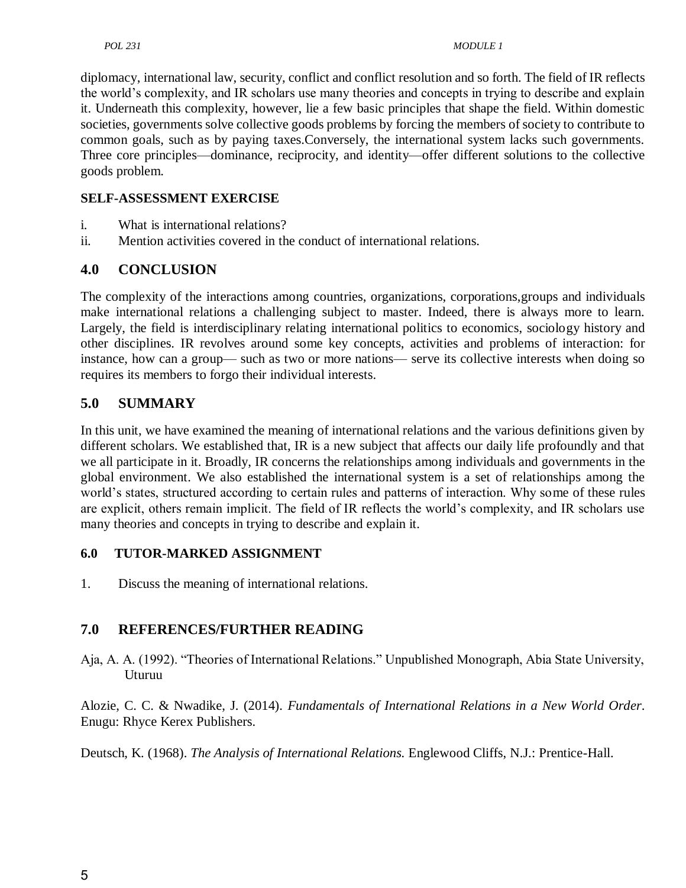diplomacy, international law, security, conflict and conflict resolution and so forth. The field of IR reflects the world's complexity, and IR scholars use many theories and concepts in trying to describe and explain it. Underneath this complexity, however, lie a few basic principles that shape the field. Within domestic societies, governments solve collective goods problems by forcing the members of society to contribute to common goals, such as by paying taxes.Conversely, the international system lacks such governments. Three core principles—dominance, reciprocity, and identity—offer different solutions to the collective goods problem.

## **SELF-ASSESSMENT EXERCISE**

- i. What is international relations?
- ii. Mention activities covered in the conduct of international relations.

## **4.0 CONCLUSION**

The complexity of the interactions among countries, organizations, corporations,groups and individuals make international relations a challenging subject to master. Indeed, there is always more to learn. Largely, the field is interdisciplinary relating international politics to economics, sociology history and other disciplines. IR revolves around some key concepts, activities and problems of interaction: for instance, how can a group— such as two or more nations— serve its collective interests when doing so requires its members to forgo their individual interests.

## **5.0 SUMMARY**

In this unit, we have examined the meaning of international relations and the various definitions given by different scholars. We established that, IR is a new subject that affects our daily life profoundly and that we all participate in it. Broadly, IR concerns the relationships among individuals and governments in the global environment. We also established the international system is a set of relationships among the world's states, structured according to certain rules and patterns of interaction. Why some of these rules are explicit, others remain implicit. The field of IR reflects the world's complexity, and IR scholars use many theories and concepts in trying to describe and explain it.

## **6.0 TUTOR-MARKED ASSIGNMENT**

1. Discuss the meaning of international relations.

# **7.0 REFERENCES/FURTHER READING**

Aja, A. A. (1992). "Theories of International Relations." Unpublished Monograph, Abia State University, Uturuu

Alozie, C. C. & Nwadike, J. (2014). *Fundamentals of International Relations in a New World Order*. Enugu: Rhyce Kerex Publishers.

Deutsch, K. (1968). *The Analysis of International Relations.* Englewood Cliffs, N.J.: Prentice-Hall.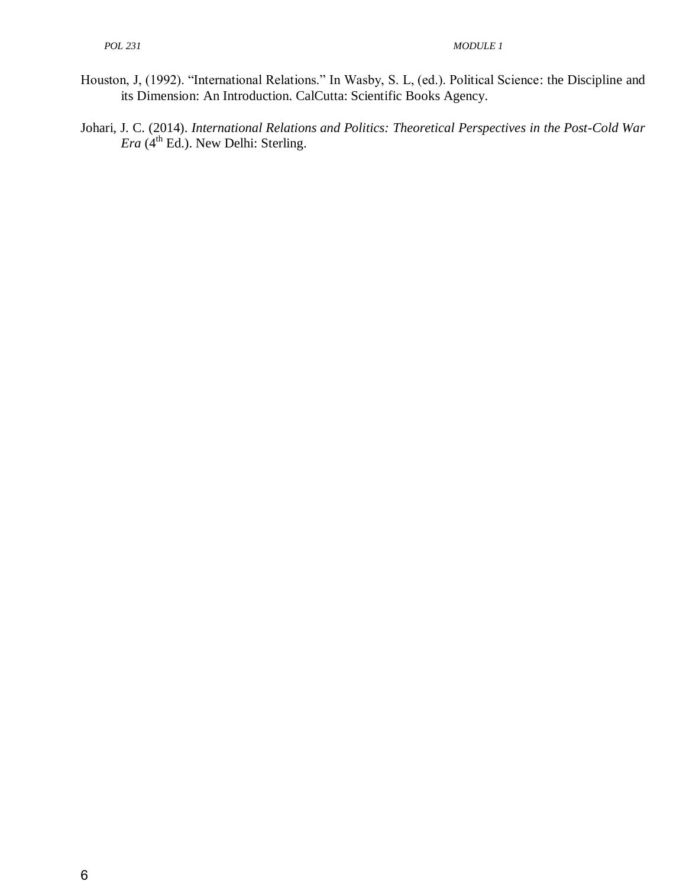- Houston, J, (1992). "International Relations." In Wasby, S. L, (ed.). Political Science: the Discipline and its Dimension: An Introduction. CalCutta: Scientific Books Agency.
- Johari, J. C. (2014). *International Relations and Politics: Theoretical Perspectives in the Post-Cold War Era* ( $4<sup>th</sup>$  Ed.). New Delhi: Sterling.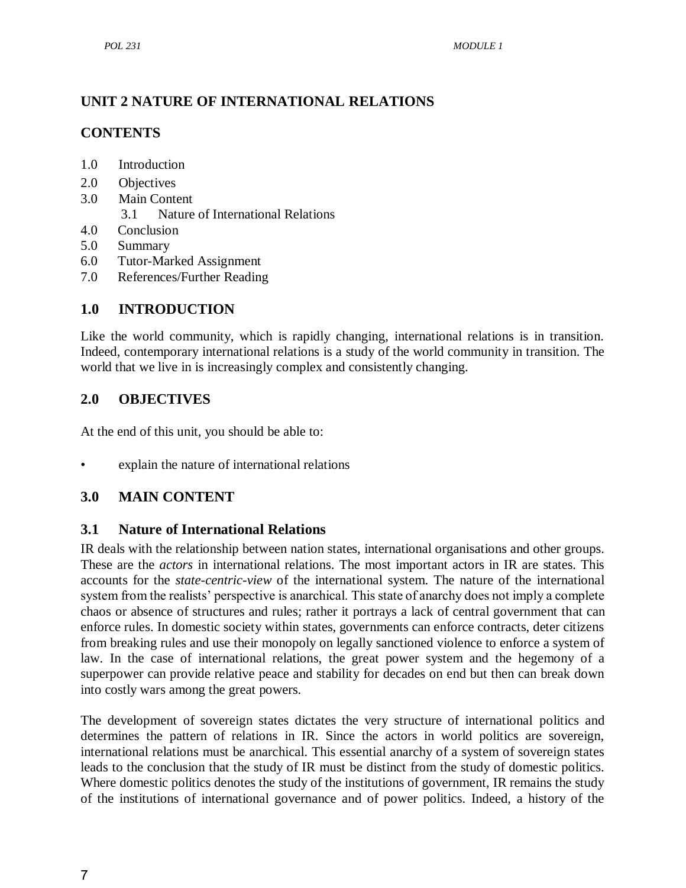## <span id="page-19-0"></span>**UNIT 2 NATURE OF INTERNATIONAL RELATIONS**

## **CONTENTS**

- 1.0 Introduction
- 2.0 Objectives
- 3.0 Main Content
	- 3.1 Nature of International Relations
- 4.0 Conclusion
- 5.0 Summary
- 6.0 Tutor-Marked Assignment
- 7.0 References/Further Reading

## **1.0 INTRODUCTION**

Like the world community, which is rapidly changing, international relations is in transition. Indeed, contemporary international relations is a study of the world community in transition. The world that we live in is increasingly complex and consistently changing.

## **2.0 OBJECTIVES**

At the end of this unit, you should be able to:

• explain the nature of international relations

## **3.0 MAIN CONTENT**

## <span id="page-19-1"></span>**3.1 Nature of International Relations**

IR deals with the relationship between nation states, international organisations and other groups. These are the *actors* in international relations. The most important actors in IR are states. This accounts for the *state-centric-view* of the international system. The nature of the international system from the realists' perspective is anarchical. This state of anarchy does not imply a complete chaos or absence of structures and rules; rather it portrays a lack of central government that can enforce rules. In domestic society within states, governments can enforce contracts, deter citizens from breaking rules and use their monopoly on legally sanctioned violence to enforce a system of law. In the case of international relations, the great power system and the hegemony of a superpower can provide relative peace and stability for decades on end but then can break down into costly wars among the great powers.

The development of sovereign states dictates the very structure of international politics and determines the pattern of relations in IR. Since the actors in world politics are sovereign, international relations must be anarchical. This essential anarchy of a system of sovereign states leads to the conclusion that the study of IR must be distinct from the study of domestic politics. Where domestic politics denotes the study of the institutions of government, IR remains the study of the institutions of international governance and of power politics. Indeed, a history of the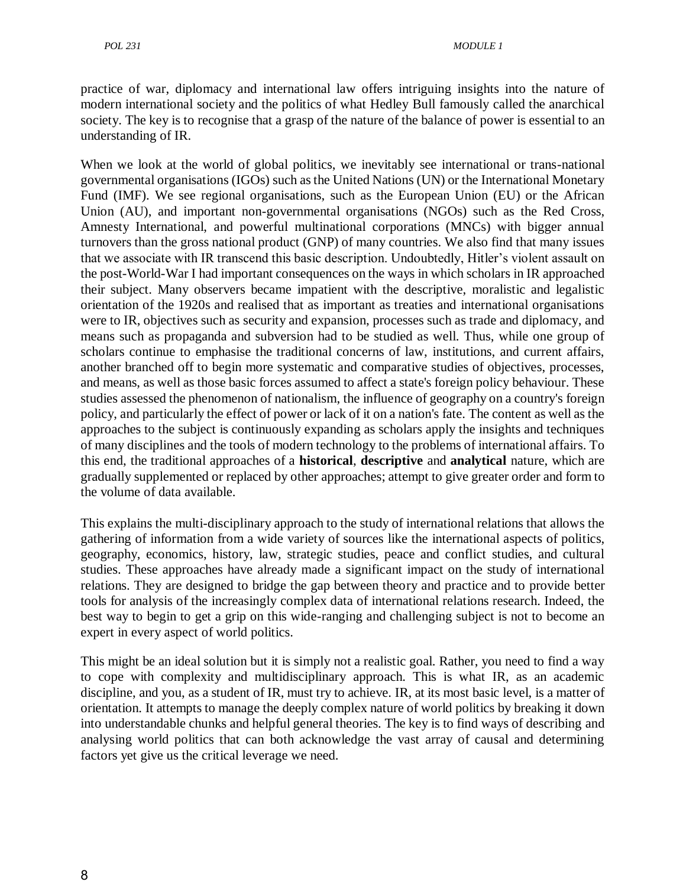practice of war, diplomacy and international law offers intriguing insights into the nature of modern international society and the politics of what Hedley Bull famously called the anarchical society. The key is to recognise that a grasp of the nature of the balance of power is essential to an understanding of IR.

When we look at the world of global politics, we inevitably see international or trans-national governmental organisations (IGOs) such as the United Nations (UN) or the International Monetary Fund (IMF). We see regional organisations, such as the European Union (EU) or the African Union (AU), and important non-governmental organisations (NGOs) such as the Red Cross, Amnesty International, and powerful multinational corporations (MNCs) with bigger annual turnovers than the gross national product (GNP) of many countries. We also find that many issues that we associate with IR transcend this basic description. Undoubtedly, Hitler's violent assault on the post-World-War I had important consequences on the ways in which scholars in IR approached their subject. Many observers became impatient with the descriptive, moralistic and legalistic orientation of the 1920s and realised that as important as treaties and international organisations were to IR, objectives such as security and expansion, processes such as trade and diplomacy, and means such as propaganda and subversion had to be studied as well. Thus, while one group of scholars continue to emphasise the traditional concerns of law, institutions, and current affairs, another branched off to begin more systematic and comparative studies of objectives, processes, and means, as well as those basic forces assumed to affect a state's foreign policy behaviour. These studies assessed the phenomenon of nationalism, the influence of geography on a country's foreign policy, and particularly the effect of power or lack of it on a nation's fate. The content as well as the approaches to the subject is continuously expanding as scholars apply the insights and techniques of many disciplines and the tools of modern technology to the problems of international affairs. To this end, the traditional approaches of a **historical**, **descriptive** and **analytical** nature, which are gradually supplemented or replaced by other approaches; attempt to give greater order and form to the volume of data available.

This explains the multi-disciplinary approach to the study of international relations that allows the gathering of information from a wide variety of sources like the international aspects of politics, geography, economics, history, law, strategic studies, peace and conflict studies, and cultural studies. These approaches have already made a significant impact on the study of international relations. They are designed to bridge the gap between theory and practice and to provide better tools for analysis of the increasingly complex data of international relations research. Indeed, the best way to begin to get a grip on this wide-ranging and challenging subject is not to become an expert in every aspect of world politics.

This might be an ideal solution but it is simply not a realistic goal. Rather, you need to find a way to cope with complexity and multidisciplinary approach. This is what IR, as an academic discipline, and you, as a student of IR, must try to achieve. IR, at its most basic level, is a matter of orientation. It attempts to manage the deeply complex nature of world politics by breaking it down into understandable chunks and helpful general theories. The key is to find ways of describing and analysing world politics that can both acknowledge the vast array of causal and determining factors yet give us the critical leverage we need.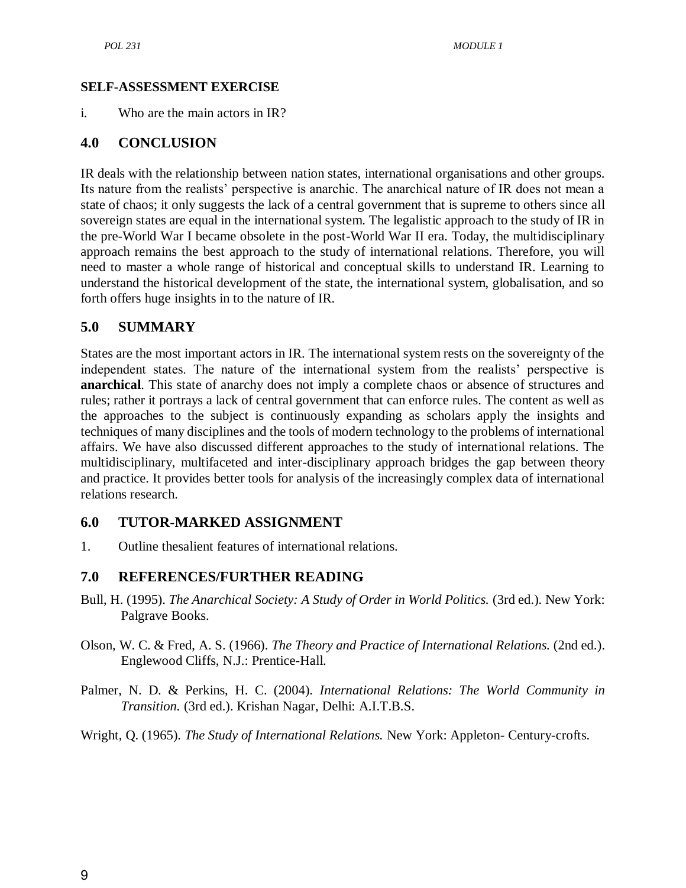#### **SELF-ASSESSMENT EXERCISE**

i. Who are the main actors in IR?

## **4.0 CONCLUSION**

IR deals with the relationship between nation states, international organisations and other groups. Its nature from the realists' perspective is anarchic. The anarchical nature of IR does not mean a state of chaos; it only suggests the lack of a central government that is supreme to others since all sovereign states are equal in the international system. The legalistic approach to the study of IR in the pre-World War I became obsolete in the post-World War II era. Today, the multidisciplinary approach remains the best approach to the study of international relations. Therefore, you will need to master a whole range of historical and conceptual skills to understand IR. Learning to understand the historical development of the state, the international system, globalisation, and so forth offers huge insights in to the nature of IR.

#### **5.0 SUMMARY**

States are the most important actors in IR. The international system rests on the sovereignty of the independent states. The nature of the international system from the realists' perspective is **anarchical**. This state of anarchy does not imply a complete chaos or absence of structures and rules; rather it portrays a lack of central government that can enforce rules. The content as well as the approaches to the subject is continuously expanding as scholars apply the insights and techniques of many disciplines and the tools of modern technology to the problems of international affairs. We have also discussed different approaches to the study of international relations. The multidisciplinary, multifaceted and inter-disciplinary approach bridges the gap between theory and practice. It provides better tools for analysis of the increasingly complex data of international relations research.

#### **6.0 TUTOR-MARKED ASSIGNMENT**

1. Outline thesalient features of international relations.

## **7.0 REFERENCES/FURTHER READING**

- Bull, H. (1995). *The Anarchical Society: A Study of Order in World Politics.* (3rd ed.). New York: Palgrave Books.
- Olson, W. C. & Fred, A. S. (1966). *The Theory and Practice of International Relations.* (2nd ed.). Englewood Cliffs, N.J.: Prentice-Hall.
- Palmer, N. D. & Perkins, H. C. (2004). *International Relations: The World Community in Transition.* (3rd ed.). Krishan Nagar, Delhi: A.I.T.B.S.

Wright, Q. (1965). *The Study of International Relations.* New York: Appleton- Century-crofts.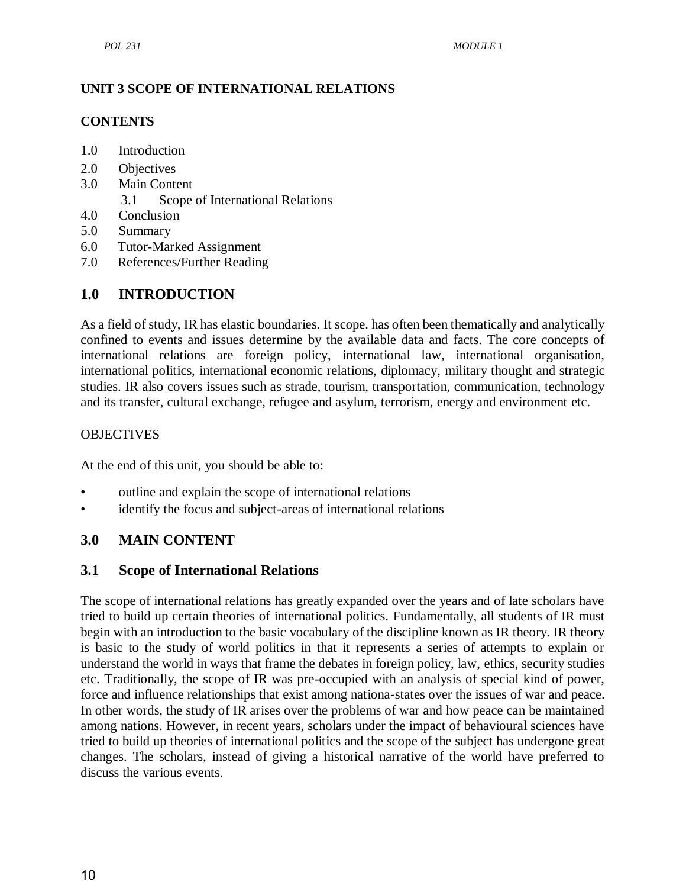## **UNIT 3 SCOPE OF INTERNATIONAL RELATIONS**

## **CONTENTS**

- 1.0 Introduction
- 2.0 Objectives
- 3.0 Main Content
	- 3.1 Scope of International Relations
- 4.0 Conclusion
- 5.0 Summary
- 6.0 Tutor-Marked Assignment
- 7.0 References/Further Reading

# **1.0 INTRODUCTION**

As a field of study, IR has elastic boundaries. It scope. has often been thematically and analytically confined to events and issues determine by the available data and facts. The core concepts of international relations are foreign policy, international law, international organisation, international politics, international economic relations, diplomacy, military thought and strategic studies. IR also covers issues such as strade, tourism, transportation, communication, technology and its transfer, cultural exchange, refugee and asylum, terrorism, energy and environment etc.

## **OBJECTIVES**

At the end of this unit, you should be able to:

- outline and explain the scope of international relations
- identify the focus and subject-areas of international relations

# **3.0 MAIN CONTENT**

## **3.1 Scope of International Relations**

The scope of international relations has greatly expanded over the years and of late scholars have tried to build up certain theories of international politics. Fundamentally, all students of IR must begin with an introduction to the basic vocabulary of the discipline known as IR theory. IR theory is basic to the study of world politics in that it represents a series of attempts to explain or understand the world in ways that frame the debates in foreign policy, law, ethics, security studies etc. Traditionally, the scope of IR was pre-occupied with an analysis of special kind of power, force and influence relationships that exist among nationa-states over the issues of war and peace. In other words, the study of IR arises over the problems of war and how peace can be maintained among nations. However, in recent years, scholars under the impact of behavioural sciences have tried to build up theories of international politics and the scope of the subject has undergone great changes. The scholars, instead of giving a historical narrative of the world have preferred to discuss the various events.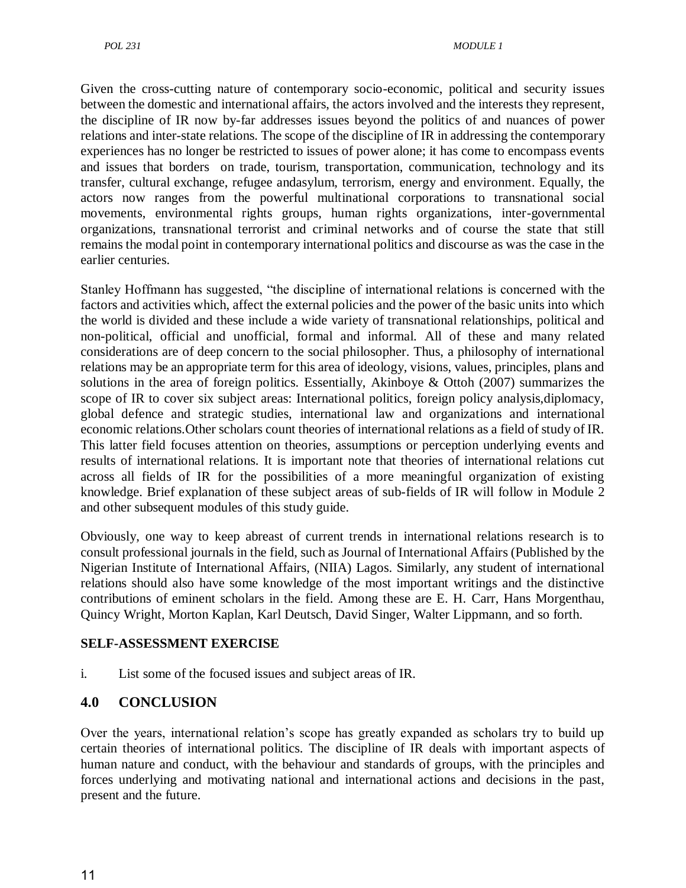Given the cross-cutting nature of contemporary socio-economic, political and security issues between the domestic and international affairs, the actors involved and the interests they represent, the discipline of IR now by-far addresses issues beyond the politics of and nuances of power relations and inter-state relations. The scope of the discipline of IR in addressing the contemporary experiences has no longer be restricted to issues of power alone; it has come to encompass events and issues that borders on trade, tourism, transportation, communication, technology and its transfer, cultural exchange, refugee andasylum, terrorism, energy and environment. Equally, the actors now ranges from the powerful multinational corporations to transnational social movements, environmental rights groups, human rights organizations, inter-governmental organizations, transnational terrorist and criminal networks and of course the state that still remains the modal point in contemporary international politics and discourse as was the case in the earlier centuries.

Stanley Hoffmann has suggested, "the discipline of international relations is concerned with the factors and activities which, affect the external policies and the power of the basic units into which the world is divided and these include a wide variety of transnational relationships, political and non-political, official and unofficial, formal and informal. All of these and many related considerations are of deep concern to the social philosopher. Thus, a philosophy of international relations may be an appropriate term for this area of ideology, visions, values, principles, plans and solutions in the area of foreign politics. Essentially, Akinboye & Ottoh (2007) summarizes the scope of IR to cover six subject areas: International politics, foreign policy analysis,diplomacy, global defence and strategic studies, international law and organizations and international economic relations.Other scholars count theories of international relations as a field of study of IR. This latter field focuses attention on theories, assumptions or perception underlying events and results of international relations. It is important note that theories of international relations cut across all fields of IR for the possibilities of a more meaningful organization of existing knowledge. Brief explanation of these subject areas of sub-fields of IR will follow in Module 2 and other subsequent modules of this study guide.

Obviously, one way to keep abreast of current trends in international relations research is to consult professional journals in the field, such as Journal of International Affairs (Published by the Nigerian Institute of International Affairs, (NIIA) Lagos. Similarly, any student of international relations should also have some knowledge of the most important writings and the distinctive contributions of eminent scholars in the field. Among these are E. H. Carr, Hans Morgenthau, Quincy Wright, Morton Kaplan, Karl Deutsch, David Singer, Walter Lippmann, and so forth.

#### **SELF-ASSESSMENT EXERCISE**

i. List some of the focused issues and subject areas of IR.

## **4.0 CONCLUSION**

Over the years, international relation's scope has greatly expanded as scholars try to build up certain theories of international politics. The discipline of IR deals with important aspects of human nature and conduct, with the behaviour and standards of groups, with the principles and forces underlying and motivating national and international actions and decisions in the past, present and the future.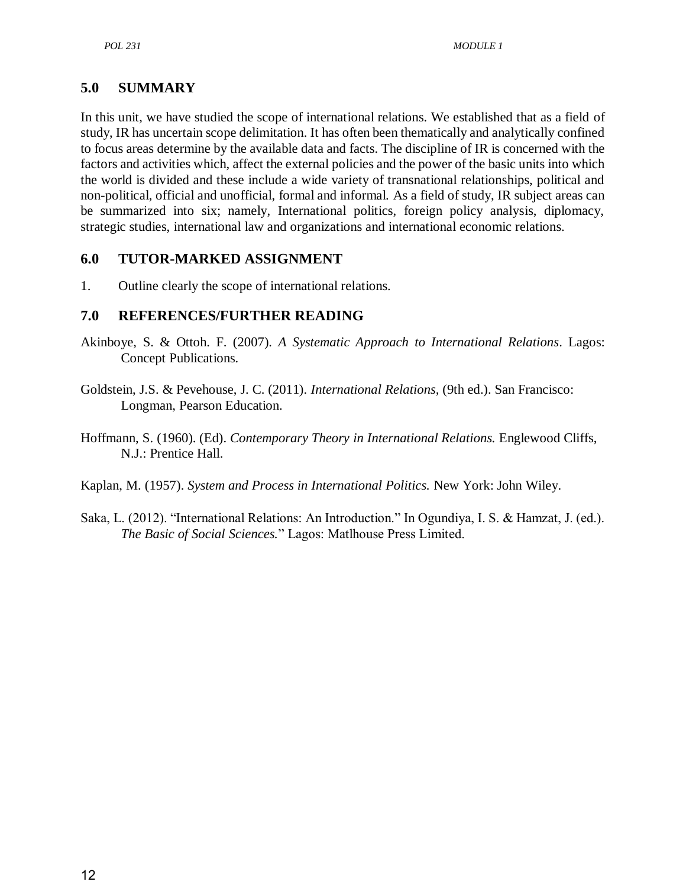## **5.0 SUMMARY**

In this unit, we have studied the scope of international relations. We established that as a field of study, IR has uncertain scope delimitation. It has often been thematically and analytically confined to focus areas determine by the available data and facts. The discipline of IR is concerned with the factors and activities which, affect the external policies and the power of the basic units into which the world is divided and these include a wide variety of transnational relationships, political and non-political, official and unofficial, formal and informal. As a field of study, IR subject areas can be summarized into six; namely, International politics, foreign policy analysis, diplomacy, strategic studies, international law and organizations and international economic relations.

## **6.0 TUTOR-MARKED ASSIGNMENT**

1. Outline clearly the scope of international relations.

## **7.0 REFERENCES/FURTHER READING**

- Akinboye, S. & Ottoh. F. (2007). *A Systematic Approach to International Relations*. Lagos: Concept Publications.
- Goldstein, J.S. & Pevehouse, J. C. (2011). *International Relations,* (9th ed.). San Francisco: Longman, Pearson Education.
- Hoffmann, S. (1960). (Ed). *Contemporary Theory in International Relations.* Englewood Cliffs, N.J.: Prentice Hall.
- Kaplan, M. (1957). *System and Process in International Politics.* New York: John Wiley.
- Saka, L. (2012). "International Relations: An Introduction." In Ogundiya, I. S. & Hamzat, J. (ed.). *The Basic of Social Sciences.*‖ Lagos: Matlhouse Press Limited.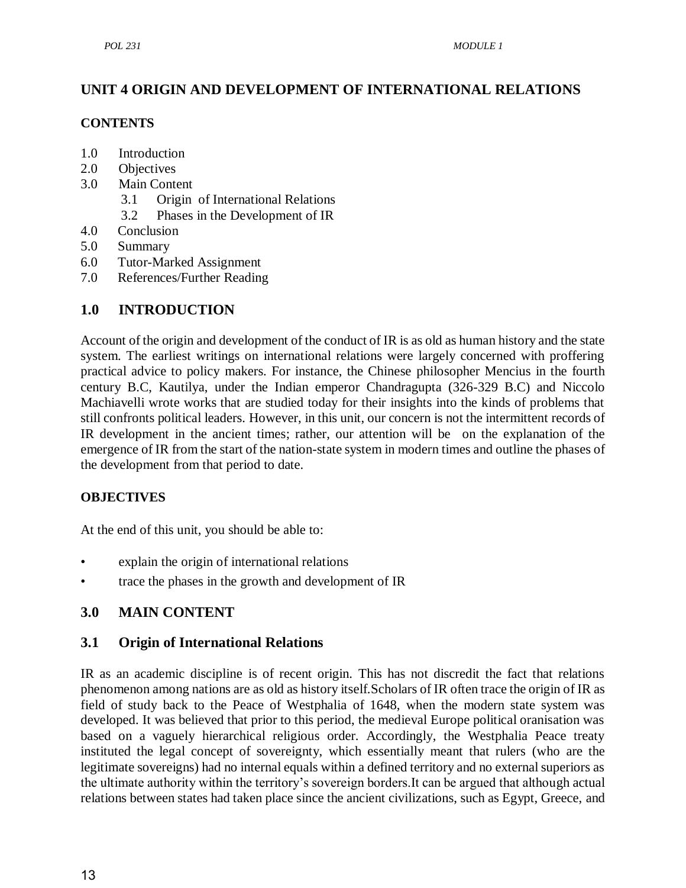# **UNIT 4 ORIGIN AND DEVELOPMENT OF INTERNATIONAL RELATIONS**

#### **CONTENTS**

- 1.0 Introduction
- 2.0 Objectives
- 3.0 Main Content
	- 3.1 Origin of International Relations
	- 3.2 Phases in the Development of IR
- 4.0 Conclusion
- 5.0 Summary
- 6.0 Tutor-Marked Assignment
- 7.0 References/Further Reading

## **1.0 INTRODUCTION**

Account of the origin and development of the conduct of IR is as old as human history and the state system. The earliest writings on international relations were largely concerned with proffering practical advice to policy makers. For instance, the Chinese philosopher Mencius in the fourth century B.C, Kautilya, under the Indian emperor Chandragupta (326-329 B.C) and Niccolo Machiavelli wrote works that are studied today for their insights into the kinds of problems that still confronts political leaders. However, in this unit, our concern is not the intermittent records of IR development in the ancient times; rather, our attention will be on the explanation of the emergence of IR from the start of the nation-state system in modern times and outline the phases of the development from that period to date.

## **OBJECTIVES**

At the end of this unit, you should be able to:

- explain the origin of international relations
- trace the phases in the growth and development of IR

## **3.0 MAIN CONTENT**

## **3.1 Origin of International Relations**

IR as an academic discipline is of recent origin. This has not discredit the fact that relations phenomenon among nations are as old as history itself.Scholars of IR often trace the origin of IR as field of study back to the Peace of Westphalia of 1648, when the modern state system was developed. It was believed that prior to this period, the medieval Europe political oranisation was based on a vaguely hierarchical religious order. Accordingly, the Westphalia Peace treaty instituted the legal concept of sovereignty, which essentially meant that rulers (who are the legitimate sovereigns) had no internal equals within a defined territory and no external superiors as the ultimate authority within the territory's sovereign borders.It can be argued that although actual relations between states had taken place since the ancient civilizations, such as Egypt, Greece, and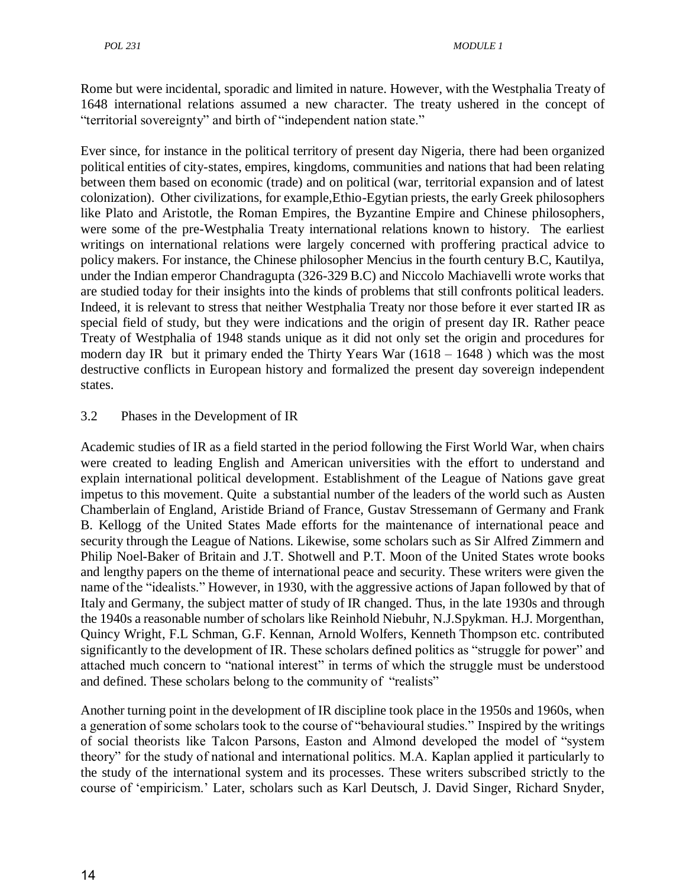Rome but were incidental, sporadic and limited in nature. However, with the Westphalia Treaty of 1648 international relations assumed a new character. The treaty ushered in the concept of "territorial sovereignty" and birth of "independent nation state."

Ever since, for instance in the political territory of present day Nigeria, there had been organized political entities of city-states, empires, kingdoms, communities and nations that had been relating between them based on economic (trade) and on political (war, territorial expansion and of latest colonization). Other civilizations, for example,Ethio-Egytian priests, the early Greek philosophers like Plato and Aristotle, the Roman Empires, the Byzantine Empire and Chinese philosophers, were some of the pre-Westphalia Treaty international relations known to history. The earliest writings on international relations were largely concerned with proffering practical advice to policy makers. For instance, the Chinese philosopher Mencius in the fourth century B.C, Kautilya, under the Indian emperor Chandragupta (326-329 B.C) and Niccolo Machiavelli wrote works that are studied today for their insights into the kinds of problems that still confronts political leaders. Indeed, it is relevant to stress that neither Westphalia Treaty nor those before it ever started IR as special field of study, but they were indications and the origin of present day IR. Rather peace Treaty of Westphalia of 1948 stands unique as it did not only set the origin and procedures for modern day IR but it primary ended the Thirty Years War (1618 – 1648 ) which was the most destructive conflicts in European history and formalized the present day sovereign independent states.

## 3.2 Phases in the Development of IR

Academic studies of IR as a field started in the period following the First World War, when chairs were created to leading English and American universities with the effort to understand and explain international political development. Establishment of the League of Nations gave great impetus to this movement. Quite a substantial number of the leaders of the world such as Austen Chamberlain of England, Aristide Briand of France, Gustav Stressemann of Germany and Frank B. Kellogg of the United States Made efforts for the maintenance of international peace and security through the League of Nations. Likewise, some scholars such as Sir Alfred Zimmern and Philip Noel-Baker of Britain and J.T. Shotwell and P.T. Moon of the United States wrote books and lengthy papers on the theme of international peace and security. These writers were given the name of the "idealists." However, in 1930, with the aggressive actions of Japan followed by that of Italy and Germany, the subject matter of study of IR changed. Thus, in the late 1930s and through the 1940s a reasonable number of scholars like Reinhold Niebuhr, N.J.Spykman. H.J. Morgenthan, Quincy Wright, F.L Schman, G.F. Kennan, Arnold Wolfers, Kenneth Thompson etc. contributed significantly to the development of IR. These scholars defined politics as "struggle for power" and attached much concern to "national interest" in terms of which the struggle must be understood and defined. These scholars belong to the community of "realists"

Another turning point in the development of IR discipline took place in the 1950s and 1960s, when a generation of some scholars took to the course of "behavioural studies." Inspired by the writings of social theorists like Talcon Parsons, Easton and Almond developed the model of "system" theory" for the study of national and international politics. M.A. Kaplan applied it particularly to the study of the international system and its processes. These writers subscribed strictly to the course of ‗empiricism.' Later, scholars such as Karl Deutsch, J. David Singer, Richard Snyder,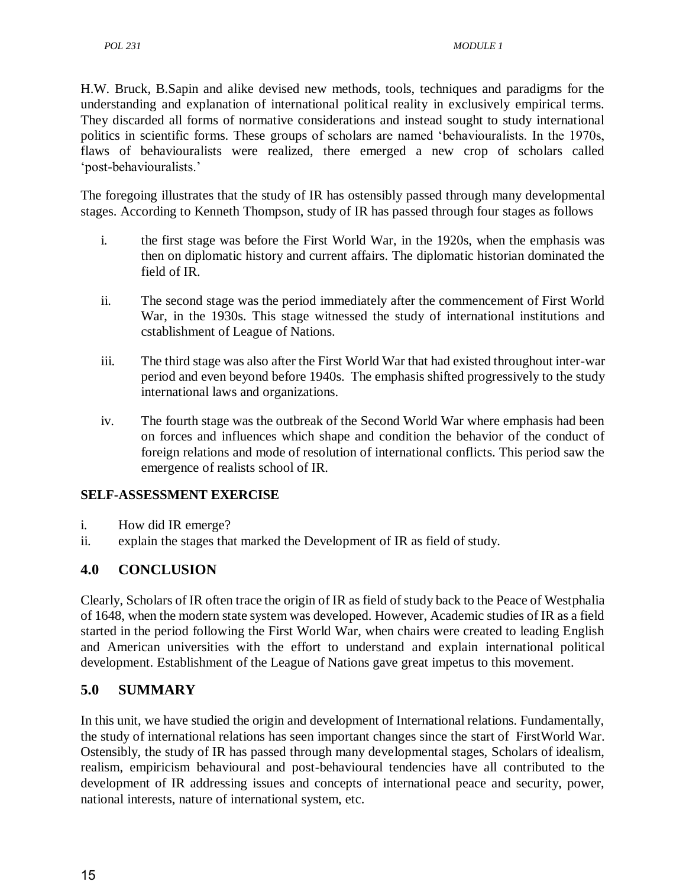H.W. Bruck, B.Sapin and alike devised new methods, tools, techniques and paradigms for the understanding and explanation of international political reality in exclusively empirical terms. They discarded all forms of normative considerations and instead sought to study international politics in scientific forms. These groups of scholars are named 'behaviouralists. In the 1970s, flaws of behaviouralists were realized, there emerged a new crop of scholars called ‗post-behaviouralists.'

The foregoing illustrates that the study of IR has ostensibly passed through many developmental stages. According to Kenneth Thompson, study of IR has passed through four stages as follows

- i. the first stage was before the First World War, in the 1920s, when the emphasis was then on diplomatic history and current affairs. The diplomatic historian dominated the field of IR.
- ii. The second stage was the period immediately after the commencement of First World War, in the 1930s. This stage witnessed the study of international institutions and cstablishment of League of Nations.
- iii. The third stage was also after the First World War that had existed throughout inter-war period and even beyond before 1940s. The emphasis shifted progressively to the study international laws and organizations.
- iv. The fourth stage was the outbreak of the Second World War where emphasis had been on forces and influences which shape and condition the behavior of the conduct of foreign relations and mode of resolution of international conflicts. This period saw the emergence of realists school of IR.

## **SELF-ASSESSMENT EXERCISE**

- i. How did IR emerge?
- ii. explain the stages that marked the Development of IR as field of study.

## **4.0 CONCLUSION**

Clearly, Scholars of IR often trace the origin of IR as field of study back to the Peace of Westphalia of 1648, when the modern state system was developed. However, Academic studies of IR as a field started in the period following the First World War, when chairs were created to leading English and American universities with the effort to understand and explain international political development. Establishment of the League of Nations gave great impetus to this movement.

## **5.0 SUMMARY**

In this unit, we have studied the origin and development of International relations. Fundamentally, the study of international relations has seen important changes since the start of FirstWorld War. Ostensibly, the study of IR has passed through many developmental stages, Scholars of idealism, realism, empiricism behavioural and post-behavioural tendencies have all contributed to the development of IR addressing issues and concepts of international peace and security, power, national interests, nature of international system, etc.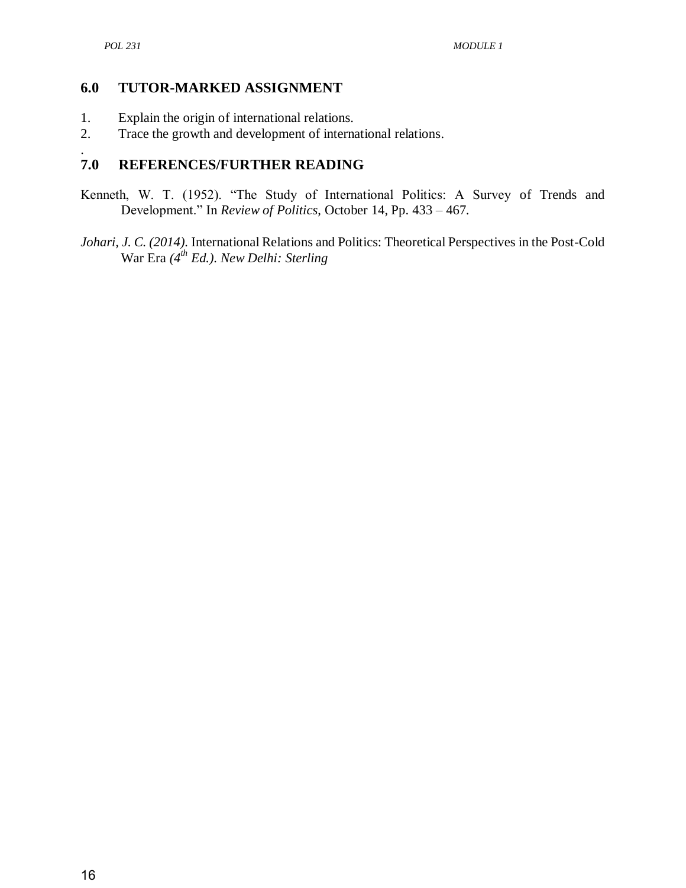#### **6.0 TUTOR-MARKED ASSIGNMENT**

- 1. Explain the origin of international relations.
- 2. Trace the growth and development of international relations.

#### . **7.0 REFERENCES/FURTHER READING**

- Kenneth, W. T. (1952). "The Study of International Politics: A Survey of Trends and Development." In *Review of Politics*, October 14, Pp. 433 – 467.
- *Johari, J. C. (2014).* International Relations and Politics: Theoretical Perspectives in the Post-Cold War Era *(4th Ed.). New Delhi: Sterling*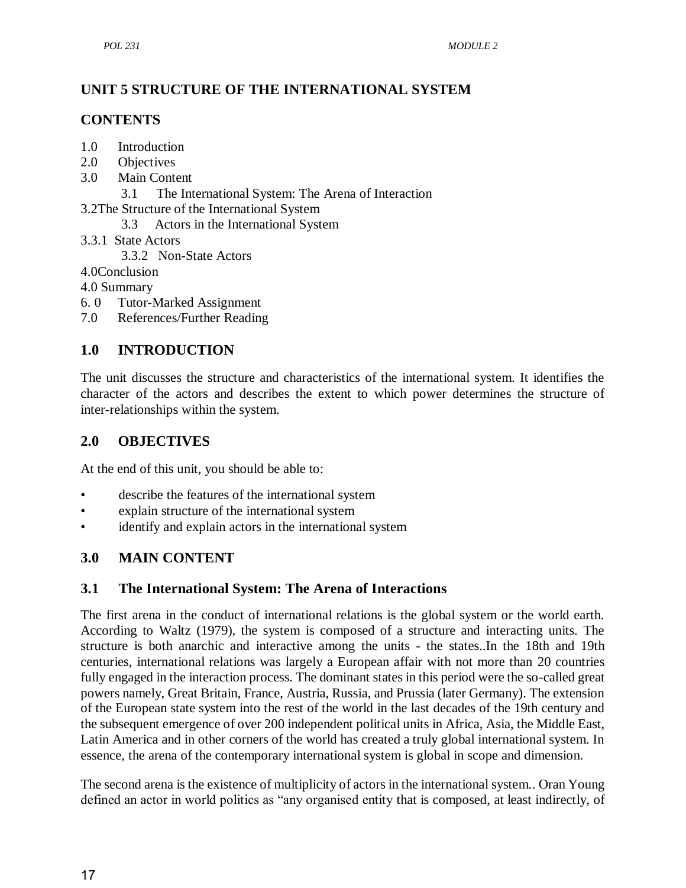# **UNIT 5 STRUCTURE OF THE INTERNATIONAL SYSTEM**

## **CONTENTS**

- 1.0 Introduction
- 2.0 Objectives
- 3.0 Main Content
	- 3.1 The International System: The Arena of Interaction

3.2The Structure of the International System

- 3.3 Actors in the International System
- 3.3.1 State Actors
	- 3.3.2 Non-State Actors
- 4.0Conclusion

4.0 Summary

- 6. 0 Tutor-Marked Assignment
- 7.0 References/Further Reading

# **1.0 INTRODUCTION**

The unit discusses the structure and characteristics of the international system. It identifies the character of the actors and describes the extent to which power determines the structure of inter-relationships within the system.

## **2.0 OBJECTIVES**

At the end of this unit, you should be able to:

- describe the features of the international system
- explain structure of the international system
- identify and explain actors in the international system

# **3.0 MAIN CONTENT**

## **3.1 The International System: The Arena of Interactions**

The first arena in the conduct of international relations is the global system or the world earth. According to Waltz (1979), the system is composed of a structure and interacting units. The structure is both anarchic and interactive among the units - the states..In the 18th and 19th centuries, international relations was largely a European affair with not more than 20 countries fully engaged in the interaction process. The dominant states in this period were the so-called great powers namely, Great Britain, France, Austria, Russia, and Prussia (later Germany). The extension of the European state system into the rest of the world in the last decades of the 19th century and the subsequent emergence of over 200 independent political units in Africa, Asia, the Middle East, Latin America and in other corners of the world has created a truly global international system. In essence, the arena of the contemporary international system is global in scope and dimension.

The second arena is the existence of multiplicity of actors in the international system.. Oran Young defined an actor in world politics as "any organised entity that is composed, at least indirectly, of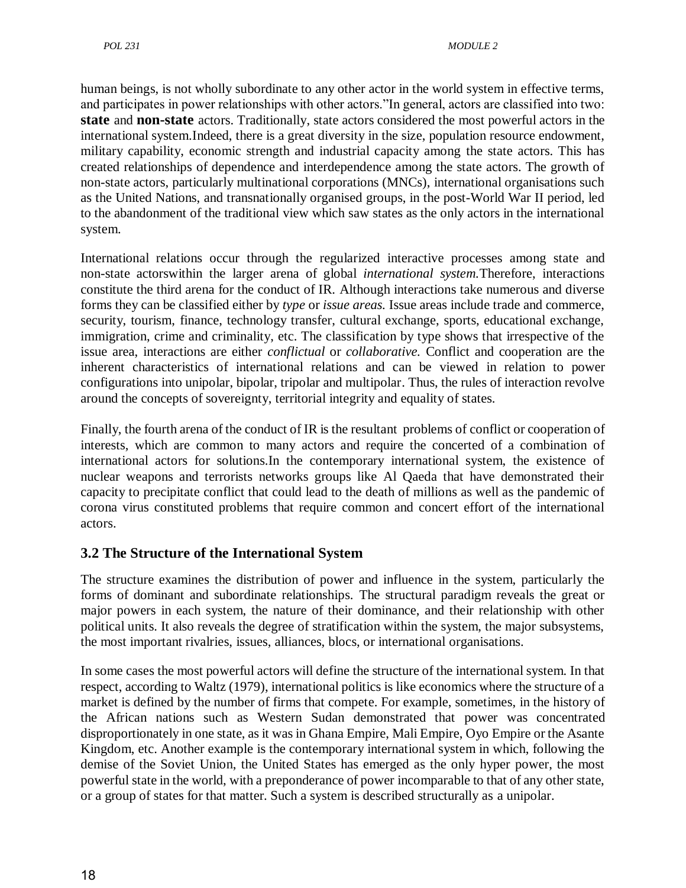human beings, is not wholly subordinate to any other actor in the world system in effective terms, and participates in power relationships with other actors."In general, actors are classified into two: **state** and **non-state** actors. Traditionally, state actors considered the most powerful actors in the international system.Indeed, there is a great diversity in the size, population resource endowment, military capability, economic strength and industrial capacity among the state actors. This has created relationships of dependence and interdependence among the state actors. The growth of non-state actors, particularly multinational corporations (MNCs), international organisations such as the United Nations, and transnationally organised groups, in the post-World War II period, led to the abandonment of the traditional view which saw states as the only actors in the international system.

International relations occur through the regularized interactive processes among state and non-state actorswithin the larger arena of global *international system.*Therefore, interactions constitute the third arena for the conduct of IR. Although interactions take numerous and diverse forms they can be classified either by *type* or *issue areas.* Issue areas include trade and commerce, security, tourism, finance, technology transfer, cultural exchange, sports, educational exchange, immigration, crime and criminality, etc. The classification by type shows that irrespective of the issue area, interactions are either *conflictual* or *collaborative.* Conflict and cooperation are the inherent characteristics of international relations and can be viewed in relation to power configurations into unipolar, bipolar, tripolar and multipolar. Thus, the rules of interaction revolve around the concepts of sovereignty, territorial integrity and equality of states.

Finally, the fourth arena of the conduct of IR is the resultant problems of conflict or cooperation of interests, which are common to many actors and require the concerted of a combination of international actors for solutions.In the contemporary international system, the existence of nuclear weapons and terrorists networks groups like Al Qaeda that have demonstrated their capacity to precipitate conflict that could lead to the death of millions as well as the pandemic of corona virus constituted problems that require common and concert effort of the international actors.

## **3.2 The Structure of the International System**

The structure examines the distribution of power and influence in the system, particularly the forms of dominant and subordinate relationships. The structural paradigm reveals the great or major powers in each system, the nature of their dominance, and their relationship with other political units. It also reveals the degree of stratification within the system, the major subsystems, the most important rivalries, issues, alliances, blocs, or international organisations.

In some cases the most powerful actors will define the structure of the international system. In that respect, according to Waltz (1979), international politics is like economics where the structure of a market is defined by the number of firms that compete. For example, sometimes, in the history of the African nations such as Western Sudan demonstrated that power was concentrated disproportionately in one state, as it was in Ghana Empire, Mali Empire, Oyo Empire or the Asante Kingdom, etc. Another example is the contemporary international system in which, following the demise of the Soviet Union, the United States has emerged as the only hyper power, the most powerful state in the world, with a preponderance of power incomparable to that of any other state, or a group of states for that matter. Such a system is described structurally as a unipolar.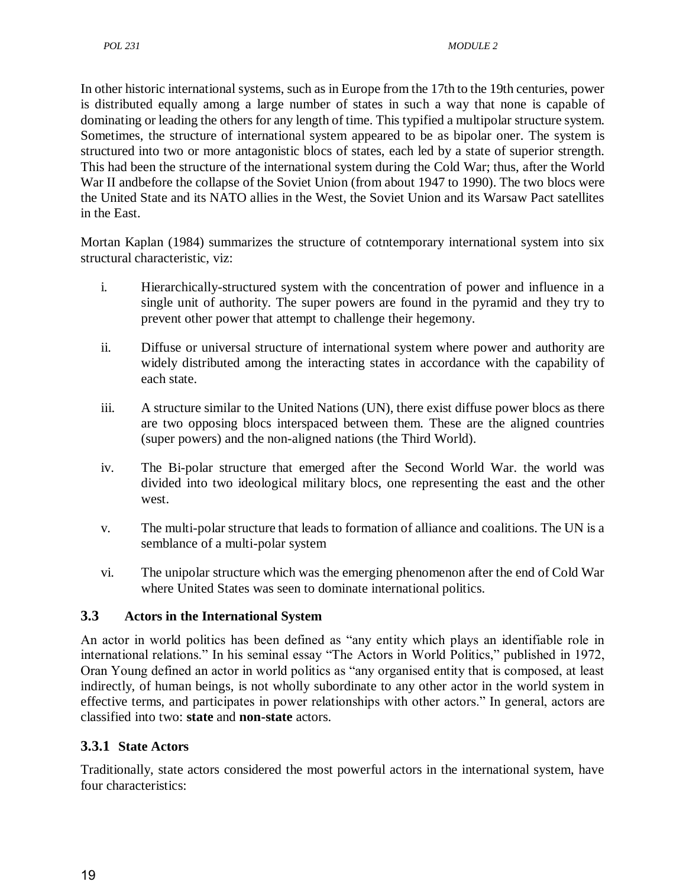In other historic international systems, such as in Europe from the 17th to the 19th centuries, power is distributed equally among a large number of states in such a way that none is capable of dominating or leading the others for any length of time. This typified a multipolar structure system. Sometimes, the structure of international system appeared to be as bipolar oner. The system is structured into two or more antagonistic blocs of states, each led by a state of superior strength. This had been the structure of the international system during the Cold War; thus, after the World War II andbefore the collapse of the Soviet Union (from about 1947 to 1990). The two blocs were the United State and its NATO allies in the West, the Soviet Union and its Warsaw Pact satellites in the East.

Mortan Kaplan (1984) summarizes the structure of cotntemporary international system into six structural characteristic, viz:

- i. Hierarchically-structured system with the concentration of power and influence in a single unit of authority. The super powers are found in the pyramid and they try to prevent other power that attempt to challenge their hegemony.
- ii. Diffuse or universal structure of international system where power and authority are widely distributed among the interacting states in accordance with the capability of each state.
- iii. A structure similar to the United Nations (UN), there exist diffuse power blocs as there are two opposing blocs interspaced between them. These are the aligned countries (super powers) and the non-aligned nations (the Third World).
- iv. The Bi-polar structure that emerged after the Second World War. the world was divided into two ideological military blocs, one representing the east and the other west.
- v. The multi-polar structure that leads to formation of alliance and coalitions. The UN is a semblance of a multi-polar system
- vi. The unipolar structure which was the emerging phenomenon after the end of Cold War where United States was seen to dominate international politics.

## **3.3 Actors in the International System**

An actor in world politics has been defined as "any entity which plays an identifiable role in international relations." In his seminal essay "The Actors in World Politics," published in 1972, Oran Young defined an actor in world politics as "any organised entity that is composed, at least indirectly, of human beings, is not wholly subordinate to any other actor in the world system in effective terms, and participates in power relationships with other actors." In general, actors are classified into two: **state** and **non-state** actors.

## **3.3.1 State Actors**

Traditionally, state actors considered the most powerful actors in the international system, have four characteristics: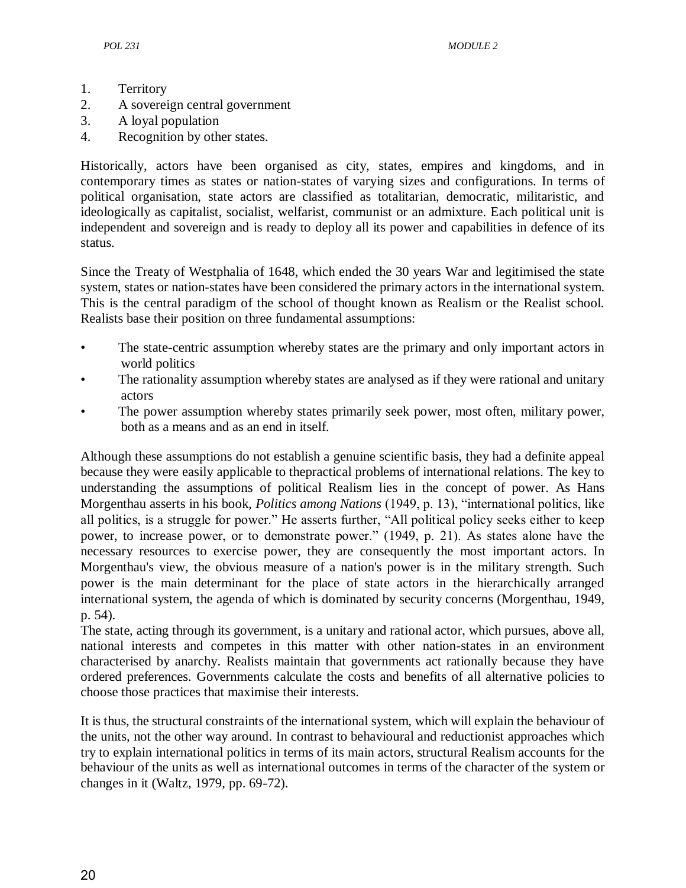- 1. Territory
- 2. A sovereign central government
- 3. A loyal population
- 4. Recognition by other states.

Historically, actors have been organised as city, states, empires and kingdoms, and in contemporary times as states or nation-states of varying sizes and configurations. In terms of political organisation, state actors are classified as totalitarian, democratic, militaristic, and ideologically as capitalist, socialist, welfarist, communist or an admixture. Each political unit is independent and sovereign and is ready to deploy all its power and capabilities in defence of its status.

Since the Treaty of Westphalia of 1648, which ended the 30 years War and legitimised the state system, states or nation-states have been considered the primary actors in the international system. This is the central paradigm of the school of thought known as Realism or the Realist school. Realists base their position on three fundamental assumptions:

- The state-centric assumption whereby states are the primary and only important actors in world politics
- The rationality assumption whereby states are analysed as if they were rational and unitary actors
- The power assumption whereby states primarily seek power, most often, military power, both as a means and as an end in itself.

Although these assumptions do not establish a genuine scientific basis, they had a definite appeal because they were easily applicable to thepractical problems of international relations. The key to understanding the assumptions of political Realism lies in the concept of power. As Hans Morgenthau asserts in his book, *Politics among Nations* (1949, p. 13), "international politics, like all politics, is a struggle for power." He asserts further, "All political policy seeks either to keep power, to increase power, or to demonstrate power." (1949, p. 21). As states alone have the necessary resources to exercise power, they are consequently the most important actors. In Morgenthau's view, the obvious measure of a nation's power is in the military strength. Such power is the main determinant for the place of state actors in the hierarchically arranged international system, the agenda of which is dominated by security concerns (Morgenthau, 1949, p. 54).

The state, acting through its government, is a unitary and rational actor, which pursues, above all, national interests and competes in this matter with other nation-states in an environment characterised by anarchy. Realists maintain that governments act rationally because they have ordered preferences. Governments calculate the costs and benefits of all alternative policies to choose those practices that maximise their interests.

It is thus, the structural constraints of the international system, which will explain the behaviour of the units, not the other way around. In contrast to behavioural and reductionist approaches which try to explain international politics in terms of its main actors, structural Realism accounts for the behaviour of the units as well as international outcomes in terms of the character of the system or changes in it (Waltz, 1979, pp. 69-72).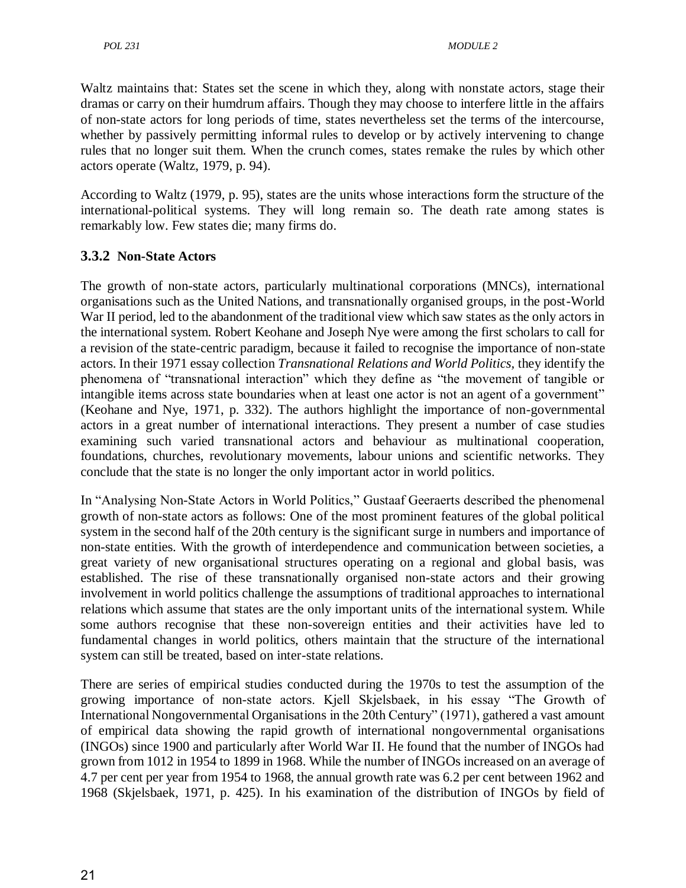Waltz maintains that: States set the scene in which they, along with nonstate actors, stage their dramas or carry on their humdrum affairs. Though they may choose to interfere little in the affairs of non-state actors for long periods of time, states nevertheless set the terms of the intercourse, whether by passively permitting informal rules to develop or by actively intervening to change rules that no longer suit them. When the crunch comes, states remake the rules by which other actors operate (Waltz, 1979, p. 94).

According to Waltz (1979, p. 95), states are the units whose interactions form the structure of the international-political systems. They will long remain so. The death rate among states is remarkably low. Few states die; many firms do.

## **3.3.2 Non-State Actors**

The growth of non-state actors, particularly multinational corporations (MNCs), international organisations such as the United Nations, and transnationally organised groups, in the post-World War II period, led to the abandonment of the traditional view which saw states as the only actors in the international system. Robert Keohane and Joseph Nye were among the first scholars to call for a revision of the state-centric paradigm, because it failed to recognise the importance of non-state actors. In their 1971 essay collection *Transnational Relations and World Politics,* they identify the phenomena of "transnational interaction" which they define as "the movement of tangible or intangible items across state boundaries when at least one actor is not an agent of a government" (Keohane and Nye, 1971, p. 332). The authors highlight the importance of non-governmental actors in a great number of international interactions. They present a number of case studies examining such varied transnational actors and behaviour as multinational cooperation, foundations, churches, revolutionary movements, labour unions and scientific networks. They conclude that the state is no longer the only important actor in world politics.

In "Analysing Non-State Actors in World Politics," Gustaaf Geeraerts described the phenomenal growth of non-state actors as follows: One of the most prominent features of the global political system in the second half of the 20th century is the significant surge in numbers and importance of non-state entities. With the growth of interdependence and communication between societies, a great variety of new organisational structures operating on a regional and global basis, was established. The rise of these transnationally organised non-state actors and their growing involvement in world politics challenge the assumptions of traditional approaches to international relations which assume that states are the only important units of the international system. While some authors recognise that these non-sovereign entities and their activities have led to fundamental changes in world politics, others maintain that the structure of the international system can still be treated, based on inter-state relations.

There are series of empirical studies conducted during the 1970s to test the assumption of the growing importance of non-state actors. Kjell Skjelsbaek, in his essay "The Growth of International Nongovernmental Organisations in the 20th Century" (1971), gathered a vast amount of empirical data showing the rapid growth of international nongovernmental organisations (INGOs) since 1900 and particularly after World War II. He found that the number of INGOs had grown from 1012 in 1954 to 1899 in 1968. While the number of INGOs increased on an average of 4.7 per cent per year from 1954 to 1968, the annual growth rate was 6.2 per cent between 1962 and 1968 (Skjelsbaek, 1971, p. 425). In his examination of the distribution of INGOs by field of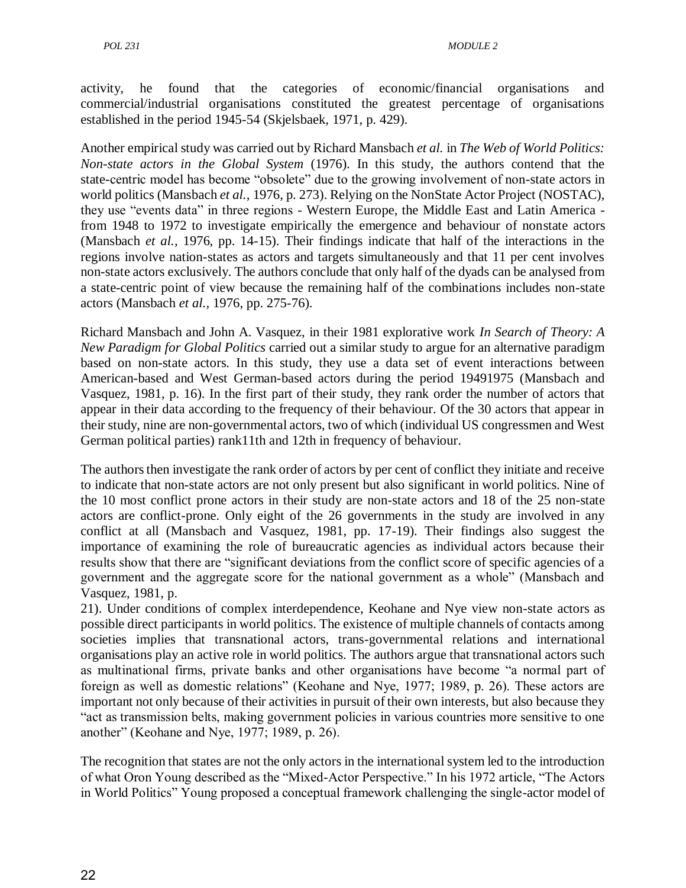activity, he found that the categories of economic/financial organisations and commercial/industrial organisations constituted the greatest percentage of organisations established in the period 1945-54 (Skjelsbaek, 1971, p. 429).

Another empirical study was carried out by Richard Mansbach *et al.* in *The Web of World Politics: Non-state actors in the Global System* (1976). In this study, the authors contend that the state-centric model has become "obsolete" due to the growing involvement of non-state actors in world politics (Mansbach *et al.,* 1976, p. 273). Relying on the NonState Actor Project (NOSTAC), they use "events data" in three regions - Western Europe, the Middle East and Latin America from 1948 to 1972 to investigate empirically the emergence and behaviour of nonstate actors (Mansbach *et al.,* 1976, pp. 14-15). Their findings indicate that half of the interactions in the regions involve nation-states as actors and targets simultaneously and that 11 per cent involves non-state actors exclusively. The authors conclude that only half of the dyads can be analysed from a state-centric point of view because the remaining half of the combinations includes non-state actors (Mansbach *et al.,* 1976, pp. 275-76).

Richard Mansbach and John A. Vasquez, in their 1981 explorative work *In Search of Theory: A New Paradigm for Global Politics* carried out a similar study to argue for an alternative paradigm based on non-state actors. In this study, they use a data set of event interactions between American-based and West German-based actors during the period 19491975 (Mansbach and Vasquez, 1981, p. 16). In the first part of their study, they rank order the number of actors that appear in their data according to the frequency of their behaviour. Of the 30 actors that appear in their study, nine are non-governmental actors, two of which (individual US congressmen and West German political parties) rank11th and 12th in frequency of behaviour.

The authors then investigate the rank order of actors by per cent of conflict they initiate and receive to indicate that non-state actors are not only present but also significant in world politics. Nine of the 10 most conflict prone actors in their study are non-state actors and 18 of the 25 non-state actors are conflict-prone. Only eight of the 26 governments in the study are involved in any conflict at all (Mansbach and Vasquez, 1981, pp. 17-19). Their findings also suggest the importance of examining the role of bureaucratic agencies as individual actors because their results show that there are "significant deviations from the conflict score of specific agencies of a government and the aggregate score for the national government as a whole‖ (Mansbach and Vasquez, 1981, p.

21). Under conditions of complex interdependence, Keohane and Nye view non-state actors as possible direct participants in world politics. The existence of multiple channels of contacts among societies implies that transnational actors, trans-governmental relations and international organisations play an active role in world politics. The authors argue that transnational actors such as multinational firms, private banks and other organisations have become "a normal part of foreign as well as domestic relations" (Keohane and Nye, 1977; 1989, p. 26). These actors are important not only because of their activities in pursuit of their own interests, but also because they ―act as transmission belts, making government policies in various countries more sensitive to one another" (Keohane and Nye, 1977; 1989, p. 26).

The recognition that states are not the only actors in the international system led to the introduction of what Oron Young described as the "Mixed-Actor Perspective." In his 1972 article, "The Actors in World Politics" Young proposed a conceptual framework challenging the single-actor model of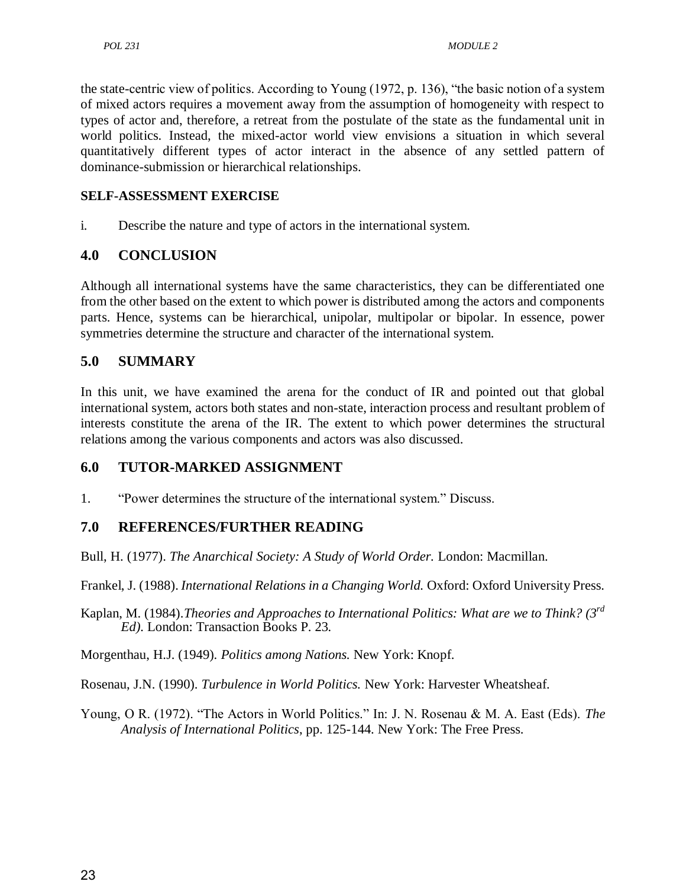the state-centric view of politics. According to Young (1972, p. 136), "the basic notion of a system of mixed actors requires a movement away from the assumption of homogeneity with respect to types of actor and, therefore, a retreat from the postulate of the state as the fundamental unit in world politics. Instead, the mixed-actor world view envisions a situation in which several quantitatively different types of actor interact in the absence of any settled pattern of dominance-submission or hierarchical relationships.

#### **SELF-ASSESSMENT EXERCISE**

i. Describe the nature and type of actors in the international system.

## **4.0 CONCLUSION**

Although all international systems have the same characteristics, they can be differentiated one from the other based on the extent to which power is distributed among the actors and components parts. Hence, systems can be hierarchical, unipolar, multipolar or bipolar. In essence, power symmetries determine the structure and character of the international system.

## **5.0 SUMMARY**

In this unit, we have examined the arena for the conduct of IR and pointed out that global international system, actors both states and non-state, interaction process and resultant problem of interests constitute the arena of the IR. The extent to which power determines the structural relations among the various components and actors was also discussed.

## **6.0 TUTOR-MARKED ASSIGNMENT**

1. **The "Power determines the structure of the international system."** Discuss.

## **7.0 REFERENCES/FURTHER READING**

Bull, H. (1977). *The Anarchical Society: A Study of World Order.* London: Macmillan.

Frankel, J. (1988). *International Relations in a Changing World.* Oxford: Oxford University Press.

Kaplan, M. (1984).*Theories and Approaches to International Politics: What are we to Think? (3rd Ed).* London: Transaction Books P. 23*.*

Morgenthau, H.J. (1949). *Politics among Nations.* New York: Knopf.

Rosenau, J.N. (1990). *Turbulence in World Politics.* New York: Harvester Wheatsheaf.

Young, O R. (1972). "The Actors in World Politics." In: J. N. Rosenau & M. A. East (Eds). *The Analysis of International Politics*, pp. 125-144. New York: The Free Press.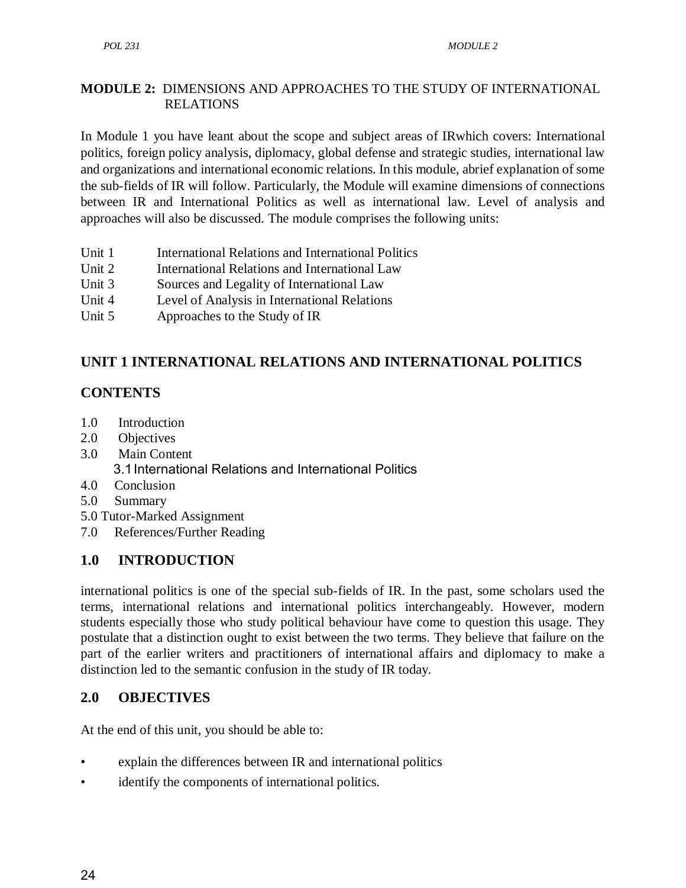## **MODULE 2:** DIMENSIONS AND APPROACHES TO THE STUDY OF INTERNATIONAL RELATIONS

In Module 1 you have leant about the scope and subject areas of IRwhich covers: International politics, foreign policy analysis, diplomacy, global defense and strategic studies, international law and organizations and international economic relations. In this module, abrief explanation of some the sub-fields of IR will follow. Particularly, the Module will examine dimensions of connections between IR and International Politics as well as international law. Level of analysis and approaches will also be discussed. The module comprises the following units:

- Unit 1 International Relations and International Politics
- Unit 2 International Relations and International Law
- Unit 3 Sources and Legality of International Law
- Unit 4 Level of Analysis in International Relations
- Unit 5 Approaches to the Study of IR

# **UNIT 1 INTERNATIONAL RELATIONS AND INTERNATIONAL POLITICS**

## **CONTENTS**

- 1.0 Introduction
- 2.0 Objectives
- 3.0 Main Content 3.1International Relations and International Politics
- 4.0 Conclusion
- 5.0 Summary
- 5.0 Tutor-Marked Assignment
- 7.0 References/Further Reading

# **1.0 INTRODUCTION**

international politics is one of the special sub-fields of IR. In the past, some scholars used the terms, international relations and international politics interchangeably. However, modern students especially those who study political behaviour have come to question this usage. They postulate that a distinction ought to exist between the two terms. They believe that failure on the part of the earlier writers and practitioners of international affairs and diplomacy to make a distinction led to the semantic confusion in the study of IR today.

## **2.0 OBJECTIVES**

At the end of this unit, you should be able to:

- explain the differences between IR and international politics
- identify the components of international politics.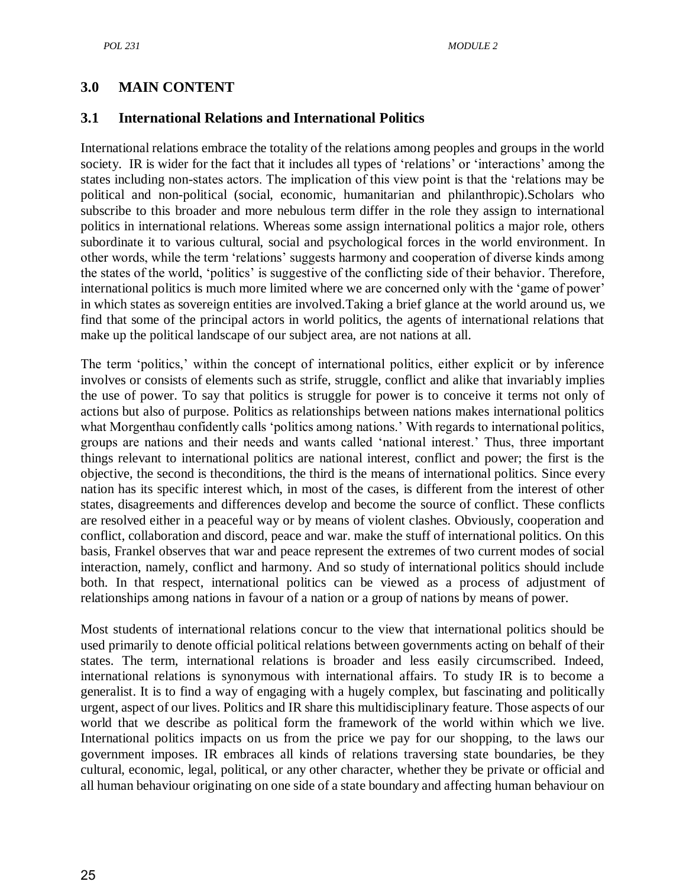## **3.0 MAIN CONTENT**

#### **3.1 International Relations and International Politics**

International relations embrace the totality of the relations among peoples and groups in the world society. IR is wider for the fact that it includes all types of 'relations' or 'interactions' among the states including non-states actors. The implication of this view point is that the 'relations may be political and non-political (social, economic, humanitarian and philanthropic).Scholars who subscribe to this broader and more nebulous term differ in the role they assign to international politics in international relations. Whereas some assign international politics a major role, others subordinate it to various cultural, social and psychological forces in the world environment. In other words, while the term 'relations' suggests harmony and cooperation of diverse kinds among the states of the world, ‗politics' is suggestive of the conflicting side of their behavior. Therefore, international politics is much more limited where we are concerned only with the 'game of power' in which states as sovereign entities are involved.Taking a brief glance at the world around us, we find that some of the principal actors in world politics, the agents of international relations that make up the political landscape of our subject area, are not nations at all.

The term 'politics,' within the concept of international politics, either explicit or by inference involves or consists of elements such as strife, struggle, conflict and alike that invariably implies the use of power. To say that politics is struggle for power is to conceive it terms not only of actions but also of purpose. Politics as relationships between nations makes international politics what Morgenthau confidently calls 'politics among nations.' With regards to international politics, groups are nations and their needs and wants called ‗national interest.' Thus, three important things relevant to international politics are national interest, conflict and power; the first is the objective, the second is theconditions, the third is the means of international politics. Since every nation has its specific interest which, in most of the cases, is different from the interest of other states, disagreements and differences develop and become the source of conflict. These conflicts are resolved either in a peaceful way or by means of violent clashes. Obviously, cooperation and conflict, collaboration and discord, peace and war. make the stuff of international politics. On this basis, Frankel observes that war and peace represent the extremes of two current modes of social interaction, namely, conflict and harmony. And so study of international politics should include both. In that respect, international politics can be viewed as a process of adjustment of relationships among nations in favour of a nation or a group of nations by means of power.

Most students of international relations concur to the view that international politics should be used primarily to denote official political relations between governments acting on behalf of their states. The term, international relations is broader and less easily circumscribed. Indeed, international relations is synonymous with international affairs. To study IR is to become a generalist. It is to find a way of engaging with a hugely complex, but fascinating and politically urgent, aspect of our lives. Politics and IR share this multidisciplinary feature. Those aspects of our world that we describe as political form the framework of the world within which we live. International politics impacts on us from the price we pay for our shopping, to the laws our government imposes. IR embraces all kinds of relations traversing state boundaries, be they cultural, economic, legal, political, or any other character, whether they be private or official and all human behaviour originating on one side of a state boundary and affecting human behaviour on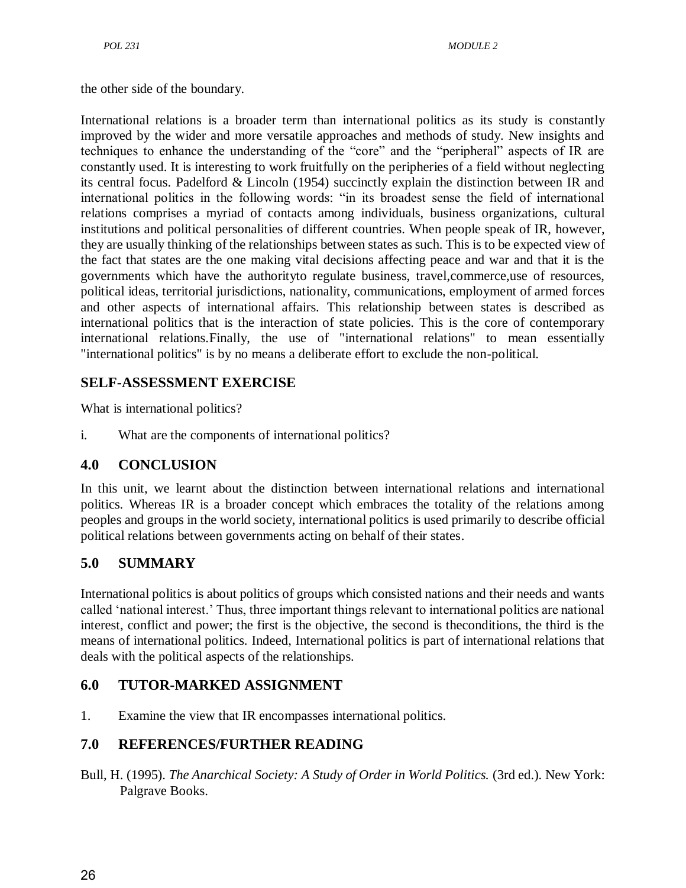the other side of the boundary.

International relations is a broader term than international politics as its study is constantly improved by the wider and more versatile approaches and methods of study. New insights and techniques to enhance the understanding of the "core" and the "peripheral" aspects of IR are constantly used. It is interesting to work fruitfully on the peripheries of a field without neglecting its central focus. Padelford & Lincoln (1954) succinctly explain the distinction between IR and international politics in the following words: "in its broadest sense the field of international relations comprises a myriad of contacts among individuals, business organizations, cultural institutions and political personalities of different countries. When people speak of IR, however, they are usually thinking of the relationships between states as such. This is to be expected view of the fact that states are the one making vital decisions affecting peace and war and that it is the governments which have the authorityto regulate business, travel,commerce,use of resources, political ideas, territorial jurisdictions, nationality, communications, employment of armed forces and other aspects of international affairs. This relationship between states is described as international politics that is the interaction of state policies. This is the core of contemporary international relations.Finally, the use of "international relations" to mean essentially "international politics" is by no means a deliberate effort to exclude the non-political.

## **SELF-ASSESSMENT EXERCISE**

What is international politics?

i. What are the components of international politics?

## **4.0 CONCLUSION**

In this unit, we learnt about the distinction between international relations and international politics. Whereas IR is a broader concept which embraces the totality of the relations among peoples and groups in the world society, international politics is used primarily to describe official political relations between governments acting on behalf of their states.

## **5.0 SUMMARY**

International politics is about politics of groups which consisted nations and their needs and wants called ‗national interest.' Thus, three important things relevant to international politics are national interest, conflict and power; the first is the objective, the second is theconditions, the third is the means of international politics. Indeed, International politics is part of international relations that deals with the political aspects of the relationships.

## **6.0 TUTOR-MARKED ASSIGNMENT**

1. Examine the view that IR encompasses international politics.

## **7.0 REFERENCES/FURTHER READING**

Bull, H. (1995). *The Anarchical Society: A Study of Order in World Politics.* (3rd ed.). New York: Palgrave Books.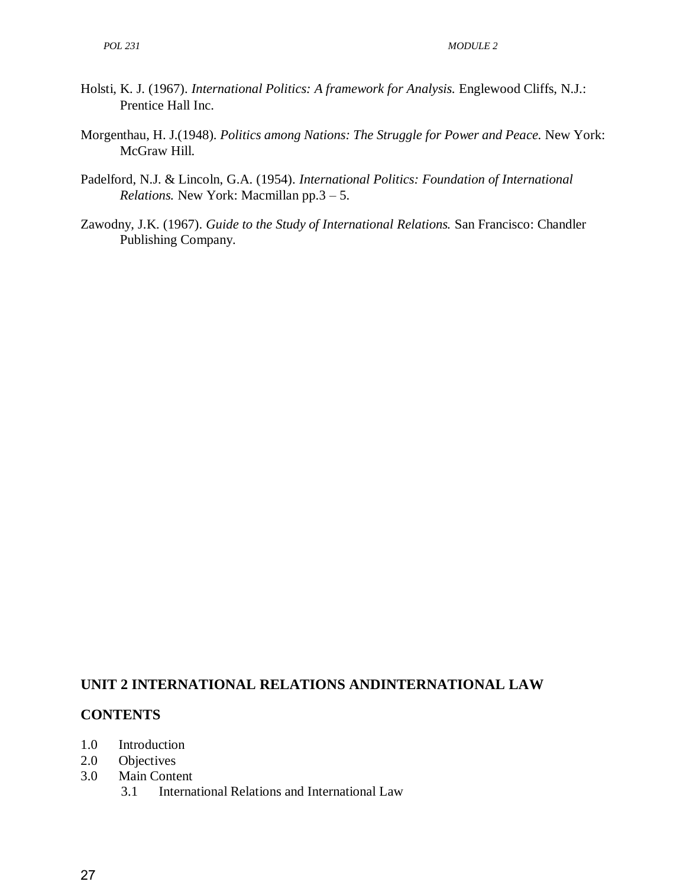- Holsti, K. J. (1967). *International Politics: A framework for Analysis.* Englewood Cliffs, N.J.: Prentice Hall Inc.
- Morgenthau, H. J.(1948). *Politics among Nations: The Struggle for Power and Peace.* New York: McGraw Hill.
- Padelford, N.J. & Lincoln, G.A. (1954). *International Politics: Foundation of International Relations.* New York: Macmillan pp.3 – 5.
- Zawodny, J.K. (1967). *Guide to the Study of International Relations.* San Francisco: Chandler Publishing Company.

#### **UNIT 2 INTERNATIONAL RELATIONS ANDINTERNATIONAL LAW**

#### **CONTENTS**

- 1.0 Introduction
- 2.0 Objectives
- 3.0 Main Content
	- 3.1 International Relations and International Law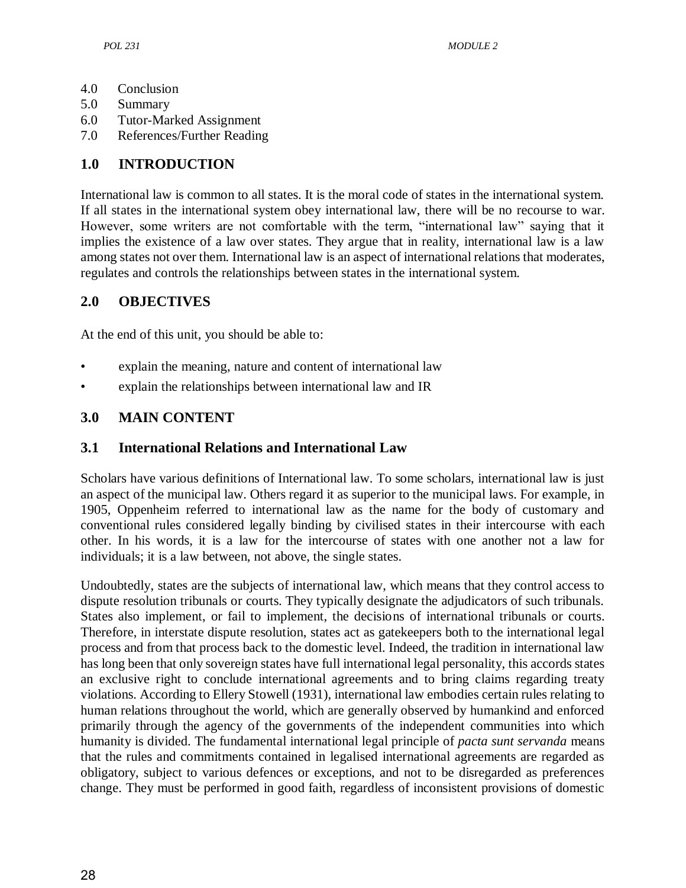- 4.0 Conclusion
- 5.0 Summary
- 6.0 Tutor-Marked Assignment
- 7.0 References/Further Reading

# **1.0 INTRODUCTION**

International law is common to all states. It is the moral code of states in the international system. If all states in the international system obey international law, there will be no recourse to war. However, some writers are not comfortable with the term, "international law" saying that it implies the existence of a law over states. They argue that in reality, international law is a law among states not over them. International law is an aspect of international relations that moderates, regulates and controls the relationships between states in the international system.

# **2.0 OBJECTIVES**

At the end of this unit, you should be able to:

- explain the meaning, nature and content of international law
- explain the relationships between international law and IR

# **3.0 MAIN CONTENT**

## **3.1 International Relations and International Law**

Scholars have various definitions of International law. To some scholars, international law is just an aspect of the municipal law. Others regard it as superior to the municipal laws. For example, in 1905, Oppenheim referred to international law as the name for the body of customary and conventional rules considered legally binding by civilised states in their intercourse with each other. In his words, it is a law for the intercourse of states with one another not a law for individuals; it is a law between, not above, the single states.

Undoubtedly, states are the subjects of international law, which means that they control access to dispute resolution tribunals or courts. They typically designate the adjudicators of such tribunals. States also implement, or fail to implement, the decisions of international tribunals or courts. Therefore, in interstate dispute resolution, states act as gatekeepers both to the international legal process and from that process back to the domestic level. Indeed, the tradition in international law has long been that only sovereign states have full international legal personality, this accords states an exclusive right to conclude international agreements and to bring claims regarding treaty violations. According to Ellery Stowell (1931), international law embodies certain rules relating to human relations throughout the world, which are generally observed by humankind and enforced primarily through the agency of the governments of the independent communities into which humanity is divided. The fundamental international legal principle of *pacta sunt servanda* means that the rules and commitments contained in legalised international agreements are regarded as obligatory, subject to various defences or exceptions, and not to be disregarded as preferences change. They must be performed in good faith, regardless of inconsistent provisions of domestic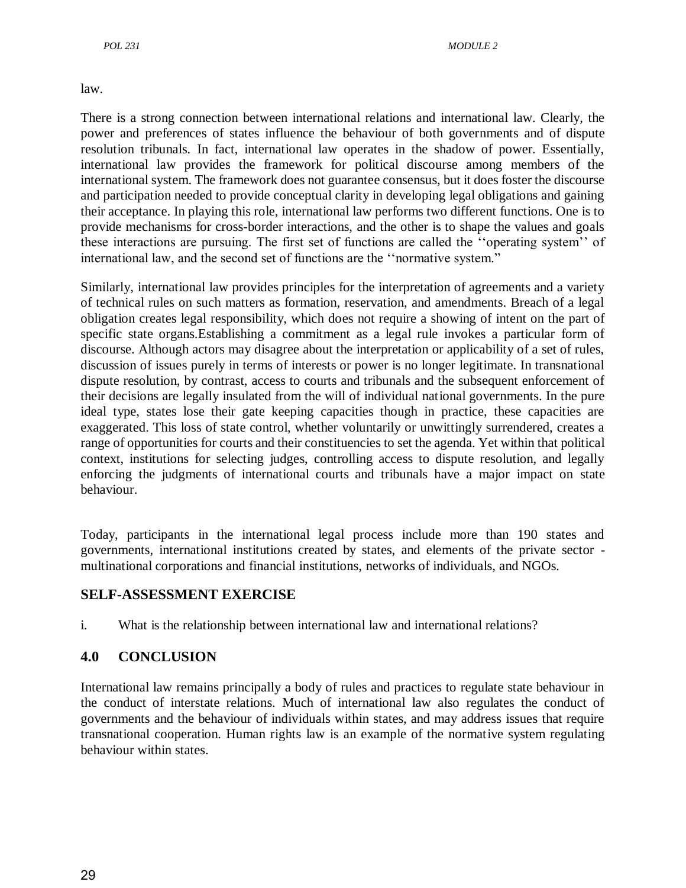law.

There is a strong connection between international relations and international law. Clearly, the power and preferences of states influence the behaviour of both governments and of dispute resolution tribunals. In fact, international law operates in the shadow of power. Essentially, international law provides the framework for political discourse among members of the international system. The framework does not guarantee consensus, but it does foster the discourse and participation needed to provide conceptual clarity in developing legal obligations and gaining their acceptance. In playing this role, international law performs two different functions. One is to provide mechanisms for cross-border interactions, and the other is to shape the values and goals these interactions are pursuing. The first set of functions are called the "operating system" of international law, and the second set of functions are the "normative system."

Similarly, international law provides principles for the interpretation of agreements and a variety of technical rules on such matters as formation, reservation, and amendments. Breach of a legal obligation creates legal responsibility, which does not require a showing of intent on the part of specific state organs.Establishing a commitment as a legal rule invokes a particular form of discourse. Although actors may disagree about the interpretation or applicability of a set of rules, discussion of issues purely in terms of interests or power is no longer legitimate. In transnational dispute resolution, by contrast, access to courts and tribunals and the subsequent enforcement of their decisions are legally insulated from the will of individual national governments. In the pure ideal type, states lose their gate keeping capacities though in practice, these capacities are exaggerated. This loss of state control, whether voluntarily or unwittingly surrendered, creates a range of opportunities for courts and their constituencies to set the agenda. Yet within that political context, institutions for selecting judges, controlling access to dispute resolution, and legally enforcing the judgments of international courts and tribunals have a major impact on state behaviour.

Today, participants in the international legal process include more than 190 states and governments, international institutions created by states, and elements of the private sector multinational corporations and financial institutions, networks of individuals, and NGOs.

## **SELF-ASSESSMENT EXERCISE**

i. What is the relationship between international law and international relations?

## **4.0 CONCLUSION**

International law remains principally a body of rules and practices to regulate state behaviour in the conduct of interstate relations. Much of international law also regulates the conduct of governments and the behaviour of individuals within states, and may address issues that require transnational cooperation. Human rights law is an example of the normative system regulating behaviour within states.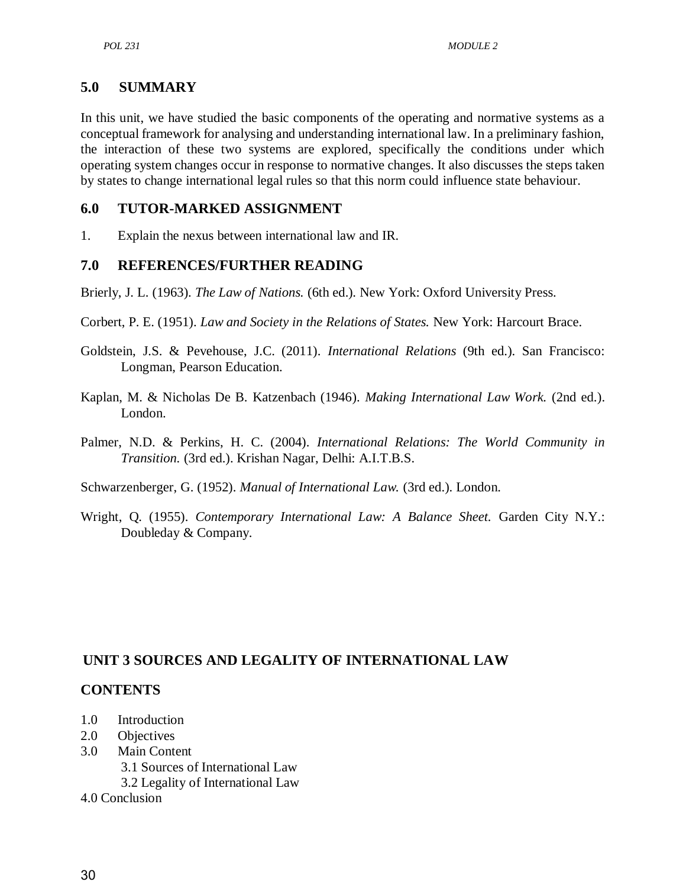## **5.0 SUMMARY**

In this unit, we have studied the basic components of the operating and normative systems as a conceptual framework for analysing and understanding international law. In a preliminary fashion, the interaction of these two systems are explored, specifically the conditions under which operating system changes occur in response to normative changes. It also discusses the steps taken by states to change international legal rules so that this norm could influence state behaviour.

## **6.0 TUTOR-MARKED ASSIGNMENT**

1. Explain the nexus between international law and IR.

## **7.0 REFERENCES/FURTHER READING**

Brierly, J. L. (1963). *The Law of Nations.* (6th ed.). New York: Oxford University Press.

- Corbert, P. E. (1951). *Law and Society in the Relations of States.* New York: Harcourt Brace.
- Goldstein, J.S. & Pevehouse, J.C. (2011). *International Relations* (9th ed.). San Francisco: Longman, Pearson Education.
- Kaplan, M. & Nicholas De B. Katzenbach (1946). *Making International Law Work.* (2nd ed.). London.
- Palmer, N.D. & Perkins, H. C. (2004). *International Relations: The World Community in Transition.* (3rd ed.). Krishan Nagar, Delhi: A.I.T.B.S.

Schwarzenberger, G. (1952). *Manual of International Law.* (3rd ed.). London.

Wright, Q. (1955). *Contemporary International Law: A Balance Sheet.* Garden City N.Y.: Doubleday & Company.

## **UNIT 3 SOURCES AND LEGALITY OF INTERNATIONAL LAW**

## **CONTENTS**

- 1.0 Introduction
- 2.0 Objectives
- 3.0 Main Content
	- 3.1 Sources of International Law
	- 3.2 Legality of International Law
- 4.0 Conclusion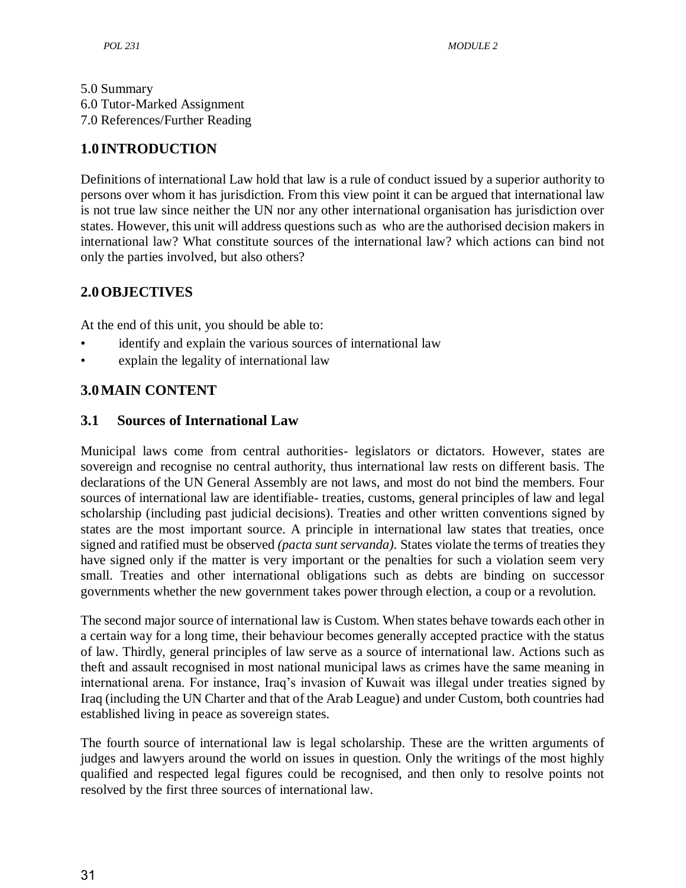## 5.0 Summary 6.0 Tutor-Marked Assignment 7.0 References/Further Reading

# **1.0 INTRODUCTION**

Definitions of international Law hold that law is a rule of conduct issued by a superior authority to persons over whom it has jurisdiction. From this view point it can be argued that international law is not true law since neither the UN nor any other international organisation has jurisdiction over states. However, this unit will address questions such as who are the authorised decision makers in international law? What constitute sources of the international law? which actions can bind not only the parties involved, but also others?

# **2.0OBJECTIVES**

At the end of this unit, you should be able to:

- identify and explain the various sources of international law
- explain the legality of international law

# **3.0MAIN CONTENT**

## **3.1 Sources of International Law**

Municipal laws come from central authorities- legislators or dictators. However, states are sovereign and recognise no central authority, thus international law rests on different basis. The declarations of the UN General Assembly are not laws, and most do not bind the members. Four sources of international law are identifiable- treaties, customs, general principles of law and legal scholarship (including past judicial decisions). Treaties and other written conventions signed by states are the most important source. A principle in international law states that treaties, once signed and ratified must be observed *(pacta sunt servanda).* States violate the terms of treaties they have signed only if the matter is very important or the penalties for such a violation seem very small. Treaties and other international obligations such as debts are binding on successor governments whether the new government takes power through election, a coup or a revolution.

The second major source of international law is Custom. When states behave towards each other in a certain way for a long time, their behaviour becomes generally accepted practice with the status of law. Thirdly, general principles of law serve as a source of international law. Actions such as theft and assault recognised in most national municipal laws as crimes have the same meaning in international arena. For instance, Iraq's invasion of Kuwait was illegal under treaties signed by Iraq (including the UN Charter and that of the Arab League) and under Custom, both countries had established living in peace as sovereign states.

The fourth source of international law is legal scholarship. These are the written arguments of judges and lawyers around the world on issues in question. Only the writings of the most highly qualified and respected legal figures could be recognised, and then only to resolve points not resolved by the first three sources of international law.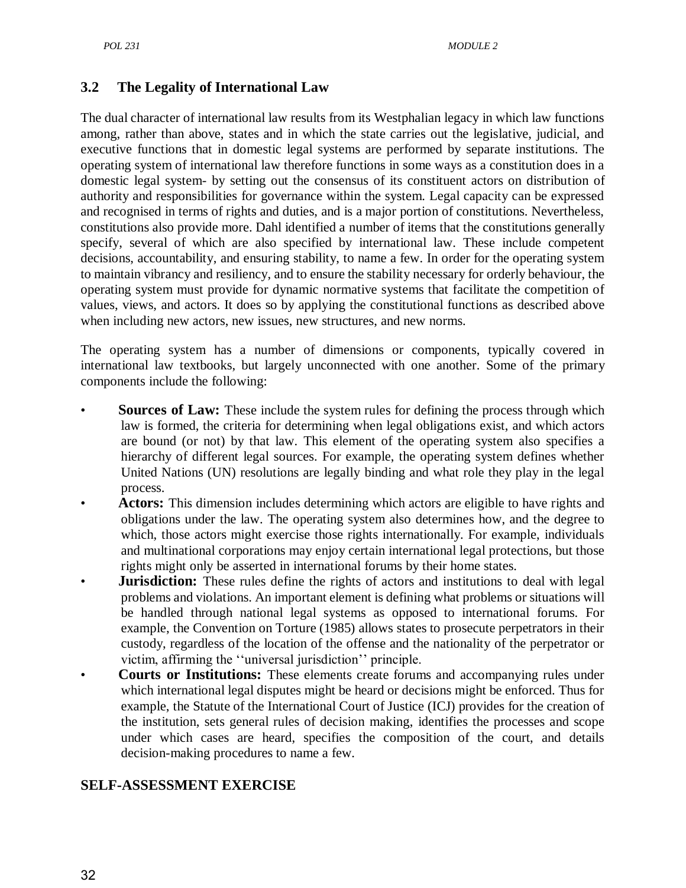## **3.2 The Legality of International Law**

The dual character of international law results from its Westphalian legacy in which law functions among, rather than above, states and in which the state carries out the legislative, judicial, and executive functions that in domestic legal systems are performed by separate institutions. The operating system of international law therefore functions in some ways as a constitution does in a domestic legal system- by setting out the consensus of its constituent actors on distribution of authority and responsibilities for governance within the system. Legal capacity can be expressed and recognised in terms of rights and duties, and is a major portion of constitutions. Nevertheless, constitutions also provide more. Dahl identified a number of items that the constitutions generally specify, several of which are also specified by international law. These include competent decisions, accountability, and ensuring stability, to name a few. In order for the operating system to maintain vibrancy and resiliency, and to ensure the stability necessary for orderly behaviour, the operating system must provide for dynamic normative systems that facilitate the competition of values, views, and actors. It does so by applying the constitutional functions as described above when including new actors, new issues, new structures, and new norms.

The operating system has a number of dimensions or components, typically covered in international law textbooks, but largely unconnected with one another. Some of the primary components include the following:

- **Sources of Law:** These include the system rules for defining the process through which law is formed, the criteria for determining when legal obligations exist, and which actors are bound (or not) by that law. This element of the operating system also specifies a hierarchy of different legal sources. For example, the operating system defines whether United Nations (UN) resolutions are legally binding and what role they play in the legal process.
- Actors: This dimension includes determining which actors are eligible to have rights and obligations under the law. The operating system also determines how, and the degree to which, those actors might exercise those rights internationally. For example, individuals and multinational corporations may enjoy certain international legal protections, but those rights might only be asserted in international forums by their home states.
- **Jurisdiction:** These rules define the rights of actors and institutions to deal with legal problems and violations. An important element is defining what problems or situations will be handled through national legal systems as opposed to international forums. For example, the Convention on Torture (1985) allows states to prosecute perpetrators in their custody, regardless of the location of the offense and the nationality of the perpetrator or victim, affirming the "universal jurisdiction" principle.
- **Courts or Institutions:** These elements create forums and accompanying rules under which international legal disputes might be heard or decisions might be enforced. Thus for example, the Statute of the International Court of Justice (ICJ) provides for the creation of the institution, sets general rules of decision making, identifies the processes and scope under which cases are heard, specifies the composition of the court, and details decision-making procedures to name a few.

# **SELF-ASSESSMENT EXERCISE**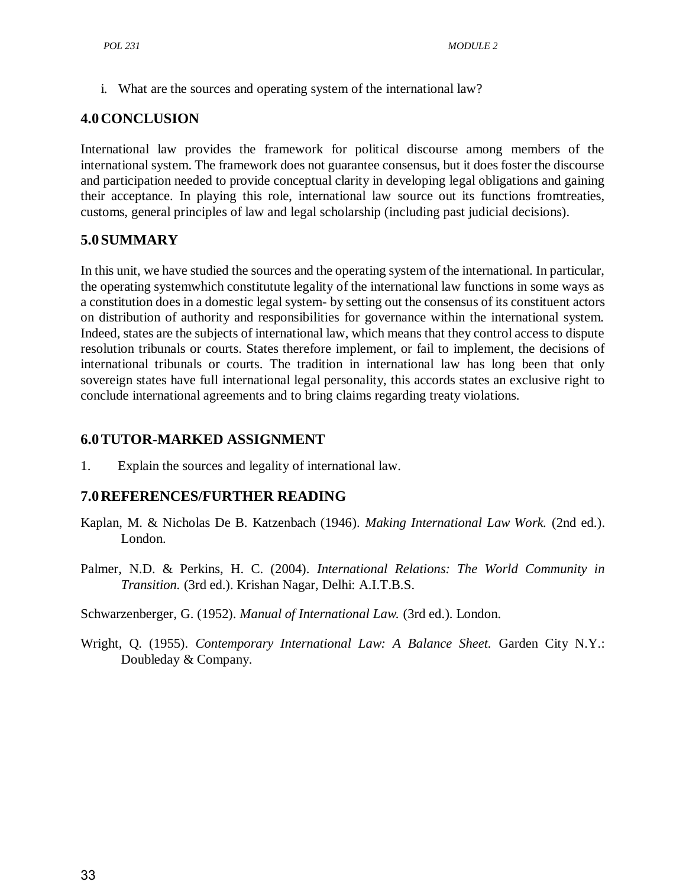i. What are the sources and operating system of the international law?

## **4.0CONCLUSION**

International law provides the framework for political discourse among members of the international system. The framework does not guarantee consensus, but it does foster the discourse and participation needed to provide conceptual clarity in developing legal obligations and gaining their acceptance. In playing this role, international law source out its functions fromtreaties, customs, general principles of law and legal scholarship (including past judicial decisions).

#### **5.0SUMMARY**

In this unit, we have studied the sources and the operating system of the international. In particular, the operating systemwhich constitutute legality of the international law functions in some ways as a constitution does in a domestic legal system- by setting out the consensus of its constituent actors on distribution of authority and responsibilities for governance within the international system. Indeed, states are the subjects of international law, which means that they control access to dispute resolution tribunals or courts. States therefore implement, or fail to implement, the decisions of international tribunals or courts. The tradition in international law has long been that only sovereign states have full international legal personality, this accords states an exclusive right to conclude international agreements and to bring claims regarding treaty violations.

## **6.0TUTOR-MARKED ASSIGNMENT**

1. Explain the sources and legality of international law.

#### **7.0REFERENCES/FURTHER READING**

- Kaplan, M. & Nicholas De B. Katzenbach (1946). *Making International Law Work.* (2nd ed.). London.
- Palmer, N.D. & Perkins, H. C. (2004). *International Relations: The World Community in Transition.* (3rd ed.). Krishan Nagar, Delhi: A.I.T.B.S.

Schwarzenberger, G. (1952). *Manual of International Law.* (3rd ed.). London.

Wright, Q. (1955). *Contemporary International Law: A Balance Sheet.* Garden City N.Y.: Doubleday & Company.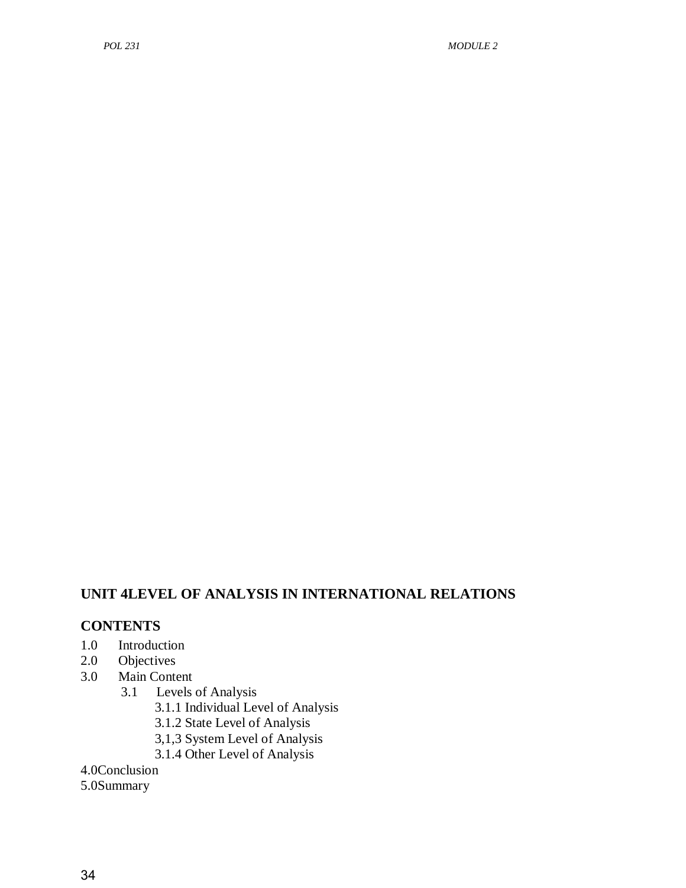# **UNIT 4LEVEL OF ANALYSIS IN INTERNATIONAL RELATIONS**

## **CONTENTS**

- 1.0 Introduction
- 2.0 Objectives
- 3.0 Main Content
	- 3.1 Levels of Analysis
		- 3.1.1 Individual Level of Analysis
		- 3.1.2 State Level of Analysis
		- 3,1,3 System Level of Analysis
		- 3.1.4 Other Level of Analysis
- 4.0Conclusion
- 5.0Summary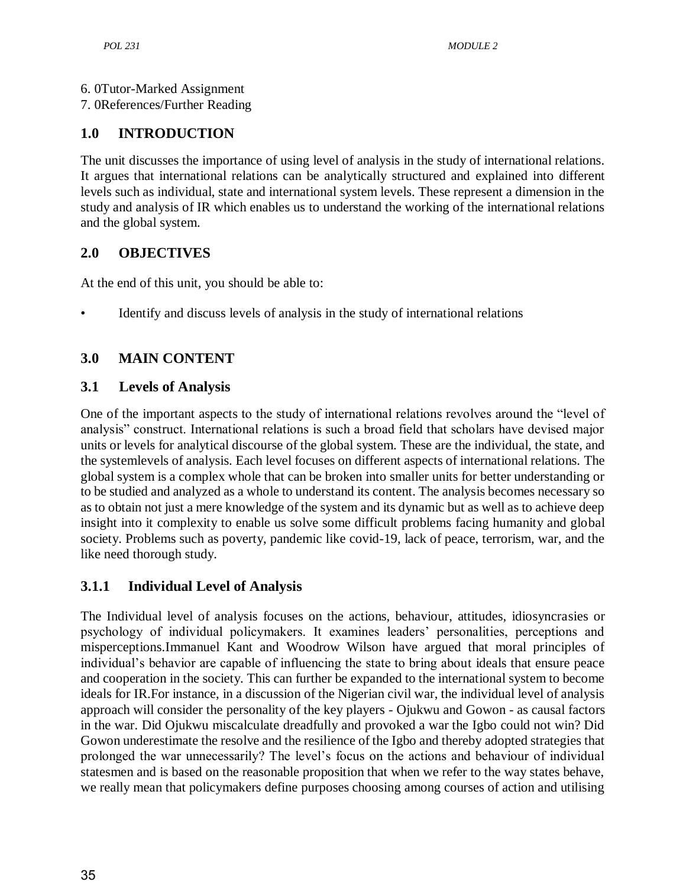6. 0Tutor-Marked Assignment

7. 0References/Further Reading

## **1.0 INTRODUCTION**

The unit discusses the importance of using level of analysis in the study of international relations. It argues that international relations can be analytically structured and explained into different levels such as individual, state and international system levels. These represent a dimension in the study and analysis of IR which enables us to understand the working of the international relations and the global system.

## **2.0 OBJECTIVES**

At the end of this unit, you should be able to:

• Identify and discuss levels of analysis in the study of international relations

# **3.0 MAIN CONTENT**

## **3.1 Levels of Analysis**

One of the important aspects to the study of international relations revolves around the "level of analysis" construct. International relations is such a broad field that scholars have devised major units or levels for analytical discourse of the global system. These are the individual, the state, and the systemlevels of analysis. Each level focuses on different aspects of international relations. The global system is a complex whole that can be broken into smaller units for better understanding or to be studied and analyzed as a whole to understand its content. The analysis becomes necessary so as to obtain not just a mere knowledge of the system and its dynamic but as well as to achieve deep insight into it complexity to enable us solve some difficult problems facing humanity and global society. Problems such as poverty, pandemic like covid-19, lack of peace, terrorism, war, and the like need thorough study.

## **3.1.1 Individual Level of Analysis**

The Individual level of analysis focuses on the actions, behaviour, attitudes, idiosyncrasies or psychology of individual policymakers. It examines leaders' personalities, perceptions and misperceptions.Immanuel Kant and Woodrow Wilson have argued that moral principles of individual's behavior are capable of influencing the state to bring about ideals that ensure peace and cooperation in the society. This can further be expanded to the international system to become ideals for IR.For instance, in a discussion of the Nigerian civil war, the individual level of analysis approach will consider the personality of the key players - Ojukwu and Gowon - as causal factors in the war. Did Ojukwu miscalculate dreadfully and provoked a war the Igbo could not win? Did Gowon underestimate the resolve and the resilience of the Igbo and thereby adopted strategies that prolonged the war unnecessarily? The level's focus on the actions and behaviour of individual statesmen and is based on the reasonable proposition that when we refer to the way states behave, we really mean that policymakers define purposes choosing among courses of action and utilising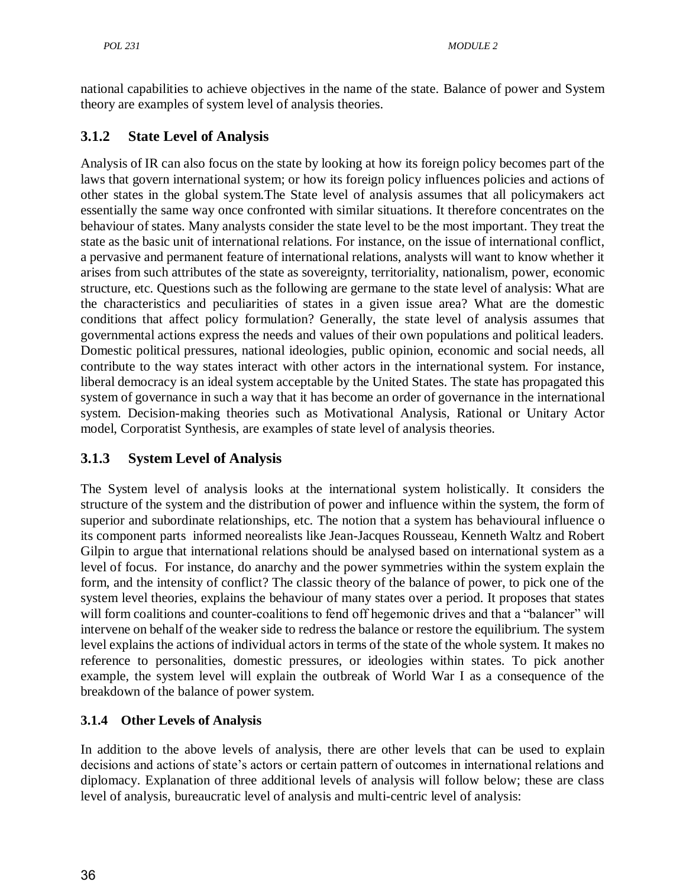national capabilities to achieve objectives in the name of the state. Balance of power and System theory are examples of system level of analysis theories.

## **3.1.2 State Level of Analysis**

Analysis of IR can also focus on the state by looking at how its foreign policy becomes part of the laws that govern international system; or how its foreign policy influences policies and actions of other states in the global system.The State level of analysis assumes that all policymakers act essentially the same way once confronted with similar situations. It therefore concentrates on the behaviour of states. Many analysts consider the state level to be the most important. They treat the state as the basic unit of international relations. For instance, on the issue of international conflict, a pervasive and permanent feature of international relations, analysts will want to know whether it arises from such attributes of the state as sovereignty, territoriality, nationalism, power, economic structure, etc. Questions such as the following are germane to the state level of analysis: What are the characteristics and peculiarities of states in a given issue area? What are the domestic conditions that affect policy formulation? Generally, the state level of analysis assumes that governmental actions express the needs and values of their own populations and political leaders. Domestic political pressures, national ideologies, public opinion, economic and social needs, all contribute to the way states interact with other actors in the international system. For instance, liberal democracy is an ideal system acceptable by the United States. The state has propagated this system of governance in such a way that it has become an order of governance in the international system. Decision-making theories such as Motivational Analysis, Rational or Unitary Actor model, Corporatist Synthesis, are examples of state level of analysis theories.

## **3.1.3 System Level of Analysis**

The System level of analysis looks at the international system holistically. It considers the structure of the system and the distribution of power and influence within the system, the form of superior and subordinate relationships, etc. The notion that a system has behavioural influence o its component parts informed neorealists like Jean-Jacques Rousseau, Kenneth Waltz and Robert Gilpin to argue that international relations should be analysed based on international system as a level of focus. For instance, do anarchy and the power symmetries within the system explain the form, and the intensity of conflict? The classic theory of the balance of power, to pick one of the system level theories, explains the behaviour of many states over a period. It proposes that states will form coalitions and counter-coalitions to fend off hegemonic drives and that a "balancer" will intervene on behalf of the weaker side to redress the balance or restore the equilibrium. The system level explains the actions of individual actors in terms of the state of the whole system. It makes no reference to personalities, domestic pressures, or ideologies within states. To pick another example, the system level will explain the outbreak of World War I as a consequence of the breakdown of the balance of power system.

## **3.1.4 Other Levels of Analysis**

In addition to the above levels of analysis, there are other levels that can be used to explain decisions and actions of state's actors or certain pattern of outcomes in international relations and diplomacy. Explanation of three additional levels of analysis will follow below; these are class level of analysis, bureaucratic level of analysis and multi-centric level of analysis: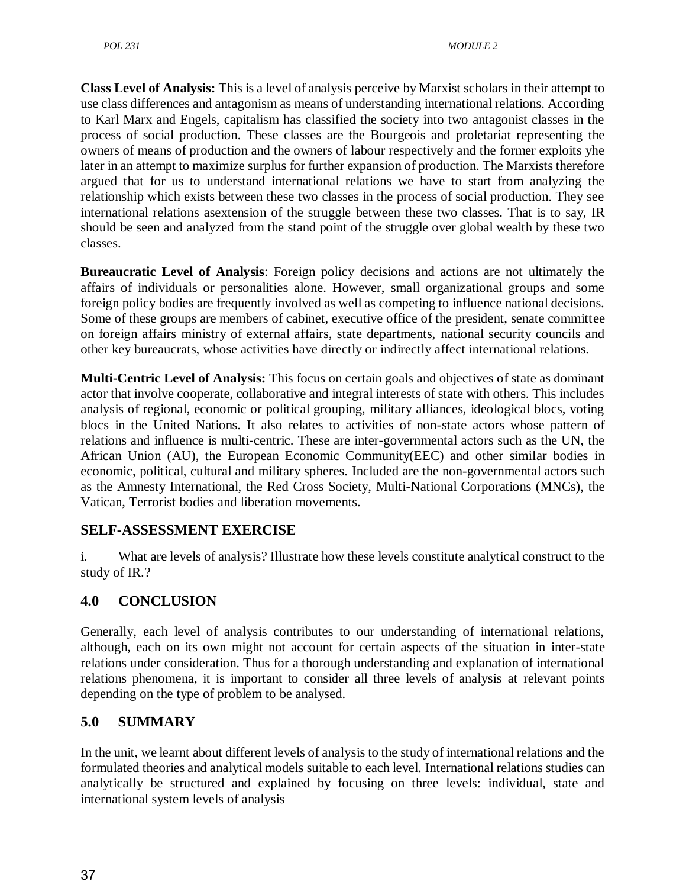**Class Level of Analysis:** This is a level of analysis perceive by Marxist scholars in their attempt to use class differences and antagonism as means of understanding international relations. According to Karl Marx and Engels, capitalism has classified the society into two antagonist classes in the process of social production. These classes are the Bourgeois and proletariat representing the owners of means of production and the owners of labour respectively and the former exploits yhe later in an attempt to maximize surplus for further expansion of production. The Marxists therefore argued that for us to understand international relations we have to start from analyzing the relationship which exists between these two classes in the process of social production. They see international relations asextension of the struggle between these two classes. That is to say, IR should be seen and analyzed from the stand point of the struggle over global wealth by these two classes.

**Bureaucratic Level of Analysis**: Foreign policy decisions and actions are not ultimately the affairs of individuals or personalities alone. However, small organizational groups and some foreign policy bodies are frequently involved as well as competing to influence national decisions. Some of these groups are members of cabinet, executive office of the president, senate committee on foreign affairs ministry of external affairs, state departments, national security councils and other key bureaucrats, whose activities have directly or indirectly affect international relations.

**Multi-Centric Level of Analysis:** This focus on certain goals and objectives of state as dominant actor that involve cooperate, collaborative and integral interests of state with others. This includes analysis of regional, economic or political grouping, military alliances, ideological blocs, voting blocs in the United Nations. It also relates to activities of non-state actors whose pattern of relations and influence is multi-centric. These are inter-governmental actors such as the UN, the African Union (AU), the European Economic Community(EEC) and other similar bodies in economic, political, cultural and military spheres. Included are the non-governmental actors such as the Amnesty International, the Red Cross Society, Multi-National Corporations (MNCs), the Vatican, Terrorist bodies and liberation movements.

## **SELF-ASSESSMENT EXERCISE**

i. What are levels of analysis? Illustrate how these levels constitute analytical construct to the study of IR.?

## **4.0 CONCLUSION**

Generally, each level of analysis contributes to our understanding of international relations, although, each on its own might not account for certain aspects of the situation in inter-state relations under consideration. Thus for a thorough understanding and explanation of international relations phenomena, it is important to consider all three levels of analysis at relevant points depending on the type of problem to be analysed.

## **5.0 SUMMARY**

In the unit, we learnt about different levels of analysis to the study of international relations and the formulated theories and analytical models suitable to each level. International relations studies can analytically be structured and explained by focusing on three levels: individual, state and international system levels of analysis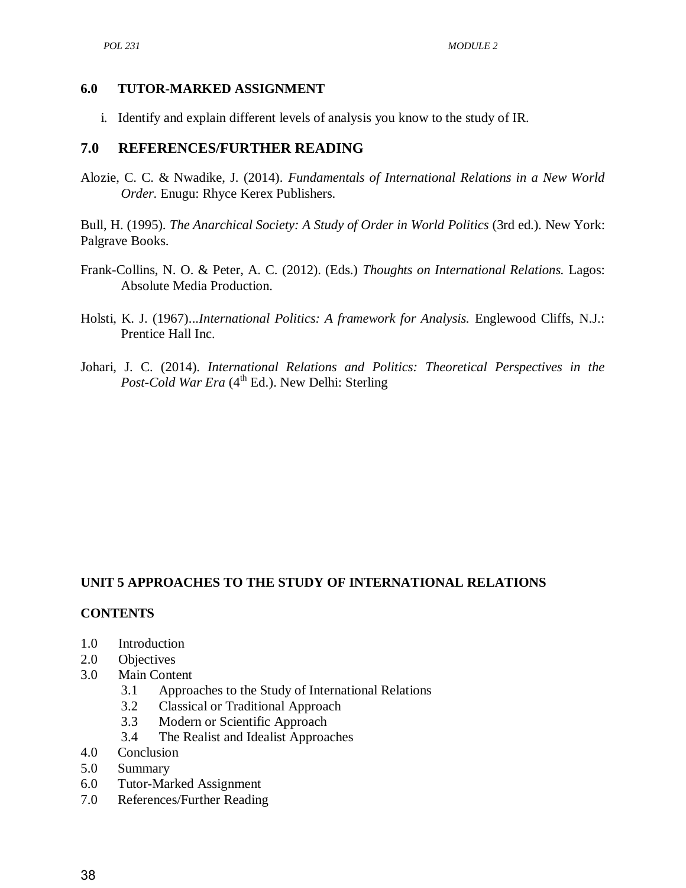#### **6.0 TUTOR-MARKED ASSIGNMENT**

i. Identify and explain different levels of analysis you know to the study of IR.

#### **7.0 REFERENCES/FURTHER READING**

Alozie, C. C. & Nwadike, J. (2014). *Fundamentals of International Relations in a New World Order*. Enugu: Rhyce Kerex Publishers.

Bull, H. (1995). *The Anarchical Society: A Study of Order in World Politics* (3rd ed.). New York: Palgrave Books.

- Frank-Collins, N. O. & Peter, A. C. (2012). (Eds.) *Thoughts on International Relations.* Lagos: Absolute Media Production.
- Holsti, K. J. (1967)...*International Politics: A framework for Analysis.* Englewood Cliffs, N.J.: Prentice Hall Inc.
- Johari, J. C. (2014). *International Relations and Politics: Theoretical Perspectives in the Post-Cold War Era* (4<sup>th</sup> Ed.). New Delhi: Sterling

## **UNIT 5 APPROACHES TO THE STUDY OF INTERNATIONAL RELATIONS**

#### **CONTENTS**

- 1.0 Introduction
- 2.0 Objectives
- 3.0 Main Content
	- 3.1 Approaches to the Study of International Relations
	- 3.2 Classical or Traditional Approach
	- 3.3 Modern or Scientific Approach
	- 3.4 The Realist and Idealist Approaches
- 4.0 Conclusion
- 5.0 Summary
- 6.0 Tutor-Marked Assignment
- 7.0 References/Further Reading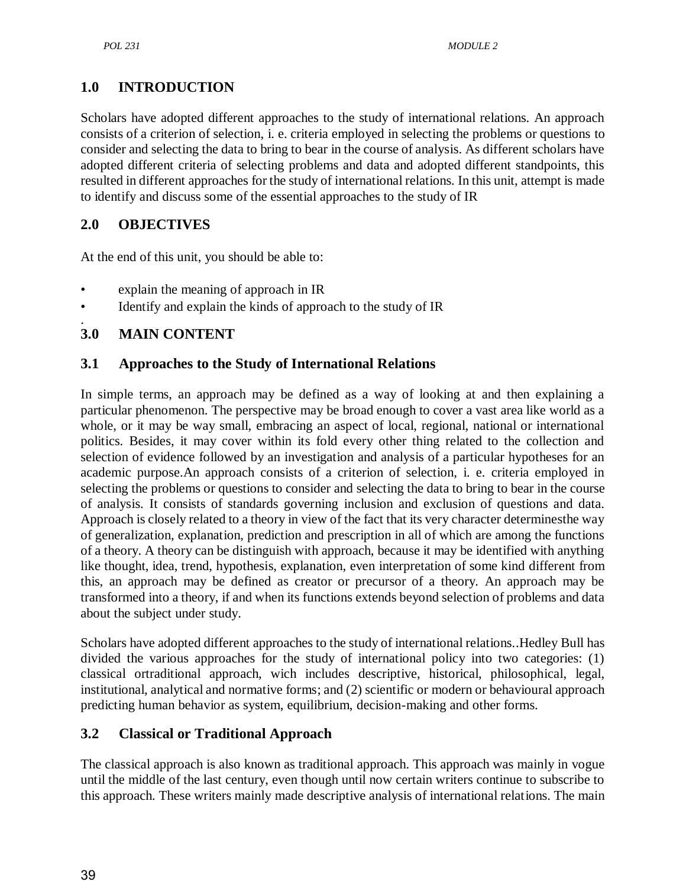# **1.0 INTRODUCTION**

Scholars have adopted different approaches to the study of international relations. An approach consists of a criterion of selection, i. e. criteria employed in selecting the problems or questions to consider and selecting the data to bring to bear in the course of analysis. As different scholars have adopted different criteria of selecting problems and data and adopted different standpoints, this resulted in different approaches for the study of international relations. In this unit, attempt is made to identify and discuss some of the essential approaches to the study of IR

## **2.0 OBJECTIVES**

At the end of this unit, you should be able to:

- explain the meaning of approach in IR
- Identify and explain the kinds of approach to the study of IR

#### . **3.0 MAIN CONTENT**

## **3.1 Approaches to the Study of International Relations**

In simple terms, an approach may be defined as a way of looking at and then explaining a particular phenomenon. The perspective may be broad enough to cover a vast area like world as a whole, or it may be way small, embracing an aspect of local, regional, national or international politics. Besides, it may cover within its fold every other thing related to the collection and selection of evidence followed by an investigation and analysis of a particular hypotheses for an academic purpose.An approach consists of a criterion of selection, i. e. criteria employed in selecting the problems or questions to consider and selecting the data to bring to bear in the course of analysis. It consists of standards governing inclusion and exclusion of questions and data. Approach is closely related to a theory in view of the fact that its very character determinesthe way of generalization, explanation, prediction and prescription in all of which are among the functions of a theory. A theory can be distinguish with approach, because it may be identified with anything like thought, idea, trend, hypothesis, explanation, even interpretation of some kind different from this, an approach may be defined as creator or precursor of a theory. An approach may be transformed into a theory, if and when its functions extends beyond selection of problems and data about the subject under study.

Scholars have adopted different approaches to the study of international relations..Hedley Bull has divided the various approaches for the study of international policy into two categories: (1) classical ortraditional approach, wich includes descriptive, historical, philosophical, legal, institutional, analytical and normative forms; and (2) scientific or modern or behavioural approach predicting human behavior as system, equilibrium, decision-making and other forms.

## **3.2 Classical or Traditional Approach**

The classical approach is also known as traditional approach. This approach was mainly in vogue until the middle of the last century, even though until now certain writers continue to subscribe to this approach. These writers mainly made descriptive analysis of international relations. The main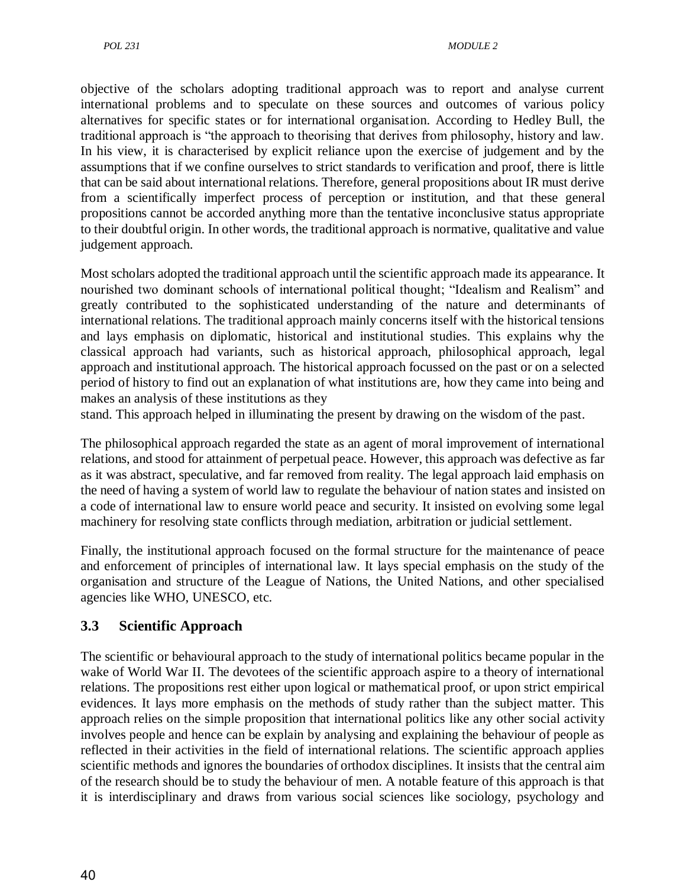objective of the scholars adopting traditional approach was to report and analyse current international problems and to speculate on these sources and outcomes of various policy alternatives for specific states or for international organisation. According to Hedley Bull, the traditional approach is "the approach to theorising that derives from philosophy, history and law. In his view, it is characterised by explicit reliance upon the exercise of judgement and by the assumptions that if we confine ourselves to strict standards to verification and proof, there is little that can be said about international relations. Therefore, general propositions about IR must derive from a scientifically imperfect process of perception or institution, and that these general propositions cannot be accorded anything more than the tentative inconclusive status appropriate to their doubtful origin. In other words, the traditional approach is normative, qualitative and value judgement approach.

Most scholars adopted the traditional approach until the scientific approach made its appearance. It nourished two dominant schools of international political thought; "Idealism and Realism" and greatly contributed to the sophisticated understanding of the nature and determinants of international relations. The traditional approach mainly concerns itself with the historical tensions and lays emphasis on diplomatic, historical and institutional studies. This explains why the classical approach had variants, such as historical approach, philosophical approach, legal approach and institutional approach. The historical approach focussed on the past or on a selected period of history to find out an explanation of what institutions are, how they came into being and makes an analysis of these institutions as they

stand. This approach helped in illuminating the present by drawing on the wisdom of the past.

The philosophical approach regarded the state as an agent of moral improvement of international relations, and stood for attainment of perpetual peace. However, this approach was defective as far as it was abstract, speculative, and far removed from reality. The legal approach laid emphasis on the need of having a system of world law to regulate the behaviour of nation states and insisted on a code of international law to ensure world peace and security. It insisted on evolving some legal machinery for resolving state conflicts through mediation, arbitration or judicial settlement.

Finally, the institutional approach focused on the formal structure for the maintenance of peace and enforcement of principles of international law. It lays special emphasis on the study of the organisation and structure of the League of Nations, the United Nations, and other specialised agencies like WHO, UNESCO, etc.

## **3.3 Scientific Approach**

The scientific or behavioural approach to the study of international politics became popular in the wake of World War II. The devotees of the scientific approach aspire to a theory of international relations. The propositions rest either upon logical or mathematical proof, or upon strict empirical evidences. It lays more emphasis on the methods of study rather than the subject matter. This approach relies on the simple proposition that international politics like any other social activity involves people and hence can be explain by analysing and explaining the behaviour of people as reflected in their activities in the field of international relations. The scientific approach applies scientific methods and ignores the boundaries of orthodox disciplines. It insists that the central aim of the research should be to study the behaviour of men. A notable feature of this approach is that it is interdisciplinary and draws from various social sciences like sociology, psychology and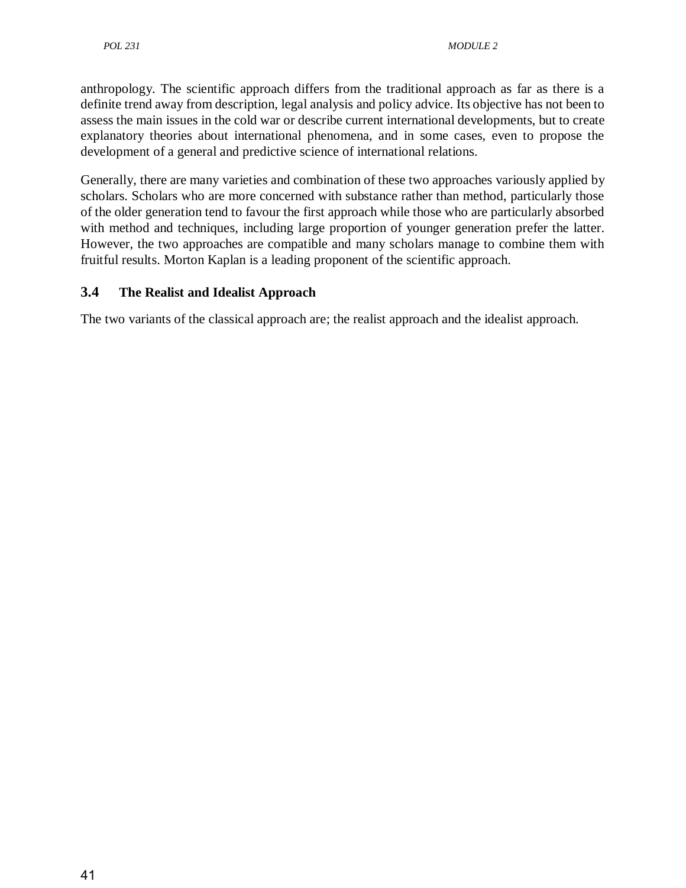anthropology. The scientific approach differs from the traditional approach as far as there is a definite trend away from description, legal analysis and policy advice. Its objective has not been to assess the main issues in the cold war or describe current international developments, but to create explanatory theories about international phenomena, and in some cases, even to propose the development of a general and predictive science of international relations.

Generally, there are many varieties and combination of these two approaches variously applied by scholars. Scholars who are more concerned with substance rather than method, particularly those of the older generation tend to favour the first approach while those who are particularly absorbed with method and techniques, including large proportion of younger generation prefer the latter. However, the two approaches are compatible and many scholars manage to combine them with fruitful results. Morton Kaplan is a leading proponent of the scientific approach.

## **3.4 The Realist and Idealist Approach**

The two variants of the classical approach are; the realist approach and the idealist approach.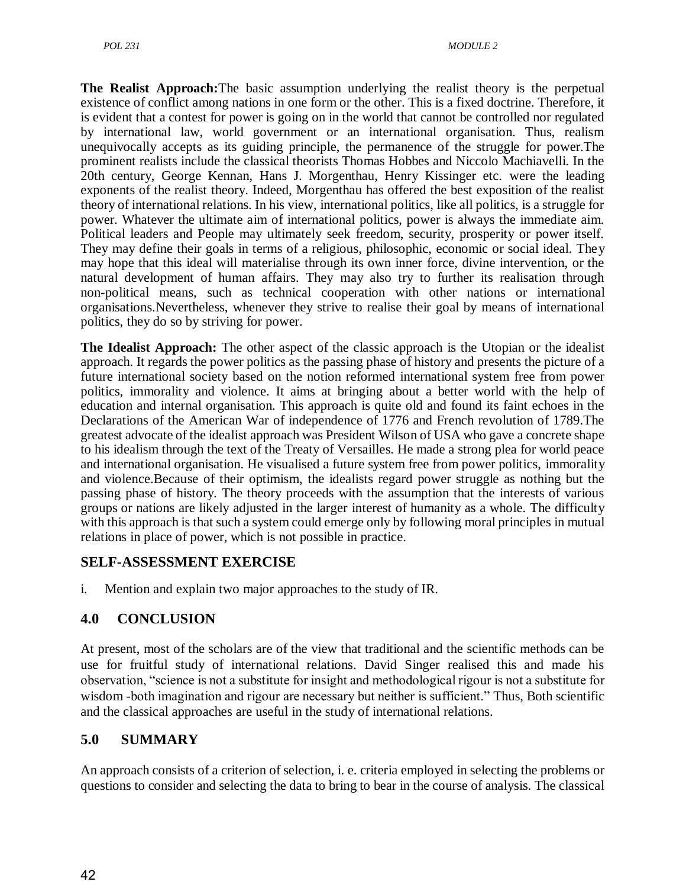**The Realist Approach:**The basic assumption underlying the realist theory is the perpetual existence of conflict among nations in one form or the other. This is a fixed doctrine. Therefore, it is evident that a contest for power is going on in the world that cannot be controlled nor regulated by international law, world government or an international organisation. Thus, realism unequivocally accepts as its guiding principle, the permanence of the struggle for power.The prominent realists include the classical theorists Thomas Hobbes and Niccolo Machiavelli. In the 20th century, George Kennan, Hans J. Morgenthau, Henry Kissinger etc. were the leading exponents of the realist theory. Indeed, Morgenthau has offered the best exposition of the realist theory of international relations. In his view, international politics, like all politics, is a struggle for power. Whatever the ultimate aim of international politics, power is always the immediate aim. Political leaders and People may ultimately seek freedom, security, prosperity or power itself. They may define their goals in terms of a religious, philosophic, economic or social ideal. They may hope that this ideal will materialise through its own inner force, divine intervention, or the natural development of human affairs. They may also try to further its realisation through non-political means, such as technical cooperation with other nations or international organisations.Nevertheless, whenever they strive to realise their goal by means of international politics, they do so by striving for power.

**The Idealist Approach:** The other aspect of the classic approach is the Utopian or the idealist approach. It regards the power politics as the passing phase of history and presents the picture of a future international society based on the notion reformed international system free from power politics, immorality and violence. It aims at bringing about a better world with the help of education and internal organisation. This approach is quite old and found its faint echoes in the Declarations of the American War of independence of 1776 and French revolution of 1789.The greatest advocate of the idealist approach was President Wilson of USA who gave a concrete shape to his idealism through the text of the Treaty of Versailles. He made a strong plea for world peace and international organisation. He visualised a future system free from power politics, immorality and violence.Because of their optimism, the idealists regard power struggle as nothing but the passing phase of history. The theory proceeds with the assumption that the interests of various groups or nations are likely adjusted in the larger interest of humanity as a whole. The difficulty with this approach is that such a system could emerge only by following moral principles in mutual relations in place of power, which is not possible in practice.

## **SELF-ASSESSMENT EXERCISE**

i. Mention and explain two major approaches to the study of IR.

## **4.0 CONCLUSION**

At present, most of the scholars are of the view that traditional and the scientific methods can be use for fruitful study of international relations. David Singer realised this and made his observation, "science is not a substitute for insight and methodological rigour is not a substitute for wisdom -both imagination and rigour are necessary but neither is sufficient." Thus, Both scientific and the classical approaches are useful in the study of international relations.

## **5.0 SUMMARY**

An approach consists of a criterion of selection, i. e. criteria employed in selecting the problems or questions to consider and selecting the data to bring to bear in the course of analysis. The classical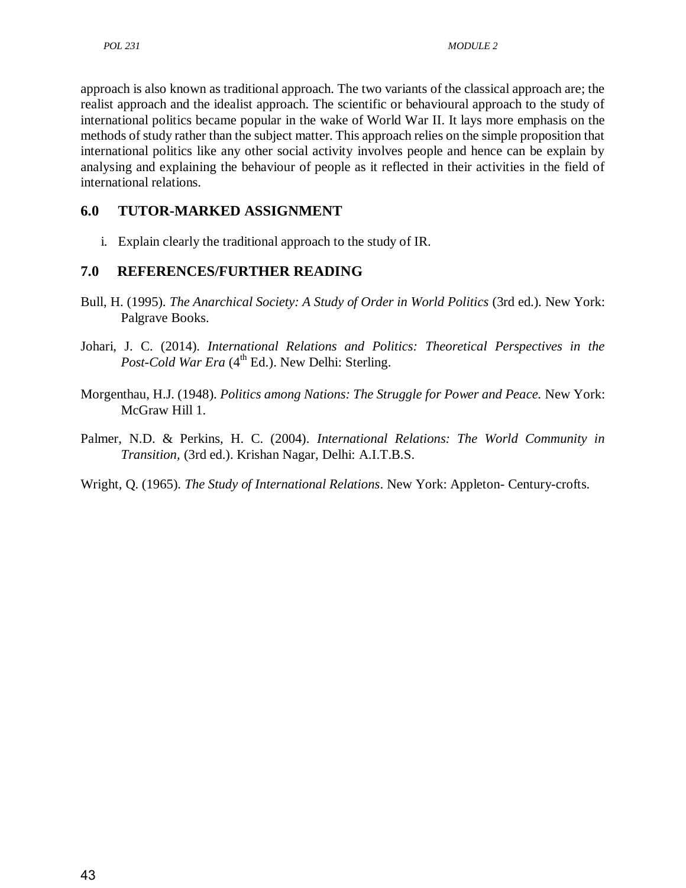approach is also known as traditional approach. The two variants of the classical approach are; the realist approach and the idealist approach. The scientific or behavioural approach to the study of international politics became popular in the wake of World War II. It lays more emphasis on the methods of study rather than the subject matter. This approach relies on the simple proposition that international politics like any other social activity involves people and hence can be explain by analysing and explaining the behaviour of people as it reflected in their activities in the field of international relations.

## **6.0 TUTOR-MARKED ASSIGNMENT**

i. Explain clearly the traditional approach to the study of IR.

## **7.0 REFERENCES/FURTHER READING**

- Bull, H. (1995). *The Anarchical Society: A Study of Order in World Politics* (3rd ed.). New York: Palgrave Books.
- Johari, J. C. (2014). *International Relations and Politics: Theoretical Perspectives in the*  Post-Cold War Era (4<sup>th</sup> Ed.). New Delhi: Sterling.
- Morgenthau, H.J. (1948). *Politics among Nations: The Struggle for Power and Peace.* New York: McGraw Hill 1.
- Palmer, N.D. & Perkins, H. C. (2004). *International Relations: The World Community in Transition,* (3rd ed.). Krishan Nagar, Delhi: A.I.T.B.S.
- Wright, Q. (1965). *The Study of International Relations*. New York: Appleton- Century-crofts.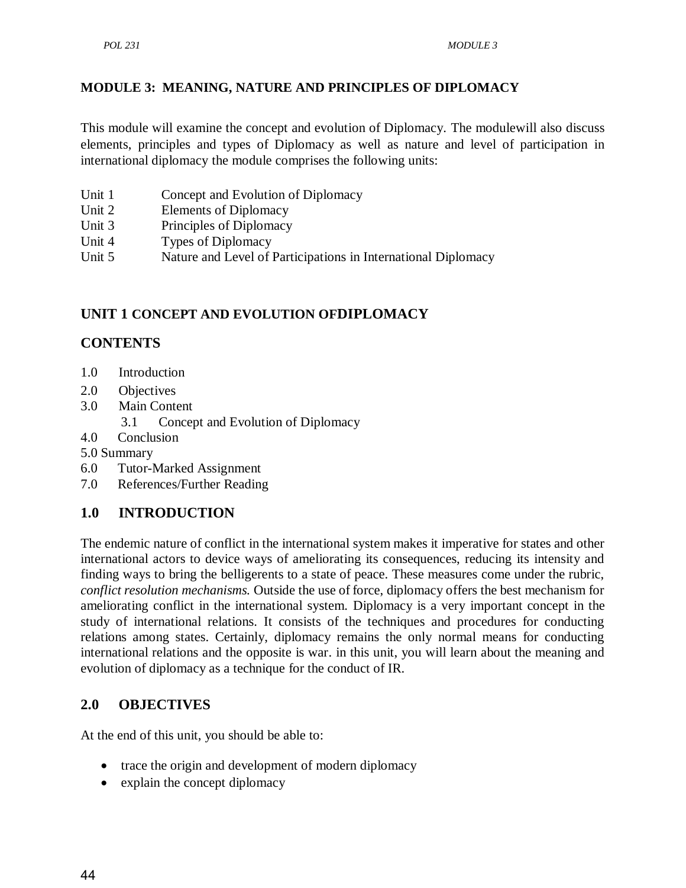#### <span id="page-56-0"></span>**[MODULE 3: MEANING, NATURE AND PRINCIPLES OF DIPLOMACY](#page-56-0)**

This module will examine the concept and evolution of Diplomacy. The modulewill also discuss elements, principles and types of Diplomacy as well as nature and level of participation in international diplomacy the module comprises the following units:

- Unit 1 Concept and Evolution of Diplomacy
- Unit 2 Elements of Diplomacy
- Unit 3 Principles of Diplomacy
- Unit 4 Types of Diplomacy
- Unit 5 Nature and Level of Participations in International Diplomacy

## **UNIT 1 CONCEPT AND EVOLUTION OFDIPLOMACY**

## **CONTENTS**

- 1.0 Introduction
- 2.0 Objectives
- 3.0 Main Content
	- 3.1 Concept and Evolution of Diplomacy
- 4.0 Conclusion
- 5.0 Summary
- 6.0 Tutor-Marked Assignment
- 7.0 References/Further Reading

## **1.0 INTRODUCTION**

The endemic nature of conflict in the international system makes it imperative for states and other international actors to device ways of ameliorating its consequences, reducing its intensity and finding ways to bring the belligerents to a state of peace. These measures come under the rubric, *conflict resolution mechanisms.* Outside the use of force, diplomacy offers the best mechanism for ameliorating conflict in the international system. Diplomacy is a very important concept in the study of international relations. It consists of the techniques and procedures for conducting relations among states. Certainly, diplomacy remains the only normal means for conducting international relations and the opposite is war. in this unit, you will learn about the meaning and evolution of diplomacy as a technique for the conduct of IR.

## **2.0 OBJECTIVES**

At the end of this unit, you should be able to:

- trace the origin and development of modern diplomacy
- explain the concept diplomacy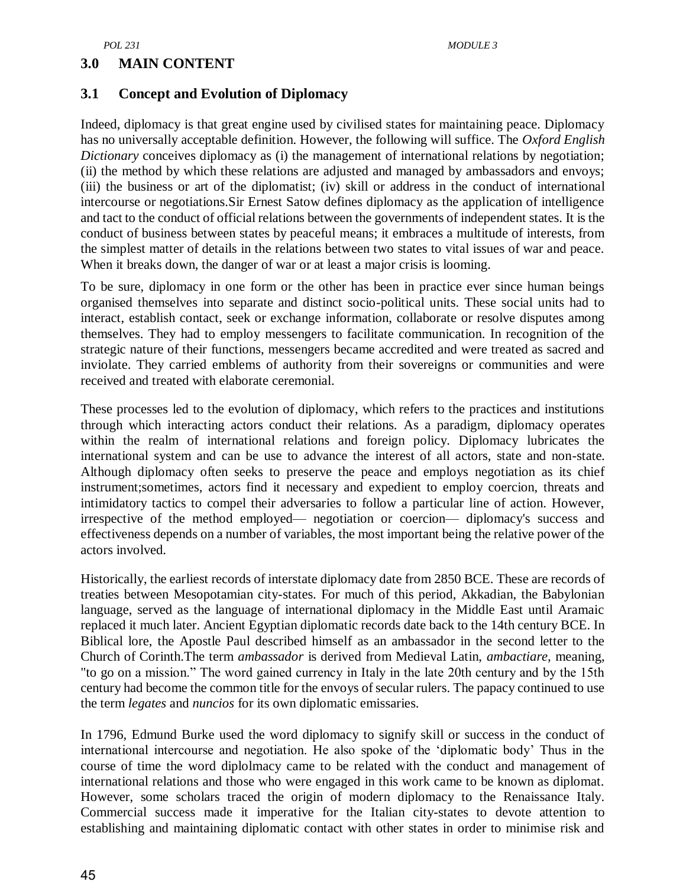#### **3.0 MAIN CONTENT**

#### **3.1 Concept and Evolution of Diplomacy**

Indeed, diplomacy is that great engine used by civilised states for maintaining peace. Diplomacy has no universally acceptable definition. However, the following will suffice. The *Oxford English Dictionary* conceives diplomacy as (i) the management of international relations by negotiation; (ii) the method by which these relations are adjusted and managed by ambassadors and envoys; (iii) the business or art of the diplomatist; (iv) skill or address in the conduct of international intercourse or negotiations.Sir Ernest Satow defines diplomacy as the application of intelligence and tact to the conduct of official relations between the governments of independent states. It is the conduct of business between states by peaceful means; it embraces a multitude of interests, from the simplest matter of details in the relations between two states to vital issues of war and peace. When it breaks down, the danger of war or at least a major crisis is looming.

To be sure, diplomacy in one form or the other has been in practice ever since human beings organised themselves into separate and distinct socio-political units. These social units had to interact, establish contact, seek or exchange information, collaborate or resolve disputes among themselves. They had to employ messengers to facilitate communication. In recognition of the strategic nature of their functions, messengers became accredited and were treated as sacred and inviolate. They carried emblems of authority from their sovereigns or communities and were received and treated with elaborate ceremonial.

These processes led to the evolution of diplomacy, which refers to the practices and institutions through which interacting actors conduct their relations. As a paradigm, diplomacy operates within the realm of international relations and foreign policy. Diplomacy lubricates the international system and can be use to advance the interest of all actors, state and non-state. Although diplomacy often seeks to preserve the peace and employs negotiation as its chief instrument;sometimes, actors find it necessary and expedient to employ coercion, threats and intimidatory tactics to compel their adversaries to follow a particular line of action. However, irrespective of the method employed— negotiation or coercion— diplomacy's success and effectiveness depends on a number of variables, the most important being the relative power of the actors involved.

Historically, the earliest records of interstate diplomacy date from 2850 BCE. These are records of treaties between Mesopotamian city-states. For much of this period, Akkadian, the Babylonian language, served as the language of international diplomacy in the Middle East until Aramaic replaced it much later. Ancient Egyptian diplomatic records date back to the 14th century BCE. In Biblical lore, the Apostle Paul described himself as an ambassador in the second letter to the Church of Corinth.The term *ambassador* is derived from Medieval Latin, *ambactiare,* meaning, "to go on a mission.‖ The word gained currency in Italy in the late 20th century and by the 15th century had become the common title for the envoys of secular rulers. The papacy continued to use the term *legates* and *nuncios* for its own diplomatic emissaries.

In 1796, Edmund Burke used the word diplomacy to signify skill or success in the conduct of international intercourse and negotiation. He also spoke of the 'diplomatic body' Thus in the course of time the word diplolmacy came to be related with the conduct and management of international relations and those who were engaged in this work came to be known as diplomat. However, some scholars traced the origin of modern diplomacy to the Renaissance Italy. Commercial success made it imperative for the Italian city-states to devote attention to establishing and maintaining diplomatic contact with other states in order to minimise risk and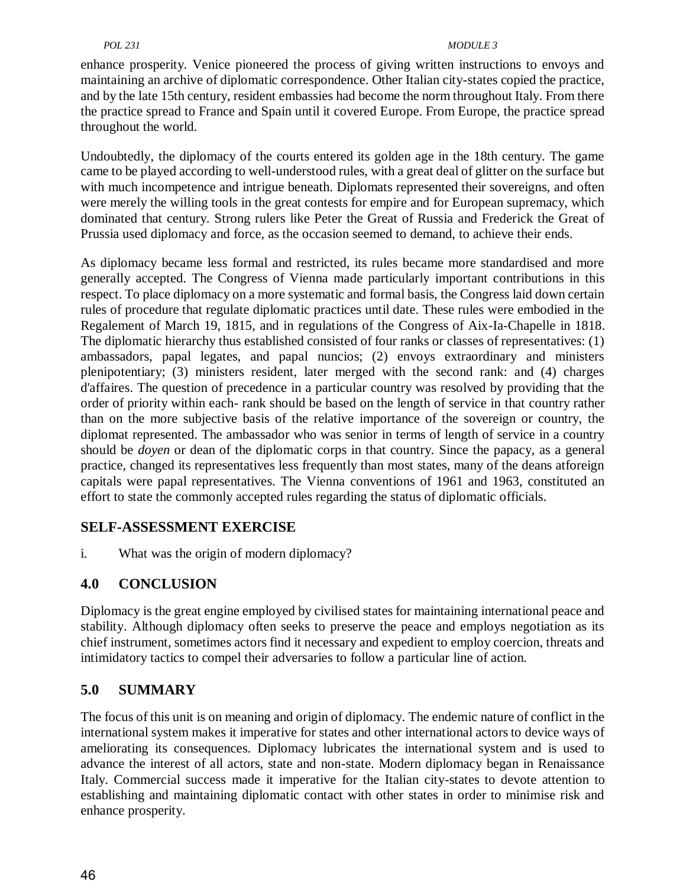#### *POL 231 MODULE 3*

enhance prosperity. Venice pioneered the process of giving written instructions to envoys and maintaining an archive of diplomatic correspondence. Other Italian city-states copied the practice, and by the late 15th century, resident embassies had become the norm throughout Italy. From there the practice spread to France and Spain until it covered Europe. From Europe, the practice spread throughout the world.

Undoubtedly, the diplomacy of the courts entered its golden age in the 18th century. The game came to be played according to well-understood rules, with a great deal of glitter on the surface but with much incompetence and intrigue beneath. Diplomats represented their sovereigns, and often were merely the willing tools in the great contests for empire and for European supremacy, which dominated that century. Strong rulers like Peter the Great of Russia and Frederick the Great of Prussia used diplomacy and force, as the occasion seemed to demand, to achieve their ends.

As diplomacy became less formal and restricted, its rules became more standardised and more generally accepted. The Congress of Vienna made particularly important contributions in this respect. To place diplomacy on a more systematic and formal basis, the Congress laid down certain rules of procedure that regulate diplomatic practices until date. These rules were embodied in the Regalement of March 19, 1815, and in regulations of the Congress of Aix-Ia-Chapelle in 1818. The diplomatic hierarchy thus established consisted of four ranks or classes of representatives: (1) ambassadors, papal legates, and papal nuncios; (2) envoys extraordinary and ministers plenipotentiary; (3) ministers resident, later merged with the second rank: and (4) charges d'affaires. The question of precedence in a particular country was resolved by providing that the order of priority within each- rank should be based on the length of service in that country rather than on the more subjective basis of the relative importance of the sovereign or country, the diplomat represented. The ambassador who was senior in terms of length of service in a country should be *doyen* or dean of the diplomatic corps in that country. Since the papacy, as a general practice, changed its representatives less frequently than most states, many of the deans atforeign capitals were papal representatives. The Vienna conventions of 1961 and 1963, constituted an effort to state the commonly accepted rules regarding the status of diplomatic officials.

## **SELF-ASSESSMENT EXERCISE**

i. What was the origin of modern diplomacy?

## **4.0 CONCLUSION**

Diplomacy is the great engine employed by civilised states for maintaining international peace and stability. Although diplomacy often seeks to preserve the peace and employs negotiation as its chief instrument, sometimes actors find it necessary and expedient to employ coercion, threats and intimidatory tactics to compel their adversaries to follow a particular line of action.

## **5.0 SUMMARY**

The focus of this unit is on meaning and origin of diplomacy. The endemic nature of conflict in the international system makes it imperative for states and other international actors to device ways of ameliorating its consequences. Diplomacy lubricates the international system and is used to advance the interest of all actors, state and non-state. Modern diplomacy began in Renaissance Italy. Commercial success made it imperative for the Italian city-states to devote attention to establishing and maintaining diplomatic contact with other states in order to minimise risk and enhance prosperity.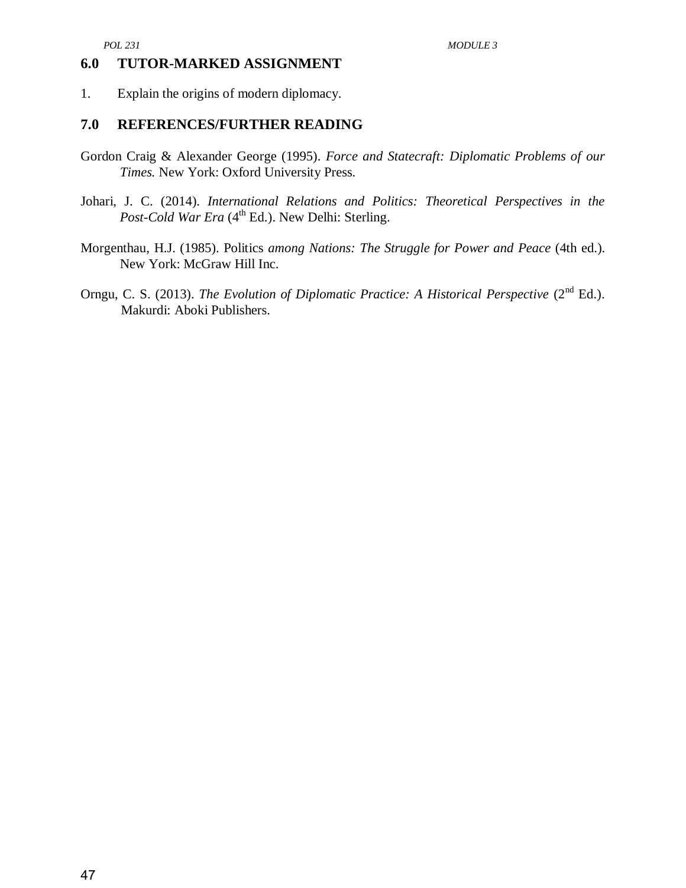#### **6.0 TUTOR-MARKED ASSIGNMENT**

1. Explain the origins of modern diplomacy.

#### **7.0 REFERENCES/FURTHER READING**

- Gordon Craig & Alexander George (1995). *Force and Statecraft: Diplomatic Problems of our Times.* New York: Oxford University Press.
- Johari, J. C. (2014). *International Relations and Politics: Theoretical Perspectives in the*  Post-Cold War Era (4<sup>th</sup> Ed.). New Delhi: Sterling.
- Morgenthau, H.J. (1985). Politics *among Nations: The Struggle for Power and Peace* (4th ed.). New York: McGraw Hill Inc.
- Orngu, C. S. (2013). *The Evolution of Diplomatic Practice: A Historical Perspective* (2<sup>nd</sup> Ed.). Makurdi: Aboki Publishers.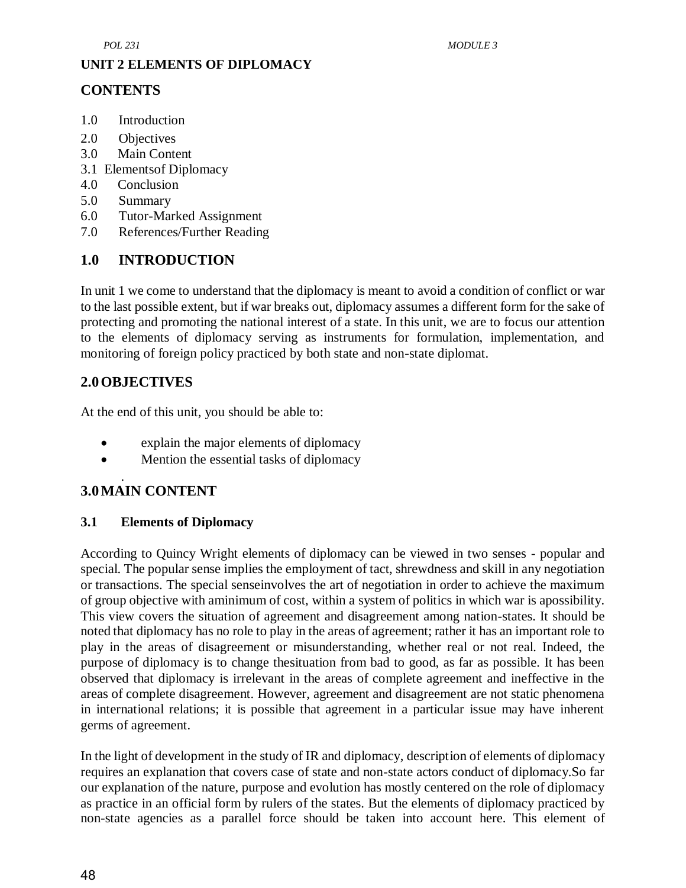#### **UNIT 2 ELEMENTS OF DIPLOMACY**

## **CONTENTS**

- 1.0 Introduction
- 2.0 Objectives
- 3.0 Main Content
- 3.1 Elementsof Diplomacy
- 4.0 Conclusion
- 5.0 Summary
- 6.0 Tutor-Marked Assignment
- 7.0 References/Further Reading

## **1.0 INTRODUCTION**

In unit 1 we come to understand that the diplomacy is meant to avoid a condition of conflict or war to the last possible extent, but if war breaks out, diplomacy assumes a different form for the sake of protecting and promoting the national interest of a state. In this unit, we are to focus our attention to the elements of diplomacy serving as instruments for formulation, implementation, and monitoring of foreign policy practiced by both state and non-state diplomat.

## **2.0OBJECTIVES**

At the end of this unit, you should be able to:

- explain the major elements of diplomacy
- Mention the essential tasks of diplomacy

#### . **3.0MAIN CONTENT**

#### **3.1 Elements of Diplomacy**

According to Quincy Wright elements of diplomacy can be viewed in two senses - popular and special. The popular sense implies the employment of tact, shrewdness and skill in any negotiation or transactions. The special senseinvolves the art of negotiation in order to achieve the maximum of group objective with aminimum of cost, within a system of politics in which war is apossibility. This view covers the situation of agreement and disagreement among nation-states. It should be noted that diplomacy has no role to play in the areas of agreement; rather it has an important role to play in the areas of disagreement or misunderstanding, whether real or not real. Indeed, the purpose of diplomacy is to change thesituation from bad to good, as far as possible. It has been observed that diplomacy is irrelevant in the areas of complete agreement and ineffective in the areas of complete disagreement. However, agreement and disagreement are not static phenomena in international relations; it is possible that agreement in a particular issue may have inherent germs of agreement.

In the light of development in the study of IR and diplomacy, description of elements of diplomacy requires an explanation that covers case of state and non-state actors conduct of diplomacy.So far our explanation of the nature, purpose and evolution has mostly centered on the role of diplomacy as practice in an official form by rulers of the states. But the elements of diplomacy practiced by non-state agencies as a parallel force should be taken into account here. This element of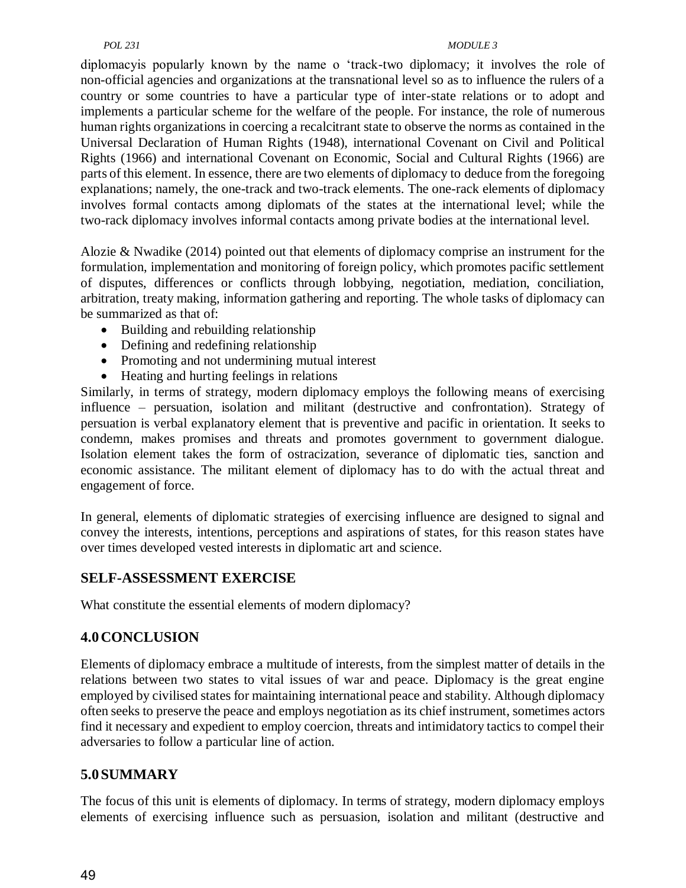#### *POL 231 MODULE 3*

diplomacyis popularly known by the name o 'track-two diplomacy; it involves the role of non-official agencies and organizations at the transnational level so as to influence the rulers of a country or some countries to have a particular type of inter-state relations or to adopt and implements a particular scheme for the welfare of the people. For instance, the role of numerous human rights organizations in coercing a recalcitrant state to observe the norms as contained in the Universal Declaration of Human Rights (1948), international Covenant on Civil and Political Rights (1966) and international Covenant on Economic, Social and Cultural Rights (1966) are parts of this element. In essence, there are two elements of diplomacy to deduce from the foregoing explanations; namely, the one-track and two-track elements. The one-rack elements of diplomacy involves formal contacts among diplomats of the states at the international level; while the two-rack diplomacy involves informal contacts among private bodies at the international level.

Alozie & Nwadike (2014) pointed out that elements of diplomacy comprise an instrument for the formulation, implementation and monitoring of foreign policy, which promotes pacific settlement of disputes, differences or conflicts through lobbying, negotiation, mediation, conciliation, arbitration, treaty making, information gathering and reporting. The whole tasks of diplomacy can be summarized as that of:

- Building and rebuilding relationship
- Defining and redefining relationship
- Promoting and not undermining mutual interest
- Heating and hurting feelings in relations

Similarly, in terms of strategy, modern diplomacy employs the following means of exercising influence – persuation, isolation and militant (destructive and confrontation). Strategy of persuation is verbal explanatory element that is preventive and pacific in orientation. It seeks to condemn, makes promises and threats and promotes government to government dialogue. Isolation element takes the form of ostracization, severance of diplomatic ties, sanction and economic assistance. The militant element of diplomacy has to do with the actual threat and engagement of force.

In general, elements of diplomatic strategies of exercising influence are designed to signal and convey the interests, intentions, perceptions and aspirations of states, for this reason states have over times developed vested interests in diplomatic art and science.

## **SELF-ASSESSMENT EXERCISE**

What constitute the essential elements of modern diplomacy?

## **4.0CONCLUSION**

Elements of diplomacy embrace a multitude of interests, from the simplest matter of details in the relations between two states to vital issues of war and peace. Diplomacy is the great engine employed by civilised states for maintaining international peace and stability. Although diplomacy often seeks to preserve the peace and employs negotiation as its chief instrument, sometimes actors find it necessary and expedient to employ coercion, threats and intimidatory tactics to compel their adversaries to follow a particular line of action.

## **5.0SUMMARY**

The focus of this unit is elements of diplomacy. In terms of strategy, modern diplomacy employs elements of exercising influence such as persuasion, isolation and militant (destructive and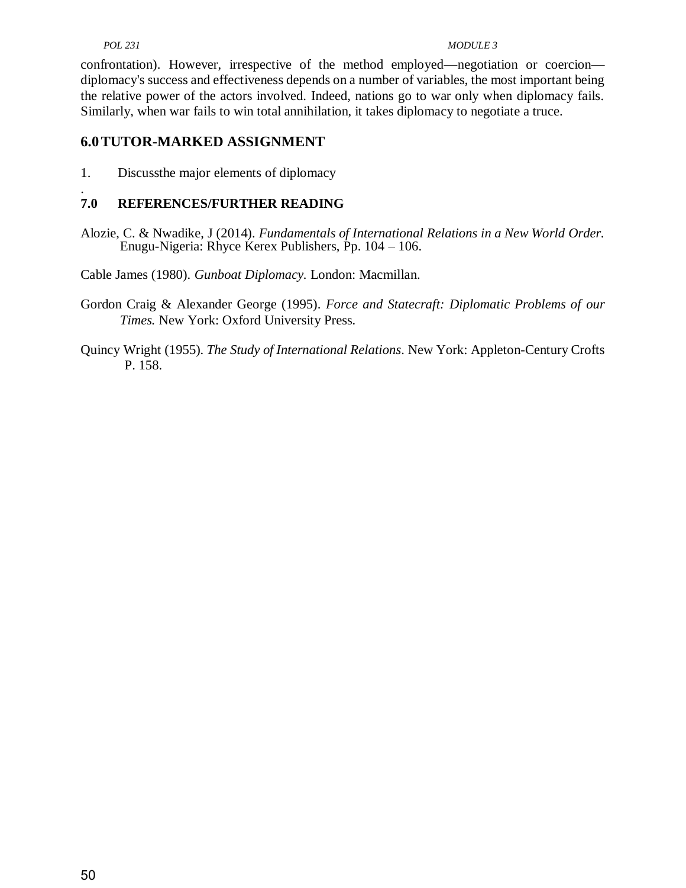#### *POL 231 MODULE 3*

confrontation). However, irrespective of the method employed—negotiation or coercion diplomacy's success and effectiveness depends on a number of variables, the most important being the relative power of the actors involved. Indeed, nations go to war only when diplomacy fails. Similarly, when war fails to win total annihilation, it takes diplomacy to negotiate a truce.

#### **6.0TUTOR-MARKED ASSIGNMENT**

1. Discussthe major elements of diplomacy

#### . **7.0 REFERENCES/FURTHER READING**

Alozie, C. & Nwadike, J (2014). *Fundamentals of International Relations in a New World Order.* Enugu-Nigeria: Rhyce Kerex Publishers, Pp. 104 – 106.

Cable James (1980). *Gunboat Diplomacy.* London: Macmillan.

Gordon Craig & Alexander George (1995). *Force and Statecraft: Diplomatic Problems of our Times.* New York: Oxford University Press.

Quincy Wright (1955). *The Study of International Relations*. New York: Appleton-Century Crofts P. 158.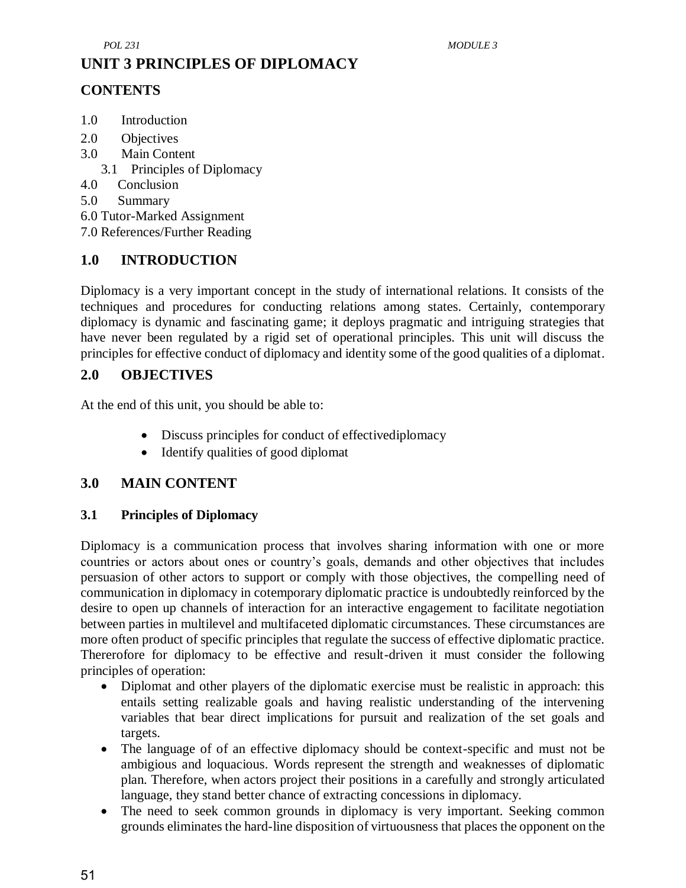# **UNIT 3 PRINCIPLES OF DIPLOMACY**

## **CONTENTS**

- 1.0 Introduction
- 2.0 Objectives
- 3.0 Main Content
	- 3.1 Principles of Diplomacy
- 4.0 Conclusion
- 5.0 Summary
- 6.0 Tutor-Marked Assignment
- 7.0 References/Further Reading

## **1.0 INTRODUCTION**

Diplomacy is a very important concept in the study of international relations. It consists of the techniques and procedures for conducting relations among states. Certainly, contemporary diplomacy is dynamic and fascinating game; it deploys pragmatic and intriguing strategies that have never been regulated by a rigid set of operational principles. This unit will discuss the principles for effective conduct of diplomacy and identity some of the good qualities of a diplomat.

#### **2.0 OBJECTIVES**

At the end of this unit, you should be able to:

- Discuss principles for conduct of effectivediplomacy
- Identify qualities of good diplomat

## **3.0 MAIN CONTENT**

#### **3.1 Principles of Diplomacy**

Diplomacy is a communication process that involves sharing information with one or more countries or actors about ones or country's goals, demands and other objectives that includes persuasion of other actors to support or comply with those objectives, the compelling need of communication in diplomacy in cotemporary diplomatic practice is undoubtedly reinforced by the desire to open up channels of interaction for an interactive engagement to facilitate negotiation between parties in multilevel and multifaceted diplomatic circumstances. These circumstances are more often product of specific principles that regulate the success of effective diplomatic practice. Thererofore for diplomacy to be effective and result-driven it must consider the following principles of operation:

- Diplomat and other players of the diplomatic exercise must be realistic in approach: this entails setting realizable goals and having realistic understanding of the intervening variables that bear direct implications for pursuit and realization of the set goals and targets.
- The language of of an effective diplomacy should be context-specific and must not be ambigious and loquacious. Words represent the strength and weaknesses of diplomatic plan. Therefore, when actors project their positions in a carefully and strongly articulated language, they stand better chance of extracting concessions in diplomacy.
- The need to seek common grounds in diplomacy is very important. Seeking common grounds eliminates the hard-line disposition of virtuousness that places the opponent on the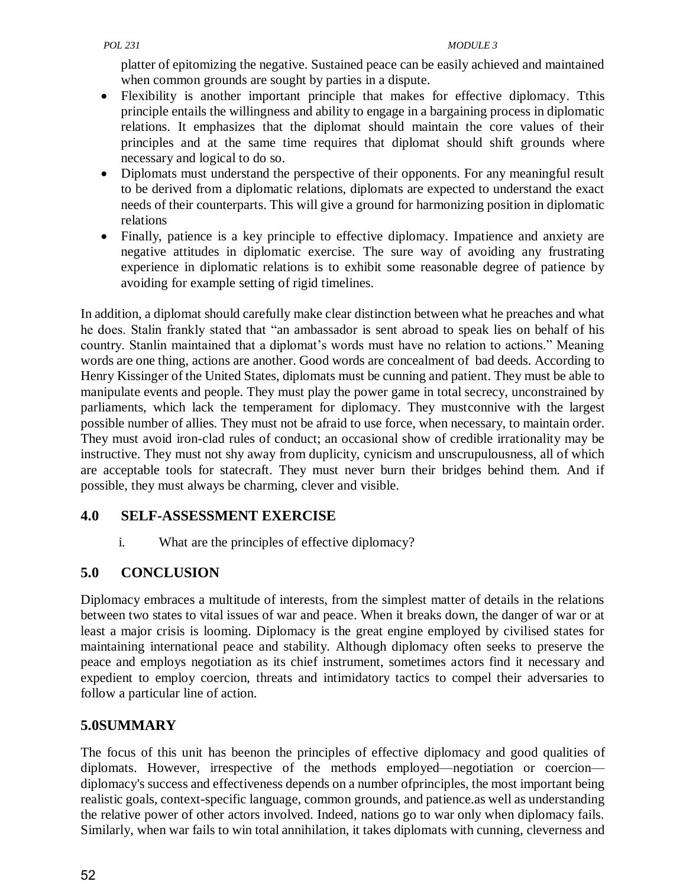platter of epitomizing the negative. Sustained peace can be easily achieved and maintained when common grounds are sought by parties in a dispute.

- Flexibility is another important principle that makes for effective diplomacy. Tthis principle entails the willingness and ability to engage in a bargaining process in diplomatic relations. It emphasizes that the diplomat should maintain the core values of their principles and at the same time requires that diplomat should shift grounds where necessary and logical to do so.
- Diplomats must understand the perspective of their opponents. For any meaningful result to be derived from a diplomatic relations, diplomats are expected to understand the exact needs of their counterparts. This will give a ground for harmonizing position in diplomatic relations
- Finally, patience is a key principle to effective diplomacy. Impatience and anxiety are negative attitudes in diplomatic exercise. The sure way of avoiding any frustrating experience in diplomatic relations is to exhibit some reasonable degree of patience by avoiding for example setting of rigid timelines.

In addition, a diplomat should carefully make clear distinction between what he preaches and what he does. Stalin frankly stated that "an ambassador is sent abroad to speak lies on behalf of his country. Stanlin maintained that a diplomat's words must have no relation to actions." Meaning words are one thing, actions are another. Good words are concealment of bad deeds. According to Henry Kissinger of the United States, diplomats must be cunning and patient. They must be able to manipulate events and people. They must play the power game in total secrecy, unconstrained by parliaments, which lack the temperament for diplomacy. They mustconnive with the largest possible number of allies. They must not be afraid to use force, when necessary, to maintain order. They must avoid iron-clad rules of conduct; an occasional show of credible irrationality may be instructive. They must not shy away from duplicity, cynicism and unscrupulousness, all of which are acceptable tools for statecraft. They must never burn their bridges behind them. And if possible, they must always be charming, clever and visible.

## **4.0 SELF-ASSESSMENT EXERCISE**

i. What are the principles of effective diplomacy?

# **5.0 CONCLUSION**

Diplomacy embraces a multitude of interests, from the simplest matter of details in the relations between two states to vital issues of war and peace. When it breaks down, the danger of war or at least a major crisis is looming. Diplomacy is the great engine employed by civilised states for maintaining international peace and stability. Although diplomacy often seeks to preserve the peace and employs negotiation as its chief instrument, sometimes actors find it necessary and expedient to employ coercion, threats and intimidatory tactics to compel their adversaries to follow a particular line of action.

## **5.0SUMMARY**

The focus of this unit has beenon the principles of effective diplomacy and good qualities of diplomats. However, irrespective of the methods employed—negotiation or coercion diplomacy's success and effectiveness depends on a number ofprinciples, the most important being realistic goals, context-specific language, common grounds, and patience.as well as understanding the relative power of other actors involved. Indeed, nations go to war only when diplomacy fails. Similarly, when war fails to win total annihilation, it takes diplomats with cunning, cleverness and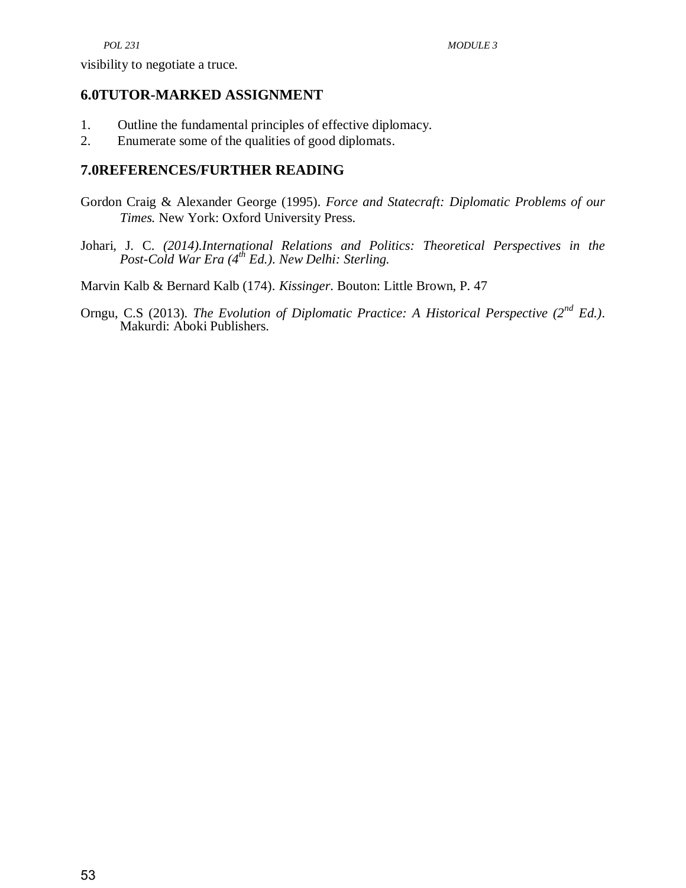visibility to negotiate a truce.

#### **6.0TUTOR-MARKED ASSIGNMENT**

- 1. Outline the fundamental principles of effective diplomacy.
- 2. Enumerate some of the qualities of good diplomats.

#### **7.0REFERENCES/FURTHER READING**

- Gordon Craig & Alexander George (1995). *Force and Statecraft: Diplomatic Problems of our Times.* New York: Oxford University Press.
- Johari, J. C. *(2014).International Relations and Politics: Theoretical Perspectives in the Post-Cold War Era (4th Ed.). New Delhi: Sterling.*

Marvin Kalb & Bernard Kalb (174). *Kissinger*. Bouton: Little Brown, P. 47

Orngu, C.S (2013). *The Evolution of Diplomatic Practice: A Historical Perspective (2nd Ed.)*. Makurdi: Aboki Publishers.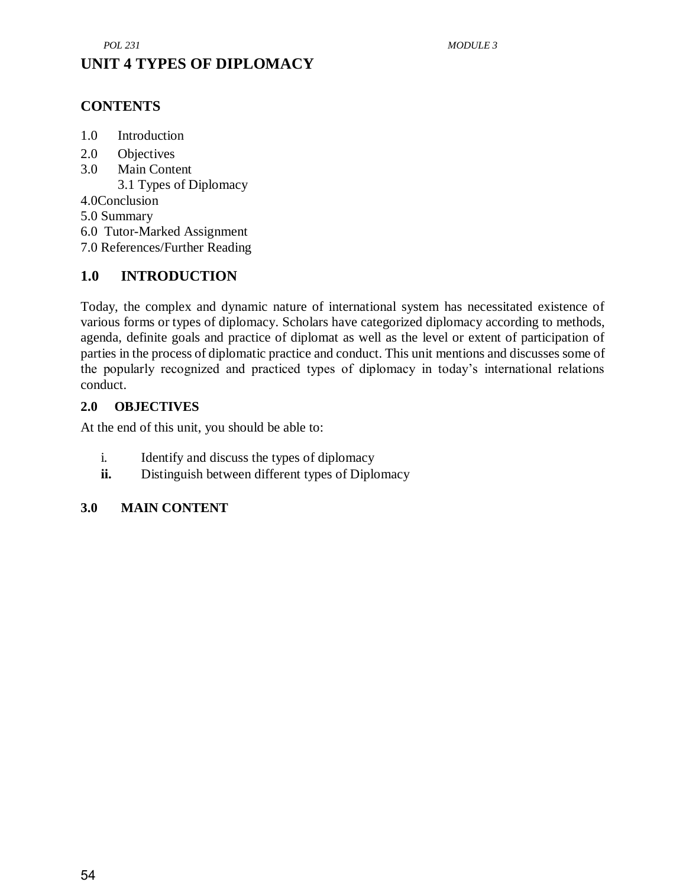# **UNIT 4 TYPES OF DIPLOMACY**

## **CONTENTS**

- 1.0 Introduction
- 2.0 Objectives
- 3.0 Main Content

3.1 Types of Diplomacy

4.0Conclusion

5.0 Summary

6.0 Tutor-Marked Assignment

7.0 References/Further Reading

## **1.0 INTRODUCTION**

Today, the complex and dynamic nature of international system has necessitated existence of various forms or types of diplomacy. Scholars have categorized diplomacy according to methods, agenda, definite goals and practice of diplomat as well as the level or extent of participation of parties in the process of diplomatic practice and conduct. This unit mentions and discusses some of the popularly recognized and practiced types of diplomacy in today's international relations conduct.

#### **2.0 OBJECTIVES**

At the end of this unit, you should be able to:

- i. Identify and discuss the types of diplomacy
- **ii.** Distinguish between different types of Diplomacy

## **3.0 MAIN CONTENT**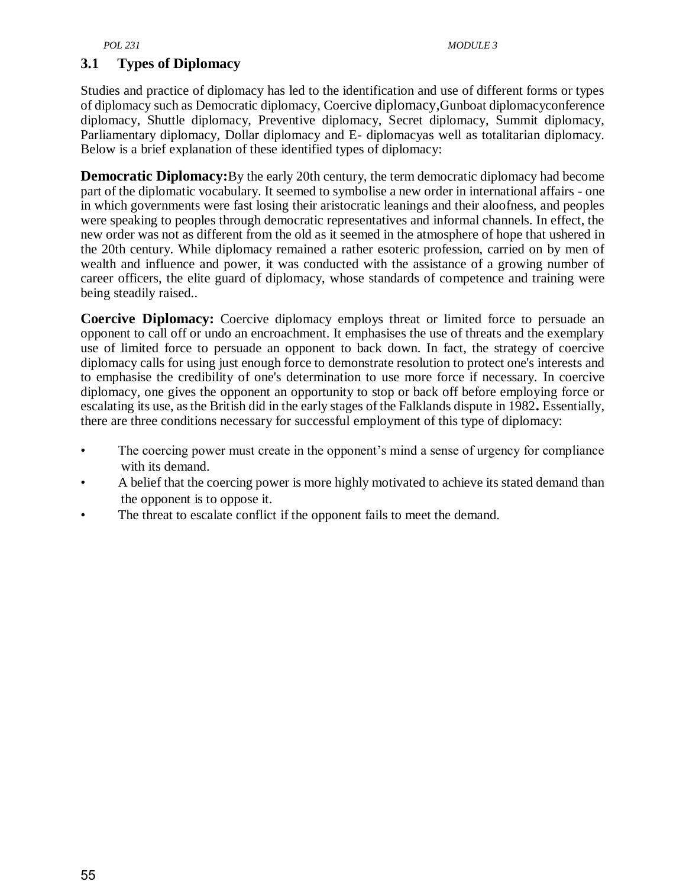#### **3.1 Types of Diplomacy**

Studies and practice of diplomacy has led to the identification and use of different forms or types of diplomacy such as Democratic diplomacy, Coercive diplomacy,Gunboat diplomacyconference diplomacy, Shuttle diplomacy, Preventive diplomacy, Secret diplomacy, Summit diplomacy, Parliamentary diplomacy, Dollar diplomacy and E- diplomacyas well as totalitarian diplomacy. Below is a brief explanation of these identified types of diplomacy:

**Democratic Diplomacy:**By the early 20th century, the term democratic diplomacy had become part of the diplomatic vocabulary. It seemed to symbolise a new order in international affairs - one in which governments were fast losing their aristocratic leanings and their aloofness, and peoples were speaking to peoples through democratic representatives and informal channels. In effect, the new order was not as different from the old as it seemed in the atmosphere of hope that ushered in the 20th century. While diplomacy remained a rather esoteric profession, carried on by men of wealth and influence and power, it was conducted with the assistance of a growing number of career officers, the elite guard of diplomacy, whose standards of competence and training were being steadily raised..

**Coercive Diplomacy:** Coercive diplomacy employs threat or limited force to persuade an opponent to call off or undo an encroachment. It emphasises the use of threats and the exemplary use of limited force to persuade an opponent to back down. In fact, the strategy of coercive diplomacy calls for using just enough force to demonstrate resolution to protect one's interests and to emphasise the credibility of one's determination to use more force if necessary. In coercive diplomacy, one gives the opponent an opportunity to stop or back off before employing force or escalating its use, as the British did in the early stages of the Falklands dispute in 1982**.** Essentially, there are three conditions necessary for successful employment of this type of diplomacy:

- The coercing power must create in the opponent's mind a sense of urgency for compliance with its demand.
- A belief that the coercing power is more highly motivated to achieve its stated demand than the opponent is to oppose it.
- The threat to escalate conflict if the opponent fails to meet the demand.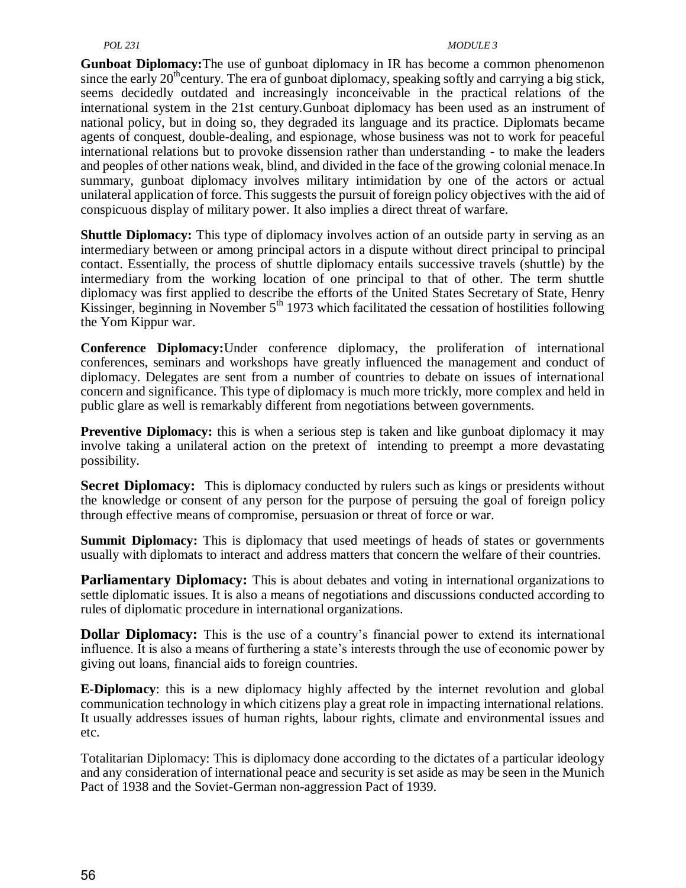#### *POL 231 MODULE 3*

**Gunboat Diplomacy:**The use of gunboat diplomacy in IR has become a common phenomenon since the early  $20<sup>th</sup>$ century. The era of gunboat diplomacy, speaking softly and carrying a big stick, seems decidedly outdated and increasingly inconceivable in the practical relations of the international system in the 21st century.Gunboat diplomacy has been used as an instrument of national policy, but in doing so, they degraded its language and its practice. Diplomats became agents of conquest, double-dealing, and espionage, whose business was not to work for peaceful international relations but to provoke dissension rather than understanding - to make the leaders and peoples of other nations weak, blind, and divided in the face of the growing colonial menace.In summary, gunboat diplomacy involves military intimidation by one of the actors or actual unilateral application of force. This suggests the pursuit of foreign policy objectives with the aid of conspicuous display of military power. It also implies a direct threat of warfare.

**Shuttle Diplomacy:** This type of diplomacy involves action of an outside party in serving as an intermediary between or among principal actors in a dispute without direct principal to principal contact. Essentially, the process of shuttle diplomacy entails successive travels (shuttle) by the intermediary from the working location of one principal to that of other. The term shuttle diplomacy was first applied to describe the efforts of the United States Secretary of State, Henry Kissinger, beginning in November  $5<sup>th</sup>$  1973 which facilitated the cessation of hostilities following the Yom Kippur war.

**Conference Diplomacy:**Under conference diplomacy, the proliferation of international conferences, seminars and workshops have greatly influenced the management and conduct of diplomacy. Delegates are sent from a number of countries to debate on issues of international concern and significance. This type of diplomacy is much more trickly, more complex and held in public glare as well is remarkably different from negotiations between governments.

**Preventive Diplomacy:** this is when a serious step is taken and like gunboat diplomacy it may involve taking a unilateral action on the pretext of intending to preempt a more devastating possibility.

**Secret Diplomacy:** This is diplomacy conducted by rulers such as kings or presidents without the knowledge or consent of any person for the purpose of persuing the goal of foreign policy through effective means of compromise, persuasion or threat of force or war.

**Summit Diplomacy:** This is diplomacy that used meetings of heads of states or governments usually with diplomats to interact and address matters that concern the welfare of their countries.

**Parliamentary Diplomacy:** This is about debates and voting in international organizations to settle diplomatic issues. It is also a means of negotiations and discussions conducted according to rules of diplomatic procedure in international organizations.

**Dollar Diplomacy:** This is the use of a country's financial power to extend its international influence. It is also a means of furthering a state's interests through the use of economic power by giving out loans, financial aids to foreign countries.

**E-Diplomacy**: this is a new diplomacy highly affected by the internet revolution and global communication technology in which citizens play a great role in impacting international relations. It usually addresses issues of human rights, labour rights, climate and environmental issues and etc.

Totalitarian Diplomacy: This is diplomacy done according to the dictates of a particular ideology and any consideration of international peace and security is set aside as may be seen in the Munich Pact of 1938 and the Soviet-German non-aggression Pact of 1939.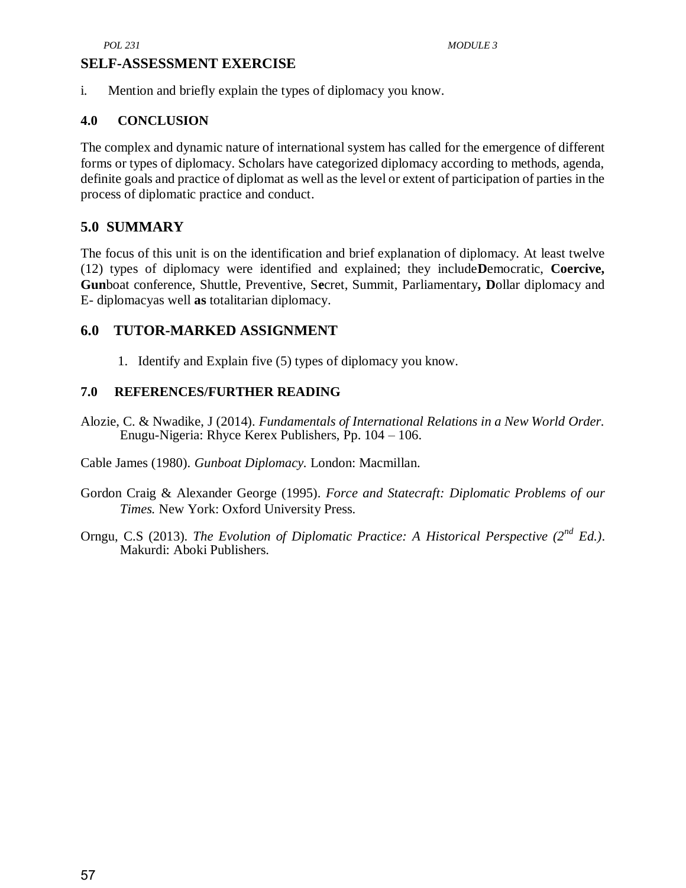#### **SELF-ASSESSMENT EXERCISE**

i. Mention and briefly explain the types of diplomacy you know.

#### **4.0 CONCLUSION**

The complex and dynamic nature of international system has called for the emergence of different forms or types of diplomacy. Scholars have categorized diplomacy according to methods, agenda, definite goals and practice of diplomat as well as the level or extent of participation of parties in the process of diplomatic practice and conduct.

#### **5.0 SUMMARY**

The focus of this unit is on the identification and brief explanation of diplomacy. At least twelve (12) types of diplomacy were identified and explained; they include**D**emocratic, **Coercive, Gun**boat conference, Shuttle, Preventive, S**e**cret, Summit, Parliamentary**, D**ollar diplomacy and E- diplomacyas well **as** totalitarian diplomacy.

#### **6.0 TUTOR-MARKED ASSIGNMENT**

1. Identify and Explain five (5) types of diplomacy you know.

#### **7.0 REFERENCES/FURTHER READING**

Alozie, C. & Nwadike, J (2014). *Fundamentals of International Relations in a New World Order.* Enugu-Nigeria: Rhyce Kerex Publishers, Pp. 104 – 106.

Cable James (1980). *Gunboat Diplomacy.* London: Macmillan.

- Gordon Craig & Alexander George (1995). *Force and Statecraft: Diplomatic Problems of our Times.* New York: Oxford University Press.
- Orngu, C.S (2013). *The Evolution of Diplomatic Practice: A Historical Perspective (2nd Ed.)*. Makurdi: Aboki Publishers.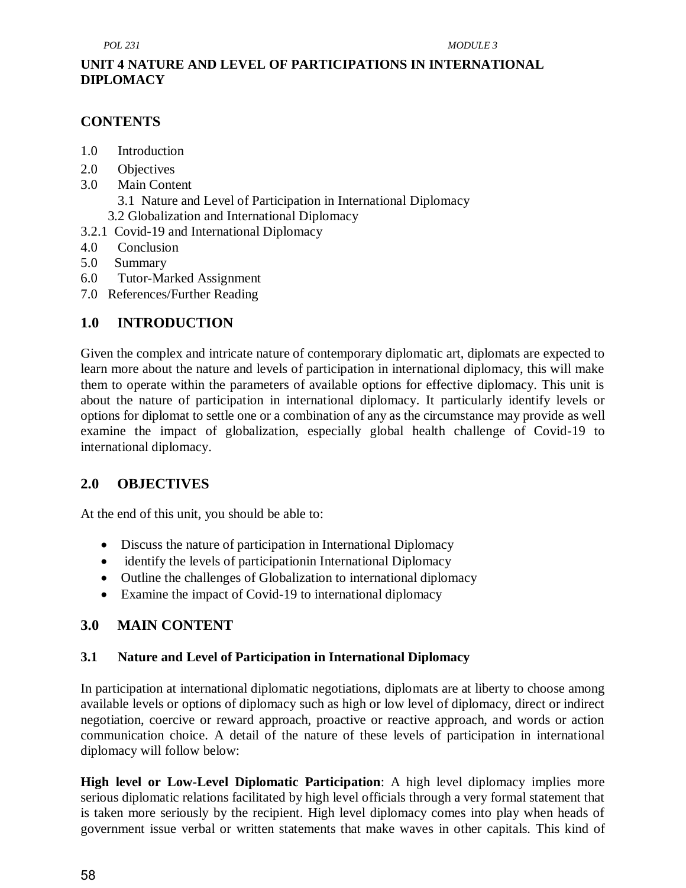## **UNIT 4 NATURE AND LEVEL OF PARTICIPATIONS IN INTERNATIONAL DIPLOMACY**

## **CONTENTS**

- 1.0 Introduction
- 2.0 Objectives
- 3.0 Main Content
	- 3.1 Nature and Level of Participation in International Diplomacy
	- 3.2 Globalization and International Diplomacy
- 3.2.1 Covid-19 and International Diplomacy
- 4.0 Conclusion
- 5.0 Summary
- 6.0 Tutor-Marked Assignment
- 7.0 References/Further Reading

# **1.0 INTRODUCTION**

Given the complex and intricate nature of contemporary diplomatic art, diplomats are expected to learn more about the nature and levels of participation in international diplomacy, this will make them to operate within the parameters of available options for effective diplomacy. This unit is about the nature of participation in international diplomacy. It particularly identify levels or options for diplomat to settle one or a combination of any as the circumstance may provide as well examine the impact of globalization, especially global health challenge of Covid-19 to international diplomacy.

## **2.0 OBJECTIVES**

At the end of this unit, you should be able to:

- Discuss the nature of participation in International Diplomacy
- identify the levels of participation in International Diplomacy
- Outline the challenges of Globalization to international diplomacy
- Examine the impact of Covid-19 to international diplomacy

## **3.0 MAIN CONTENT**

## **3.1 Nature and Level of Participation in International Diplomacy**

In participation at international diplomatic negotiations, diplomats are at liberty to choose among available levels or options of diplomacy such as high or low level of diplomacy, direct or indirect negotiation, coercive or reward approach, proactive or reactive approach, and words or action communication choice. A detail of the nature of these levels of participation in international diplomacy will follow below:

**High level or Low-Level Diplomatic Participation**: A high level diplomacy implies more serious diplomatic relations facilitated by high level officials through a very formal statement that is taken more seriously by the recipient. High level diplomacy comes into play when heads of government issue verbal or written statements that make waves in other capitals. This kind of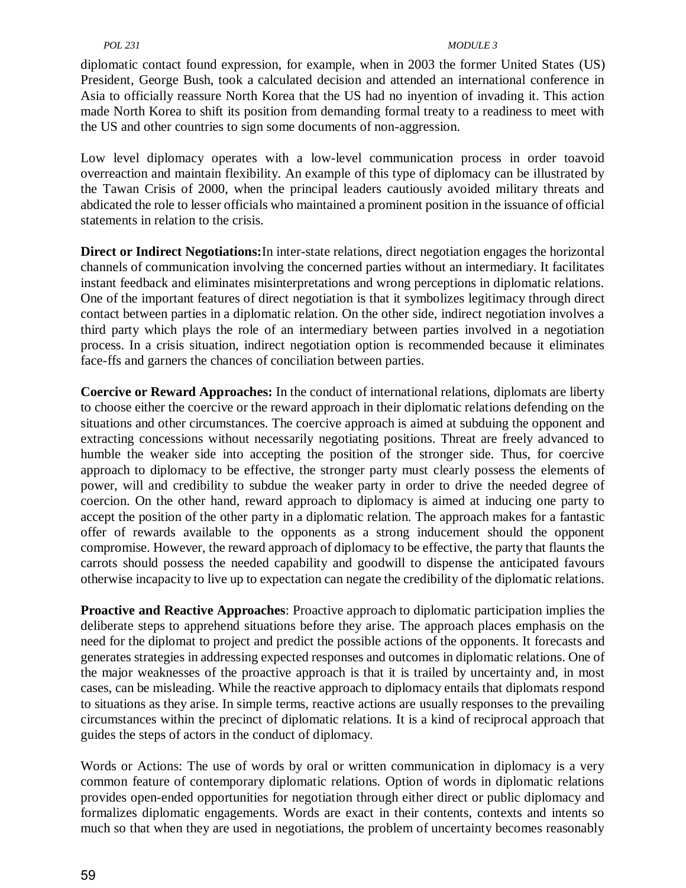#### *POL 231 MODULE 3*

diplomatic contact found expression, for example, when in 2003 the former United States (US) President, George Bush, took a calculated decision and attended an international conference in Asia to officially reassure North Korea that the US had no inyention of invading it. This action made North Korea to shift its position from demanding formal treaty to a readiness to meet with the US and other countries to sign some documents of non-aggression.

Low level diplomacy operates with a low-level communication process in order toavoid overreaction and maintain flexibility. An example of this type of diplomacy can be illustrated by the Tawan Crisis of 2000, when the principal leaders cautiously avoided military threats and abdicated the role to lesser officials who maintained a prominent position in the issuance of official statements in relation to the crisis.

**Direct or Indirect Negotiations:**In inter-state relations, direct negotiation engages the horizontal channels of communication involving the concerned parties without an intermediary. It facilitates instant feedback and eliminates misinterpretations and wrong perceptions in diplomatic relations. One of the important features of direct negotiation is that it symbolizes legitimacy through direct contact between parties in a diplomatic relation. On the other side, indirect negotiation involves a third party which plays the role of an intermediary between parties involved in a negotiation process. In a crisis situation, indirect negotiation option is recommended because it eliminates face-ffs and garners the chances of conciliation between parties.

**Coercive or Reward Approaches:** In the conduct of international relations, diplomats are liberty to choose either the coercive or the reward approach in their diplomatic relations defending on the situations and other circumstances. The coercive approach is aimed at subduing the opponent and extracting concessions without necessarily negotiating positions. Threat are freely advanced to humble the weaker side into accepting the position of the stronger side. Thus, for coercive approach to diplomacy to be effective, the stronger party must clearly possess the elements of power, will and credibility to subdue the weaker party in order to drive the needed degree of coercion. On the other hand, reward approach to diplomacy is aimed at inducing one party to accept the position of the other party in a diplomatic relation. The approach makes for a fantastic offer of rewards available to the opponents as a strong inducement should the opponent compromise. However, the reward approach of diplomacy to be effective, the party that flaunts the carrots should possess the needed capability and goodwill to dispense the anticipated favours otherwise incapacity to live up to expectation can negate the credibility of the diplomatic relations.

**Proactive and Reactive Approaches**: Proactive approach to diplomatic participation implies the deliberate steps to apprehend situations before they arise. The approach places emphasis on the need for the diplomat to project and predict the possible actions of the opponents. It forecasts and generates strategies in addressing expected responses and outcomes in diplomatic relations. One of the major weaknesses of the proactive approach is that it is trailed by uncertainty and, in most cases, can be misleading. While the reactive approach to diplomacy entails that diplomats respond to situations as they arise. In simple terms, reactive actions are usually responses to the prevailing circumstances within the precinct of diplomatic relations. It is a kind of reciprocal approach that guides the steps of actors in the conduct of diplomacy.

Words or Actions: The use of words by oral or written communication in diplomacy is a very common feature of contemporary diplomatic relations. Option of words in diplomatic relations provides open-ended opportunities for negotiation through either direct or public diplomacy and formalizes diplomatic engagements. Words are exact in their contents, contexts and intents so much so that when they are used in negotiations, the problem of uncertainty becomes reasonably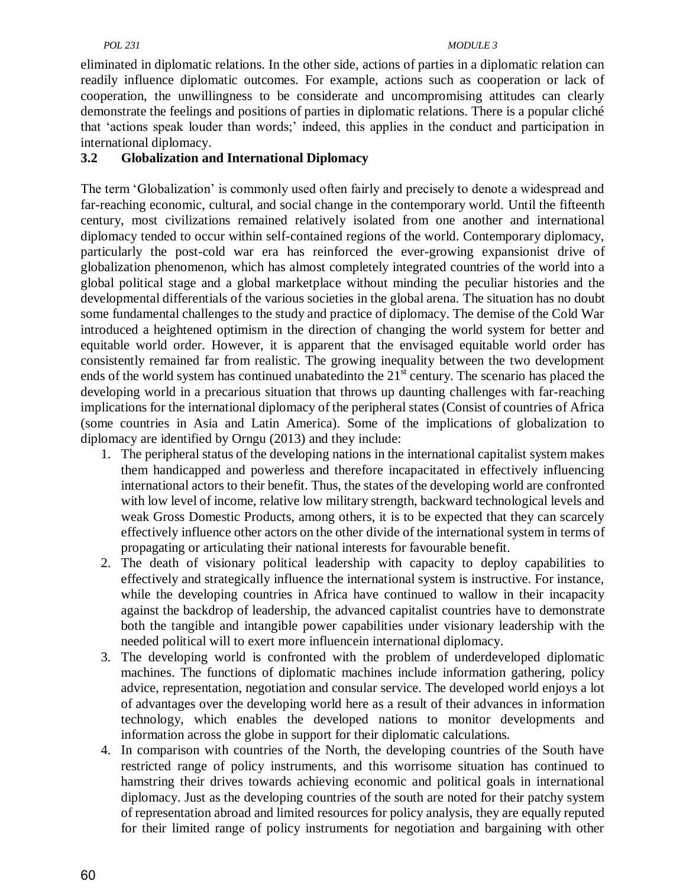eliminated in diplomatic relations. In the other side, actions of parties in a diplomatic relation can readily influence diplomatic outcomes. For example, actions such as cooperation or lack of cooperation, the unwillingness to be considerate and uncompromising attitudes can clearly demonstrate the feelings and positions of parties in diplomatic relations. There is a popular cliché that ‗actions speak louder than words;' indeed, this applies in the conduct and participation in international diplomacy.

#### **3.2 Globalization and International Diplomacy**

The term ‗Globalization' is commonly used often fairly and precisely to denote a widespread and far-reaching economic, cultural, and social change in the contemporary world. Until the fifteenth century, most civilizations remained relatively isolated from one another and international diplomacy tended to occur within self-contained regions of the world. Contemporary diplomacy, particularly the post-cold war era has reinforced the ever-growing expansionist drive of globalization phenomenon, which has almost completely integrated countries of the world into a global political stage and a global marketplace without minding the peculiar histories and the developmental differentials of the various societies in the global arena. The situation has no doubt some fundamental challenges to the study and practice of diplomacy. The demise of the Cold War introduced a heightened optimism in the direction of changing the world system for better and equitable world order. However, it is apparent that the envisaged equitable world order has consistently remained far from realistic. The growing inequality between the two development ends of the world system has continued unabatedinto the 21<sup>st</sup> century. The scenario has placed the developing world in a precarious situation that throws up daunting challenges with far-reaching implications for the international diplomacy of the peripheral states (Consist of countries of Africa (some countries in Asia and Latin America). Some of the implications of globalization to diplomacy are identified by Orngu (2013) and they include:

- 1. The peripheral status of the developing nations in the international capitalist system makes them handicapped and powerless and therefore incapacitated in effectively influencing international actors to their benefit. Thus, the states of the developing world are confronted with low level of income, relative low military strength, backward technological levels and weak Gross Domestic Products, among others, it is to be expected that they can scarcely effectively influence other actors on the other divide of the international system in terms of propagating or articulating their national interests for favourable benefit.
- 2. The death of visionary political leadership with capacity to deploy capabilities to effectively and strategically influence the international system is instructive. For instance, while the developing countries in Africa have continued to wallow in their incapacity against the backdrop of leadership, the advanced capitalist countries have to demonstrate both the tangible and intangible power capabilities under visionary leadership with the needed political will to exert more influencein international diplomacy.
- 3. The developing world is confronted with the problem of underdeveloped diplomatic machines. The functions of diplomatic machines include information gathering, policy advice, representation, negotiation and consular service. The developed world enjoys a lot of advantages over the developing world here as a result of their advances in information technology, which enables the developed nations to monitor developments and information across the globe in support for their diplomatic calculations.
- 4. In comparison with countries of the North, the developing countries of the South have restricted range of policy instruments, and this worrisome situation has continued to hamstring their drives towards achieving economic and political goals in international diplomacy. Just as the developing countries of the south are noted for their patchy system of representation abroad and limited resources for policy analysis, they are equally reputed for their limited range of policy instruments for negotiation and bargaining with other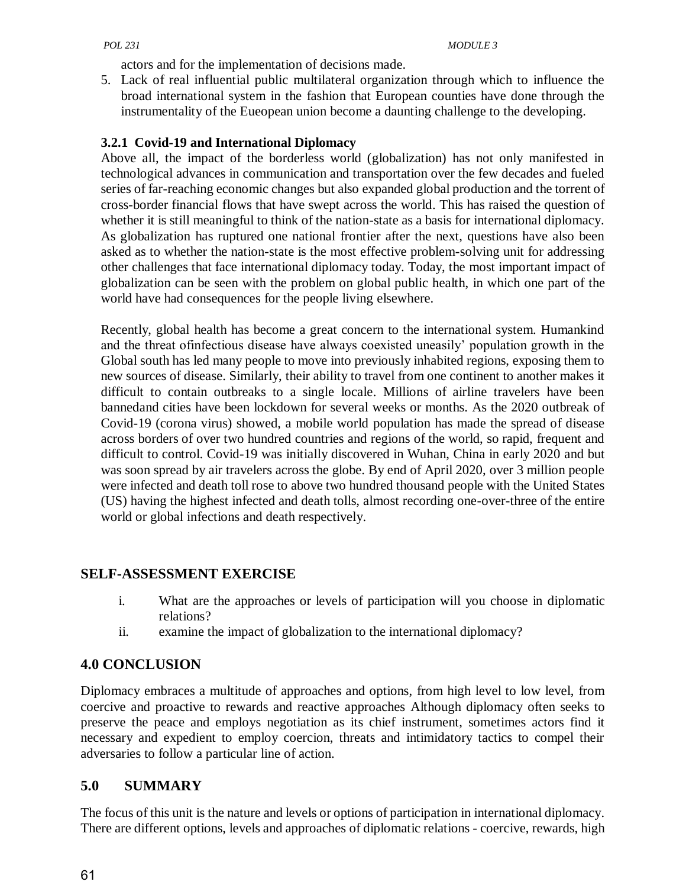actors and for the implementation of decisions made.

5. Lack of real influential public multilateral organization through which to influence the broad international system in the fashion that European counties have done through the instrumentality of the Eueopean union become a daunting challenge to the developing.

#### **3.2.1 Covid-19 and International Diplomacy**

Above all, the impact of the borderless world (globalization) has not only manifested in technological advances in communication and transportation over the few decades and fueled series of far-reaching economic changes but also expanded global production and the torrent of cross-border financial flows that have swept across the world. This has raised the question of whether it is still meaningful to think of the nation-state as a basis for international diplomacy. As globalization has ruptured one national frontier after the next, questions have also been asked as to whether the nation-state is the most effective problem-solving unit for addressing other challenges that face international diplomacy today. Today, the most important impact of globalization can be seen with the problem on global public health, in which one part of the world have had consequences for the people living elsewhere.

Recently, global health has become a great concern to the international system. Humankind and the threat ofinfectious disease have always coexisted uneasily' population growth in the Global south has led many people to move into previously inhabited regions, exposing them to new sources of disease. Similarly, their ability to travel from one continent to another makes it difficult to contain outbreaks to a single locale. Millions of airline travelers have been bannedand cities have been lockdown for several weeks or months. As the 2020 outbreak of Covid-19 (corona virus) showed, a mobile world population has made the spread of disease across borders of over two hundred countries and regions of the world, so rapid, frequent and difficult to control. Covid-19 was initially discovered in Wuhan, China in early 2020 and but was soon spread by air travelers across the globe. By end of April 2020, over 3 million people were infected and death toll rose to above two hundred thousand people with the United States (US) having the highest infected and death tolls, almost recording one-over-three of the entire world or global infections and death respectively.

## **SELF-ASSESSMENT EXERCISE**

- i. What are the approaches or levels of participation will you choose in diplomatic relations?
- ii. examine the impact of globalization to the international diplomacy?

## **4.0 CONCLUSION**

Diplomacy embraces a multitude of approaches and options, from high level to low level, from coercive and proactive to rewards and reactive approaches Although diplomacy often seeks to preserve the peace and employs negotiation as its chief instrument, sometimes actors find it necessary and expedient to employ coercion, threats and intimidatory tactics to compel their adversaries to follow a particular line of action.

### **5.0 SUMMARY**

The focus of this unit is the nature and levels or options of participation in international diplomacy. There are different options, levels and approaches of diplomatic relations - coercive, rewards, high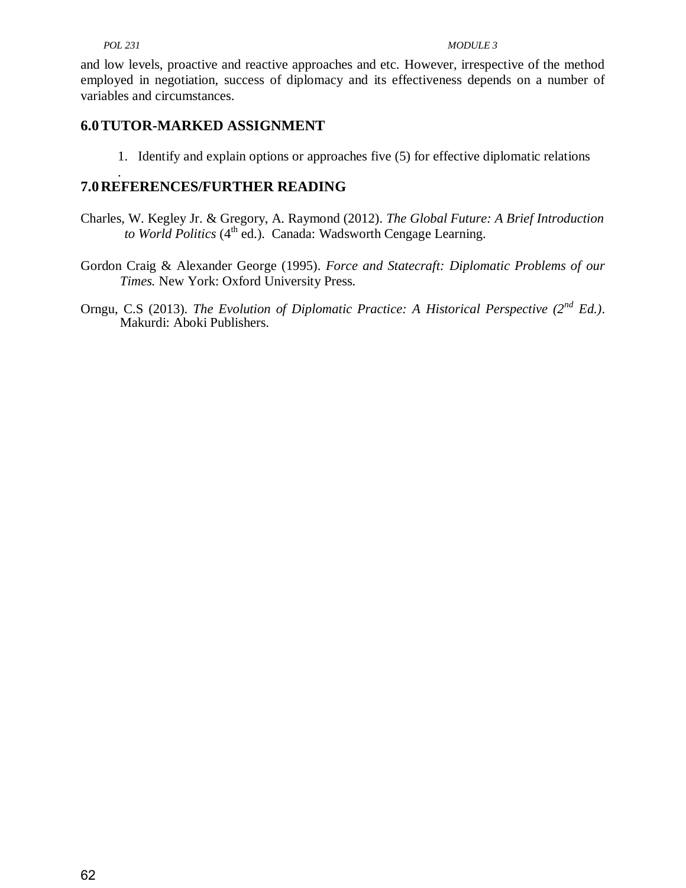and low levels, proactive and reactive approaches and etc. However, irrespective of the method employed in negotiation, success of diplomacy and its effectiveness depends on a number of variables and circumstances.

### **6.0TUTOR-MARKED ASSIGNMENT**

1. Identify and explain options or approaches five (5) for effective diplomatic relations

#### . **7.0REFERENCES/FURTHER READING**

- Charles, W. Kegley Jr. & Gregory, A. Raymond (2012). *The Global Future: A Brief Introduction* to World Politics (4<sup>th</sup> ed.). Canada: Wadsworth Cengage Learning.
- Gordon Craig & Alexander George (1995). *Force and Statecraft: Diplomatic Problems of our Times.* New York: Oxford University Press.
- Orngu, C.S (2013). *The Evolution of Diplomatic Practice: A Historical Perspective (2nd Ed.)*. Makurdi: Aboki Publishers.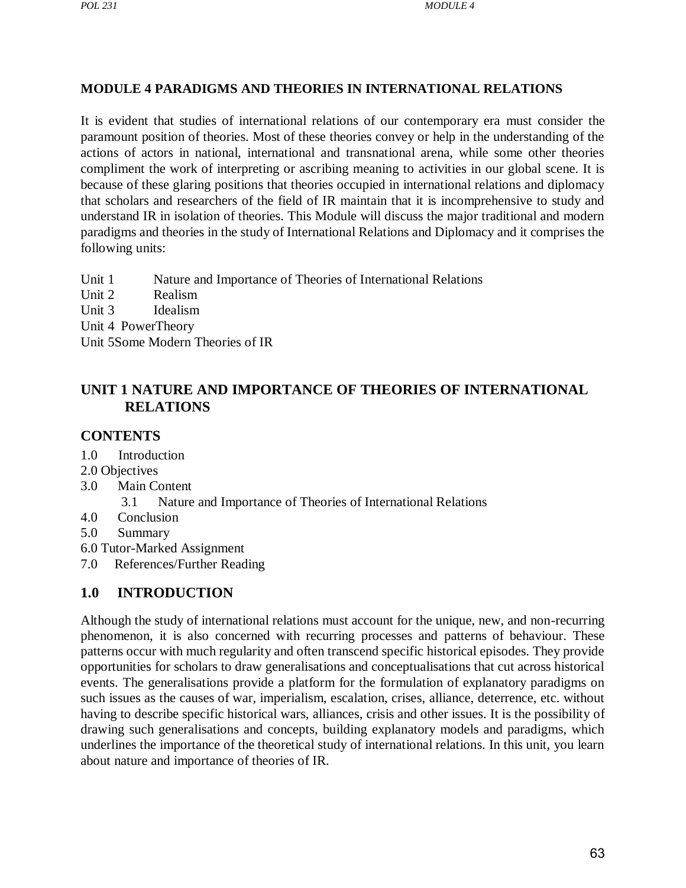### **MODULE 4 PARADIGMS AND THEORIES IN INTERNATIONAL RELATIONS**

It is evident that studies of international relations of our contemporary era must consider the paramount position of theories. Most of these theories convey or help in the understanding of the actions of actors in national, international and transnational arena, while some other theories compliment the work of interpreting or ascribing meaning to activities in our global scene. It is because of these glaring positions that theories occupied in international relations and diplomacy that scholars and researchers of the field of IR maintain that it is incomprehensive to study and understand IR in isolation of theories. This Module will discuss the major traditional and modern paradigms and theories in the study of International Relations and Diplomacy and it comprises the following units:

Unit 1 [Nature and Importance of Theories of International Relations](#page-75-0) Unit 2 [Realism](#page-83-0) Unit 3 [Idealism](#page-79-0) Unit 4 PowerTheory Unit 5Some Modern Theories of IR

### <span id="page-75-0"></span>**UNIT 1 NATURE AND IMPORTANCE OF THEORIES OF INTERNATIONAL RELATIONS**

#### **CONTENTS**

- 1.0 Introduction
- 2.0 Objectives
- 3.0 Main Content
	- 3.1 Nature and Importance of Theories of International Relations
- 4.0 Conclusion
- 5.0 Summary
- 6.0 Tutor-Marked Assignment
- 7.0 References/Further Reading

### **1.0 INTRODUCTION**

Although the study of international relations must account for the unique, new, and non-recurring phenomenon, it is also concerned with recurring processes and patterns of behaviour. These patterns occur with much regularity and often transcend specific historical episodes. They provide opportunities for scholars to draw generalisations and conceptualisations that cut across historical events. The generalisations provide a platform for the formulation of explanatory paradigms on such issues as the causes of war, imperialism, escalation, crises, alliance, deterrence, etc. without having to describe specific historical wars, alliances, crisis and other issues. It is the possibility of drawing such generalisations and concepts, building explanatory models and paradigms, which underlines the importance of the theoretical study of international relations. In this unit, you learn about nature and importance of theories of IR.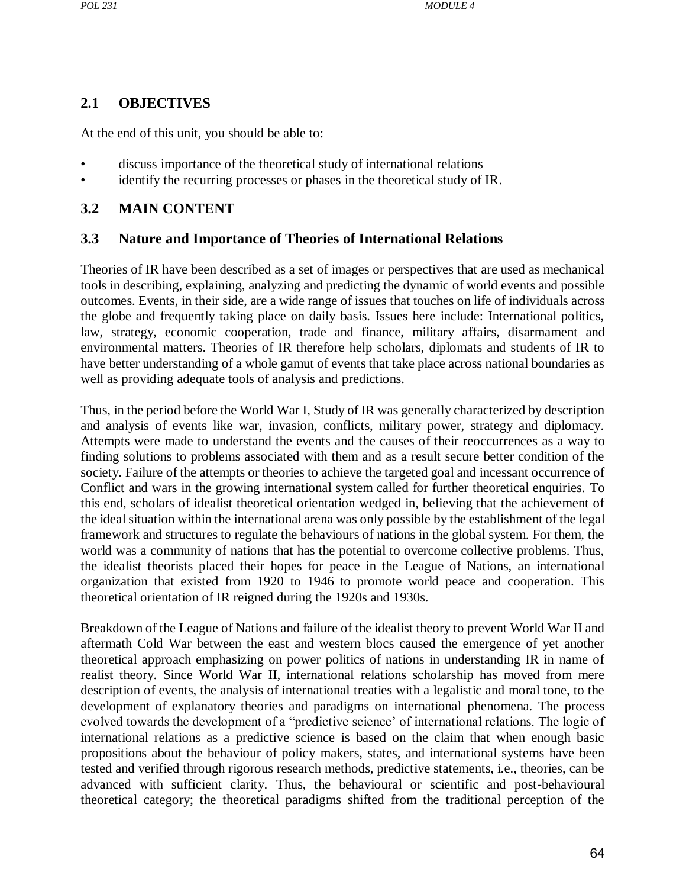#### **2.1 OBJECTIVES**

At the end of this unit, you should be able to:

- discuss importance of the theoretical study of international relations
- identify the recurring processes or phases in the theoretical study of IR.

#### **3.2 MAIN CONTENT**

#### **3.3 Nature and Importance of Theories of International Relations**

Theories of IR have been described as a set of images or perspectives that are used as mechanical tools in describing, explaining, analyzing and predicting the dynamic of world events and possible outcomes. Events, in their side, are a wide range of issues that touches on life of individuals across the globe and frequently taking place on daily basis. Issues here include: International politics, law, strategy, economic cooperation, trade and finance, military affairs, disarmament and environmental matters. Theories of IR therefore help scholars, diplomats and students of IR to have better understanding of a whole gamut of events that take place across national boundaries as well as providing adequate tools of analysis and predictions.

Thus, in the period before the World War I, Study of IR was generally characterized by description and analysis of events like war, invasion, conflicts, military power, strategy and diplomacy. Attempts were made to understand the events and the causes of their reoccurrences as a way to finding solutions to problems associated with them and as a result secure better condition of the society. Failure of the attempts or theories to achieve the targeted goal and incessant occurrence of Conflict and wars in the growing international system called for further theoretical enquiries. To this end, scholars of idealist theoretical orientation wedged in, believing that the achievement of the ideal situation within the international arena was only possible by the establishment of the legal framework and structures to regulate the behaviours of nations in the global system. For them, the world was a community of nations that has the potential to overcome collective problems. Thus, the idealist theorists placed their hopes for peace in the League of Nations, an international organization that existed from 1920 to 1946 to promote world peace and cooperation. This theoretical orientation of IR reigned during the 1920s and 1930s.

Breakdown of the League of Nations and failure of the idealist theory to prevent World War II and aftermath Cold War between the east and western blocs caused the emergence of yet another theoretical approach emphasizing on power politics of nations in understanding IR in name of realist theory. Since World War II, international relations scholarship has moved from mere description of events, the analysis of international treaties with a legalistic and moral tone, to the development of explanatory theories and paradigms on international phenomena. The process evolved towards the development of a "predictive science' of international relations. The logic of international relations as a predictive science is based on the claim that when enough basic propositions about the behaviour of policy makers, states, and international systems have been tested and verified through rigorous research methods, predictive statements, i.e., theories, can be advanced with sufficient clarity. Thus, the behavioural or scientific and post-behavioural theoretical category; the theoretical paradigms shifted from the traditional perception of the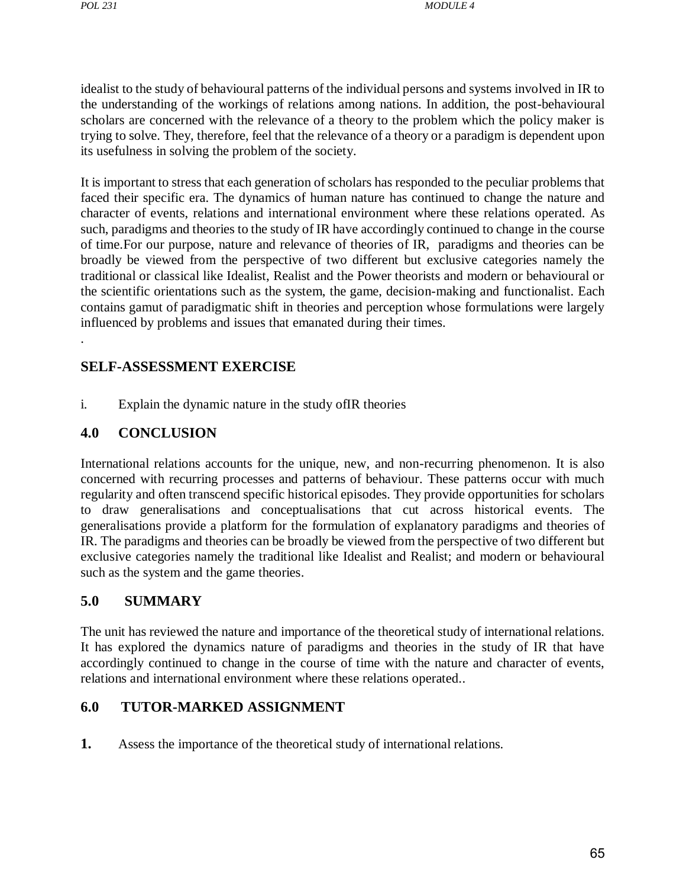.

idealist to the study of behavioural patterns of the individual persons and systems involved in IR to the understanding of the workings of relations among nations. In addition, the post-behavioural scholars are concerned with the relevance of a theory to the problem which the policy maker is trying to solve. They, therefore, feel that the relevance of a theory or a paradigm is dependent upon its usefulness in solving the problem of the society.

It is important to stress that each generation of scholars has responded to the peculiar problems that faced their specific era. The dynamics of human nature has continued to change the nature and character of events, relations and international environment where these relations operated. As such, paradigms and theories to the study of IR have accordingly continued to change in the course of time.For our purpose, nature and relevance of theories of IR, paradigms and theories can be broadly be viewed from the perspective of two different but exclusive categories namely the traditional or classical like Idealist, Realist and the Power theorists and modern or behavioural or the scientific orientations such as the system, the game, decision-making and functionalist. Each contains gamut of paradigmatic shift in theories and perception whose formulations were largely influenced by problems and issues that emanated during their times.

#### **SELF-ASSESSMENT EXERCISE**

i. Explain the dynamic nature in the study ofIR theories

#### **4.0 CONCLUSION**

International relations accounts for the unique, new, and non-recurring phenomenon. It is also concerned with recurring processes and patterns of behaviour. These patterns occur with much regularity and often transcend specific historical episodes. They provide opportunities for scholars to draw generalisations and conceptualisations that cut across historical events. The generalisations provide a platform for the formulation of explanatory paradigms and theories of IR. The paradigms and theories can be broadly be viewed from the perspective of two different but exclusive categories namely the traditional like Idealist and Realist; and modern or behavioural such as the system and the game theories.

#### **5.0 SUMMARY**

The unit has reviewed the nature and importance of the theoretical study of international relations. It has explored the dynamics nature of paradigms and theories in the study of IR that have accordingly continued to change in the course of time with the nature and character of events, relations and international environment where these relations operated..

#### **6.0 TUTOR-MARKED ASSIGNMENT**

**1.** Assess the importance of the theoretical study of international relations.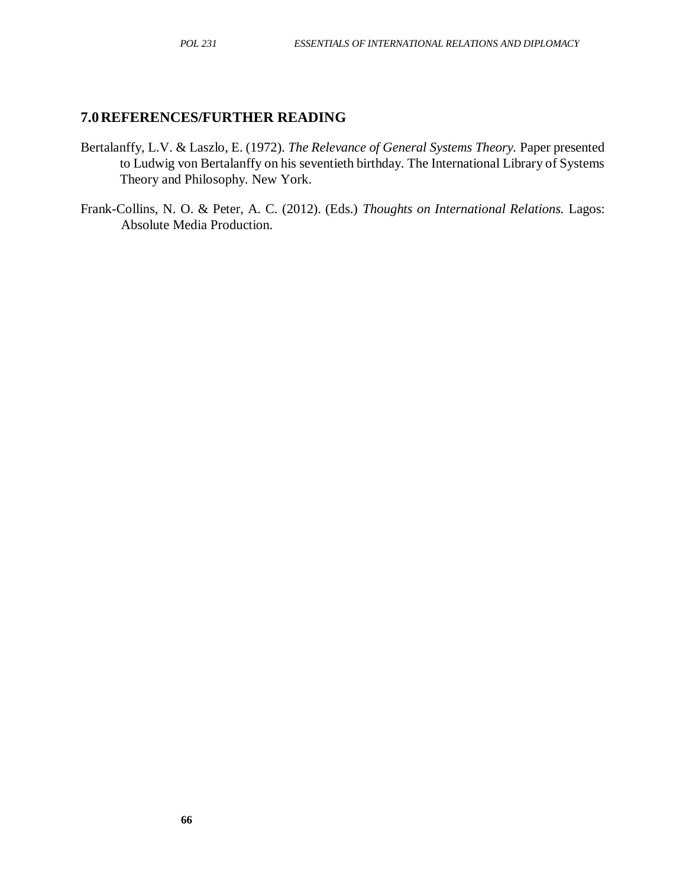#### **7.0REFERENCES/FURTHER READING**

- Bertalanffy, L.V. & Laszlo, E. (1972). *The Relevance of General Systems Theory.* Paper presented to Ludwig von Bertalanffy on his seventieth birthday. The International Library of Systems Theory and Philosophy. New York.
- Frank-Collins, N. O. & Peter, A. C. (2012). (Eds.) *Thoughts on International Relations.* Lagos: Absolute Media Production.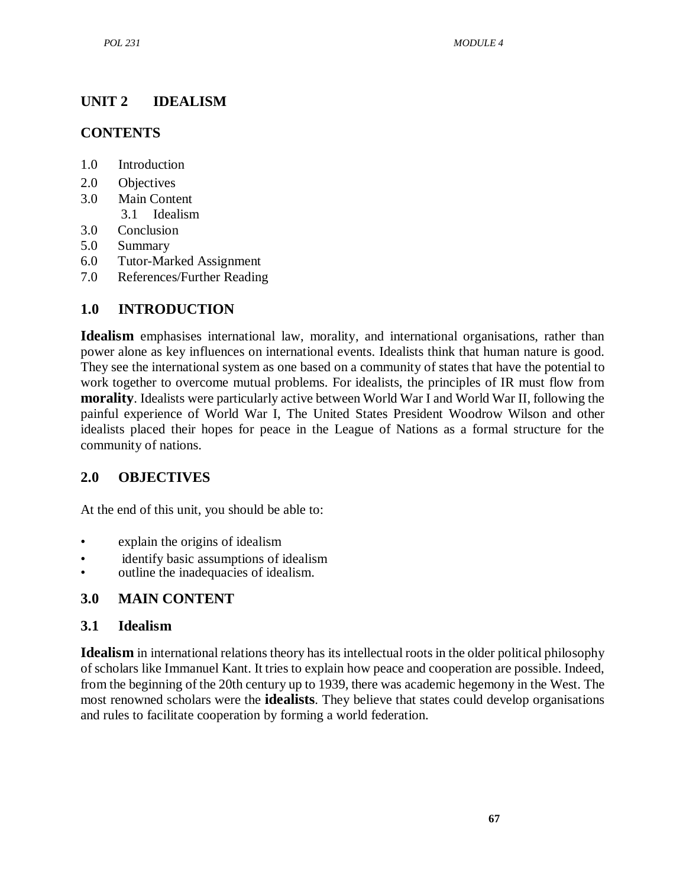# <span id="page-79-0"></span>**UNIT 2 IDEALISM**

### **CONTENTS**

- 1.0 Introduction
- 2.0 Objectives
- 3.0 Main Content 3.1 Idealism
- 3.0 Conclusion
- 5.0 Summary
- 6.0 Tutor-Marked Assignment
- 7.0 References/Further Reading

## **1.0 INTRODUCTION**

**Idealism** emphasises international law, morality, and international organisations, rather than power alone as key influences on international events. Idealists think that human nature is good. They see the international system as one based on a community of states that have the potential to work together to overcome mutual problems. For idealists, the principles of IR must flow from **morality**. Idealists were particularly active between World War I and World War II, following the painful experience of World War I, The United States President Woodrow Wilson and other idealists placed their hopes for peace in the League of Nations as a formal structure for the community of nations.

### **2.0 OBJECTIVES**

At the end of this unit, you should be able to:

- explain the origins of idealism
- identify basic assumptions of idealism
- outline the inadequacies of idealism.

### **3.0 MAIN CONTENT**

### **3.1 Idealism**

**Idealism** in international relations theory has its intellectual roots in the older political philosophy of scholars like Immanuel Kant. It tries to explain how peace and cooperation are possible. Indeed, from the beginning of the 20th century up to 1939, there was academic hegemony in the West. The most renowned scholars were the **idealists**. They believe that states could develop organisations and rules to facilitate cooperation by forming a world federation.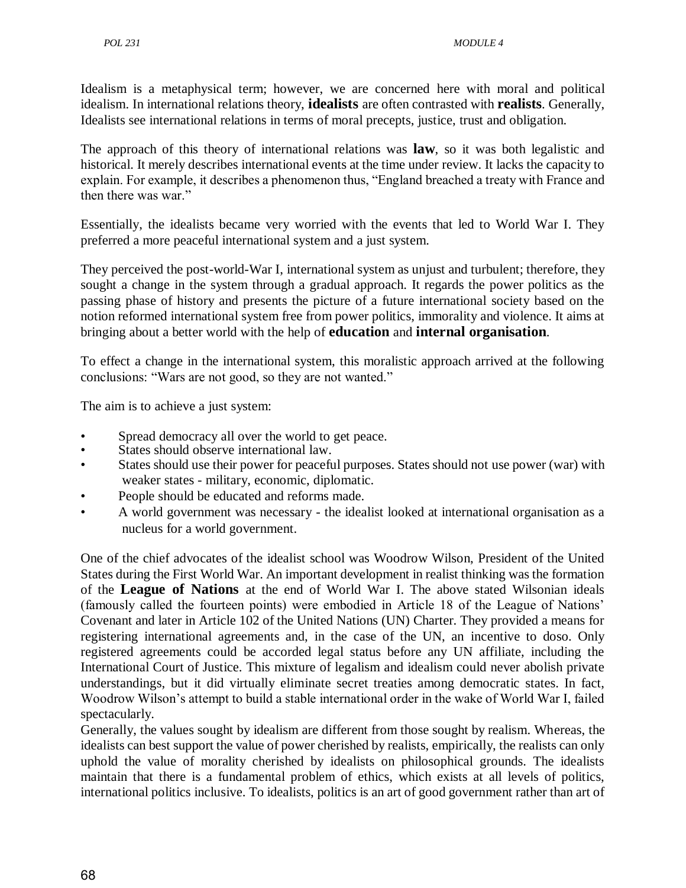Idealism is a metaphysical term; however, we are concerned here with moral and political idealism. In international relations theory, **idealists** are often contrasted with **realists**. Generally, Idealists see international relations in terms of moral precepts, justice, trust and obligation.

The approach of this theory of international relations was **law**, so it was both legalistic and historical. It merely describes international events at the time under review. It lacks the capacity to explain. For example, it describes a phenomenon thus, "England breached a treaty with France and then there was war."

Essentially, the idealists became very worried with the events that led to World War I. They preferred a more peaceful international system and a just system.

They perceived the post-world-War I, international system as unjust and turbulent; therefore, they sought a change in the system through a gradual approach. It regards the power politics as the passing phase of history and presents the picture of a future international society based on the notion reformed international system free from power politics, immorality and violence. It aims at bringing about a better world with the help of **education** and **internal organisation**.

To effect a change in the international system, this moralistic approach arrived at the following conclusions: "Wars are not good, so they are not wanted."

The aim is to achieve a just system:

- Spread democracy all over the world to get peace.
- States should observe international law.
- States should use their power for peaceful purposes. States should not use power (war) with weaker states - military, economic, diplomatic.
- People should be educated and reforms made.
- A world government was necessary the idealist looked at international organisation as a nucleus for a world government.

One of the chief advocates of the idealist school was Woodrow Wilson, President of the United States during the First World War. An important development in realist thinking was the formation of the **League of Nations** at the end of World War I. The above stated Wilsonian ideals (famously called the fourteen points) were embodied in Article 18 of the League of Nations' Covenant and later in Article 102 of the United Nations (UN) Charter. They provided a means for registering international agreements and, in the case of the UN, an incentive to doso. Only registered agreements could be accorded legal status before any UN affiliate, including the International Court of Justice. This mixture of legalism and idealism could never abolish private understandings, but it did virtually eliminate secret treaties among democratic states. In fact, Woodrow Wilson's attempt to build a stable international order in the wake of World War I, failed spectacularly.

Generally, the values sought by idealism are different from those sought by realism. Whereas, the idealists can best support the value of power cherished by realists, empirically, the realists can only uphold the value of morality cherished by idealists on philosophical grounds. The idealists maintain that there is a fundamental problem of ethics, which exists at all levels of politics, international politics inclusive. To idealists, politics is an art of good government rather than art of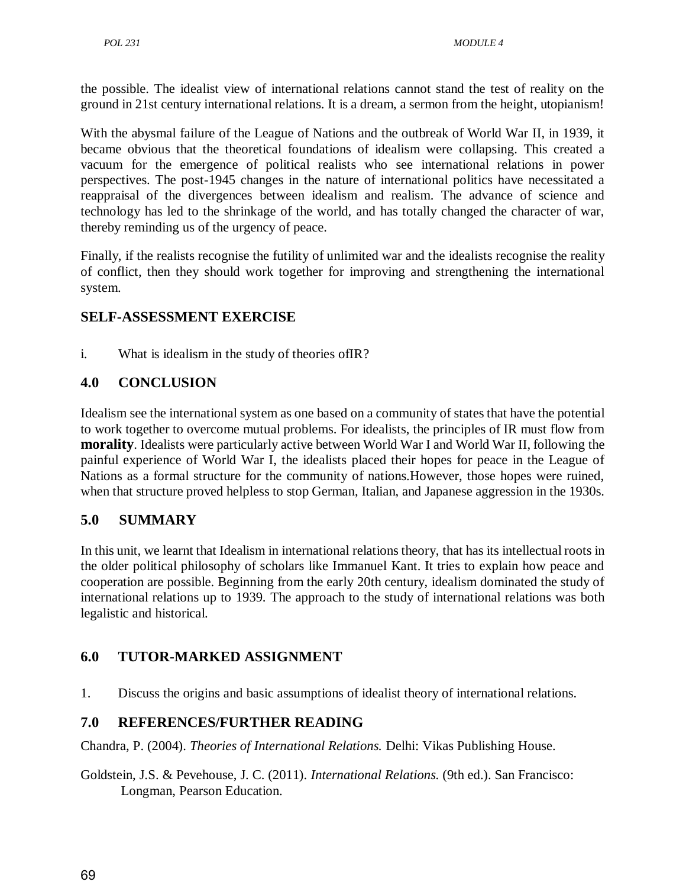the possible. The idealist view of international relations cannot stand the test of reality on the ground in 21st century international relations. It is a dream, a sermon from the height, utopianism!

With the abysmal failure of the League of Nations and the outbreak of World War II, in 1939, it became obvious that the theoretical foundations of idealism were collapsing. This created a vacuum for the emergence of political realists who see international relations in power perspectives. The post-1945 changes in the nature of international politics have necessitated a reappraisal of the divergences between idealism and realism. The advance of science and technology has led to the shrinkage of the world, and has totally changed the character of war, thereby reminding us of the urgency of peace.

Finally, if the realists recognise the futility of unlimited war and the idealists recognise the reality of conflict, then they should work together for improving and strengthening the international system.

## **SELF-ASSESSMENT EXERCISE**

i. What is idealism in the study of theories ofIR?

## **4.0 CONCLUSION**

Idealism see the international system as one based on a community of states that have the potential to work together to overcome mutual problems. For idealists, the principles of IR must flow from **morality**. Idealists were particularly active between World War I and World War II, following the painful experience of World War I, the idealists placed their hopes for peace in the League of Nations as a formal structure for the community of nations.However, those hopes were ruined, when that structure proved helpless to stop German, Italian, and Japanese aggression in the 1930s.

### **5.0 SUMMARY**

In this unit, we learnt that Idealism in international relations theory, that has its intellectual roots in the older political philosophy of scholars like Immanuel Kant. It tries to explain how peace and cooperation are possible. Beginning from the early 20th century, idealism dominated the study of international relations up to 1939. The approach to the study of international relations was both legalistic and historical.

## **6.0 TUTOR-MARKED ASSIGNMENT**

1. Discuss the origins and basic assumptions of idealist theory of international relations.

## **7.0 REFERENCES/FURTHER READING**

Chandra, P. (2004). *Theories of International Relations.* Delhi: Vikas Publishing House.

Goldstein, J.S. & Pevehouse, J. C. (2011). *International Relations.* (9th ed.). San Francisco: Longman, Pearson Education.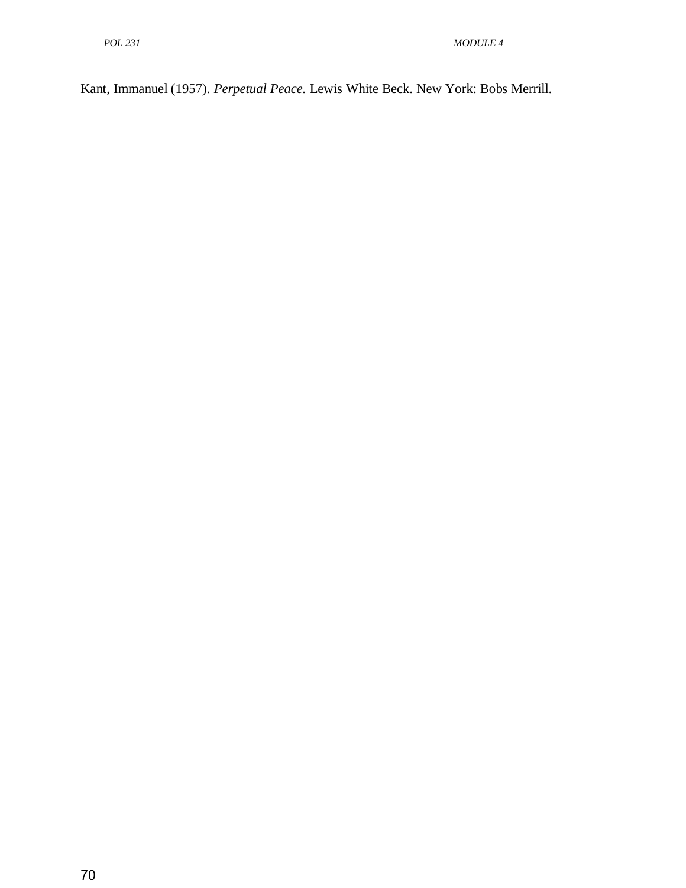Kant, Immanuel (1957). *Perpetual Peace.* Lewis White Beck. New York: Bobs Merrill.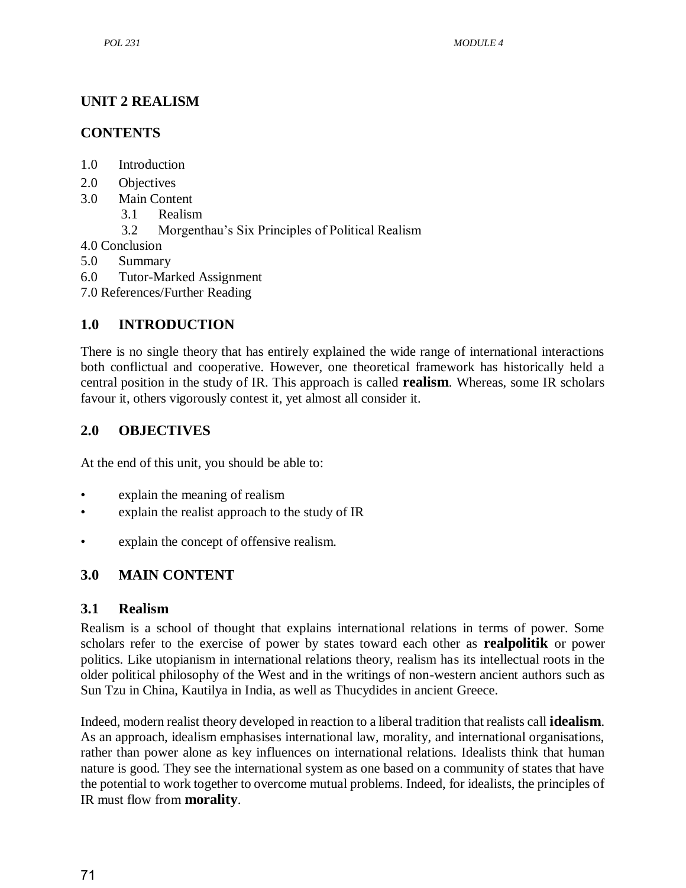## <span id="page-83-0"></span>**UNIT 2 REALISM**

### **CONTENTS**

- 1.0 Introduction
- 2.0 Objectives
- 3.0 Main Content
	- 3.1 Realism
	- 3.2 Morgenthau's Six Principles of Political Realism
- 4.0 Conclusion
- 5.0 Summary
- 6.0 Tutor-Marked Assignment
- 7.0 References/Further Reading

## **1.0 INTRODUCTION**

There is no single theory that has entirely explained the wide range of international interactions both conflictual and cooperative. However, one theoretical framework has historically held a central position in the study of IR. This approach is called **realism**. Whereas, some IR scholars favour it, others vigorously contest it, yet almost all consider it.

## **2.0 OBJECTIVES**

At the end of this unit, you should be able to:

- explain the meaning of realism
- explain the realist approach to the study of IR
- explain the concept of offensive realism.

## **3.0 MAIN CONTENT**

### **3.1 Realism**

Realism is a school of thought that explains international relations in terms of power. Some scholars refer to the exercise of power by states toward each other as **realpolitik** or power politics. Like utopianism in international relations theory, realism has its intellectual roots in the older political philosophy of the West and in the writings of non-western ancient authors such as Sun Tzu in China, Kautilya in India, as well as Thucydides in ancient Greece.

Indeed, modern realist theory developed in reaction to a liberal tradition that realists call **idealism**. As an approach, idealism emphasises international law, morality, and international organisations, rather than power alone as key influences on international relations. Idealists think that human nature is good. They see the international system as one based on a community of states that have the potential to work together to overcome mutual problems. Indeed, for idealists, the principles of IR must flow from **morality**.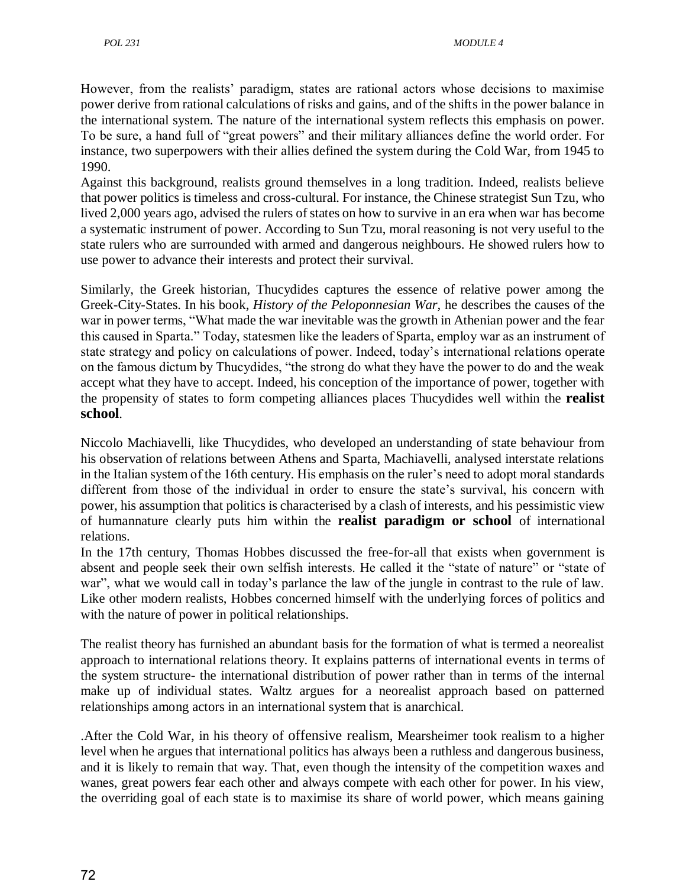However, from the realists' paradigm, states are rational actors whose decisions to maximise power derive from rational calculations of risks and gains, and of the shifts in the power balance in the international system. The nature of the international system reflects this emphasis on power. To be sure, a hand full of "great powers" and their military alliances define the world order. For instance, two superpowers with their allies defined the system during the Cold War, from 1945 to 1990.

Against this background, realists ground themselves in a long tradition. Indeed, realists believe that power politics is timeless and cross-cultural. For instance, the Chinese strategist Sun Tzu, who lived 2,000 years ago, advised the rulers of states on how to survive in an era when war has become a systematic instrument of power. According to Sun Tzu, moral reasoning is not very useful to the state rulers who are surrounded with armed and dangerous neighbours. He showed rulers how to use power to advance their interests and protect their survival.

Similarly, the Greek historian, Thucydides captures the essence of relative power among the Greek-City-States. In his book, *History of the Peloponnesian War,* he describes the causes of the war in power terms, "What made the war inevitable was the growth in Athenian power and the fear this caused in Sparta.‖ Today, statesmen like the leaders of Sparta, employ war as an instrument of state strategy and policy on calculations of power. Indeed, today's international relations operate on the famous dictum by Thucydides, "the strong do what they have the power to do and the weak accept what they have to accept. Indeed, his conception of the importance of power, together with the propensity of states to form competing alliances places Thucydides well within the **realist school**.

Niccolo Machiavelli, like Thucydides, who developed an understanding of state behaviour from his observation of relations between Athens and Sparta, Machiavelli, analysed interstate relations in the Italian system of the 16th century. His emphasis on the ruler's need to adopt moral standards different from those of the individual in order to ensure the state's survival, his concern with power, his assumption that politics is characterised by a clash of interests, and his pessimistic view of humannature clearly puts him within the **realist paradigm or school** of international relations.

In the 17th century, Thomas Hobbes discussed the free-for-all that exists when government is absent and people seek their own selfish interests. He called it the "state of nature" or "state of war", what we would call in today's parlance the law of the jungle in contrast to the rule of law. Like other modern realists, Hobbes concerned himself with the underlying forces of politics and with the nature of power in political relationships.

The realist theory has furnished an abundant basis for the formation of what is termed a neorealist approach to international relations theory. It explains patterns of international events in terms of the system structure- the international distribution of power rather than in terms of the internal make up of individual states. Waltz argues for a neorealist approach based on patterned relationships among actors in an international system that is anarchical.

.After the Cold War, in his theory of offensive realism, Mearsheimer took realism to a higher level when he argues that international politics has always been a ruthless and dangerous business, and it is likely to remain that way. That, even though the intensity of the competition waxes and wanes, great powers fear each other and always compete with each other for power. In his view, the overriding goal of each state is to maximise its share of world power, which means gaining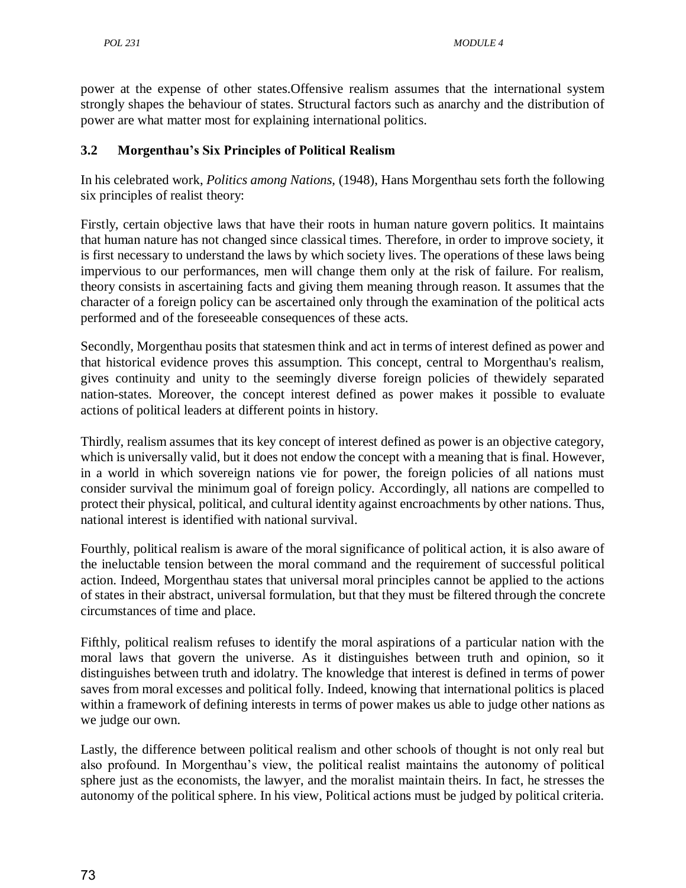power at the expense of other states.Offensive realism assumes that the international system strongly shapes the behaviour of states. Structural factors such as anarchy and the distribution of power are what matter most for explaining international politics.

#### **3.2 Morgenthau's Six Principles of Political Realism**

In his celebrated work, *Politics among Nations,* (1948), Hans Morgenthau sets forth the following six principles of realist theory:

Firstly, certain objective laws that have their roots in human nature govern politics. It maintains that human nature has not changed since classical times. Therefore, in order to improve society, it is first necessary to understand the laws by which society lives. The operations of these laws being impervious to our performances, men will change them only at the risk of failure. For realism, theory consists in ascertaining facts and giving them meaning through reason. It assumes that the character of a foreign policy can be ascertained only through the examination of the political acts performed and of the foreseeable consequences of these acts.

Secondly, Morgenthau posits that statesmen think and act in terms of interest defined as power and that historical evidence proves this assumption. This concept, central to Morgenthau's realism, gives continuity and unity to the seemingly diverse foreign policies of thewidely separated nation-states. Moreover, the concept interest defined as power makes it possible to evaluate actions of political leaders at different points in history.

Thirdly, realism assumes that its key concept of interest defined as power is an objective category, which is universally valid, but it does not endow the concept with a meaning that is final. However, in a world in which sovereign nations vie for power, the foreign policies of all nations must consider survival the minimum goal of foreign policy. Accordingly, all nations are compelled to protect their physical, political, and cultural identity against encroachments by other nations. Thus, national interest is identified with national survival.

Fourthly, political realism is aware of the moral significance of political action, it is also aware of the ineluctable tension between the moral command and the requirement of successful political action. Indeed, Morgenthau states that universal moral principles cannot be applied to the actions of states in their abstract, universal formulation, but that they must be filtered through the concrete circumstances of time and place.

Fifthly, political realism refuses to identify the moral aspirations of a particular nation with the moral laws that govern the universe. As it distinguishes between truth and opinion, so it distinguishes between truth and idolatry. The knowledge that interest is defined in terms of power saves from moral excesses and political folly. Indeed, knowing that international politics is placed within a framework of defining interests in terms of power makes us able to judge other nations as we judge our own.

Lastly, the difference between political realism and other schools of thought is not only real but also profound. In Morgenthau's view, the political realist maintains the autonomy of political sphere just as the economists, the lawyer, and the moralist maintain theirs. In fact, he stresses the autonomy of the political sphere. In his view, Political actions must be judged by political criteria.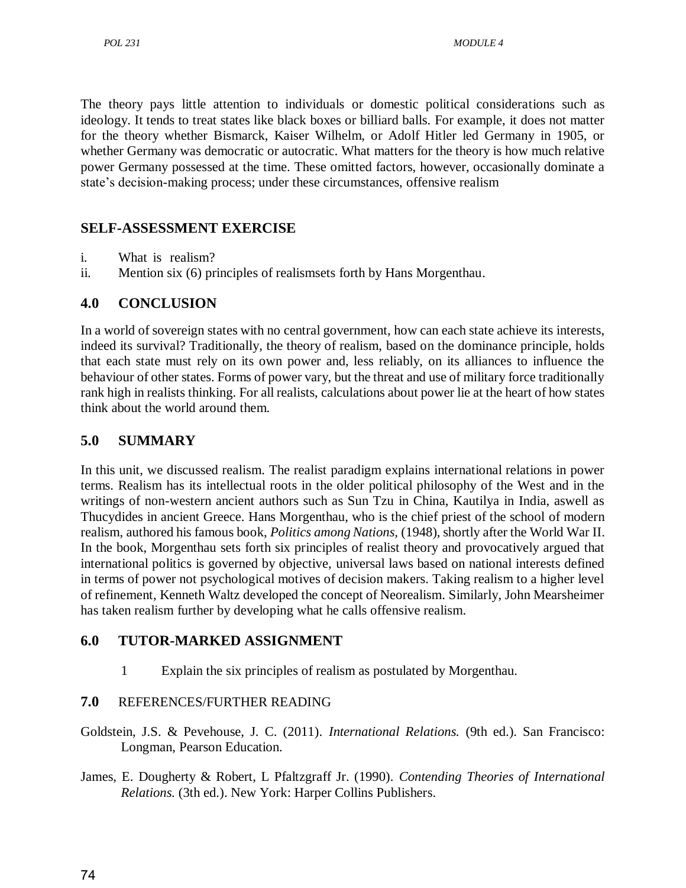The theory pays little attention to individuals or domestic political considerations such as ideology. It tends to treat states like black boxes or billiard balls. For example, it does not matter for the theory whether Bismarck, Kaiser Wilhelm, or Adolf Hitler led Germany in 1905, or whether Germany was democratic or autocratic. What matters for the theory is how much relative power Germany possessed at the time. These omitted factors, however, occasionally dominate a state's decision-making process; under these circumstances, offensive realism

### **SELF-ASSESSMENT EXERCISE**

- i. What is realism?
- ii. Mention six (6) principles of realismsets forth by Hans Morgenthau.

### **4.0 CONCLUSION**

In a world of sovereign states with no central government, how can each state achieve its interests, indeed its survival? Traditionally, the theory of realism, based on the dominance principle, holds that each state must rely on its own power and, less reliably, on its alliances to influence the behaviour of other states. Forms of power vary, but the threat and use of military force traditionally rank high in realists thinking. For all realists, calculations about power lie at the heart of how states think about the world around them.

### **5.0 SUMMARY**

In this unit, we discussed realism. The realist paradigm explains international relations in power terms. Realism has its intellectual roots in the older political philosophy of the West and in the writings of non-western ancient authors such as Sun Tzu in China, Kautilya in India, aswell as Thucydides in ancient Greece. Hans Morgenthau, who is the chief priest of the school of modern realism, authored his famous book, *Politics among Nations,* (1948), shortly after the World War II. In the book, Morgenthau sets forth six principles of realist theory and provocatively argued that international politics is governed by objective, universal laws based on national interests defined in terms of power not psychological motives of decision makers. Taking realism to a higher level of refinement, Kenneth Waltz developed the concept of Neorealism. Similarly, John Mearsheimer has taken realism further by developing what he calls offensive realism.

### **6.0 TUTOR-MARKED ASSIGNMENT**

1 Explain the six principles of realism as postulated by Morgenthau.

#### **7.0** REFERENCES/FURTHER READING

- Goldstein, J.S. & Pevehouse, J. C. (2011). *International Relations.* (9th ed.). San Francisco: Longman, Pearson Education.
- James, E. Dougherty & Robert, L Pfaltzgraff Jr. (1990). *Contending Theories of International Relations.* (3th ed.). New York: Harper Collins Publishers.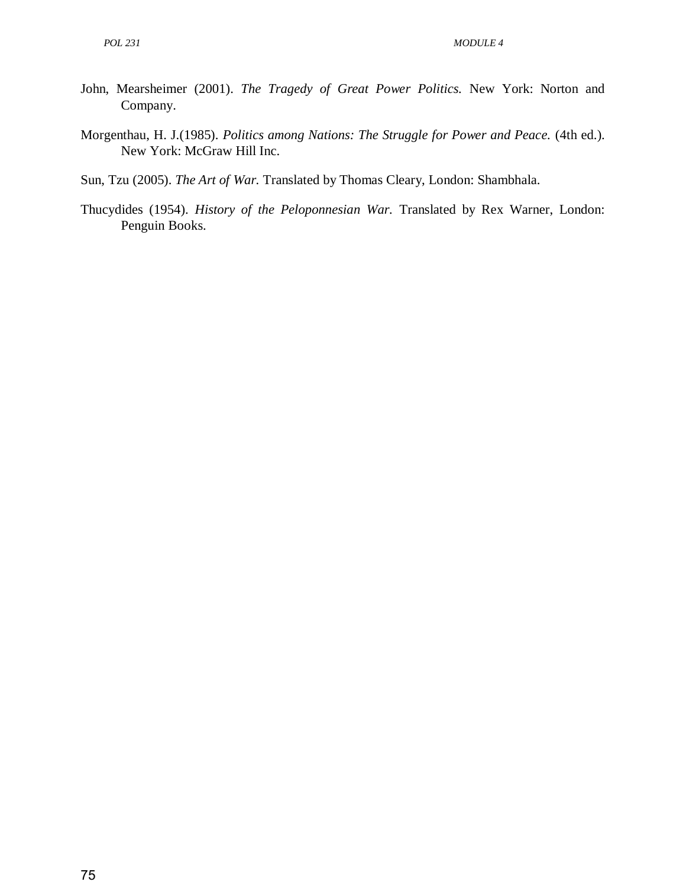- John, Mearsheimer (2001). *The Tragedy of Great Power Politics.* New York: Norton and Company.
- Morgenthau, H. J.(1985). *Politics among Nations: The Struggle for Power and Peace.* (4th ed.). New York: McGraw Hill Inc.
- Sun, Tzu (2005). *The Art of War.* Translated by Thomas Cleary, London: Shambhala.
- Thucydides (1954). *History of the Peloponnesian War.* Translated by Rex Warner, London: Penguin Books.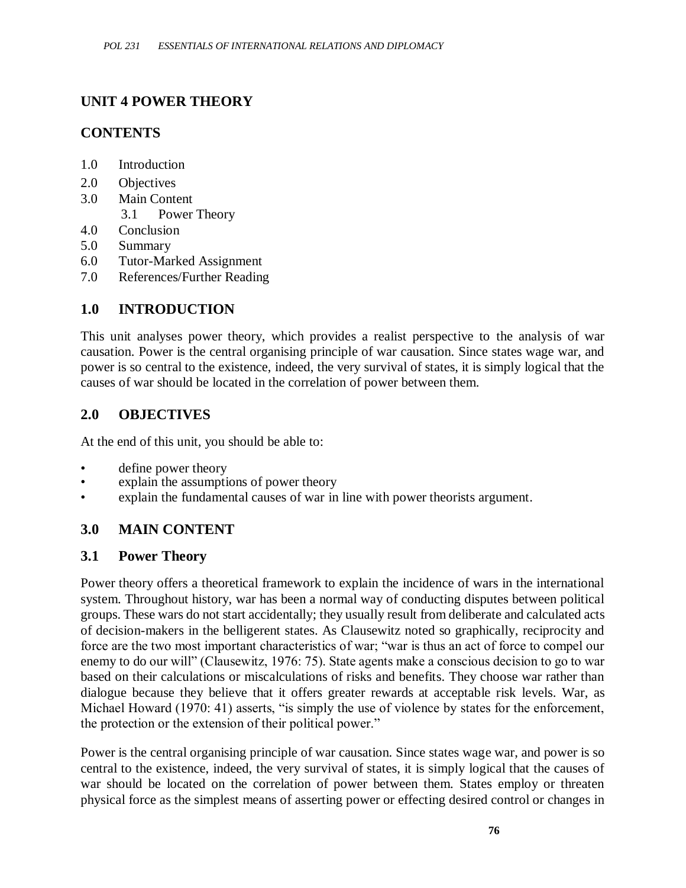## **UNIT 4 POWER THEORY**

### **CONTENTS**

- 1.0 Introduction
- 2.0 Objectives
- 3.0 Main Content
	- 3.1 Power Theory
- 4.0 Conclusion
- 5.0 Summary
- 6.0 Tutor-Marked Assignment
- 7.0 References/Further Reading

### **1.0 INTRODUCTION**

This unit analyses power theory, which provides a realist perspective to the analysis of war causation. Power is the central organising principle of war causation. Since states wage war, and power is so central to the existence, indeed, the very survival of states, it is simply logical that the causes of war should be located in the correlation of power between them.

### **2.0 OBJECTIVES**

At the end of this unit, you should be able to:

- define power theory
- explain the assumptions of power theory
- explain the fundamental causes of war in line with power theorists argument.

### **3.0 MAIN CONTENT**

#### **3.1 Power Theory**

Power theory offers a theoretical framework to explain the incidence of wars in the international system. Throughout history, war has been a normal way of conducting disputes between political groups. These wars do not start accidentally; they usually result from deliberate and calculated acts of decision-makers in the belligerent states. As Clausewitz noted so graphically, reciprocity and force are the two most important characteristics of war; "war is thus an act of force to compel our enemy to do our will" (Clausewitz, 1976: 75). State agents make a conscious decision to go to war based on their calculations or miscalculations of risks and benefits. They choose war rather than dialogue because they believe that it offers greater rewards at acceptable risk levels. War, as Michael Howard (1970: 41) asserts, "is simply the use of violence by states for the enforcement, the protection or the extension of their political power."

Power is the central organising principle of war causation. Since states wage war, and power is so central to the existence, indeed, the very survival of states, it is simply logical that the causes of war should be located on the correlation of power between them. States employ or threaten physical force as the simplest means of asserting power or effecting desired control or changes in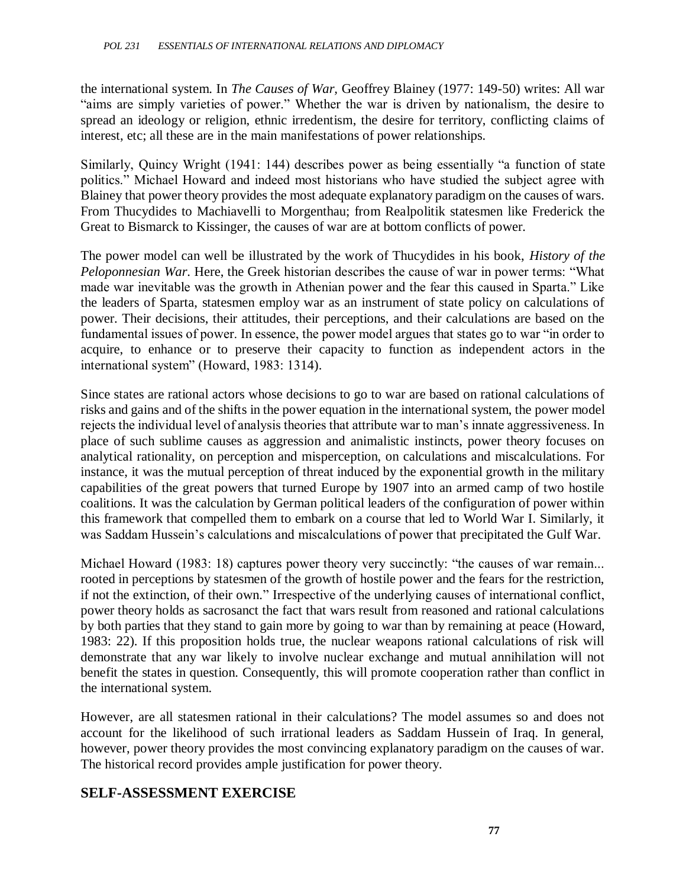the international system. In *The Causes of War,* Geoffrey Blainey (1977: 149-50) writes: All war "aims are simply varieties of power." Whether the war is driven by nationalism, the desire to spread an ideology or religion, ethnic irredentism, the desire for territory, conflicting claims of interest, etc; all these are in the main manifestations of power relationships.

Similarly, Quincy Wright (1941: 144) describes power as being essentially "a function of state politics." Michael Howard and indeed most historians who have studied the subject agree with Blainey that power theory provides the most adequate explanatory paradigm on the causes of wars. From Thucydides to Machiavelli to Morgenthau; from Realpolitik statesmen like Frederick the Great to Bismarck to Kissinger, the causes of war are at bottom conflicts of power.

The power model can well be illustrated by the work of Thucydides in his book, *History of the Peloponnesian War*. Here, the Greek historian describes the cause of war in power terms: "What made war inevitable was the growth in Athenian power and the fear this caused in Sparta." Like the leaders of Sparta, statesmen employ war as an instrument of state policy on calculations of power. Their decisions, their attitudes, their perceptions, and their calculations are based on the fundamental issues of power. In essence, the power model argues that states go to war "in order to acquire, to enhance or to preserve their capacity to function as independent actors in the international system" (Howard, 1983: 1314).

Since states are rational actors whose decisions to go to war are based on rational calculations of risks and gains and of the shifts in the power equation in the international system, the power model rejects the individual level of analysis theories that attribute war to man's innate aggressiveness. In place of such sublime causes as aggression and animalistic instincts, power theory focuses on analytical rationality, on perception and misperception, on calculations and miscalculations. For instance, it was the mutual perception of threat induced by the exponential growth in the military capabilities of the great powers that turned Europe by 1907 into an armed camp of two hostile coalitions. It was the calculation by German political leaders of the configuration of power within this framework that compelled them to embark on a course that led to World War I. Similarly, it was Saddam Hussein's calculations and miscalculations of power that precipitated the Gulf War.

Michael Howard (1983: 18) captures power theory very succinctly: "the causes of war remain... rooted in perceptions by statesmen of the growth of hostile power and the fears for the restriction, if not the extinction, of their own." Irrespective of the underlying causes of international conflict, power theory holds as sacrosanct the fact that wars result from reasoned and rational calculations by both parties that they stand to gain more by going to war than by remaining at peace (Howard, 1983: 22). If this proposition holds true, the nuclear weapons rational calculations of risk will demonstrate that any war likely to involve nuclear exchange and mutual annihilation will not benefit the states in question. Consequently, this will promote cooperation rather than conflict in the international system.

However, are all statesmen rational in their calculations? The model assumes so and does not account for the likelihood of such irrational leaders as Saddam Hussein of Iraq. In general, however, power theory provides the most convincing explanatory paradigm on the causes of war. The historical record provides ample justification for power theory.

### **SELF-ASSESSMENT EXERCISE**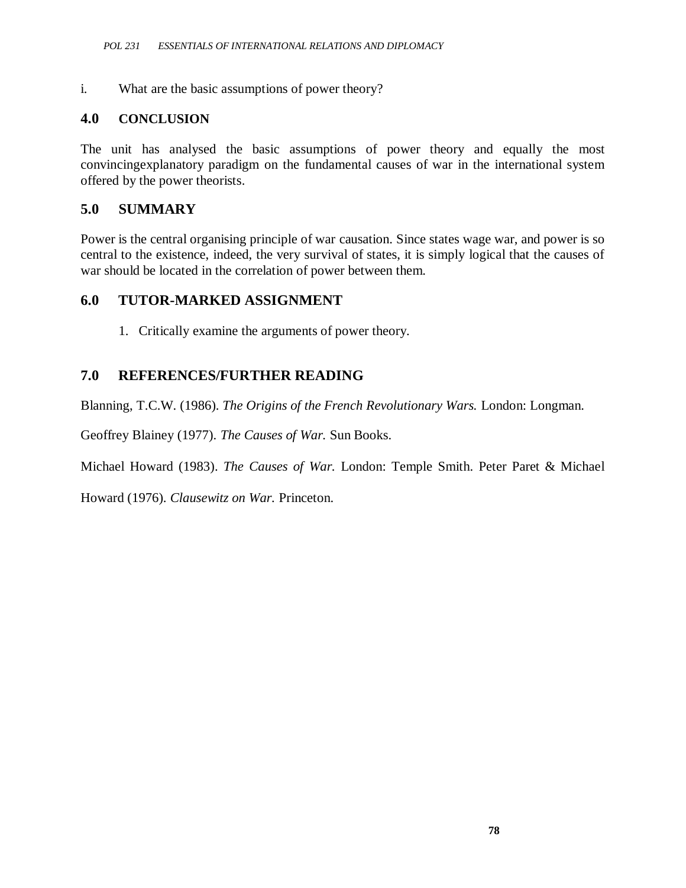i. What are the basic assumptions of power theory?

#### **4.0 CONCLUSION**

The unit has analysed the basic assumptions of power theory and equally the most convincingexplanatory paradigm on the fundamental causes of war in the international system offered by the power theorists.

#### **5.0 SUMMARY**

Power is the central organising principle of war causation. Since states wage war, and power is so central to the existence, indeed, the very survival of states, it is simply logical that the causes of war should be located in the correlation of power between them.

#### **6.0 TUTOR-MARKED ASSIGNMENT**

1. Critically examine the arguments of power theory.

#### **7.0 REFERENCES/FURTHER READING**

Blanning, T.C.W. (1986). *The Origins of the French Revolutionary Wars.* London: Longman.

Geoffrey Blainey (1977). *The Causes of War.* Sun Books.

Michael Howard (1983). *The Causes of War.* London: Temple Smith. Peter Paret & Michael

Howard (1976). *Clausewitz on War.* Princeton.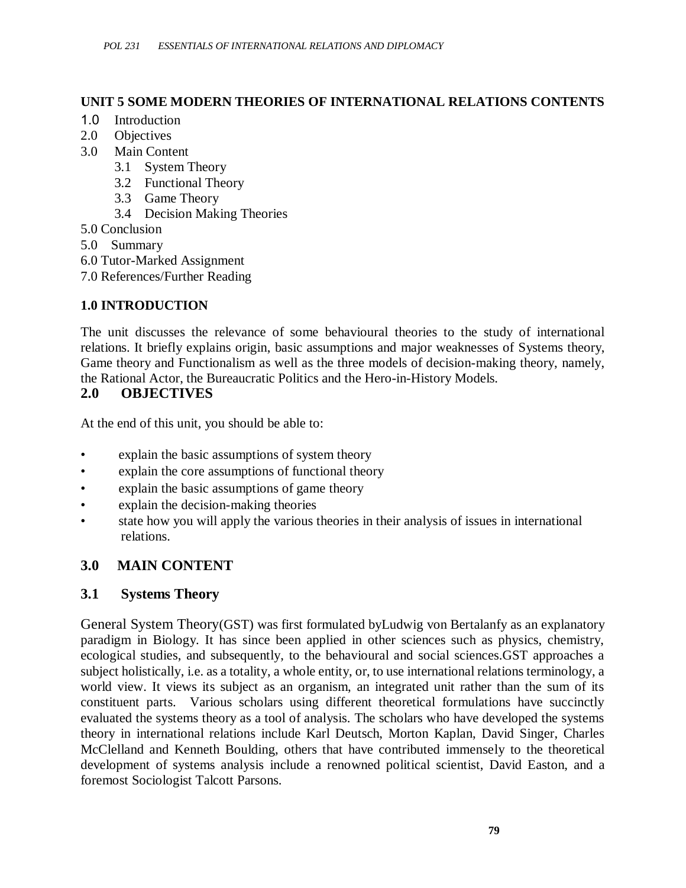#### **UNIT 5 SOME MODERN THEORIES OF INTERNATIONAL RELATIONS CONTENTS**

- 1.0 Introduction
- 2.0 Objectives
- 3.0 Main Content
	- 3.1 System Theory
	- 3.2 Functional Theory
	- 3.3 Game Theory
	- 3.4 Decision Making Theories
- 5.0 Conclusion
- 5.0 Summary
- 6.0 Tutor-Marked Assignment
- 7.0 References/Further Reading

### **1.0 INTRODUCTION**

The unit discusses the relevance of some behavioural theories to the study of international relations. It briefly explains origin, basic assumptions and major weaknesses of Systems theory, Game theory and Functionalism as well as the three models of decision-making theory, namely, the Rational Actor, the Bureaucratic Politics and the Hero-in-History Models.

#### **2.0 OBJECTIVES**

At the end of this unit, you should be able to:

- explain the basic assumptions of system theory
- explain the core assumptions of functional theory
- explain the basic assumptions of game theory
- explain the decision-making theories
- state how you will apply the various theories in their analysis of issues in international relations.

## **3.0 MAIN CONTENT**

### **3.1 Systems Theory**

General System Theory(GST) was first formulated byLudwig von Bertalanfy as an explanatory paradigm in Biology. It has since been applied in other sciences such as physics, chemistry, ecological studies, and subsequently, to the behavioural and social sciences.GST approaches a subject holistically, i.e. as a totality, a whole entity, or, to use international relations terminology, a world view. It views its subject as an organism, an integrated unit rather than the sum of its constituent parts. Various scholars using different theoretical formulations have succinctly evaluated the systems theory as a tool of analysis. The scholars who have developed the systems theory in international relations include Karl Deutsch, Morton Kaplan, David Singer, Charles McClelland and Kenneth Boulding, others that have contributed immensely to the theoretical development of systems analysis include a renowned political scientist, David Easton, and a foremost Sociologist Talcott Parsons.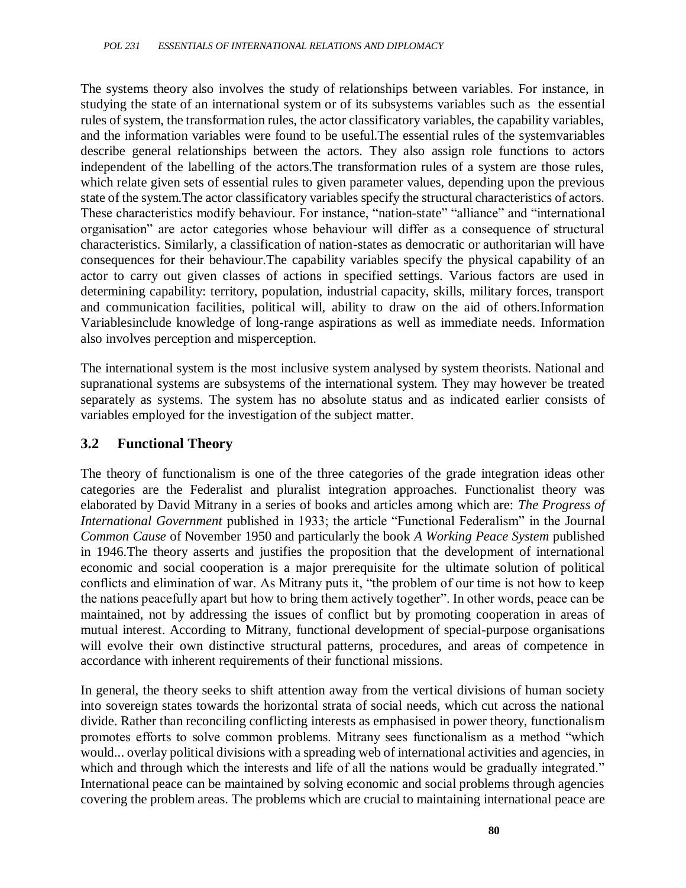The systems theory also involves the study of relationships between variables. For instance, in studying the state of an international system or of its subsystems variables such as the essential rules of system, the transformation rules, the actor classificatory variables, the capability variables, and the information variables were found to be useful.The essential rules of the systemvariables describe general relationships between the actors. They also assign role functions to actors independent of the labelling of the actors.The transformation rules of a system are those rules, which relate given sets of essential rules to given parameter values, depending upon the previous state of the system.The actor classificatory variables specify the structural characteristics of actors. These characteristics modify behaviour. For instance, "nation-state" "alliance" and "international organisation" are actor categories whose behaviour will differ as a consequence of structural characteristics. Similarly, a classification of nation-states as democratic or authoritarian will have consequences for their behaviour.The capability variables specify the physical capability of an actor to carry out given classes of actions in specified settings. Various factors are used in determining capability: territory, population, industrial capacity, skills, military forces, transport and communication facilities, political will, ability to draw on the aid of others.Information Variablesinclude knowledge of long-range aspirations as well as immediate needs. Information also involves perception and misperception.

The international system is the most inclusive system analysed by system theorists. National and supranational systems are subsystems of the international system. They may however be treated separately as systems. The system has no absolute status and as indicated earlier consists of variables employed for the investigation of the subject matter.

#### **3.2 Functional Theory**

The theory of functionalism is one of the three categories of the grade integration ideas other categories are the Federalist and pluralist integration approaches. Functionalist theory was elaborated by David Mitrany in a series of books and articles among which are: *The Progress of International Government* published in 1933; the article "Functional Federalism" in the Journal *Common Cause* of November 1950 and particularly the book *A Working Peace System* published in 1946.The theory asserts and justifies the proposition that the development of international economic and social cooperation is a major prerequisite for the ultimate solution of political conflicts and elimination of war. As Mitrany puts it, "the problem of our time is not how to keep the nations peacefully apart but how to bring them actively together". In other words, peace can be maintained, not by addressing the issues of conflict but by promoting cooperation in areas of mutual interest. According to Mitrany, functional development of special-purpose organisations will evolve their own distinctive structural patterns, procedures, and areas of competence in accordance with inherent requirements of their functional missions.

In general, the theory seeks to shift attention away from the vertical divisions of human society into sovereign states towards the horizontal strata of social needs, which cut across the national divide. Rather than reconciling conflicting interests as emphasised in power theory, functionalism promotes efforts to solve common problems. Mitrany sees functionalism as a method "which would... overlay political divisions with a spreading web of international activities and agencies, in which and through which the interests and life of all the nations would be gradually integrated." International peace can be maintained by solving economic and social problems through agencies covering the problem areas. The problems which are crucial to maintaining international peace are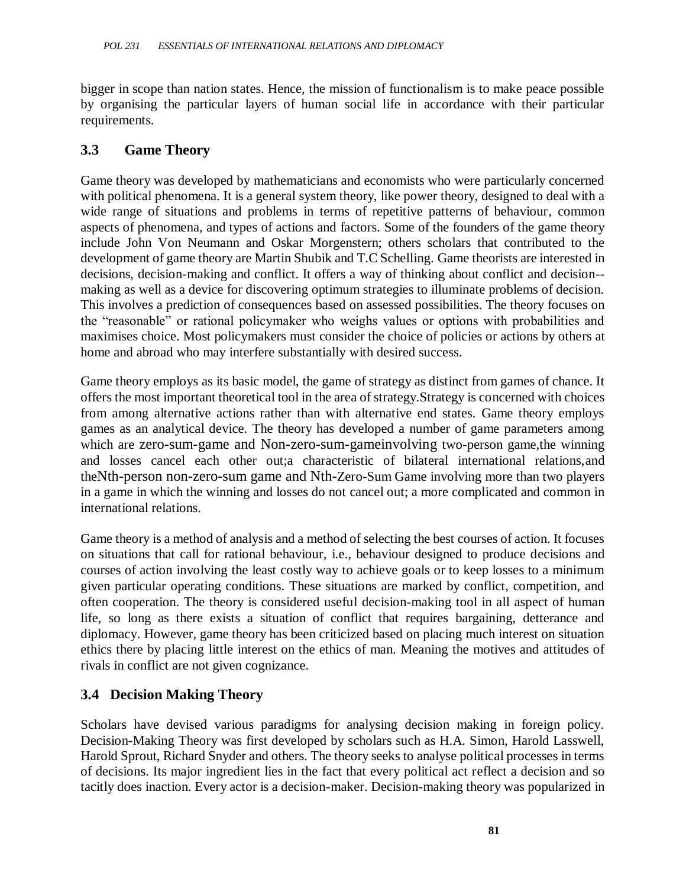bigger in scope than nation states. Hence, the mission of functionalism is to make peace possible by organising the particular layers of human social life in accordance with their particular requirements.

#### **3.3 Game Theory**

Game theory was developed by mathematicians and economists who were particularly concerned with political phenomena. It is a general system theory, like power theory, designed to deal with a wide range of situations and problems in terms of repetitive patterns of behaviour, common aspects of phenomena, and types of actions and factors. Some of the founders of the game theory include John Von Neumann and Oskar Morgenstern; others scholars that contributed to the development of game theory are Martin Shubik and T.C Schelling. Game theorists are interested in decisions, decision-making and conflict. It offers a way of thinking about conflict and decision- making as well as a device for discovering optimum strategies to illuminate problems of decision. This involves a prediction of consequences based on assessed possibilities. The theory focuses on the "reasonable" or rational policymaker who weighs values or options with probabilities and maximises choice. Most policymakers must consider the choice of policies or actions by others at home and abroad who may interfere substantially with desired success.

Game theory employs as its basic model, the game of strategy as distinct from games of chance. It offers the most important theoretical tool in the area of strategy.Strategy is concerned with choices from among alternative actions rather than with alternative end states. Game theory employs games as an analytical device. The theory has developed a number of game parameters among which are zero-sum-game and Non-zero-sum-gameinvolving two-person game, the winning and losses cancel each other out;a characteristic of bilateral international relations,and theNth-person non-zero-sum game and Nth-Zero-Sum Game involving more than two players in a game in which the winning and losses do not cancel out; a more complicated and common in international relations.

Game theory is a method of analysis and a method of selecting the best courses of action. It focuses on situations that call for rational behaviour, i.e., behaviour designed to produce decisions and courses of action involving the least costly way to achieve goals or to keep losses to a minimum given particular operating conditions. These situations are marked by conflict, competition, and often cooperation. The theory is considered useful decision-making tool in all aspect of human life, so long as there exists a situation of conflict that requires bargaining, detterance and diplomacy. However, game theory has been criticized based on placing much interest on situation ethics there by placing little interest on the ethics of man. Meaning the motives and attitudes of rivals in conflict are not given cognizance.

### **3.4 Decision Making Theory**

Scholars have devised various paradigms for analysing decision making in foreign policy. Decision-Making Theory was first developed by scholars such as H.A. Simon, Harold Lasswell, Harold Sprout, Richard Snyder and others. The theory seeks to analyse political processes in terms of decisions. Its major ingredient lies in the fact that every political act reflect a decision and so tacitly does inaction. Every actor is a decision-maker. Decision-making theory was popularized in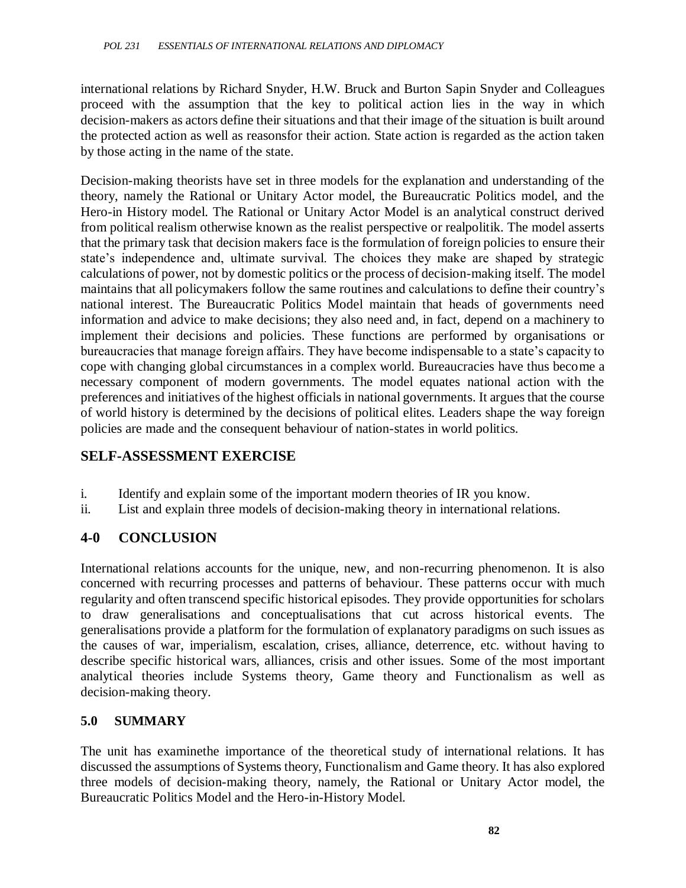international relations by Richard Snyder, H.W. Bruck and Burton Sapin Snyder and Colleagues proceed with the assumption that the key to political action lies in the way in which decision-makers as actors define their situations and that their image of the situation is built around the protected action as well as reasonsfor their action. State action is regarded as the action taken by those acting in the name of the state.

Decision-making theorists have set in three models for the explanation and understanding of the theory, namely the Rational or Unitary Actor model, the Bureaucratic Politics model, and the Hero-in History model. The Rational or Unitary Actor Model is an analytical construct derived from political realism otherwise known as the realist perspective or realpolitik. The model asserts that the primary task that decision makers face is the formulation of foreign policies to ensure their state's independence and, ultimate survival. The choices they make are shaped by strategic calculations of power, not by domestic politics or the process of decision-making itself. The model maintains that all policymakers follow the same routines and calculations to define their country's national interest. The Bureaucratic Politics Model maintain that heads of governments need information and advice to make decisions; they also need and, in fact, depend on a machinery to implement their decisions and policies. These functions are performed by organisations or bureaucracies that manage foreign affairs. They have become indispensable to a state's capacity to cope with changing global circumstances in a complex world. Bureaucracies have thus become a necessary component of modern governments. The model equates national action with the preferences and initiatives of the highest officials in national governments. It argues that the course of world history is determined by the decisions of political elites. Leaders shape the way foreign policies are made and the consequent behaviour of nation-states in world politics.

#### **SELF-ASSESSMENT EXERCISE**

- i. Identify and explain some of the important modern theories of IR you know.
- ii. List and explain three models of decision-making theory in international relations.

### **4-0 CONCLUSION**

International relations accounts for the unique, new, and non-recurring phenomenon. It is also concerned with recurring processes and patterns of behaviour. These patterns occur with much regularity and often transcend specific historical episodes. They provide opportunities for scholars to draw generalisations and conceptualisations that cut across historical events. The generalisations provide a platform for the formulation of explanatory paradigms on such issues as the causes of war, imperialism, escalation, crises, alliance, deterrence, etc. without having to describe specific historical wars, alliances, crisis and other issues. Some of the most important analytical theories include Systems theory, Game theory and Functionalism as well as decision-making theory.

#### **5.0 SUMMARY**

The unit has examinethe importance of the theoretical study of international relations. It has discussed the assumptions of Systems theory, Functionalism and Game theory. It has also explored three models of decision-making theory, namely, the Rational or Unitary Actor model, the Bureaucratic Politics Model and the Hero-in-History Model.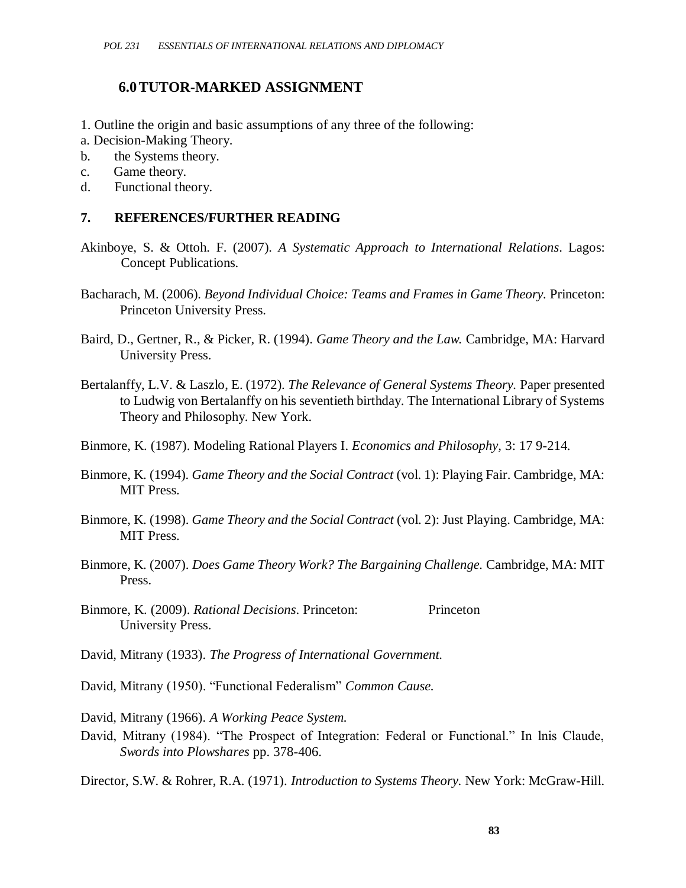#### **6.0TUTOR-MARKED ASSIGNMENT**

- 1. Outline the origin and basic assumptions of any three of the following:
- a. Decision-Making Theory.
- b. the Systems theory.
- c. Game theory.
- d. Functional theory.

#### **7. REFERENCES/FURTHER READING**

- Akinboye, S. & Ottoh. F. (2007). *A Systematic Approach to International Relations*. Lagos: Concept Publications.
- Bacharach, M. (2006). *Beyond Individual Choice: Teams and Frames in Game Theory.* Princeton: Princeton University Press.
- Baird, D., Gertner, R., & Picker, R. (1994). *Game Theory and the Law.* Cambridge, MA: Harvard University Press.
- Bertalanffy, L.V. & Laszlo, E. (1972). *The Relevance of General Systems Theory.* Paper presented to Ludwig von Bertalanffy on his seventieth birthday. The International Library of Systems Theory and Philosophy. New York.
- Binmore, K. (1987). Modeling Rational Players I. *Economics and Philosophy,* 3: 17 9-214.
- Binmore, K. (1994). *Game Theory and the Social Contract* (vol. 1): Playing Fair. Cambridge, MA: MIT Press.
- Binmore, K. (1998). *Game Theory and the Social Contract* (vol. 2): Just Playing. Cambridge, MA: MIT Press.
- Binmore, K. (2007). *Does Game Theory Work? The Bargaining Challenge.* Cambridge, MA: MIT Press.
- Binmore, K. (2009). *Rational Decisions*. Princeton: Princeton University Press.
- David, Mitrany (1933). *The Progress of International Government.*
- David, Mitrany (1950). "Functional Federalism" *Common Cause*.

David, Mitrany (1966). *A Working Peace System.*

David, Mitrany (1984). "The Prospect of Integration: Federal or Functional." In lnis Claude, *Swords into Plowshares* pp. 378-406.

Director, S.W. & Rohrer, R.A. (1971). *Introduction to Systems Theory.* New York: McGraw-Hill.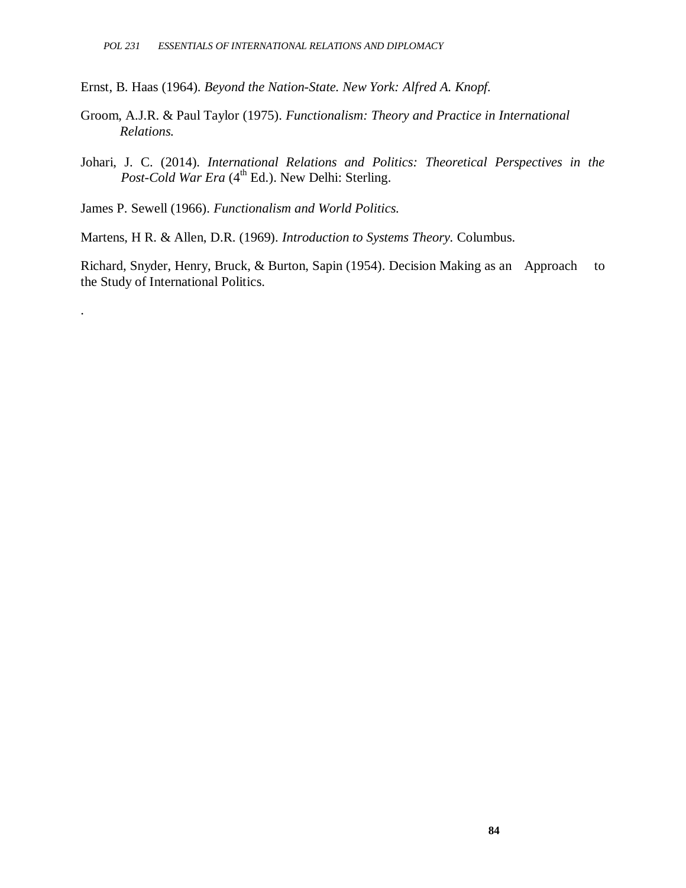Ernst, B. Haas (1964). *Beyond the Nation-State. New York: Alfred A. Knopf.*

- Groom, A.J.R. & Paul Taylor (1975). *Functionalism: Theory and Practice in International Relations.*
- Johari, J. C. (2014). *International Relations and Politics: Theoretical Perspectives in the*  Post-Cold War Era (4<sup>th</sup> Ed.). New Delhi: Sterling.

James P. Sewell (1966). *Functionalism and World Politics.*

.

Martens, H R. & Allen, D.R. (1969). *Introduction to Systems Theory.* Columbus.

Richard, Snyder, Henry, Bruck, & Burton, Sapin (1954). Decision Making as an Approach to the Study of International Politics.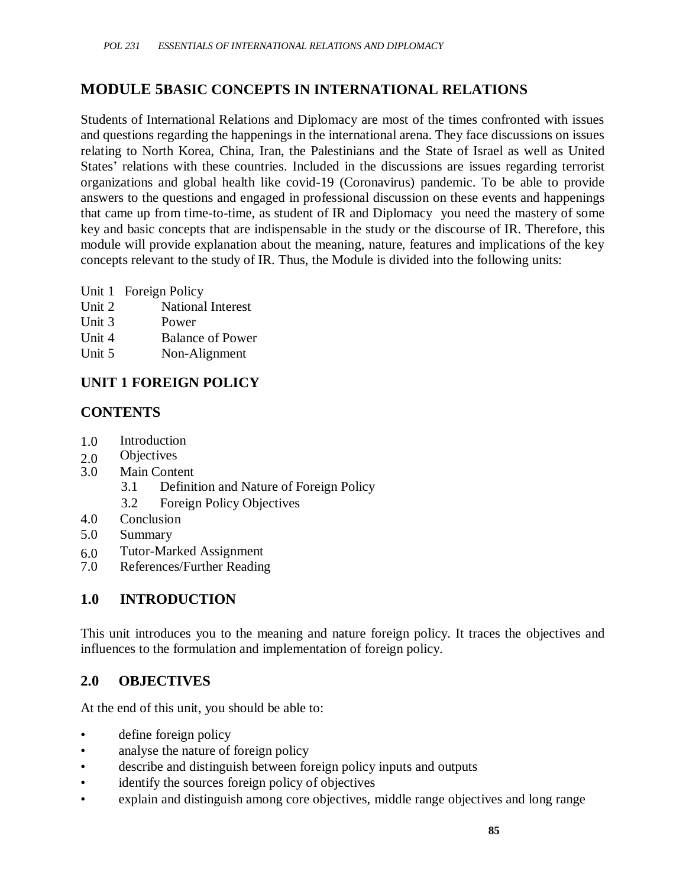### **MODULE 5BASIC CONCEPTS IN INTERNATIONAL RELATIONS**

Students of International Relations and Diplomacy are most of the times confronted with issues and questions regarding the happenings in the international arena. They face discussions on issues relating to North Korea, China, Iran, the Palestinians and the State of Israel as well as United States' relations with these countries. Included in the discussions are issues regarding terrorist organizations and global health like covid-19 (Coronavirus) pandemic. To be able to provide answers to the questions and engaged in professional discussion on these events and happenings that came up from time-to-time, as student of IR and Diplomacy you need the mastery of some key and basic concepts that are indispensable in the study or the discourse of IR. Therefore, this module will provide explanation about the meaning, nature, features and implications of the key concepts relevant to the study of IR. Thus, the Module is divided into the following units:

- Unit 1 Foreign Policy
- Unit 2 National Interest
- Unit 3 Power
- Unit 4 Balance of Power
- Unit 5 Non-Alignment

### **UNIT 1 FOREIGN POLICY**

### **CONTENTS**

- 1.0 Introduction
- 2.0 Objectives
- 3.0 Main Content
	- 3.1 Definition and Nature of Foreign Policy
	- 3.2 Foreign Policy Objectives
- 4.0 Conclusion
- 5.0 Summary
- 6.0 Tutor-Marked Assignment<br>7.0 References/Further Reading
- References/Further Reading

### **1.0 INTRODUCTION**

This unit introduces you to the meaning and nature foreign policy. It traces the objectives and influences to the formulation and implementation of foreign policy.

#### **2.0 OBJECTIVES**

At the end of this unit, you should be able to:

- define foreign policy
- analyse the nature of foreign policy
- describe and distinguish between foreign policy inputs and outputs
- identify the sources foreign policy of objectives
- explain and distinguish among core objectives, middle range objectives and long range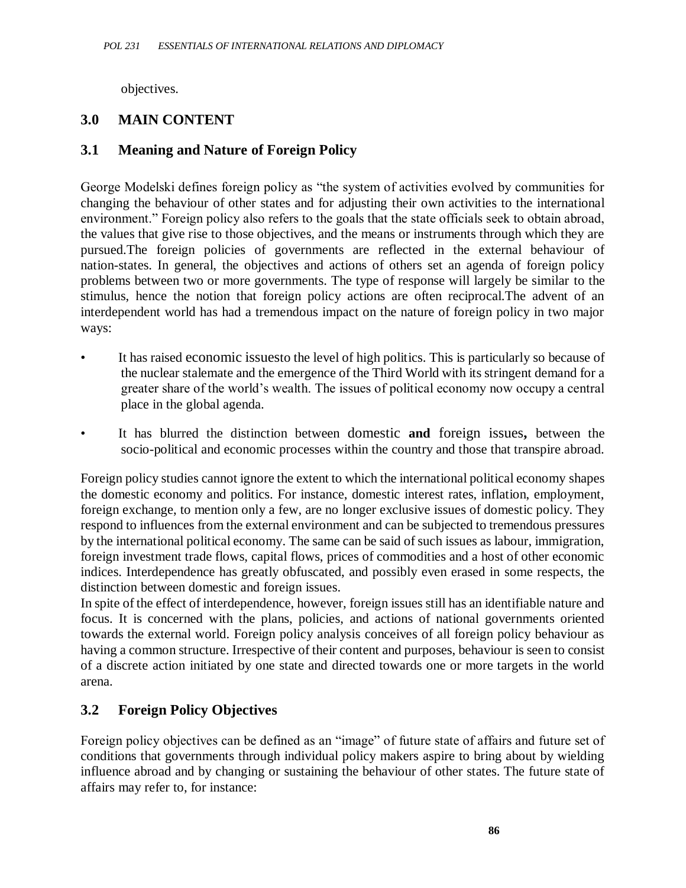objectives.

## **3.0 MAIN CONTENT**

### **3.1 Meaning and Nature of Foreign Policy**

George Modelski defines foreign policy as "the system of activities evolved by communities for changing the behaviour of other states and for adjusting their own activities to the international environment." Foreign policy also refers to the goals that the state officials seek to obtain abroad, the values that give rise to those objectives, and the means or instruments through which they are pursued.The foreign policies of governments are reflected in the external behaviour of nation-states. In general, the objectives and actions of others set an agenda of foreign policy problems between two or more governments. The type of response will largely be similar to the stimulus, hence the notion that foreign policy actions are often reciprocal.The advent of an interdependent world has had a tremendous impact on the nature of foreign policy in two major ways:

- It has raised economic issuesto the level of high politics. This is particularly so because of the nuclear stalemate and the emergence of the Third World with its stringent demand for a greater share of the world's wealth. The issues of political economy now occupy a central place in the global agenda.
- It has blurred the distinction between domestic **and** foreign issues**,** between the socio-political and economic processes within the country and those that transpire abroad.

Foreign policy studies cannot ignore the extent to which the international political economy shapes the domestic economy and politics. For instance, domestic interest rates, inflation, employment, foreign exchange, to mention only a few, are no longer exclusive issues of domestic policy. They respond to influences from the external environment and can be subjected to tremendous pressures by the international political economy. The same can be said of such issues as labour, immigration, foreign investment trade flows, capital flows, prices of commodities and a host of other economic indices. Interdependence has greatly obfuscated, and possibly even erased in some respects, the distinction between domestic and foreign issues.

In spite of the effect of interdependence, however, foreign issues still has an identifiable nature and focus. It is concerned with the plans, policies, and actions of national governments oriented towards the external world. Foreign policy analysis conceives of all foreign policy behaviour as having a common structure. Irrespective of their content and purposes, behaviour is seen to consist of a discrete action initiated by one state and directed towards one or more targets in the world arena.

### **3.2 Foreign Policy Objectives**

Foreign policy objectives can be defined as an "image" of future state of affairs and future set of conditions that governments through individual policy makers aspire to bring about by wielding influence abroad and by changing or sustaining the behaviour of other states. The future state of affairs may refer to, for instance: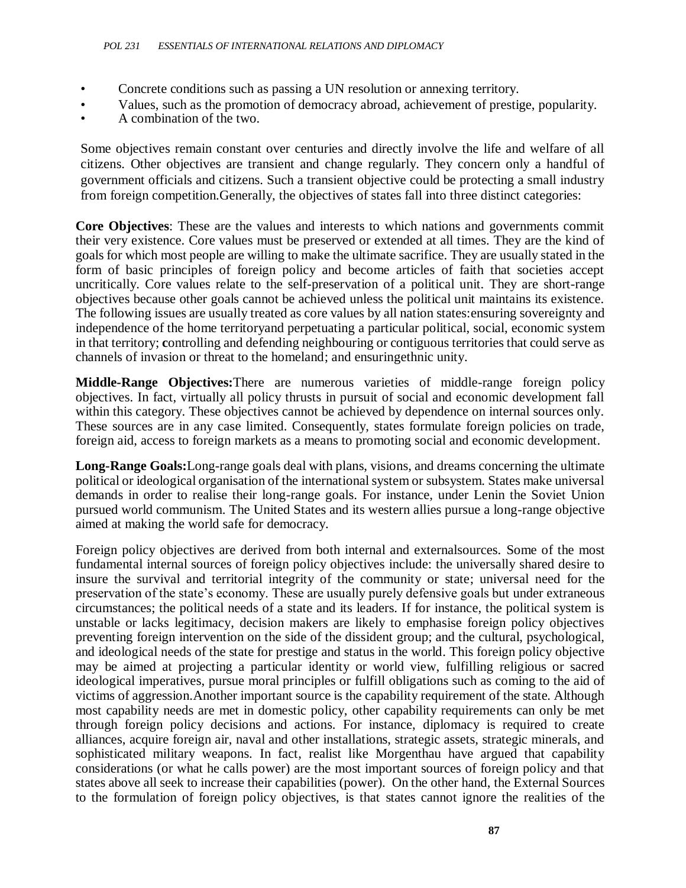- Concrete conditions such as passing a UN resolution or annexing territory.
- Values, such as the promotion of democracy abroad, achievement of prestige, popularity.
- A combination of the two.

Some objectives remain constant over centuries and directly involve the life and welfare of all citizens. Other objectives are transient and change regularly. They concern only a handful of government officials and citizens. Such a transient objective could be protecting a small industry from foreign competition.Generally, the objectives of states fall into three distinct categories:

**Core Objectives**: These are the values and interests to which nations and governments commit their very existence. Core values must be preserved or extended at all times. They are the kind of goals for which most people are willing to make the ultimate sacrifice. They are usually stated in the form of basic principles of foreign policy and become articles of faith that societies accept uncritically. Core values relate to the self-preservation of a political unit. They are short-range objectives because other goals cannot be achieved unless the political unit maintains its existence. The following issues are usually treated as core values by all nation states:ensuring sovereignty and independence of the home territoryand perpetuating a particular political, social, economic system in that territory; **c**ontrolling and defending neighbouring or contiguous territories that could serve as channels of invasion or threat to the homeland; and ensuringethnic unity.

**Middle-Range Objectives:**There are numerous varieties of middle-range foreign policy objectives. In fact, virtually all policy thrusts in pursuit of social and economic development fall within this category. These objectives cannot be achieved by dependence on internal sources only. These sources are in any case limited. Consequently, states formulate foreign policies on trade, foreign aid, access to foreign markets as a means to promoting social and economic development.

**Long-Range Goals:**Long-range goals deal with plans, visions, and dreams concerning the ultimate political or ideological organisation of the international system or subsystem. States make universal demands in order to realise their long-range goals. For instance, under Lenin the Soviet Union pursued world communism. The United States and its western allies pursue a long-range objective aimed at making the world safe for democracy.

Foreign policy objectives are derived from both internal and externalsources. Some of the most fundamental internal sources of foreign policy objectives include: the universally shared desire to insure the survival and territorial integrity of the community or state; universal need for the preservation of the state's economy. These are usually purely defensive goals but under extraneous circumstances; the political needs of a state and its leaders. If for instance, the political system is unstable or lacks legitimacy, decision makers are likely to emphasise foreign policy objectives preventing foreign intervention on the side of the dissident group; and the cultural, psychological, and ideological needs of the state for prestige and status in the world. This foreign policy objective may be aimed at projecting a particular identity or world view, fulfilling religious or sacred ideological imperatives, pursue moral principles or fulfill obligations such as coming to the aid of victims of aggression.Another important source is the capability requirement of the state. Although most capability needs are met in domestic policy, other capability requirements can only be met through foreign policy decisions and actions. For instance, diplomacy is required to create alliances, acquire foreign air, naval and other installations, strategic assets, strategic minerals, and sophisticated military weapons. In fact, realist like Morgenthau have argued that capability considerations (or what he calls power) are the most important sources of foreign policy and that states above all seek to increase their capabilities (power). On the other hand, the External Sources to the formulation of foreign policy objectives, is that states cannot ignore the realities of the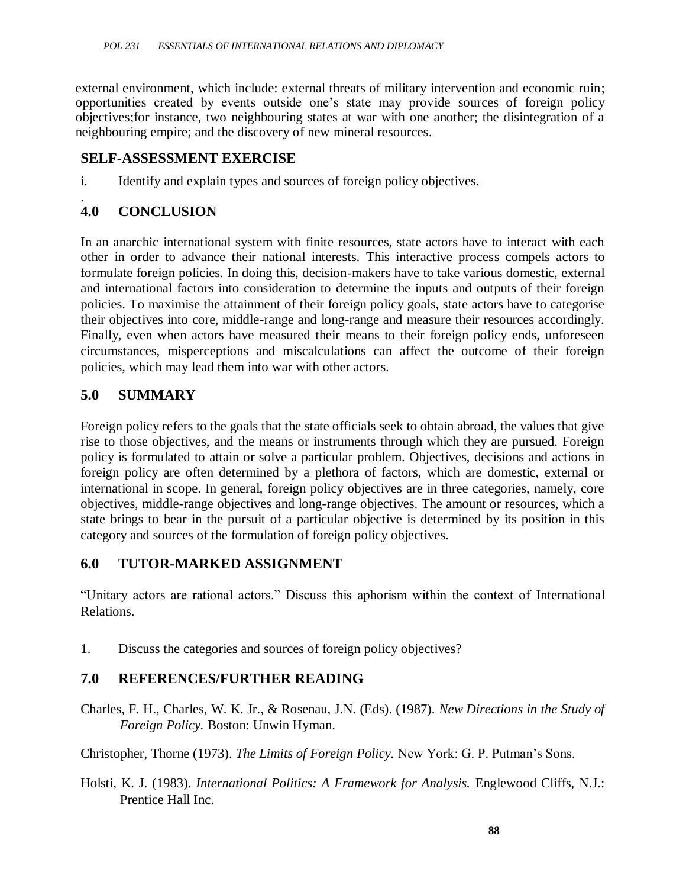external environment, which include: external threats of military intervention and economic ruin; opportunities created by events outside one's state may provide sources of foreign policy objectives;for instance, two neighbouring states at war with one another; the disintegration of a neighbouring empire; and the discovery of new mineral resources.

#### **SELF-ASSESSMENT EXERCISE**

i. Identify and explain types and sources of foreign policy objectives.

#### . **4.0 CONCLUSION**

In an anarchic international system with finite resources, state actors have to interact with each other in order to advance their national interests. This interactive process compels actors to formulate foreign policies. In doing this, decision-makers have to take various domestic, external and international factors into consideration to determine the inputs and outputs of their foreign policies. To maximise the attainment of their foreign policy goals, state actors have to categorise their objectives into core, middle-range and long-range and measure their resources accordingly. Finally, even when actors have measured their means to their foreign policy ends, unforeseen circumstances, misperceptions and miscalculations can affect the outcome of their foreign policies, which may lead them into war with other actors.

#### **5.0 SUMMARY**

Foreign policy refers to the goals that the state officials seek to obtain abroad, the values that give rise to those objectives, and the means or instruments through which they are pursued. Foreign policy is formulated to attain or solve a particular problem. Objectives, decisions and actions in foreign policy are often determined by a plethora of factors, which are domestic, external or international in scope. In general, foreign policy objectives are in three categories, namely, core objectives, middle-range objectives and long-range objectives. The amount or resources, which a state brings to bear in the pursuit of a particular objective is determined by its position in this category and sources of the formulation of foreign policy objectives.

#### **6.0 TUTOR-MARKED ASSIGNMENT**

―Unitary actors are rational actors.‖ Discuss this aphorism within the context of International Relations.

1. Discuss the categories and sources of foreign policy objectives?

### **7.0 REFERENCES/FURTHER READING**

Charles, F. H., Charles, W. K. Jr., & Rosenau, J.N. (Eds). (1987). *New Directions in the Study of Foreign Policy.* Boston: Unwin Hyman.

Christopher, Thorne (1973). *The Limits of Foreign Policy.* New York: G. P. Putman's Sons.

Holsti, K. J. (1983). *International Politics: A Framework for Analysis.* Englewood Cliffs, N.J.: Prentice Hall Inc.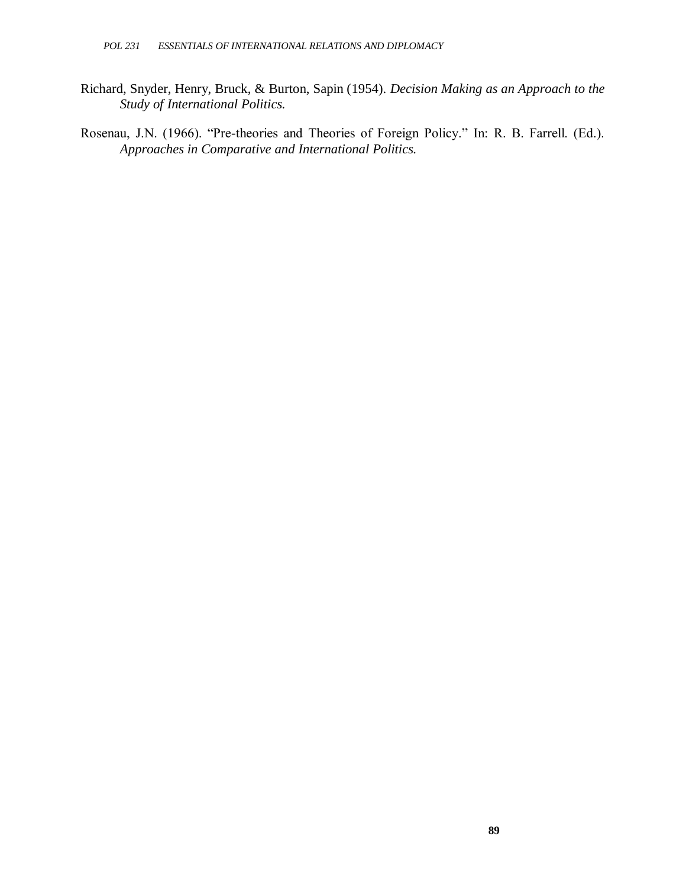- Richard, Snyder, Henry, Bruck, & Burton, Sapin (1954). *Decision Making as an Approach to the Study of International Politics.*
- Rosenau, J.N. (1966). "Pre-theories and Theories of Foreign Policy." In: R. B. Farrell. (Ed.). *Approaches in Comparative and International Politics.*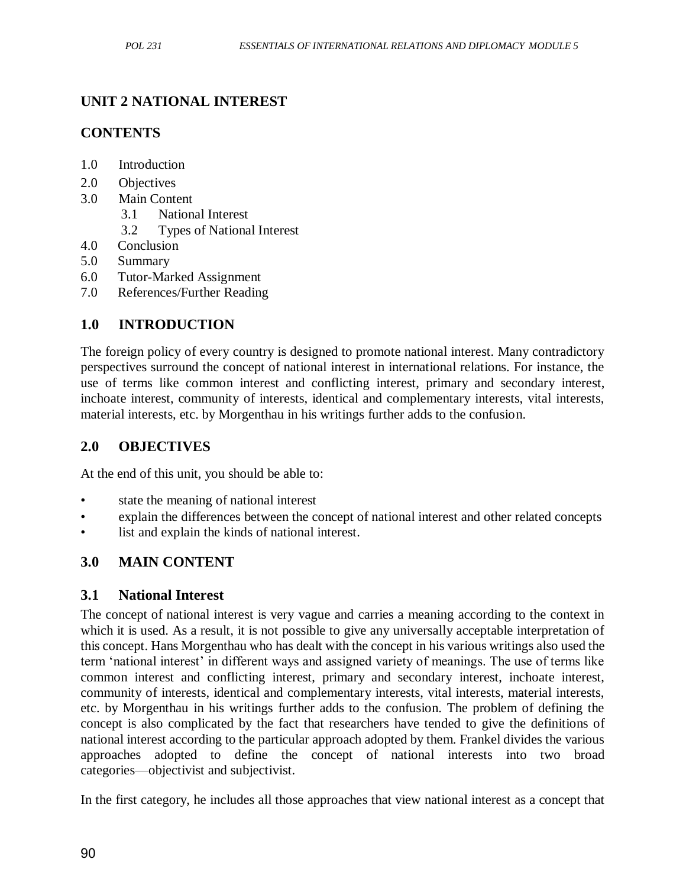### **UNIT 2 NATIONAL INTEREST**

### **CONTENTS**

- 1.0 Introduction
- 2.0 Objectives
- 3.0 Main Content
	- 3.1 National Interest
	- 3.2 Types of National Interest
- 4.0 Conclusion
- 5.0 Summary
- 6.0 Tutor-Marked Assignment
- 7.0 References/Further Reading

## **1.0 INTRODUCTION**

The foreign policy of every country is designed to promote national interest. Many contradictory perspectives surround the concept of national interest in international relations. For instance, the use of terms like common interest and conflicting interest, primary and secondary interest, inchoate interest, community of interests, identical and complementary interests, vital interests, material interests, etc. by Morgenthau in his writings further adds to the confusion.

### **2.0 OBJECTIVES**

At the end of this unit, you should be able to:

- state the meaning of national interest
- explain the differences between the concept of national interest and other related concepts
- list and explain the kinds of national interest.

## **3.0 MAIN CONTENT**

### **3.1 National Interest**

The concept of national interest is very vague and carries a meaning according to the context in which it is used. As a result, it is not possible to give any universally acceptable interpretation of this concept. Hans Morgenthau who has dealt with the concept in his various writings also used the term ‗national interest' in different ways and assigned variety of meanings. The use of terms like common interest and conflicting interest, primary and secondary interest, inchoate interest, community of interests, identical and complementary interests, vital interests, material interests, etc. by Morgenthau in his writings further adds to the confusion. The problem of defining the concept is also complicated by the fact that researchers have tended to give the definitions of national interest according to the particular approach adopted by them. Frankel divides the various approaches adopted to define the concept of national interests into two broad categories—objectivist and subjectivist.

In the first category, he includes all those approaches that view national interest as a concept that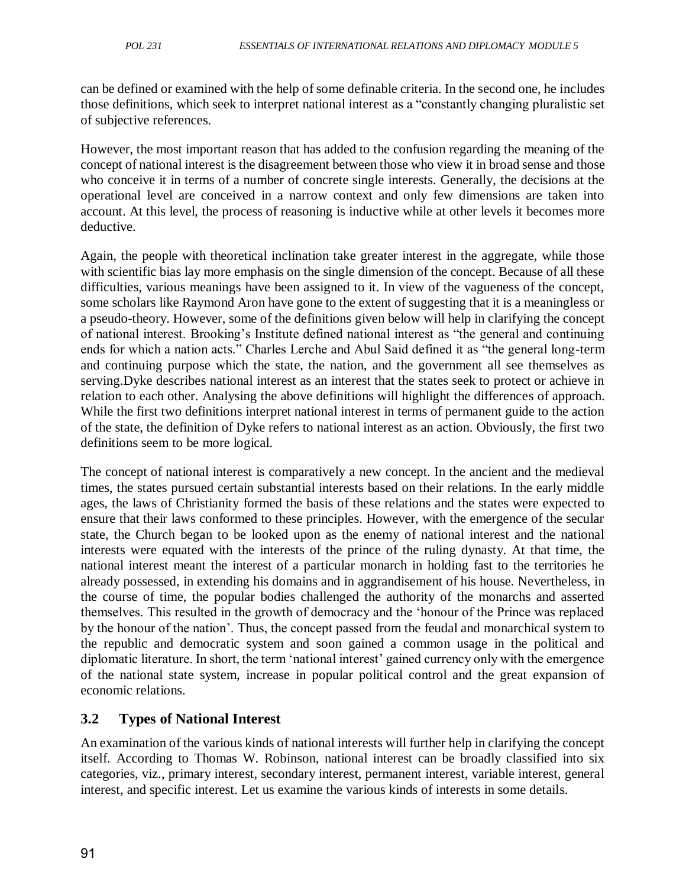can be defined or examined with the help of some definable criteria. In the second one, he includes those definitions, which seek to interpret national interest as a "constantly changing pluralistic set of subjective references.

However, the most important reason that has added to the confusion regarding the meaning of the concept of national interest is the disagreement between those who view it in broad sense and those who conceive it in terms of a number of concrete single interests. Generally, the decisions at the operational level are conceived in a narrow context and only few dimensions are taken into account. At this level, the process of reasoning is inductive while at other levels it becomes more deductive.

Again, the people with theoretical inclination take greater interest in the aggregate, while those with scientific bias lay more emphasis on the single dimension of the concept. Because of all these difficulties, various meanings have been assigned to it. In view of the vagueness of the concept, some scholars like Raymond Aron have gone to the extent of suggesting that it is a meaningless or a pseudo-theory. However, some of the definitions given below will help in clarifying the concept of national interest. Brooking's Institute defined national interest as "the general and continuing ends for which a nation acts." Charles Lerche and Abul Said defined it as "the general long-term and continuing purpose which the state, the nation, and the government all see themselves as serving.Dyke describes national interest as an interest that the states seek to protect or achieve in relation to each other. Analysing the above definitions will highlight the differences of approach. While the first two definitions interpret national interest in terms of permanent guide to the action of the state, the definition of Dyke refers to national interest as an action. Obviously, the first two definitions seem to be more logical.

The concept of national interest is comparatively a new concept. In the ancient and the medieval times, the states pursued certain substantial interests based on their relations. In the early middle ages, the laws of Christianity formed the basis of these relations and the states were expected to ensure that their laws conformed to these principles. However, with the emergence of the secular state, the Church began to be looked upon as the enemy of national interest and the national interests were equated with the interests of the prince of the ruling dynasty. At that time, the national interest meant the interest of a particular monarch in holding fast to the territories he already possessed, in extending his domains and in aggrandisement of his house. Nevertheless, in the course of time, the popular bodies challenged the authority of the monarchs and asserted themselves. This resulted in the growth of democracy and the ‗honour of the Prince was replaced by the honour of the nation'. Thus, the concept passed from the feudal and monarchical system to the republic and democratic system and soon gained a common usage in the political and diplomatic literature. In short, the term 'national interest' gained currency only with the emergence of the national state system, increase in popular political control and the great expansion of economic relations.

## **3.2 Types of National Interest**

An examination of the various kinds of national interests will further help in clarifying the concept itself. According to Thomas W. Robinson, national interest can be broadly classified into six categories, viz., primary interest, secondary interest, permanent interest, variable interest, general interest, and specific interest. Let us examine the various kinds of interests in some details.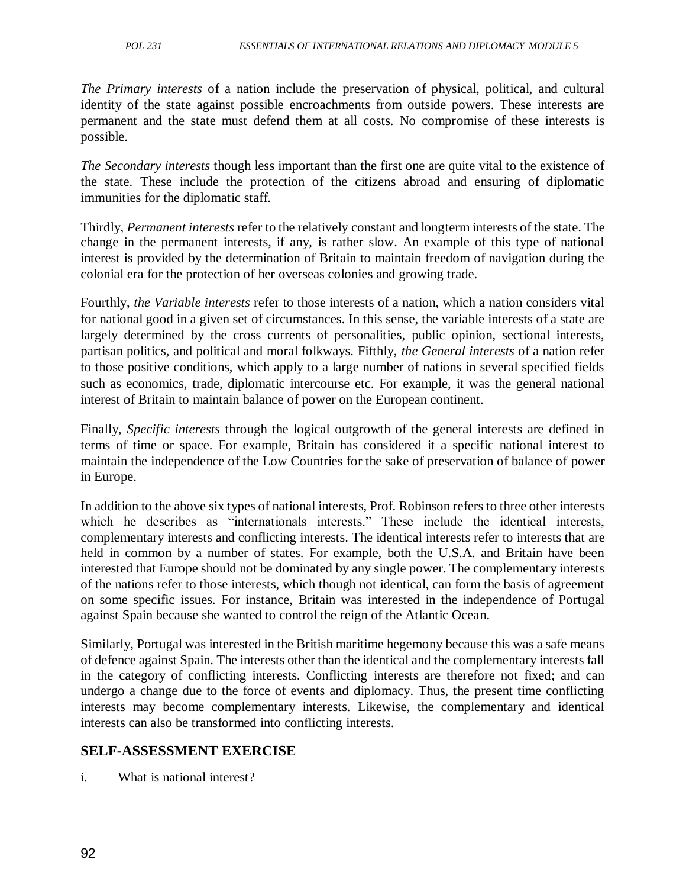*The Primary interests* of a nation include the preservation of physical, political, and cultural identity of the state against possible encroachments from outside powers. These interests are permanent and the state must defend them at all costs. No compromise of these interests is possible.

*The Secondary interests* though less important than the first one are quite vital to the existence of the state. These include the protection of the citizens abroad and ensuring of diplomatic immunities for the diplomatic staff.

Thirdly, *Permanent interests* refer to the relatively constant and longterm interests of the state. The change in the permanent interests, if any, is rather slow. An example of this type of national interest is provided by the determination of Britain to maintain freedom of navigation during the colonial era for the protection of her overseas colonies and growing trade.

Fourthly, *the Variable interests* refer to those interests of a nation, which a nation considers vital for national good in a given set of circumstances. In this sense, the variable interests of a state are largely determined by the cross currents of personalities, public opinion, sectional interests, partisan politics, and political and moral folkways. Fifthly, *the General interests* of a nation refer to those positive conditions, which apply to a large number of nations in several specified fields such as economics, trade, diplomatic intercourse etc. For example, it was the general national interest of Britain to maintain balance of power on the European continent.

Finally, *Specific interests* through the logical outgrowth of the general interests are defined in terms of time or space. For example, Britain has considered it a specific national interest to maintain the independence of the Low Countries for the sake of preservation of balance of power in Europe.

In addition to the above six types of national interests, Prof. Robinson refers to three other interests which he describes as "internationals interests." These include the identical interests, complementary interests and conflicting interests. The identical interests refer to interests that are held in common by a number of states. For example, both the U.S.A. and Britain have been interested that Europe should not be dominated by any single power. The complementary interests of the nations refer to those interests, which though not identical, can form the basis of agreement on some specific issues. For instance, Britain was interested in the independence of Portugal against Spain because she wanted to control the reign of the Atlantic Ocean.

Similarly, Portugal was interested in the British maritime hegemony because this was a safe means of defence against Spain. The interests other than the identical and the complementary interests fall in the category of conflicting interests. Conflicting interests are therefore not fixed; and can undergo a change due to the force of events and diplomacy. Thus, the present time conflicting interests may become complementary interests. Likewise, the complementary and identical interests can also be transformed into conflicting interests.

# **SELF-ASSESSMENT EXERCISE**

i. What is national interest?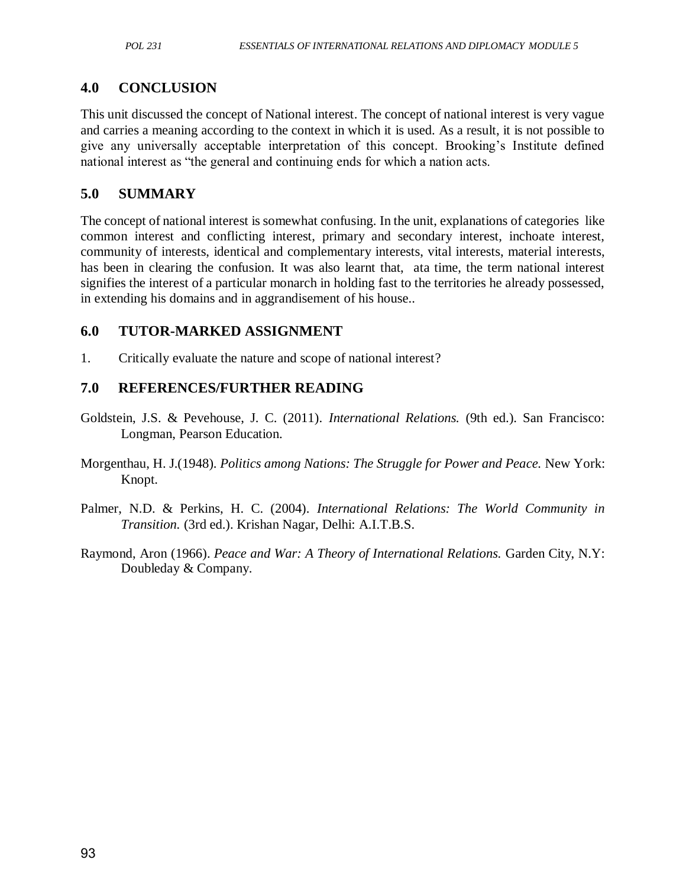## **4.0 CONCLUSION**

This unit discussed the concept of National interest. The concept of national interest is very vague and carries a meaning according to the context in which it is used. As a result, it is not possible to give any universally acceptable interpretation of this concept. Brooking's Institute defined national interest as "the general and continuing ends for which a nation acts.

### **5.0 SUMMARY**

The concept of national interest is somewhat confusing. In the unit, explanations of categories like common interest and conflicting interest, primary and secondary interest, inchoate interest, community of interests, identical and complementary interests, vital interests, material interests, has been in clearing the confusion. It was also learnt that, ata time, the term national interest signifies the interest of a particular monarch in holding fast to the territories he already possessed, in extending his domains and in aggrandisement of his house..

### **6.0 TUTOR-MARKED ASSIGNMENT**

1. Critically evaluate the nature and scope of national interest?

# **7.0 REFERENCES/FURTHER READING**

- Goldstein, J.S. & Pevehouse, J. C. (2011). *International Relations.* (9th ed.). San Francisco: Longman, Pearson Education.
- Morgenthau, H. J.(1948). *Politics among Nations: The Struggle for Power and Peace.* New York: Knopt.
- Palmer, N.D. & Perkins, H. C. (2004). *International Relations: The World Community in Transition.* (3rd ed.). Krishan Nagar, Delhi: A.I.T.B.S.
- Raymond, Aron (1966). *Peace and War: A Theory of International Relations.* Garden City, N.Y: Doubleday & Company.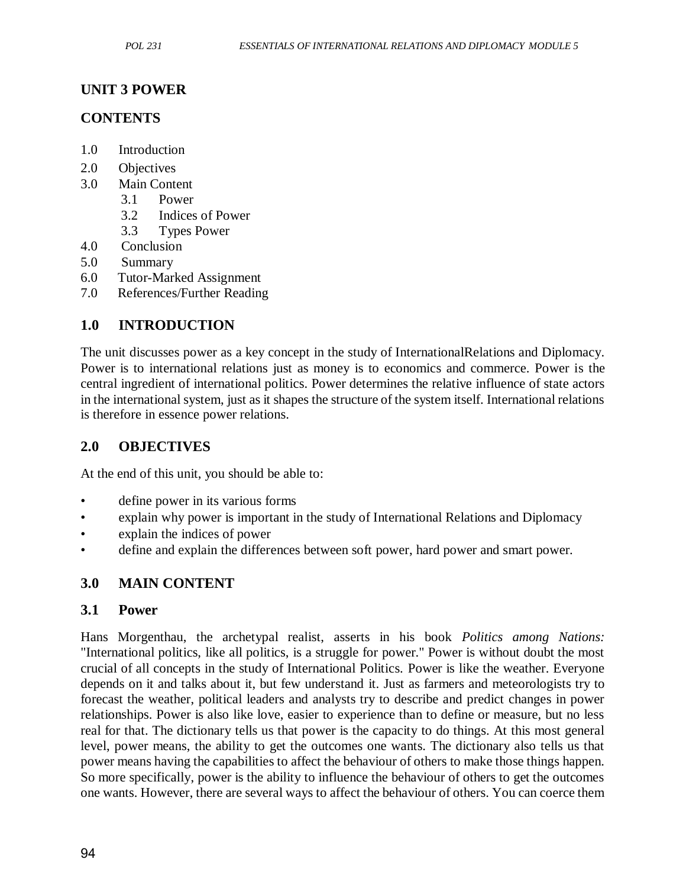### **UNIT 3 POWER**

### **CONTENTS**

- 1.0 Introduction
- 2.0 Objectives
- 3.0 Main Content
	- 3.1 Power
	- 3.2 Indices of Power
	- 3.3 Types Power
- 4.0 Conclusion
- 5.0 Summary
- 6.0 Tutor-Marked Assignment
- 7.0 References/Further Reading

# **1.0 INTRODUCTION**

The unit discusses power as a key concept in the study of InternationalRelations and Diplomacy. Power is to international relations just as money is to economics and commerce. Power is the central ingredient of international politics. Power determines the relative influence of state actors in the international system, just as it shapes the structure of the system itself. International relations is therefore in essence power relations.

### **2.0 OBJECTIVES**

At the end of this unit, you should be able to:

- define power in its various forms
- explain why power is important in the study of International Relations and Diplomacy
- explain the indices of power
- define and explain the differences between soft power, hard power and smart power.

## **3.0 MAIN CONTENT**

#### **3.1 Power**

Hans Morgenthau, the archetypal realist, asserts in his book *Politics among Nations:* "International politics, like all politics, is a struggle for power." Power is without doubt the most crucial of all concepts in the study of International Politics. Power is like the weather. Everyone depends on it and talks about it, but few understand it. Just as farmers and meteorologists try to forecast the weather, political leaders and analysts try to describe and predict changes in power relationships. Power is also like love, easier to experience than to define or measure, but no less real for that. The dictionary tells us that power is the capacity to do things. At this most general level, power means, the ability to get the outcomes one wants. The dictionary also tells us that power means having the capabilities to affect the behaviour of others to make those things happen. So more specifically, power is the ability to influence the behaviour of others to get the outcomes one wants. However, there are several ways to affect the behaviour of others. You can coerce them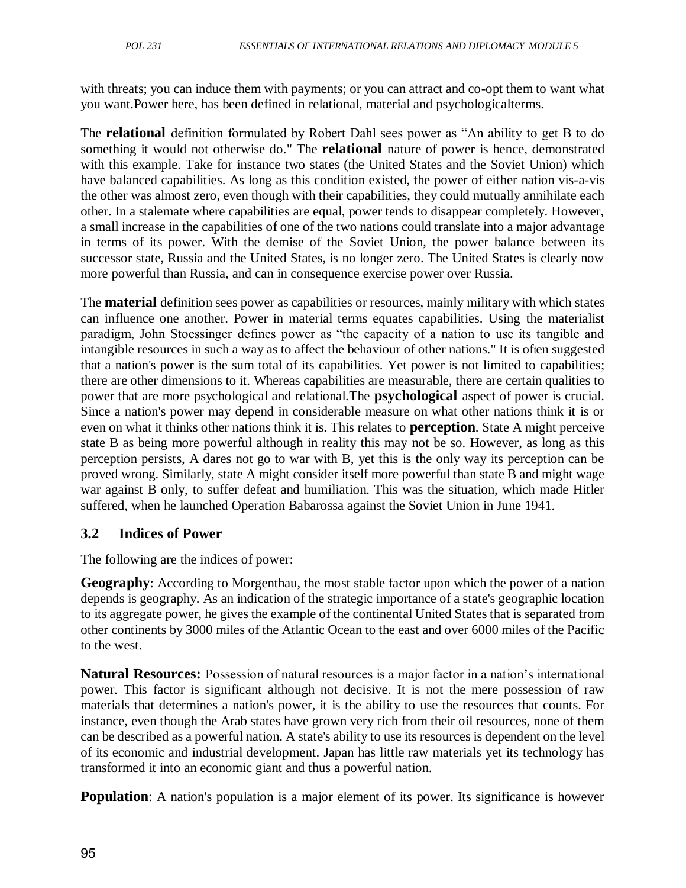with threats; you can induce them with payments; or you can attract and co-opt them to want what you want.Power here, has been defined in relational, material and psychologicalterms.

The **relational** definition formulated by Robert Dahl sees power as "An ability to get B to do something it would not otherwise do." The **relational** nature of power is hence, demonstrated with this example. Take for instance two states (the United States and the Soviet Union) which have balanced capabilities. As long as this condition existed, the power of either nation vis-a-vis the other was almost zero, even though with their capabilities, they could mutually annihilate each other. In a stalemate where capabilities are equal, power tends to disappear completely. However, a small increase in the capabilities of one of the two nations could translate into a major advantage in terms of its power. With the demise of the Soviet Union, the power balance between its successor state, Russia and the United States, is no longer zero. The United States is clearly now more powerful than Russia, and can in consequence exercise power over Russia.

The **material** definition sees power as capabilities or resources, mainly military with which states can influence one another. Power in material terms equates capabilities. Using the materialist paradigm, John Stoessinger defines power as "the capacity of a nation to use its tangible and intangible resources in such a way as to affect the behaviour of other nations." It is often suggested that a nation's power is the sum total of its capabilities. Yet power is not limited to capabilities; there are other dimensions to it. Whereas capabilities are measurable, there are certain qualities to power that are more psychological and relational.The **psychological** aspect of power is crucial. Since a nation's power may depend in considerable measure on what other nations think it is or even on what it thinks other nations think it is. This relates to **perception**. State A might perceive state B as being more powerful although in reality this may not be so. However, as long as this perception persists, A dares not go to war with B, yet this is the only way its perception can be proved wrong. Similarly, state A might consider itself more powerful than state B and might wage war against B only, to suffer defeat and humiliation. This was the situation, which made Hitler suffered, when he launched Operation Babarossa against the Soviet Union in June 1941.

### **3.2 Indices of Power**

The following are the indices of power:

**Geography**: According to Morgenthau, the most stable factor upon which the power of a nation depends is geography. As an indication of the strategic importance of a state's geographic location to its aggregate power, he gives the example of the continental United States that is separated from other continents by 3000 miles of the Atlantic Ocean to the east and over 6000 miles of the Pacific to the west.

**Natural Resources:** Possession of natural resources is a major factor in a nation's international power. This factor is significant although not decisive. It is not the mere possession of raw materials that determines a nation's power, it is the ability to use the resources that counts. For instance, even though the Arab states have grown very rich from their oil resources, none of them can be described as a powerful nation. A state's ability to use its resources is dependent on the level of its economic and industrial development. Japan has little raw materials yet its technology has transformed it into an economic giant and thus a powerful nation.

**Population**: A nation's population is a major element of its power. Its significance is however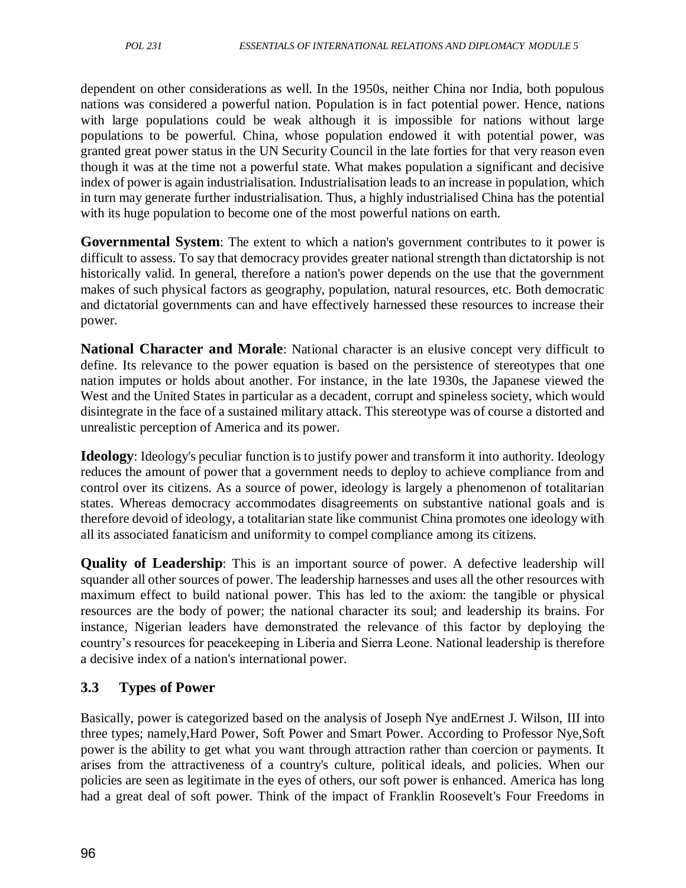dependent on other considerations as well. In the 1950s, neither China nor India, both populous nations was considered a powerful nation. Population is in fact potential power. Hence, nations with large populations could be weak although it is impossible for nations without large populations to be powerful. China, whose population endowed it with potential power, was granted great power status in the UN Security Council in the late forties for that very reason even though it was at the time not a powerful state. What makes population a significant and decisive index of power is again industrialisation. Industrialisation leads to an increase in population, which in turn may generate further industrialisation. Thus, a highly industrialised China has the potential with its huge population to become one of the most powerful nations on earth.

**Governmental System**: The extent to which a nation's government contributes to it power is difficult to assess. To say that democracy provides greater national strength than dictatorship is not historically valid. In general, therefore a nation's power depends on the use that the government makes of such physical factors as geography, population, natural resources, etc. Both democratic and dictatorial governments can and have effectively harnessed these resources to increase their power.

**National Character and Morale**: National character is an elusive concept very difficult to define. Its relevance to the power equation is based on the persistence of stereotypes that one nation imputes or holds about another. For instance, in the late 1930s, the Japanese viewed the West and the United States in particular as a decadent, corrupt and spineless society, which would disintegrate in the face of a sustained military attack. This stereotype was of course a distorted and unrealistic perception of America and its power.

**Ideology**: Ideology's peculiar function is to justify power and transform it into authority. Ideology reduces the amount of power that a government needs to deploy to achieve compliance from and control over its citizens. As a source of power, ideology is largely a phenomenon of totalitarian states. Whereas democracy accommodates disagreements on substantive national goals and is therefore devoid of ideology, a totalitarian state like communist China promotes one ideology with all its associated fanaticism and uniformity to compel compliance among its citizens.

**Quality of Leadership**: This is an important source of power. A defective leadership will squander all other sources of power. The leadership harnesses and uses all the other resources with maximum effect to build national power. This has led to the axiom: the tangible or physical resources are the body of power; the national character its soul; and leadership its brains. For instance, Nigerian leaders have demonstrated the relevance of this factor by deploying the country's resources for peacekeeping in Liberia and Sierra Leone. National leadership is therefore a decisive index of a nation's international power.

# **3.3 Types of Power**

Basically, power is categorized based on the analysis of Joseph Nye andErnest J. Wilson, III into three types; namely,Hard Power, Soft Power and Smart Power. According to Professor Nye,Soft power is the ability to get what you want through attraction rather than coercion or payments. It arises from the attractiveness of a country's culture, political ideals, and policies. When our policies are seen as legitimate in the eyes of others, our soft power is enhanced. America has long had a great deal of soft power. Think of the impact of Franklin Roosevelt's Four Freedoms in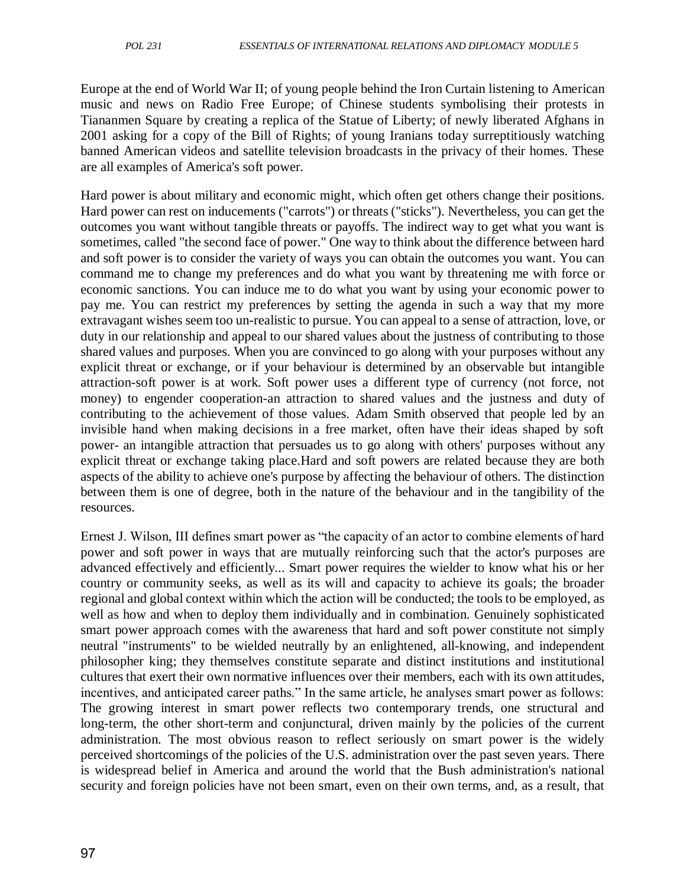Europe at the end of World War II; of young people behind the Iron Curtain listening to American music and news on Radio Free Europe; of Chinese students symbolising their protests in Tiananmen Square by creating a replica of the Statue of Liberty; of newly liberated Afghans in 2001 asking for a copy of the Bill of Rights; of young Iranians today surreptitiously watching banned American videos and satellite television broadcasts in the privacy of their homes. These are all examples of America's soft power.

Hard power is about military and economic might, which often get others change their positions. Hard power can rest on inducements ("carrots") or threats ("sticks"). Nevertheless, you can get the outcomes you want without tangible threats or payoffs. The indirect way to get what you want is sometimes, called "the second face of power." One way to think about the difference between hard and soft power is to consider the variety of ways you can obtain the outcomes you want. You can command me to change my preferences and do what you want by threatening me with force or economic sanctions. You can induce me to do what you want by using your economic power to pay me. You can restrict my preferences by setting the agenda in such a way that my more extravagant wishes seem too un-realistic to pursue. You can appeal to a sense of attraction, love, or duty in our relationship and appeal to our shared values about the justness of contributing to those shared values and purposes. When you are convinced to go along with your purposes without any explicit threat or exchange, or if your behaviour is determined by an observable but intangible attraction-soft power is at work. Soft power uses a different type of currency (not force, not money) to engender cooperation-an attraction to shared values and the justness and duty of contributing to the achievement of those values. Adam Smith observed that people led by an invisible hand when making decisions in a free market, often have their ideas shaped by soft power- an intangible attraction that persuades us to go along with others' purposes without any explicit threat or exchange taking place.Hard and soft powers are related because they are both aspects of the ability to achieve one's purpose by affecting the behaviour of others. The distinction between them is one of degree, both in the nature of the behaviour and in the tangibility of the resources.

Ernest J. Wilson, III defines smart power as "the capacity of an actor to combine elements of hard power and soft power in ways that are mutually reinforcing such that the actor's purposes are advanced effectively and efficiently... Smart power requires the wielder to know what his or her country or community seeks, as well as its will and capacity to achieve its goals; the broader regional and global context within which the action will be conducted; the tools to be employed, as well as how and when to deploy them individually and in combination. Genuinely sophisticated smart power approach comes with the awareness that hard and soft power constitute not simply neutral "instruments" to be wielded neutrally by an enlightened, all-knowing, and independent philosopher king; they themselves constitute separate and distinct institutions and institutional cultures that exert their own normative influences over their members, each with its own attitudes, incentives, and anticipated career paths." In the same article, he analyses smart power as follows: The growing interest in smart power reflects two contemporary trends, one structural and long-term, the other short-term and conjunctural, driven mainly by the policies of the current administration. The most obvious reason to reflect seriously on smart power is the widely perceived shortcomings of the policies of the U.S. administration over the past seven years. There is widespread belief in America and around the world that the Bush administration's national security and foreign policies have not been smart, even on their own terms, and, as a result, that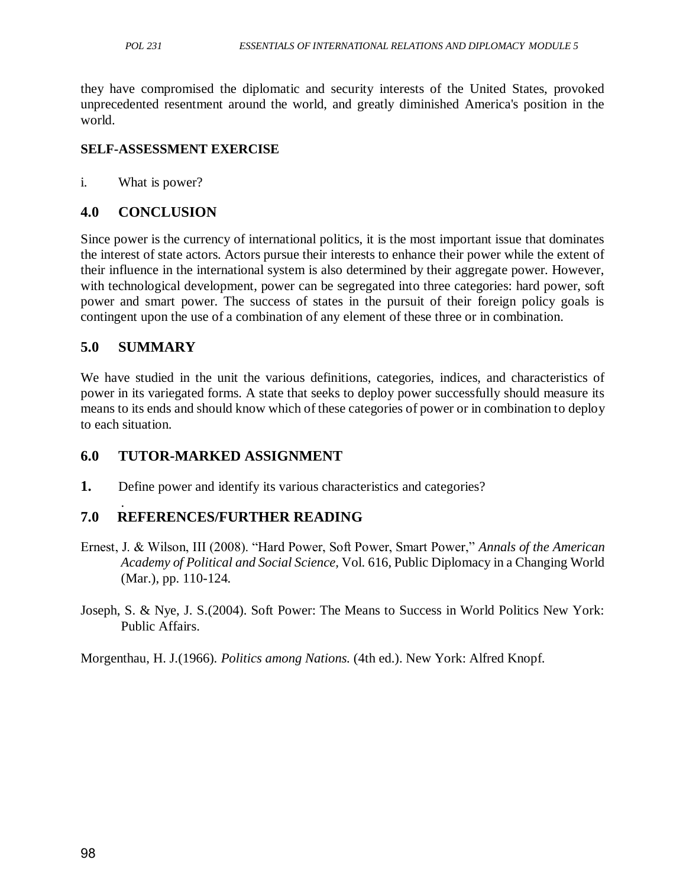they have compromised the diplomatic and security interests of the United States, provoked unprecedented resentment around the world, and greatly diminished America's position in the world.

#### **SELF-ASSESSMENT EXERCISE**

i. What is power?

### **4.0 CONCLUSION**

Since power is the currency of international politics, it is the most important issue that dominates the interest of state actors. Actors pursue their interests to enhance their power while the extent of their influence in the international system is also determined by their aggregate power. However, with technological development, power can be segregated into three categories: hard power, soft power and smart power. The success of states in the pursuit of their foreign policy goals is contingent upon the use of a combination of any element of these three or in combination.

### **5.0 SUMMARY**

We have studied in the unit the various definitions, categories, indices, and characteristics of power in its variegated forms. A state that seeks to deploy power successfully should measure its means to its ends and should know which of these categories of power or in combination to deploy to each situation.

## **6.0 TUTOR-MARKED ASSIGNMENT**

**1.** Define power and identify its various characteristics and categories?

#### . **7.0 REFERENCES/FURTHER READING**

- Ernest, J. & Wilson, III (2008). "Hard Power, Soft Power, Smart Power," Annals of the American *Academy of Political and Social Science,* Vol. 616, Public Diplomacy in a Changing World (Mar.), pp. 110-124.
- Joseph, S. & Nye, J. S.(2004). Soft Power: The Means to Success in World Politics New York: Public Affairs.

Morgenthau, H. J.(1966). *Politics among Nations.* (4th ed.). New York: Alfred Knopf.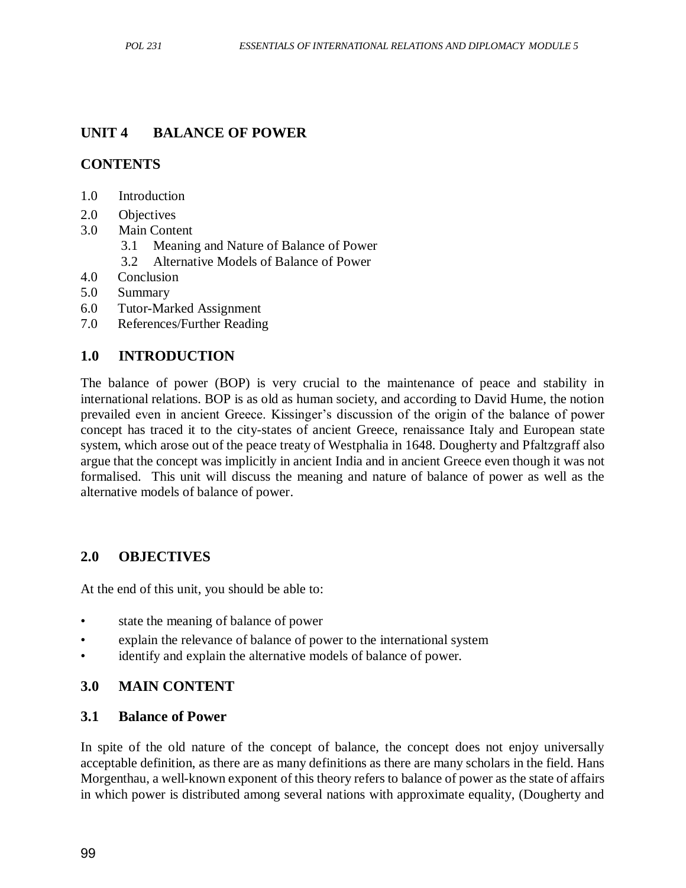### **UNIT 4 BALANCE OF POWER**

### **CONTENTS**

- 1.0 Introduction
- 2.0 Objectives
- 3.0 Main Content
	- 3.1 Meaning and Nature of Balance of Power
	- 3.2 Alternative Models of Balance of Power
- 4.0 Conclusion
- 5.0 Summary
- 6.0 Tutor-Marked Assignment
- 7.0 References/Further Reading

### **1.0 INTRODUCTION**

The balance of power (BOP) is very crucial to the maintenance of peace and stability in international relations. BOP is as old as human society, and according to David Hume, the notion prevailed even in ancient Greece. Kissinger's discussion of the origin of the balance of power concept has traced it to the city-states of ancient Greece, renaissance Italy and European state system, which arose out of the peace treaty of Westphalia in 1648. Dougherty and Pfaltzgraff also argue that the concept was implicitly in ancient India and in ancient Greece even though it was not formalised. This unit will discuss the meaning and nature of balance of power as well as the alternative models of balance of power.

### **2.0 OBJECTIVES**

At the end of this unit, you should be able to:

- state the meaning of balance of power
- explain the relevance of balance of power to the international system
- identify and explain the alternative models of balance of power.

### **3.0 MAIN CONTENT**

#### **3.1 Balance of Power**

In spite of the old nature of the concept of balance, the concept does not enjoy universally acceptable definition, as there are as many definitions as there are many scholars in the field. Hans Morgenthau, a well-known exponent of this theory refers to balance of power as the state of affairs in which power is distributed among several nations with approximate equality, (Dougherty and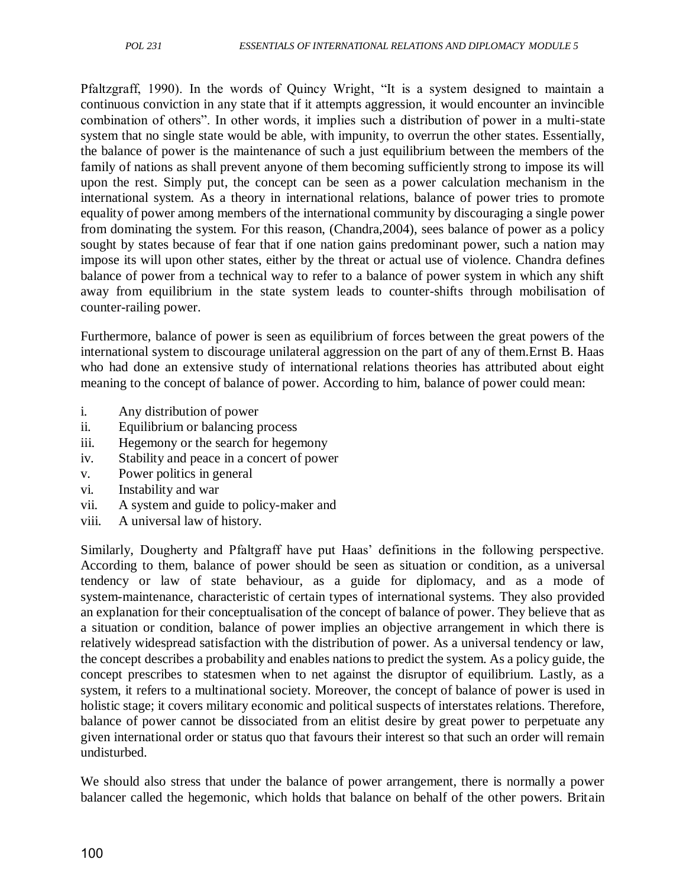Pfaltzgraff, 1990). In the words of Quincy Wright, "It is a system designed to maintain a continuous conviction in any state that if it attempts aggression, it would encounter an invincible combination of others". In other words, it implies such a distribution of power in a multi-state system that no single state would be able, with impunity, to overrun the other states. Essentially, the balance of power is the maintenance of such a just equilibrium between the members of the family of nations as shall prevent anyone of them becoming sufficiently strong to impose its will upon the rest. Simply put, the concept can be seen as a power calculation mechanism in the international system. As a theory in international relations, balance of power tries to promote equality of power among members of the international community by discouraging a single power from dominating the system. For this reason, (Chandra,2004), sees balance of power as a policy sought by states because of fear that if one nation gains predominant power, such a nation may impose its will upon other states, either by the threat or actual use of violence. Chandra defines balance of power from a technical way to refer to a balance of power system in which any shift away from equilibrium in the state system leads to counter-shifts through mobilisation of counter-railing power.

Furthermore, balance of power is seen as equilibrium of forces between the great powers of the international system to discourage unilateral aggression on the part of any of them.Ernst B. Haas who had done an extensive study of international relations theories has attributed about eight meaning to the concept of balance of power. According to him, balance of power could mean:

- i. Any distribution of power
- ii. Equilibrium or balancing process
- iii. Hegemony or the search for hegemony
- iv. Stability and peace in a concert of power
- v. Power politics in general
- vi. Instability and war
- vii. A system and guide to policy-maker and
- viii. A universal law of history.

Similarly, Dougherty and Pfaltgraff have put Haas' definitions in the following perspective. According to them, balance of power should be seen as situation or condition, as a universal tendency or law of state behaviour, as a guide for diplomacy, and as a mode of system-maintenance, characteristic of certain types of international systems. They also provided an explanation for their conceptualisation of the concept of balance of power. They believe that as a situation or condition, balance of power implies an objective arrangement in which there is relatively widespread satisfaction with the distribution of power. As a universal tendency or law, the concept describes a probability and enables nations to predict the system. As a policy guide, the concept prescribes to statesmen when to net against the disruptor of equilibrium. Lastly, as a system, it refers to a multinational society. Moreover, the concept of balance of power is used in holistic stage; it covers military economic and political suspects of interstates relations. Therefore, balance of power cannot be dissociated from an elitist desire by great power to perpetuate any given international order or status quo that favours their interest so that such an order will remain undisturbed.

We should also stress that under the balance of power arrangement, there is normally a power balancer called the hegemonic, which holds that balance on behalf of the other powers. Britain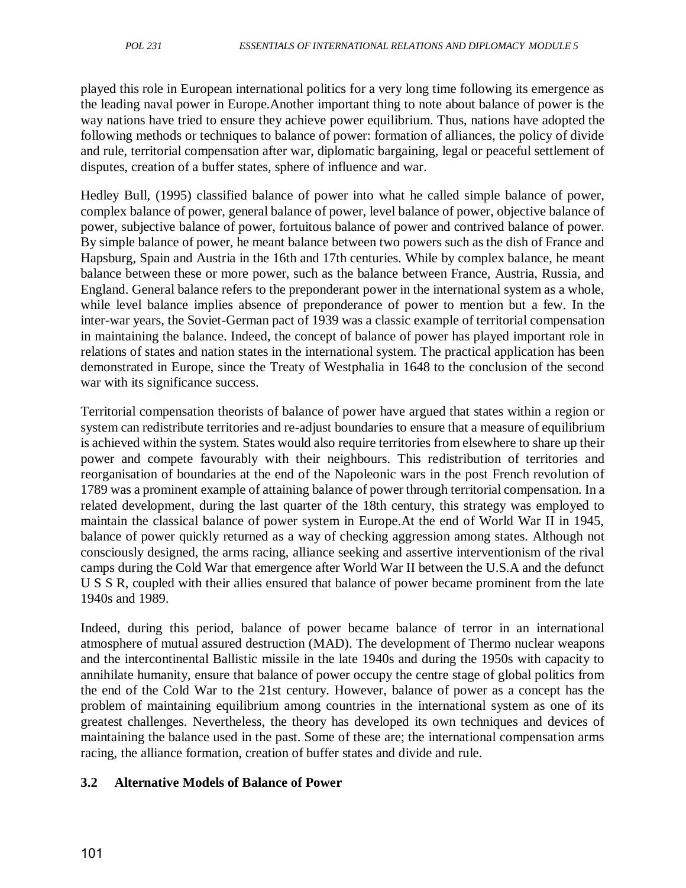played this role in European international politics for a very long time following its emergence as the leading naval power in Europe.Another important thing to note about balance of power is the way nations have tried to ensure they achieve power equilibrium. Thus, nations have adopted the following methods or techniques to balance of power: formation of alliances, the policy of divide and rule, territorial compensation after war, diplomatic bargaining, legal or peaceful settlement of disputes, creation of a buffer states, sphere of influence and war.

Hedley Bull, (1995) classified balance of power into what he called simple balance of power, complex balance of power, general balance of power, level balance of power, objective balance of power, subjective balance of power, fortuitous balance of power and contrived balance of power. By simple balance of power, he meant balance between two powers such as the dish of France and Hapsburg, Spain and Austria in the 16th and 17th centuries. While by complex balance, he meant balance between these or more power, such as the balance between France, Austria, Russia, and England. General balance refers to the preponderant power in the international system as a whole, while level balance implies absence of preponderance of power to mention but a few. In the inter-war years, the Soviet-German pact of 1939 was a classic example of territorial compensation in maintaining the balance. Indeed, the concept of balance of power has played important role in relations of states and nation states in the international system. The practical application has been demonstrated in Europe, since the Treaty of Westphalia in 1648 to the conclusion of the second war with its significance success.

Territorial compensation theorists of balance of power have argued that states within a region or system can redistribute territories and re-adjust boundaries to ensure that a measure of equilibrium is achieved within the system. States would also require territories from elsewhere to share up their power and compete favourably with their neighbours. This redistribution of territories and reorganisation of boundaries at the end of the Napoleonic wars in the post French revolution of 1789 was a prominent example of attaining balance of power through territorial compensation. In a related development, during the last quarter of the 18th century, this strategy was employed to maintain the classical balance of power system in Europe.At the end of World War II in 1945, balance of power quickly returned as a way of checking aggression among states. Although not consciously designed, the arms racing, alliance seeking and assertive interventionism of the rival camps during the Cold War that emergence after World War II between the U.S.A and the defunct U S S R, coupled with their allies ensured that balance of power became prominent from the late 1940s and 1989.

Indeed, during this period, balance of power became balance of terror in an international atmosphere of mutual assured destruction (MAD). The development of Thermo nuclear weapons and the intercontinental Ballistic missile in the late 1940s and during the 1950s with capacity to annihilate humanity, ensure that balance of power occupy the centre stage of global politics from the end of the Cold War to the 21st century. However, balance of power as a concept has the problem of maintaining equilibrium among countries in the international system as one of its greatest challenges. Nevertheless, the theory has developed its own techniques and devices of maintaining the balance used in the past. Some of these are; the international compensation arms racing, the alliance formation, creation of buffer states and divide and rule.

## **3.2 Alternative Models of Balance of Power**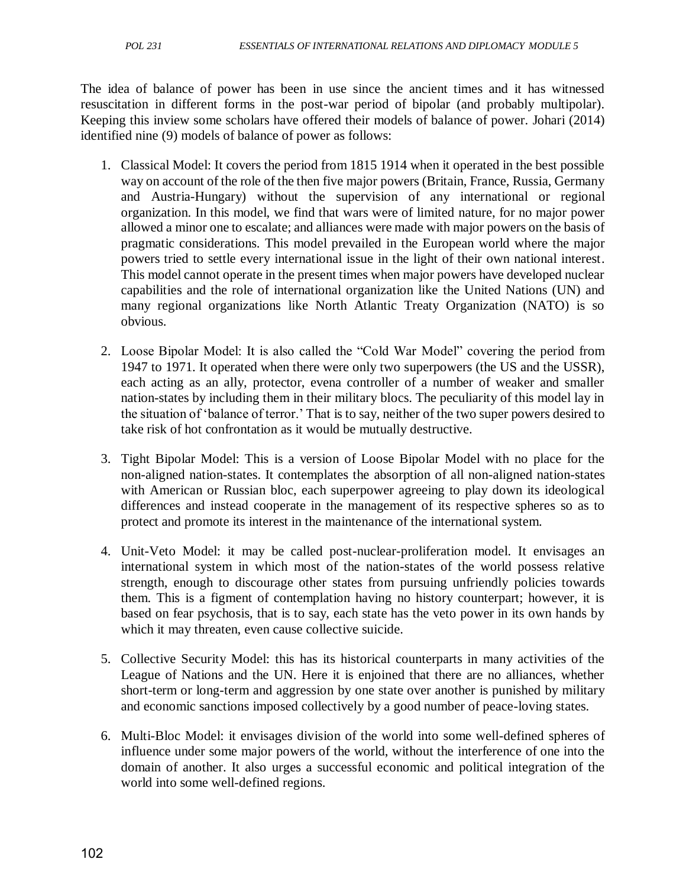The idea of balance of power has been in use since the ancient times and it has witnessed resuscitation in different forms in the post-war period of bipolar (and probably multipolar). Keeping this inview some scholars have offered their models of balance of power. Johari (2014) identified nine (9) models of balance of power as follows:

- 1. Classical Model: It covers the period from 1815 1914 when it operated in the best possible way on account of the role of the then five major powers (Britain, France, Russia, Germany and Austria-Hungary) without the supervision of any international or regional organization. In this model, we find that wars were of limited nature, for no major power allowed a minor one to escalate; and alliances were made with major powers on the basis of pragmatic considerations. This model prevailed in the European world where the major powers tried to settle every international issue in the light of their own national interest. This model cannot operate in the present times when major powers have developed nuclear capabilities and the role of international organization like the United Nations (UN) and many regional organizations like North Atlantic Treaty Organization (NATO) is so obvious.
- 2. Loose Bipolar Model: It is also called the "Cold War Model" covering the period from 1947 to 1971. It operated when there were only two superpowers (the US and the USSR), each acting as an ally, protector, evena controller of a number of weaker and smaller nation-states by including them in their military blocs. The peculiarity of this model lay in the situation of 'balance of terror.' That is to say, neither of the two super powers desired to take risk of hot confrontation as it would be mutually destructive.
- 3. Tight Bipolar Model: This is a version of Loose Bipolar Model with no place for the non-aligned nation-states. It contemplates the absorption of all non-aligned nation-states with American or Russian bloc, each superpower agreeing to play down its ideological differences and instead cooperate in the management of its respective spheres so as to protect and promote its interest in the maintenance of the international system.
- 4. Unit-Veto Model: it may be called post-nuclear-proliferation model. It envisages an international system in which most of the nation-states of the world possess relative strength, enough to discourage other states from pursuing unfriendly policies towards them. This is a figment of contemplation having no history counterpart; however, it is based on fear psychosis, that is to say, each state has the veto power in its own hands by which it may threaten, even cause collective suicide.
- 5. Collective Security Model: this has its historical counterparts in many activities of the League of Nations and the UN. Here it is enjoined that there are no alliances, whether short-term or long-term and aggression by one state over another is punished by military and economic sanctions imposed collectively by a good number of peace-loving states.
- 6. Multi-Bloc Model: it envisages division of the world into some well-defined spheres of influence under some major powers of the world, without the interference of one into the domain of another. It also urges a successful economic and political integration of the world into some well-defined regions.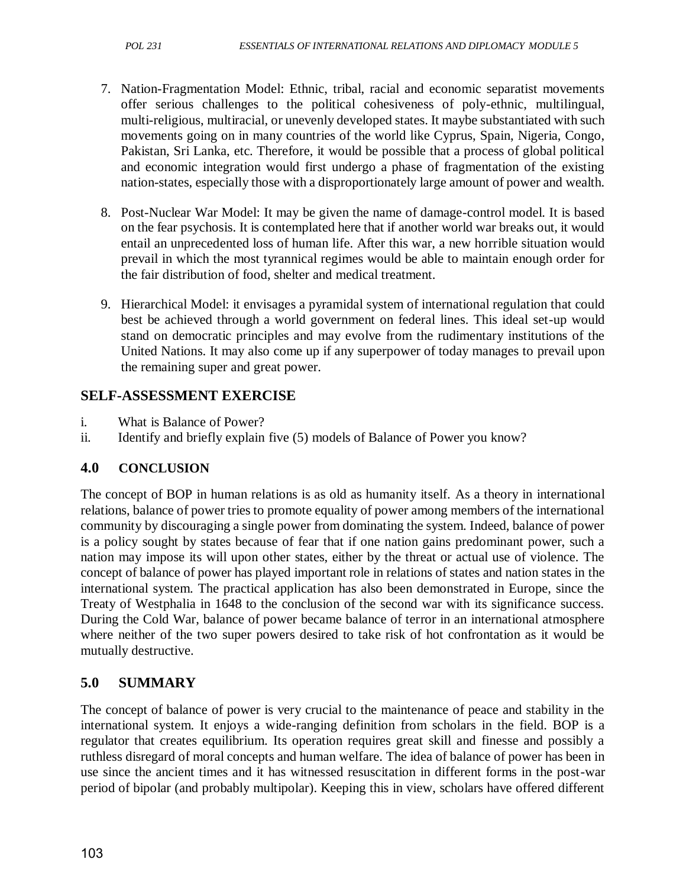- 7. Nation-Fragmentation Model: Ethnic, tribal, racial and economic separatist movements offer serious challenges to the political cohesiveness of poly-ethnic, multilingual, multi-religious, multiracial, or unevenly developed states. It maybe substantiated with such movements going on in many countries of the world like Cyprus, Spain, Nigeria, Congo, Pakistan, Sri Lanka, etc. Therefore, it would be possible that a process of global political and economic integration would first undergo a phase of fragmentation of the existing nation-states, especially those with a disproportionately large amount of power and wealth.
- 8. Post-Nuclear War Model: It may be given the name of damage-control model. It is based on the fear psychosis. It is contemplated here that if another world war breaks out, it would entail an unprecedented loss of human life. After this war, a new horrible situation would prevail in which the most tyrannical regimes would be able to maintain enough order for the fair distribution of food, shelter and medical treatment.
- 9. Hierarchical Model: it envisages a pyramidal system of international regulation that could best be achieved through a world government on federal lines. This ideal set-up would stand on democratic principles and may evolve from the rudimentary institutions of the United Nations. It may also come up if any superpower of today manages to prevail upon the remaining super and great power.

## **SELF-ASSESSMENT EXERCISE**

- i. What is Balance of Power?
- ii. Identify and briefly explain five (5) models of Balance of Power you know?

## **4.0 CONCLUSION**

The concept of BOP in human relations is as old as humanity itself. As a theory in international relations, balance of power tries to promote equality of power among members of the international community by discouraging a single power from dominating the system. Indeed, balance of power is a policy sought by states because of fear that if one nation gains predominant power, such a nation may impose its will upon other states, either by the threat or actual use of violence. The concept of balance of power has played important role in relations of states and nation states in the international system. The practical application has also been demonstrated in Europe, since the Treaty of Westphalia in 1648 to the conclusion of the second war with its significance success. During the Cold War, balance of power became balance of terror in an international atmosphere where neither of the two super powers desired to take risk of hot confrontation as it would be mutually destructive.

## **5.0 SUMMARY**

The concept of balance of power is very crucial to the maintenance of peace and stability in the international system. It enjoys a wide-ranging definition from scholars in the field. BOP is a regulator that creates equilibrium. Its operation requires great skill and finesse and possibly a ruthless disregard of moral concepts and human welfare. The idea of balance of power has been in use since the ancient times and it has witnessed resuscitation in different forms in the post-war period of bipolar (and probably multipolar). Keeping this in view, scholars have offered different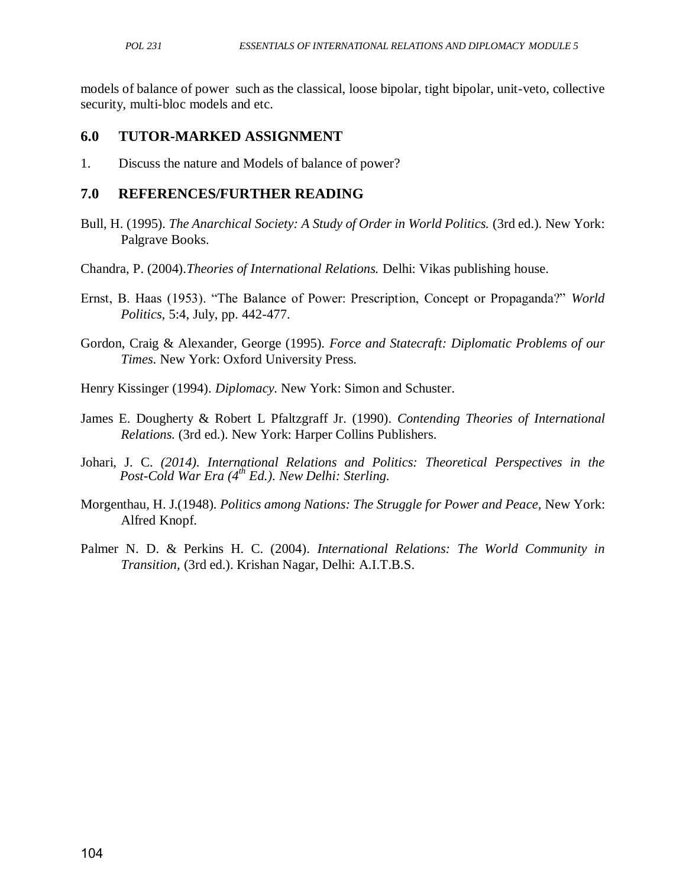models of balance of power such as the classical, loose bipolar, tight bipolar, unit-veto, collective security, multi-bloc models and etc.

#### **6.0 TUTOR-MARKED ASSIGNMENT**

1. Discuss the nature and Models of balance of power?

#### **7.0 REFERENCES/FURTHER READING**

- Bull, H. (1995). *The Anarchical Society: A Study of Order in World Politics.* (3rd ed.). New York: Palgrave Books.
- Chandra, P. (2004).*Theories of International Relations.* Delhi: Vikas publishing house.
- Ernst, B. Haas (1953). "The Balance of Power: Prescription, Concept or Propaganda?" *World Politics,* 5:4, July, pp. 442-477.
- Gordon, Craig & Alexander, George (1995). *Force and Statecraft: Diplomatic Problems of our Times*. New York: Oxford University Press.
- Henry Kissinger (1994). *Diplomacy.* New York: Simon and Schuster.
- James E. Dougherty & Robert L Pfaltzgraff Jr. (1990). *Contending Theories of International Relations.* (3rd ed.). New York: Harper Collins Publishers.
- Johari, J. C. *(2014). International Relations and Politics: Theoretical Perspectives in the Post-Cold War Era (4th Ed.). New Delhi: Sterling.*
- Morgenthau, H. J.(1948). *Politics among Nations: The Struggle for Power and Peace,* New York: Alfred Knopf.
- Palmer N. D. & Perkins H. C. (2004). *International Relations: The World Community in Transition,* (3rd ed.). Krishan Nagar, Delhi: A.I.T.B.S.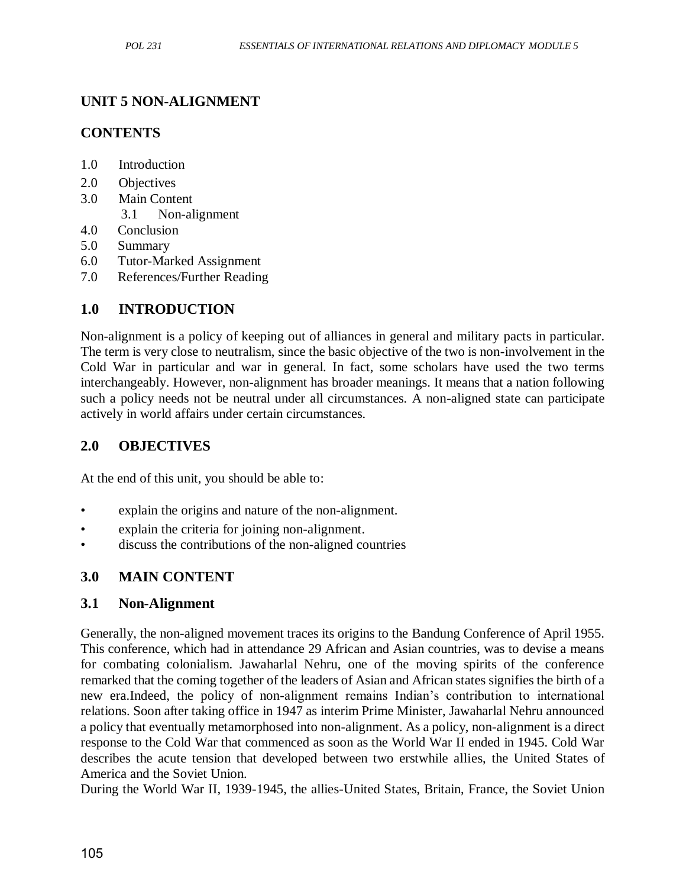#### **UNIT 5 NON-ALIGNMENT**

#### **CONTENTS**

- 1.0 Introduction
- 2.0 Objectives
- 3.0 Main Content
	- 3.1 Non-alignment
- 4.0 Conclusion
- 5.0 Summary
- 6.0 Tutor-Marked Assignment
- 7.0 References/Further Reading

### **1.0 INTRODUCTION**

Non-alignment is a policy of keeping out of alliances in general and military pacts in particular. The term is very close to neutralism, since the basic objective of the two is non-involvement in the Cold War in particular and war in general. In fact, some scholars have used the two terms interchangeably. However, non-alignment has broader meanings. It means that a nation following such a policy needs not be neutral under all circumstances. A non-aligned state can participate actively in world affairs under certain circumstances.

### **2.0 OBJECTIVES**

At the end of this unit, you should be able to:

- explain the origins and nature of the non-alignment.
- explain the criteria for joining non-alignment.
- discuss the contributions of the non-aligned countries

#### **3.0 MAIN CONTENT**

#### **3.1 Non-Alignment**

Generally, the non-aligned movement traces its origins to the Bandung Conference of April 1955. This conference, which had in attendance 29 African and Asian countries, was to devise a means for combating colonialism. Jawaharlal Nehru, one of the moving spirits of the conference remarked that the coming together of the leaders of Asian and African states signifies the birth of a new era.Indeed, the policy of non-alignment remains Indian's contribution to international relations. Soon after taking office in 1947 as interim Prime Minister, Jawaharlal Nehru announced a policy that eventually metamorphosed into non-alignment. As a policy, non-alignment is a direct response to the Cold War that commenced as soon as the World War II ended in 1945. Cold War describes the acute tension that developed between two erstwhile allies, the United States of America and the Soviet Union.

During the World War II, 1939-1945, the allies-United States, Britain, France, the Soviet Union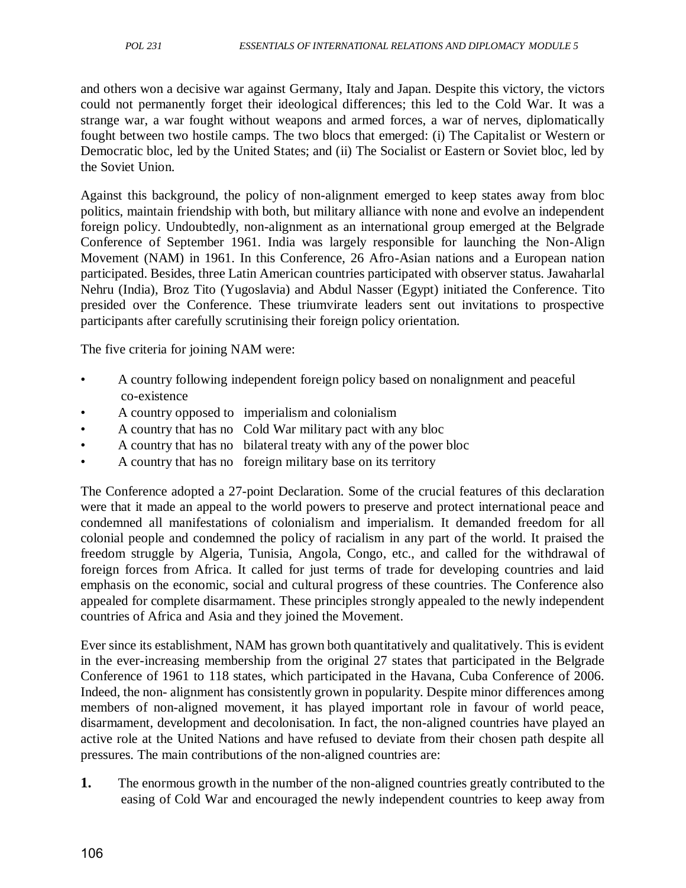and others won a decisive war against Germany, Italy and Japan. Despite this victory, the victors could not permanently forget their ideological differences; this led to the Cold War. It was a strange war, a war fought without weapons and armed forces, a war of nerves, diplomatically fought between two hostile camps. The two blocs that emerged: (i) The Capitalist or Western or Democratic bloc, led by the United States; and (ii) The Socialist or Eastern or Soviet bloc, led by the Soviet Union.

Against this background, the policy of non-alignment emerged to keep states away from bloc politics, maintain friendship with both, but military alliance with none and evolve an independent foreign policy. Undoubtedly, non-alignment as an international group emerged at the Belgrade Conference of September 1961. India was largely responsible for launching the Non-Align Movement (NAM) in 1961. In this Conference, 26 Afro-Asian nations and a European nation participated. Besides, three Latin American countries participated with observer status. Jawaharlal Nehru (India), Broz Tito (Yugoslavia) and Abdul Nasser (Egypt) initiated the Conference. Tito presided over the Conference. These triumvirate leaders sent out invitations to prospective participants after carefully scrutinising their foreign policy orientation.

The five criteria for joining NAM were:

- A country following independent foreign policy based on nonalignment and peaceful co-existence
- A country opposed to imperialism and colonialism
- A country that has no Cold War military pact with any bloc
- A country that has no bilateral treaty with any of the power bloc
- A country that has no foreign military base on its territory

The Conference adopted a 27-point Declaration. Some of the crucial features of this declaration were that it made an appeal to the world powers to preserve and protect international peace and condemned all manifestations of colonialism and imperialism. It demanded freedom for all colonial people and condemned the policy of racialism in any part of the world. It praised the freedom struggle by Algeria, Tunisia, Angola, Congo, etc., and called for the withdrawal of foreign forces from Africa. It called for just terms of trade for developing countries and laid emphasis on the economic, social and cultural progress of these countries. The Conference also appealed for complete disarmament. These principles strongly appealed to the newly independent countries of Africa and Asia and they joined the Movement.

Ever since its establishment, NAM has grown both quantitatively and qualitatively. This is evident in the ever-increasing membership from the original 27 states that participated in the Belgrade Conference of 1961 to 118 states, which participated in the Havana, Cuba Conference of 2006. Indeed, the non- alignment has consistently grown in popularity. Despite minor differences among members of non-aligned movement, it has played important role in favour of world peace, disarmament, development and decolonisation. In fact, the non-aligned countries have played an active role at the United Nations and have refused to deviate from their chosen path despite all pressures. The main contributions of the non-aligned countries are:

**1.** The enormous growth in the number of the non-aligned countries greatly contributed to the easing of Cold War and encouraged the newly independent countries to keep away from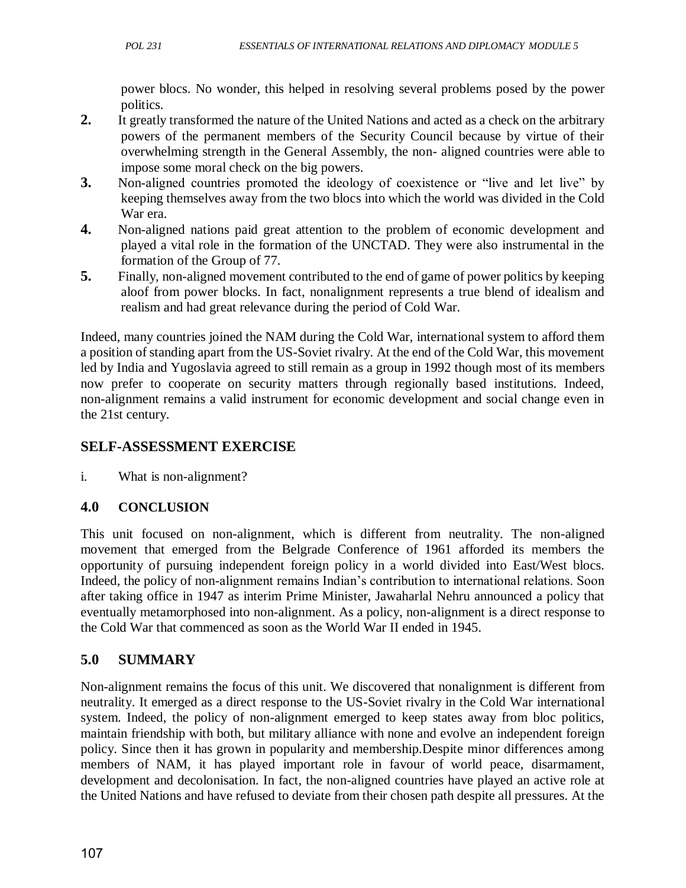power blocs. No wonder, this helped in resolving several problems posed by the power politics.

- **2.** It greatly transformed the nature of the United Nations and acted as a check on the arbitrary powers of the permanent members of the Security Council because by virtue of their overwhelming strength in the General Assembly, the non- aligned countries were able to impose some moral check on the big powers.
- **3.** Non-aligned countries promoted the ideology of coexistence or "live and let live" by keeping themselves away from the two blocs into which the world was divided in the Cold War era.
- **4.** Non-aligned nations paid great attention to the problem of economic development and played a vital role in the formation of the UNCTAD. They were also instrumental in the formation of the Group of 77.
- **5.** Finally, non-aligned movement contributed to the end of game of power politics by keeping aloof from power blocks. In fact, nonalignment represents a true blend of idealism and realism and had great relevance during the period of Cold War.

Indeed, many countries joined the NAM during the Cold War, international system to afford them a position of standing apart from the US-Soviet rivalry. At the end of the Cold War, this movement led by India and Yugoslavia agreed to still remain as a group in 1992 though most of its members now prefer to cooperate on security matters through regionally based institutions. Indeed, non-alignment remains a valid instrument for economic development and social change even in the 21st century.

## **SELF-ASSESSMENT EXERCISE**

i. What is non-alignment?

### **4.0 CONCLUSION**

This unit focused on non-alignment, which is different from neutrality. The non-aligned movement that emerged from the Belgrade Conference of 1961 afforded its members the opportunity of pursuing independent foreign policy in a world divided into East/West blocs. Indeed, the policy of non-alignment remains Indian's contribution to international relations. Soon after taking office in 1947 as interim Prime Minister, Jawaharlal Nehru announced a policy that eventually metamorphosed into non-alignment. As a policy, non-alignment is a direct response to the Cold War that commenced as soon as the World War II ended in 1945.

## **5.0 SUMMARY**

Non-alignment remains the focus of this unit. We discovered that nonalignment is different from neutrality. It emerged as a direct response to the US-Soviet rivalry in the Cold War international system. Indeed, the policy of non-alignment emerged to keep states away from bloc politics, maintain friendship with both, but military alliance with none and evolve an independent foreign policy. Since then it has grown in popularity and membership.Despite minor differences among members of NAM, it has played important role in favour of world peace, disarmament, development and decolonisation. In fact, the non-aligned countries have played an active role at the United Nations and have refused to deviate from their chosen path despite all pressures. At the